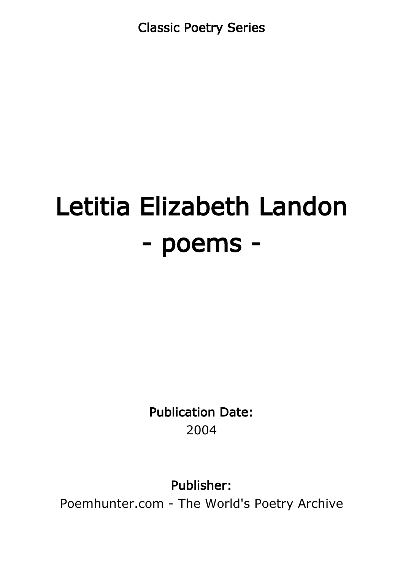Classic Poetry Series

# Letitia Elizabeth Landon - poems -

Publication Date: 2004

Publisher:

Poemhunter.com - The World's Poetry Archive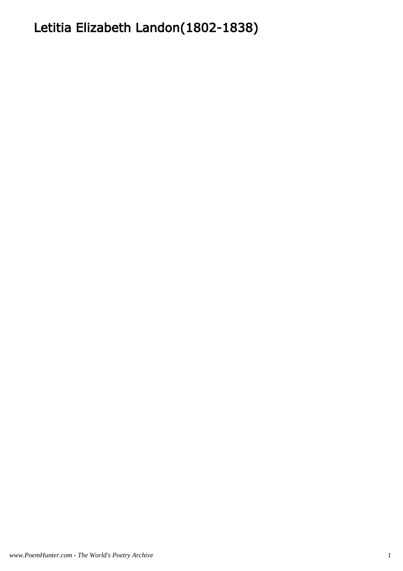# Letitia Elizabeth Landon(1802-1838)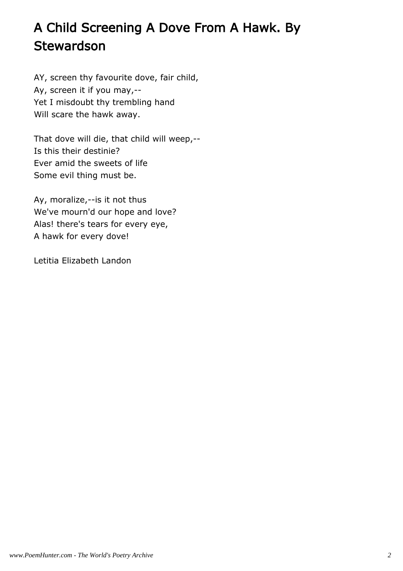# A Child Screening A Dove From A Hawk. By **Stewardson**

AY, screen thy favourite dove, fair child, Ay, screen it if you may,-- Yet I misdoubt thy trembling hand Will scare the hawk away.

That dove will die, that child will weep,-- Is this their destinie? Ever amid the sweets of life Some evil thing must be.

Ay, moralize,--is it not thus We've mourn'd our hope and love? Alas! there's tears for every eye, A hawk for every dove!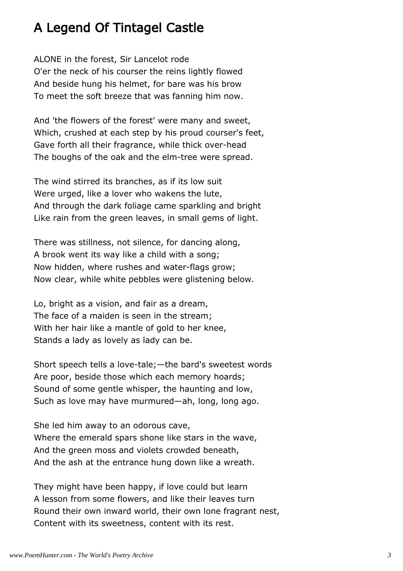### A Legend Of Tintagel Castle

ALONE in the forest, Sir Lancelot rode O'er the neck of his courser the reins lightly flowed And beside hung his helmet, for bare was his brow To meet the soft breeze that was fanning him now.

And 'the flowers of the forest' were many and sweet, Which, crushed at each step by his proud courser's feet, Gave forth all their fragrance, while thick over-head The boughs of the oak and the elm-tree were spread.

The wind stirred its branches, as if its low suit Were urged, like a lover who wakens the lute, And through the dark foliage came sparkling and bright Like rain from the green leaves, in small gems of light.

There was stillness, not silence, for dancing along, A brook went its way like a child with a song; Now hidden, where rushes and water-flags grow; Now clear, while white pebbles were glistening below.

Lo, bright as a vision, and fair as a dream, The face of a maiden is seen in the stream; With her hair like a mantle of gold to her knee, Stands a lady as lovely as lady can be.

Short speech tells a love-tale;—the bard's sweetest words Are poor, beside those which each memory hoards; Sound of some gentle whisper, the haunting and low, Such as love may have murmured—ah, long, long ago.

She led him away to an odorous cave, Where the emerald spars shone like stars in the wave, And the green moss and violets crowded beneath, And the ash at the entrance hung down like a wreath.

They might have been happy, if love could but learn A lesson from some flowers, and like their leaves turn Round their own inward world, their own lone fragrant nest, Content with its sweetness, content with its rest.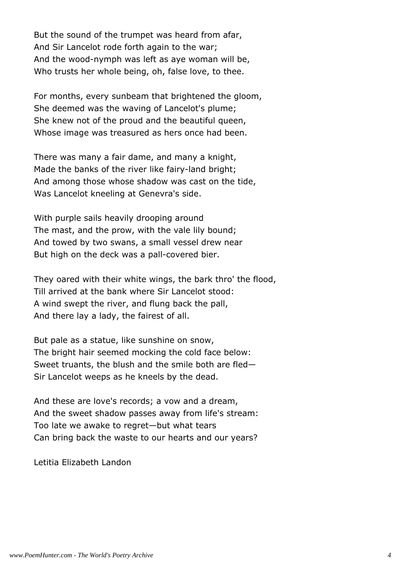But the sound of the trumpet was heard from afar, And Sir Lancelot rode forth again to the war; And the wood-nymph was left as aye woman will be, Who trusts her whole being, oh, false love, to thee.

For months, every sunbeam that brightened the gloom, She deemed was the waving of Lancelot's plume; She knew not of the proud and the beautiful queen, Whose image was treasured as hers once had been.

There was many a fair dame, and many a knight, Made the banks of the river like fairy-land bright; And among those whose shadow was cast on the tide, Was Lancelot kneeling at Genevra's side.

With purple sails heavily drooping around The mast, and the prow, with the vale lily bound; And towed by two swans, a small vessel drew near But high on the deck was a pall-covered bier.

They oared with their white wings, the bark thro' the flood, Till arrived at the bank where Sir Lancelot stood: A wind swept the river, and flung back the pall, And there lay a lady, the fairest of all.

But pale as a statue, like sunshine on snow, The bright hair seemed mocking the cold face below: Sweet truants, the blush and the smile both are fled— Sir Lancelot weeps as he kneels by the dead.

And these are love's records; a vow and a dream, And the sweet shadow passes away from life's stream: Too late we awake to regret—but what tears Can bring back the waste to our hearts and our years?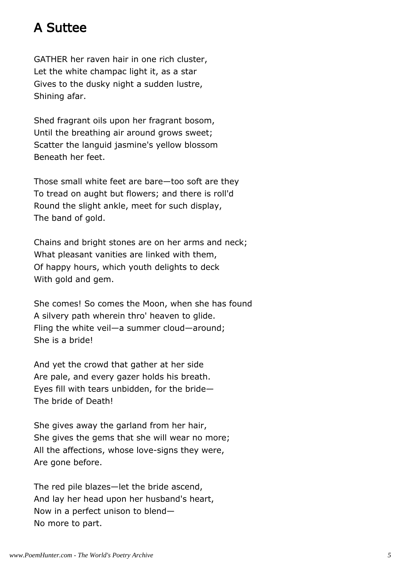### A Suttee

GATHER her raven hair in one rich cluster, Let the white champac light it, as a star Gives to the dusky night a sudden lustre, Shining afar.

Shed fragrant oils upon her fragrant bosom, Until the breathing air around grows sweet; Scatter the languid jasmine's yellow blossom Beneath her feet.

Those small white feet are bare—too soft are they To tread on aught but flowers; and there is roll'd Round the slight ankle, meet for such display, The band of gold.

Chains and bright stones are on her arms and neck; What pleasant vanities are linked with them, Of happy hours, which youth delights to deck With gold and gem.

She comes! So comes the Moon, when she has found A silvery path wherein thro' heaven to glide. Fling the white veil—a summer cloud—around; She is a bride!

And yet the crowd that gather at her side Are pale, and every gazer holds his breath. Eyes fill with tears unbidden, for the bride— The bride of Death!

She gives away the garland from her hair, She gives the gems that she will wear no more; All the affections, whose love-signs they were, Are gone before.

The red pile blazes—let the bride ascend, And lay her head upon her husband's heart, Now in a perfect unison to blend— No more to part.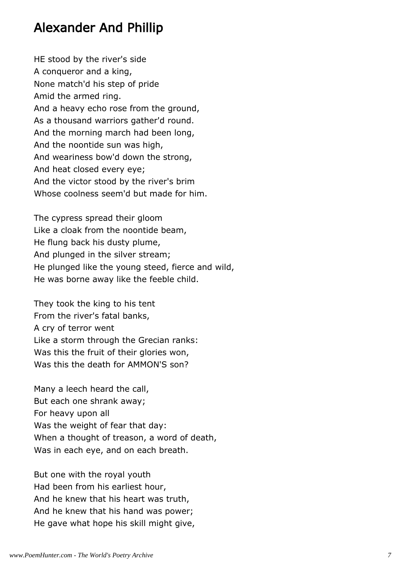### Alexander And Phillip

HE stood by the river's side A conqueror and a king, None match'd his step of pride Amid the armed ring. And a heavy echo rose from the ground, As a thousand warriors gather'd round. And the morning march had been long, And the noontide sun was high, And weariness bow'd down the strong, And heat closed every eye; And the victor stood by the river's brim Whose coolness seem'd but made for him.

The cypress spread their gloom Like a cloak from the noontide beam, He flung back his dusty plume, And plunged in the silver stream; He plunged like the young steed, fierce and wild, He was borne away like the feeble child.

They took the king to his tent From the river's fatal banks, A cry of terror went Like a storm through the Grecian ranks: Was this the fruit of their glories won, Was this the death for AMMON'S son?

Many a leech heard the call, But each one shrank away; For heavy upon all Was the weight of fear that day: When a thought of treason, a word of death, Was in each eye, and on each breath.

But one with the royal youth Had been from his earliest hour, And he knew that his heart was truth, And he knew that his hand was power; He gave what hope his skill might give,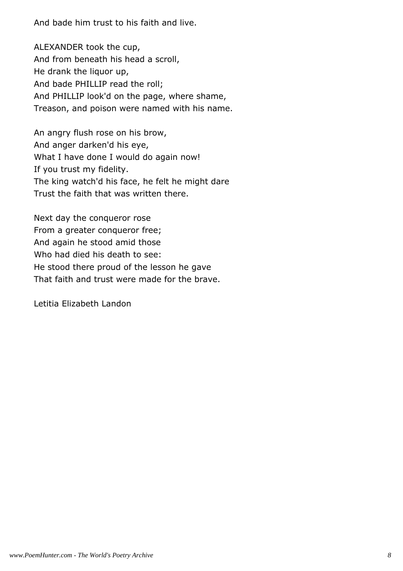And bade him trust to his faith and live.

ALEXANDER took the cup, And from beneath his head a scroll, He drank the liquor up, And bade PHILLIP read the roll; And PHILLIP look'd on the page, where shame, Treason, and poison were named with his name.

An angry flush rose on his brow, And anger darken'd his eye, What I have done I would do again now! If you trust my fidelity. The king watch'd his face, he felt he might dare Trust the faith that was written there.

Next day the conqueror rose From a greater conqueror free; And again he stood amid those Who had died his death to see: He stood there proud of the lesson he gave That faith and trust were made for the brave.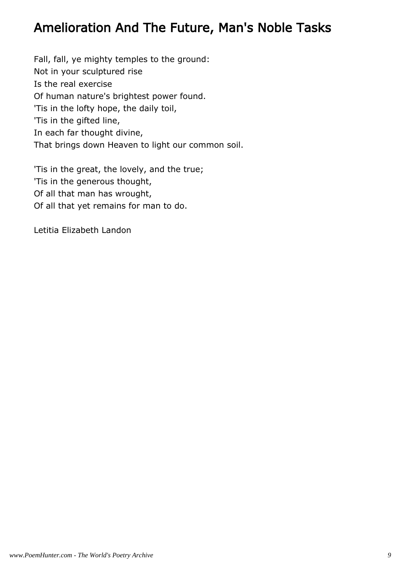### Amelioration And The Future, Man's Noble Tasks

Fall, fall, ye mighty temples to the ground: Not in your sculptured rise Is the real exercise Of human nature's brightest power found. 'Tis in the lofty hope, the daily toil, 'Tis in the gifted line, In each far thought divine, That brings down Heaven to light our common soil.

'Tis in the great, the lovely, and the true; 'Tis in the generous thought, Of all that man has wrought, Of all that yet remains for man to do.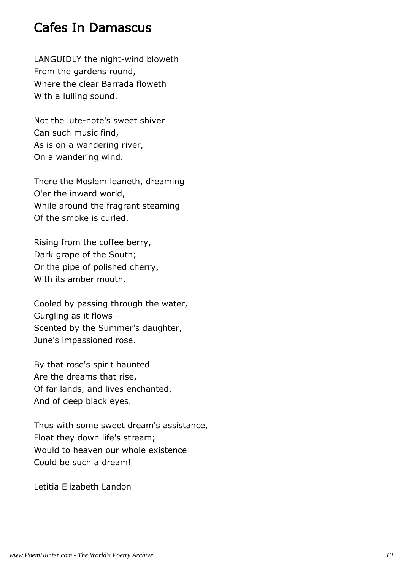### Cafes In Damascus

LANGUIDLY the night-wind bloweth From the gardens round, Where the clear Barrada floweth With a lulling sound.

Not the lute-note's sweet shiver Can such music find, As is on a wandering river, On a wandering wind.

There the Moslem leaneth, dreaming O'er the inward world, While around the fragrant steaming Of the smoke is curled.

Rising from the coffee berry, Dark grape of the South; Or the pipe of polished cherry, With its amber mouth.

Cooled by passing through the water, Gurgling as it flows— Scented by the Summer's daughter, June's impassioned rose.

By that rose's spirit haunted Are the dreams that rise, Of far lands, and lives enchanted, And of deep black eyes.

Thus with some sweet dream's assistance, Float they down life's stream; Would to heaven our whole existence Could be such a dream!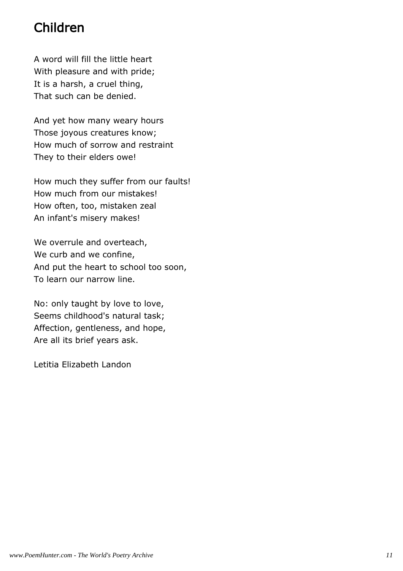### Children

A word will fill the little heart With pleasure and with pride; It is a harsh, a cruel thing, That such can be denied.

And yet how many weary hours Those joyous creatures know; How much of sorrow and restraint They to their elders owe!

How much they suffer from our faults! How much from our mistakes! How often, too, mistaken zeal An infant's misery makes!

We overrule and overteach, We curb and we confine, And put the heart to school too soon, To learn our narrow line.

No: only taught by love to love, Seems childhood's natural task; Affection, gentleness, and hope, Are all its brief years ask.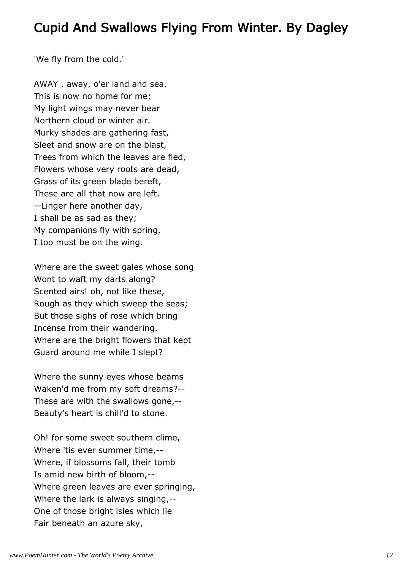### Cupid And Swallows Flying From Winter. By Dagley

'We fly from the cold.'

AWAY , away, o'er land and sea, This is now no home for me; My light wings may never bear Northern cloud or winter air. Murky shades are gathering fast, Sleet and snow are on the blast, Trees from which the leaves are fled, Flowers whose very roots are dead, Grass of its green blade bereft, These are all that now are left. --Linger here another day, I shall be as sad as they; My companions fly with spring, I too must be on the wing.

Where are the sweet gales whose song Wont to waft my darts along? Scented airs! oh, not like these, Rough as they which sweep the seas; But those sighs of rose which bring Incense from their wandering. Where are the bright flowers that kept Guard around me while I slept?

Where the sunny eyes whose beams Waken'd me from my soft dreams?-- These are with the swallows gone,-- Beauty's heart is chill'd to stone.

Oh! for some sweet southern clime, Where 'tis ever summer time,-- Where, if blossoms fall, their tomb Is amid new birth of bloom,-- Where green leaves are ever springing, Where the lark is always singing,-- One of those bright isles which lie Fair beneath an azure sky,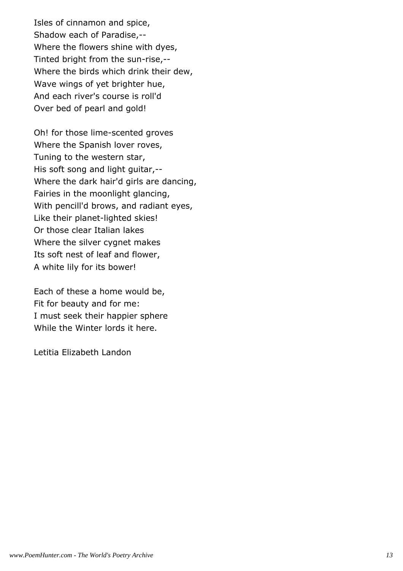Isles of cinnamon and spice, Shadow each of Paradise,-- Where the flowers shine with dyes, Tinted bright from the sun-rise,-- Where the birds which drink their dew, Wave wings of yet brighter hue, And each river's course is roll'd Over bed of pearl and gold!

Oh! for those lime-scented groves Where the Spanish lover roves, Tuning to the western star, His soft song and light guitar,-- Where the dark hair'd girls are dancing, Fairies in the moonlight glancing, With pencill'd brows, and radiant eyes, Like their planet-lighted skies! Or those clear Italian lakes Where the silver cygnet makes Its soft nest of leaf and flower, A white lily for its bower!

Each of these a home would be, Fit for beauty and for me: I must seek their happier sphere While the Winter lords it here.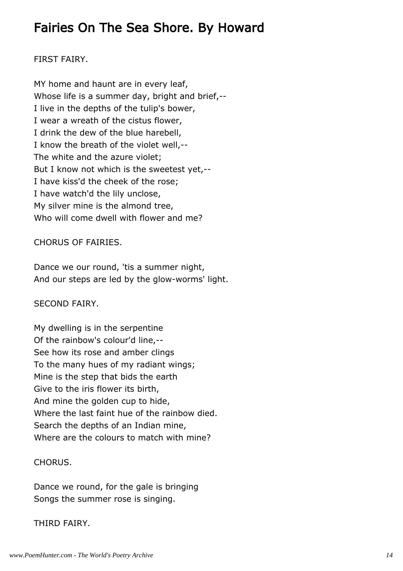### Fairies On The Sea Shore. By Howard

#### FIRST FAIRY.

MY home and haunt are in every leaf, Whose life is a summer day, bright and brief,-- I live in the depths of the tulip's bower, I wear a wreath of the cistus flower, I drink the dew of the blue harebell, I know the breath of the violet well,-- The white and the azure violet; But I know not which is the sweetest yet,-- I have kiss'd the cheek of the rose; I have watch'd the lily unclose, My silver mine is the almond tree, Who will come dwell with flower and me?

CHORUS OF FAIRIES.

Dance we our round, 'tis a summer night, And our steps are led by the glow-worms' light.

SECOND FAIRY.

My dwelling is in the serpentine Of the rainbow's colour'd line,-- See how its rose and amber clings To the many hues of my radiant wings; Mine is the step that bids the earth Give to the iris flower its birth, And mine the golden cup to hide, Where the last faint hue of the rainbow died. Search the depths of an Indian mine, Where are the colours to match with mine?

#### CHORUS.

Dance we round, for the gale is bringing Songs the summer rose is singing.

#### THIRD FAIRY.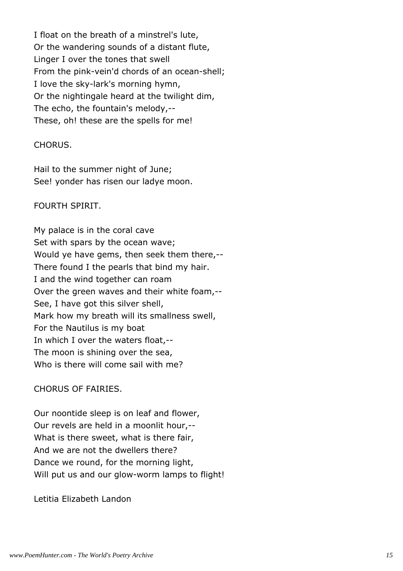I float on the breath of a minstrel's lute, Or the wandering sounds of a distant flute, Linger I over the tones that swell From the pink-vein'd chords of an ocean-shell; I love the sky-lark's morning hymn, Or the nightingale heard at the twilight dim, The echo, the fountain's melody,-- These, oh! these are the spells for me!

#### CHORUS.

Hail to the summer night of June; See! yonder has risen our ladye moon.

#### FOURTH SPIRIT.

My palace is in the coral cave Set with spars by the ocean wave; Would ye have gems, then seek them there,-- There found I the pearls that bind my hair. I and the wind together can roam Over the green waves and their white foam,-- See, I have got this silver shell, Mark how my breath will its smallness swell, For the Nautilus is my boat In which I over the waters float,-- The moon is shining over the sea, Who is there will come sail with me?

#### CHORUS OF FAIRIES.

Our noontide sleep is on leaf and flower, Our revels are held in a moonlit hour,-- What is there sweet, what is there fair, And we are not the dwellers there? Dance we round, for the morning light, Will put us and our glow-worm lamps to flight!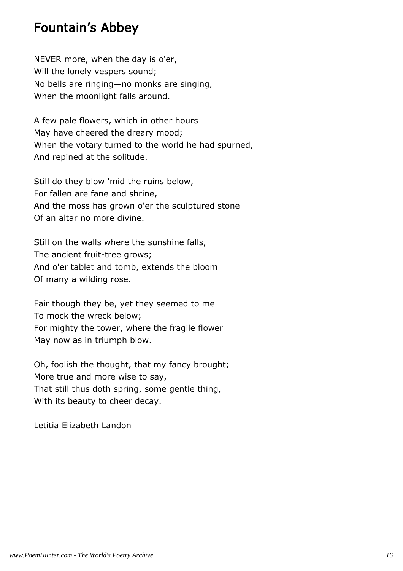### Fountain's Abbey

NEVER more, when the day is o'er, Will the lonely vespers sound; No bells are ringing—no monks are singing, When the moonlight falls around.

A few pale flowers, which in other hours May have cheered the dreary mood; When the votary turned to the world he had spurned, And repined at the solitude.

Still do they blow 'mid the ruins below, For fallen are fane and shrine, And the moss has grown o'er the sculptured stone Of an altar no more divine.

Still on the walls where the sunshine falls, The ancient fruit-tree grows; And o'er tablet and tomb, extends the bloom Of many a wilding rose.

Fair though they be, yet they seemed to me To mock the wreck below; For mighty the tower, where the fragile flower May now as in triumph blow.

Oh, foolish the thought, that my fancy brought; More true and more wise to say, That still thus doth spring, some gentle thing, With its beauty to cheer decay.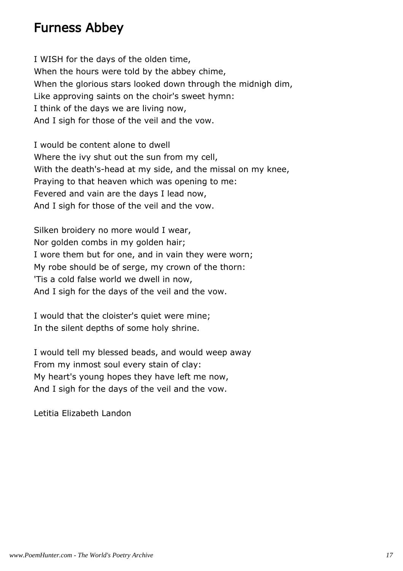### Furness Abbey

I WISH for the days of the olden time, When the hours were told by the abbey chime, When the glorious stars looked down through the midnigh dim, Like approving saints on the choir's sweet hymn: I think of the days we are living now, And I sigh for those of the veil and the vow.

I would be content alone to dwell Where the ivy shut out the sun from my cell, With the death's-head at my side, and the missal on my knee, Praying to that heaven which was opening to me: Fevered and vain are the days I lead now, And I sigh for those of the veil and the vow.

Silken broidery no more would I wear, Nor golden combs in my golden hair; I wore them but for one, and in vain they were worn; My robe should be of serge, my crown of the thorn: 'Tis a cold false world we dwell in now, And I sigh for the days of the veil and the vow.

I would that the cloister's quiet were mine; In the silent depths of some holy shrine.

I would tell my blessed beads, and would weep away From my inmost soul every stain of clay: My heart's young hopes they have left me now, And I sigh for the days of the veil and the vow.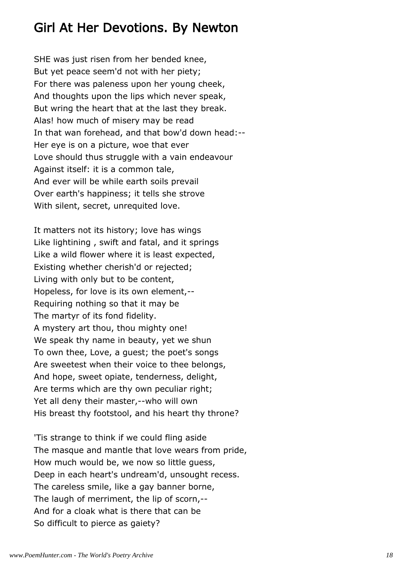### Girl At Her Devotions. By Newton

SHE was just risen from her bended knee, But yet peace seem'd not with her piety; For there was paleness upon her young cheek, And thoughts upon the lips which never speak, But wring the heart that at the last they break. Alas! how much of misery may be read In that wan forehead, and that bow'd down head:-- Her eye is on a picture, woe that ever Love should thus struggle with a vain endeavour Against itself: it is a common tale, And ever will be while earth soils prevail Over earth's happiness; it tells she strove With silent, secret, unrequited love.

It matters not its history; love has wings Like lightining , swift and fatal, and it springs Like a wild flower where it is least expected, Existing whether cherish'd or rejected; Living with only but to be content, Hopeless, for love is its own element,-- Requiring nothing so that it may be The martyr of its fond fidelity. A mystery art thou, thou mighty one! We speak thy name in beauty, yet we shun To own thee, Love, a guest; the poet's songs Are sweetest when their voice to thee belongs, And hope, sweet opiate, tenderness, delight, Are terms which are thy own peculiar right; Yet all deny their master,--who will own His breast thy footstool, and his heart thy throne?

'Tis strange to think if we could fling aside The masque and mantle that love wears from pride, How much would be, we now so little guess, Deep in each heart's undream'd, unsought recess. The careless smile, like a gay banner borne, The laugh of merriment, the lip of scorn,-- And for a cloak what is there that can be So difficult to pierce as gaiety?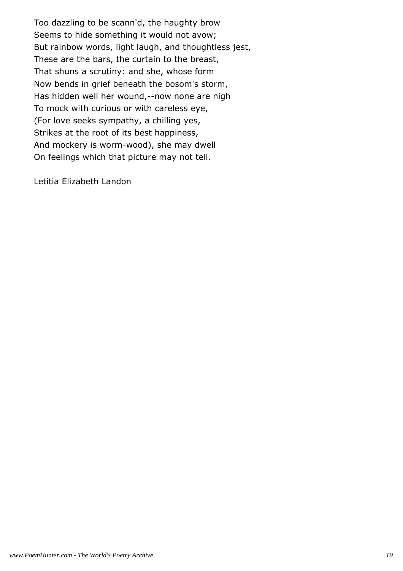Too dazzling to be scann'd, the haughty brow Seems to hide something it would not avow; But rainbow words, light laugh, and thoughtless jest, These are the bars, the curtain to the breast, That shuns a scrutiny: and she, whose form Now bends in grief beneath the bosom's storm, Has hidden well her wound,--now none are nigh To mock with curious or with careless eye, (For love seeks sympathy, a chilling yes, Strikes at the root of its best happiness, And mockery is worm-wood), she may dwell On feelings which that picture may not tell.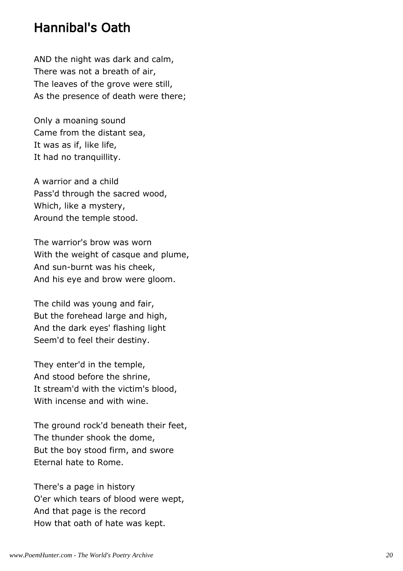### Hannibal's Oath

AND the night was dark and calm, There was not a breath of air, The leaves of the grove were still, As the presence of death were there;

Only a moaning sound Came from the distant sea, It was as if, like life, It had no tranquillity.

A warrior and a child Pass'd through the sacred wood, Which, like a mystery, Around the temple stood.

The warrior's brow was worn With the weight of casque and plume, And sun-burnt was his cheek, And his eye and brow were gloom.

The child was young and fair, But the forehead large and high, And the dark eyes' flashing light Seem'd to feel their destiny.

They enter'd in the temple, And stood before the shrine, It stream'd with the victim's blood, With incense and with wine.

The ground rock'd beneath their feet, The thunder shook the dome, But the boy stood firm, and swore Eternal hate to Rome.

There's a page in history O'er which tears of blood were wept, And that page is the record How that oath of hate was kept.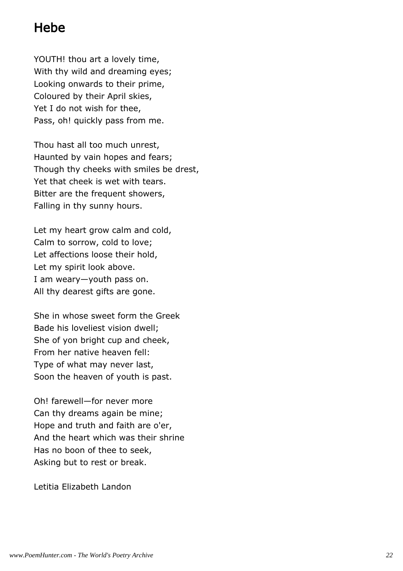### **Hebe**

YOUTH! thou art a lovely time, With thy wild and dreaming eyes; Looking onwards to their prime, Coloured by their April skies, Yet I do not wish for thee, Pass, oh! quickly pass from me.

Thou hast all too much unrest, Haunted by vain hopes and fears; Though thy cheeks with smiles be drest, Yet that cheek is wet with tears. Bitter are the frequent showers, Falling in thy sunny hours.

Let my heart grow calm and cold, Calm to sorrow, cold to love; Let affections loose their hold, Let my spirit look above. I am weary—youth pass on. All thy dearest gifts are gone.

She in whose sweet form the Greek Bade his loveliest vision dwell; She of yon bright cup and cheek, From her native heaven fell: Type of what may never last, Soon the heaven of youth is past.

Oh! farewell—for never more Can thy dreams again be mine; Hope and truth and faith are o'er, And the heart which was their shrine Has no boon of thee to seek, Asking but to rest or break.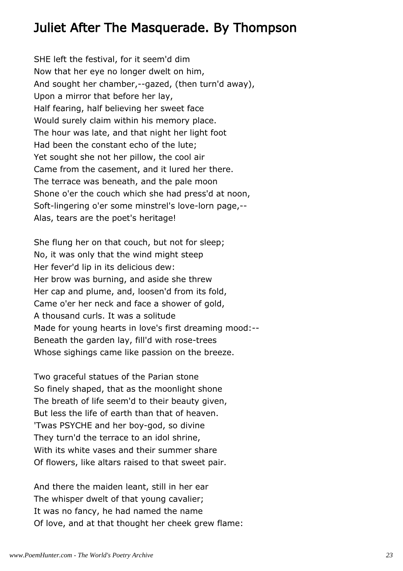### Juliet After The Masquerade. By Thompson

SHE left the festival, for it seem'd dim Now that her eye no longer dwelt on him, And sought her chamber,--gazed, (then turn'd away), Upon a mirror that before her lay, Half fearing, half believing her sweet face Would surely claim within his memory place. The hour was late, and that night her light foot Had been the constant echo of the lute; Yet sought she not her pillow, the cool air Came from the casement, and it lured her there. The terrace was beneath, and the pale moon Shone o'er the couch which she had press'd at noon, Soft-lingering o'er some minstrel's love-lorn page,-- Alas, tears are the poet's heritage!

She flung her on that couch, but not for sleep; No, it was only that the wind might steep Her fever'd lip in its delicious dew: Her brow was burning, and aside she threw Her cap and plume, and, loosen'd from its fold, Came o'er her neck and face a shower of gold, A thousand curls. It was a solitude Made for young hearts in love's first dreaming mood:-- Beneath the garden lay, fill'd with rose-trees Whose sighings came like passion on the breeze.

Two graceful statues of the Parian stone So finely shaped, that as the moonlight shone The breath of life seem'd to their beauty given, But less the life of earth than that of heaven. 'Twas PSYCHE and her boy-god, so divine They turn'd the terrace to an idol shrine, With its white vases and their summer share Of flowers, like altars raised to that sweet pair.

And there the maiden leant, still in her ear The whisper dwelt of that young cavalier; It was no fancy, he had named the name Of love, and at that thought her cheek grew flame: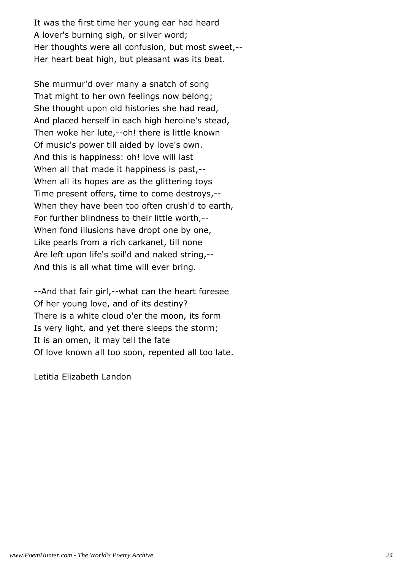It was the first time her young ear had heard A lover's burning sigh, or silver word; Her thoughts were all confusion, but most sweet,-- Her heart beat high, but pleasant was its beat.

She murmur'd over many a snatch of song That might to her own feelings now belong; She thought upon old histories she had read, And placed herself in each high heroine's stead, Then woke her lute,--oh! there is little known Of music's power till aided by love's own. And this is happiness: oh! love will last When all that made it happiness is past,-- When all its hopes are as the glittering toys Time present offers, time to come destroys,-- When they have been too often crush'd to earth, For further blindness to their little worth,-- When fond illusions have dropt one by one, Like pearls from a rich carkanet, till none Are left upon life's soil'd and naked string,-- And this is all what time will ever bring.

--And that fair girl,--what can the heart foresee Of her young love, and of its destiny? There is a white cloud o'er the moon, its form Is very light, and yet there sleeps the storm; It is an omen, it may tell the fate Of love known all too soon, repented all too late.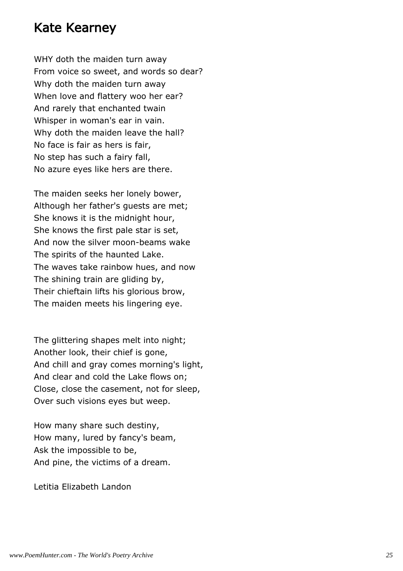### Kate Kearney

WHY doth the maiden turn away From voice so sweet, and words so dear? Why doth the maiden turn away When love and flattery woo her ear? And rarely that enchanted twain Whisper in woman's ear in vain. Why doth the maiden leave the hall? No face is fair as hers is fair, No step has such a fairy fall, No azure eyes like hers are there.

The maiden seeks her lonely bower, Although her father's guests are met; She knows it is the midnight hour, She knows the first pale star is set, And now the silver moon-beams wake The spirits of the haunted Lake. The waves take rainbow hues, and now The shining train are gliding by, Their chieftain lifts his glorious brow, The maiden meets his lingering eye.

The glittering shapes melt into night; Another look, their chief is gone, And chill and gray comes morning's light, And clear and cold the Lake flows on; Close, close the casement, not for sleep, Over such visions eyes but weep.

How many share such destiny, How many, lured by fancy's beam, Ask the impossible to be, And pine, the victims of a dream.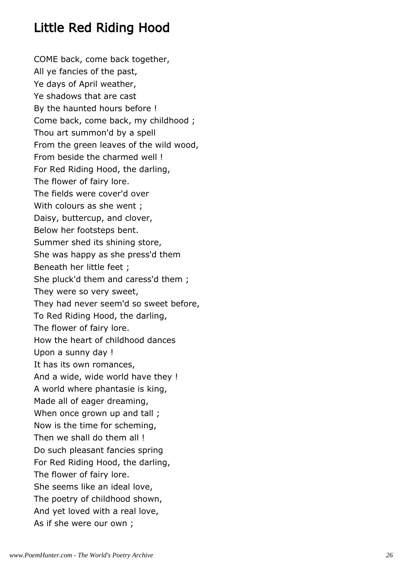### Little Red Riding Hood

COME back, come back together, All ye fancies of the past, Ye days of April weather, Ye shadows that are cast By the haunted hours before ! Come back, come back, my childhood ; Thou art summon'd by a spell From the green leaves of the wild wood, From beside the charmed well ! For Red Riding Hood, the darling, The flower of fairy lore. The fields were cover'd over With colours as she went ; Daisy, buttercup, and clover, Below her footsteps bent. Summer shed its shining store, She was happy as she press'd them Beneath her little feet ; She pluck'd them and caress'd them ; They were so very sweet, They had never seem'd so sweet before, To Red Riding Hood, the darling, The flower of fairy lore. How the heart of childhood dances Upon a sunny day ! It has its own romances, And a wide, wide world have they ! A world where phantasie is king, Made all of eager dreaming, When once grown up and tall ; Now is the time for scheming, Then we shall do them all ! Do such pleasant fancies spring For Red Riding Hood, the darling, The flower of fairy lore. She seems like an ideal love, The poetry of childhood shown, And yet loved with a real love, As if she were our own ;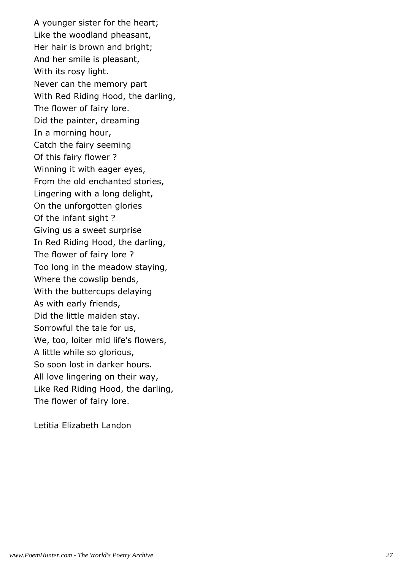A younger sister for the heart; Like the woodland pheasant, Her hair is brown and bright; And her smile is pleasant, With its rosy light. Never can the memory part With Red Riding Hood, the darling, The flower of fairy lore. Did the painter, dreaming In a morning hour, Catch the fairy seeming Of this fairy flower ? Winning it with eager eyes, From the old enchanted stories, Lingering with a long delight, On the unforgotten glories Of the infant sight ? Giving us a sweet surprise In Red Riding Hood, the darling, The flower of fairy lore ? Too long in the meadow staying, Where the cowslip bends, With the buttercups delaying As with early friends, Did the little maiden stay. Sorrowful the tale for us, We, too, loiter mid life's flowers, A little while so glorious, So soon lost in darker hours. All love lingering on their way, Like Red Riding Hood, the darling, The flower of fairy lore.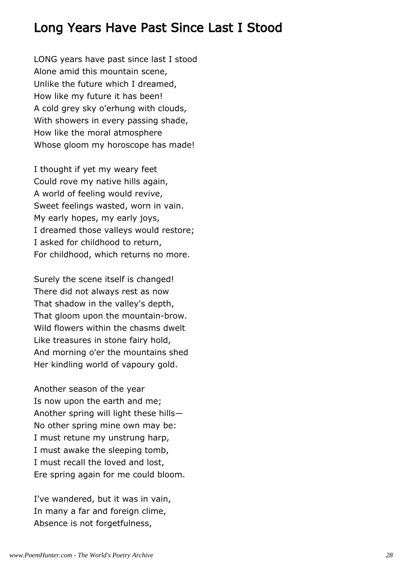### Long Years Have Past Since Last I Stood

LONG years have past since last I stood Alone amid this mountain scene, Unlike the future which I dreamed, How like my future it has been! A cold grey sky o'erhung with clouds, With showers in every passing shade, How like the moral atmosphere Whose gloom my horoscope has made!

I thought if yet my weary feet Could rove my native hills again, A world of feeling would revive, Sweet feelings wasted, worn in vain. My early hopes, my early joys, I dreamed those valleys would restore; I asked for childhood to return, For childhood, which returns no more.

Surely the scene itself is changed! There did not always rest as now That shadow in the valley's depth, That gloom upon the mountain-brow. Wild flowers within the chasms dwelt Like treasures in stone fairy hold, And morning o'er the mountains shed Her kindling world of vapoury gold.

Another season of the year Is now upon the earth and me; Another spring will light these hills— No other spring mine own may be: I must retune my unstrung harp, I must awake the sleeping tomb, I must recall the loved and lost, Ere spring again for me could bloom.

I've wandered, but it was in vain, In many a far and foreign clime, Absence is not forgetfulness,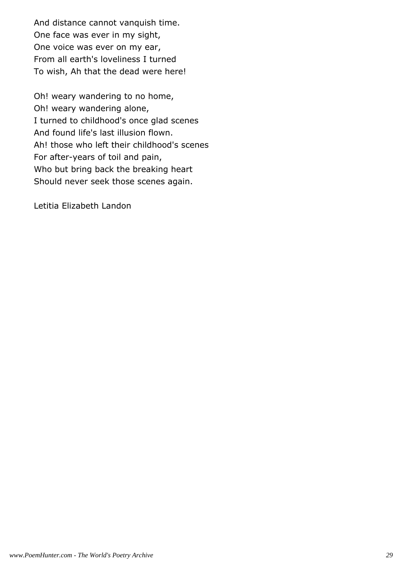And distance cannot vanquish time. One face was ever in my sight, One voice was ever on my ear, From all earth's loveliness I turned To wish, Ah that the dead were here!

Oh! weary wandering to no home, Oh! weary wandering alone, I turned to childhood's once glad scenes And found life's last illusion flown. Ah! those who left their childhood's scenes For after-years of toil and pain, Who but bring back the breaking heart Should never seek those scenes again.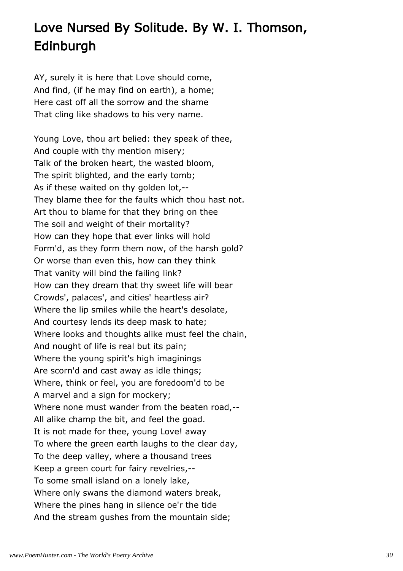# Love Nursed By Solitude. By W. I. Thomson, Edinburgh

AY, surely it is here that Love should come, And find, (if he may find on earth), a home; Here cast off all the sorrow and the shame That cling like shadows to his very name.

Young Love, thou art belied: they speak of thee, And couple with thy mention misery; Talk of the broken heart, the wasted bloom, The spirit blighted, and the early tomb; As if these waited on thy golden lot,-- They blame thee for the faults which thou hast not. Art thou to blame for that they bring on thee The soil and weight of their mortality? How can they hope that ever links will hold Form'd, as they form them now, of the harsh gold? Or worse than even this, how can they think That vanity will bind the failing link? How can they dream that thy sweet life will bear Crowds', palaces', and cities' heartless air? Where the lip smiles while the heart's desolate, And courtesy lends its deep mask to hate; Where looks and thoughts alike must feel the chain, And nought of life is real but its pain; Where the young spirit's high imaginings Are scorn'd and cast away as idle things; Where, think or feel, you are foredoom'd to be A marvel and a sign for mockery; Where none must wander from the beaten road,-- All alike champ the bit, and feel the goad. It is not made for thee, young Love! away To where the green earth laughs to the clear day, To the deep valley, where a thousand trees Keep a green court for fairy revelries,-- To some small island on a lonely lake, Where only swans the diamond waters break, Where the pines hang in silence oe'r the tide And the stream gushes from the mountain side;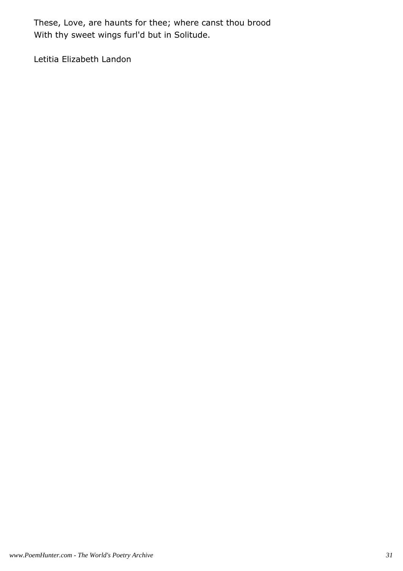These, Love, are haunts for thee; where canst thou brood With thy sweet wings furl'd but in Solitude.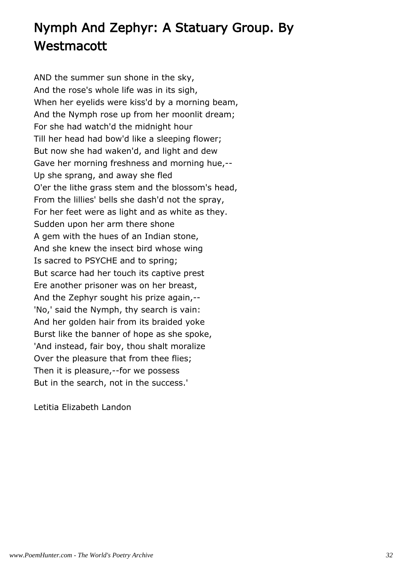# Nymph And Zephyr: A Statuary Group. By **Westmacott**

AND the summer sun shone in the sky, And the rose's whole life was in its sigh, When her eyelids were kiss'd by a morning beam, And the Nymph rose up from her moonlit dream; For she had watch'd the midnight hour Till her head had bow'd like a sleeping flower; But now she had waken'd, and light and dew Gave her morning freshness and morning hue,-- Up she sprang, and away she fled O'er the lithe grass stem and the blossom's head, From the lillies' bells she dash'd not the spray, For her feet were as light and as white as they. Sudden upon her arm there shone A gem with the hues of an Indian stone, And she knew the insect bird whose wing Is sacred to PSYCHE and to spring; But scarce had her touch its captive prest Ere another prisoner was on her breast, And the Zephyr sought his prize again,-- 'No,' said the Nymph, thy search is vain: And her golden hair from its braided yoke Burst like the banner of hope as she spoke, 'And instead, fair boy, thou shalt moralize Over the pleasure that from thee flies; Then it is pleasure,--for we possess But in the search, not in the success.'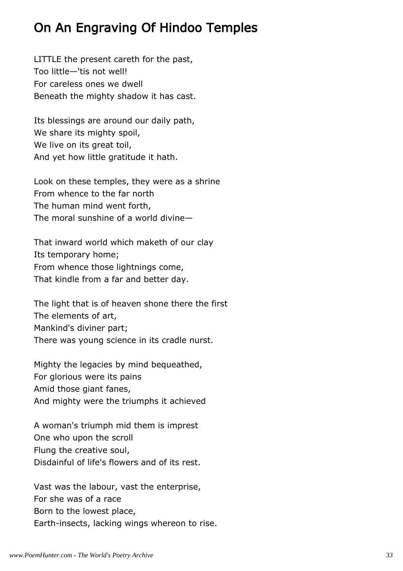### On An Engraving Of Hindoo Temples

LITTLE the present careth for the past, Too little—'tis not well! For careless ones we dwell Beneath the mighty shadow it has cast.

Its blessings are around our daily path, We share its mighty spoil, We live on its great toil, And yet how little gratitude it hath.

Look on these temples, they were as a shrine From whence to the far north The human mind went forth, The moral sunshine of a world divine—

That inward world which maketh of our clay Its temporary home; From whence those lightnings come, That kindle from a far and better day.

The light that is of heaven shone there the first The elements of art, Mankind's diviner part; There was young science in its cradle nurst.

Mighty the legacies by mind bequeathed, For glorious were its pains Amid those giant fanes, And mighty were the triumphs it achieved

A woman's triumph mid them is imprest One who upon the scroll Flung the creative soul, Disdainful of life's flowers and of its rest.

Vast was the labour, vast the enterprise, For she was of a race Born to the lowest place, Earth-insects, lacking wings whereon to rise.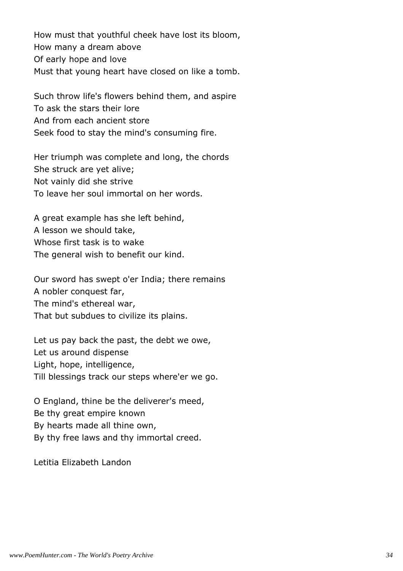How must that youthful cheek have lost its bloom, How many a dream above Of early hope and love Must that young heart have closed on like a tomb.

Such throw life's flowers behind them, and aspire To ask the stars their lore And from each ancient store Seek food to stay the mind's consuming fire.

Her triumph was complete and long, the chords She struck are yet alive; Not vainly did she strive To leave her soul immortal on her words.

A great example has she left behind, A lesson we should take, Whose first task is to wake The general wish to benefit our kind.

Our sword has swept o'er India; there remains A nobler conquest far, The mind's ethereal war, That but subdues to civilize its plains.

Let us pay back the past, the debt we owe, Let us around dispense Light, hope, intelligence, Till blessings track our steps where'er we go.

O England, thine be the deliverer's meed, Be thy great empire known By hearts made all thine own, By thy free laws and thy immortal creed.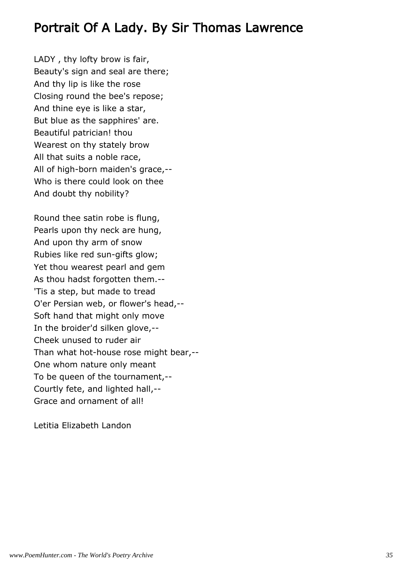### Portrait Of A Lady. By Sir Thomas Lawrence

LADY , thy lofty brow is fair, Beauty's sign and seal are there; And thy lip is like the rose Closing round the bee's repose; And thine eye is like a star, But blue as the sapphires' are. Beautiful patrician! thou Wearest on thy stately brow All that suits a noble race, All of high-born maiden's grace,-- Who is there could look on thee And doubt thy nobility?

Round thee satin robe is flung, Pearls upon thy neck are hung, And upon thy arm of snow Rubies like red sun-gifts glow; Yet thou wearest pearl and gem As thou hadst forgotten them.-- 'Tis a step, but made to tread O'er Persian web, or flower's head,-- Soft hand that might only move In the broider'd silken glove,-- Cheek unused to ruder air Than what hot-house rose might bear,-- One whom nature only meant To be queen of the tournament,-- Courtly fete, and lighted hall,-- Grace and ornament of all!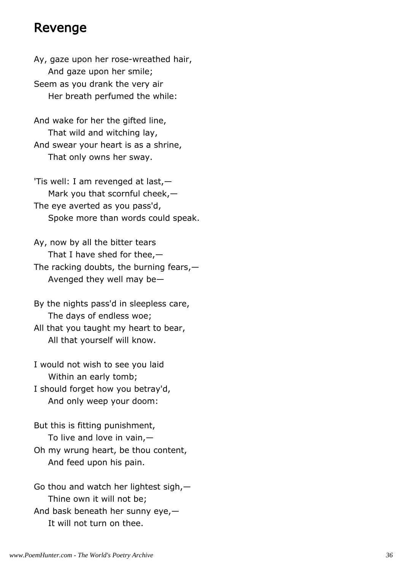#### Revenge

Ay, gaze upon her rose-wreathed hair, And gaze upon her smile; Seem as you drank the very air Her breath perfumed the while:

And wake for her the gifted line, That wild and witching lay, And swear your heart is as a shrine, That only owns her sway.

'Tis well: I am revenged at last,— Mark you that scornful cheek,— The eye averted as you pass'd, Spoke more than words could speak.

Ay, now by all the bitter tears That I have shed for thee,— The racking doubts, the burning fears,— Avenged they well may be—

By the nights pass'd in sleepless care, The days of endless woe;

All that you taught my heart to bear, All that yourself will know.

I would not wish to see you laid Within an early tomb; I should forget how you betray'd, And only weep your doom:

But this is fitting punishment, To live and love in vain,— Oh my wrung heart, be thou content, And feed upon his pain.

Go thou and watch her lightest sigh,— Thine own it will not be; And bask beneath her sunny eye,— It will not turn on thee.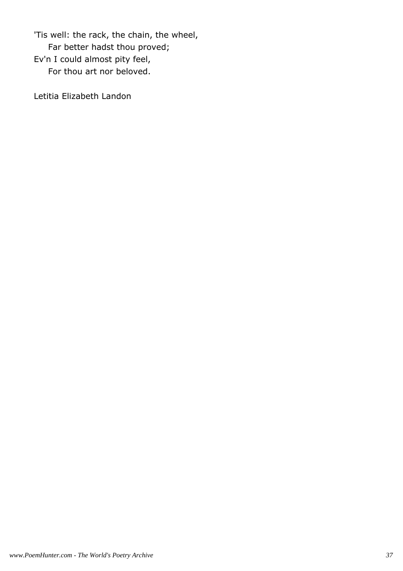'Tis well: the rack, the chain, the wheel, Far better hadst thou proved; Ev'n I could almost pity feel, For thou art nor beloved.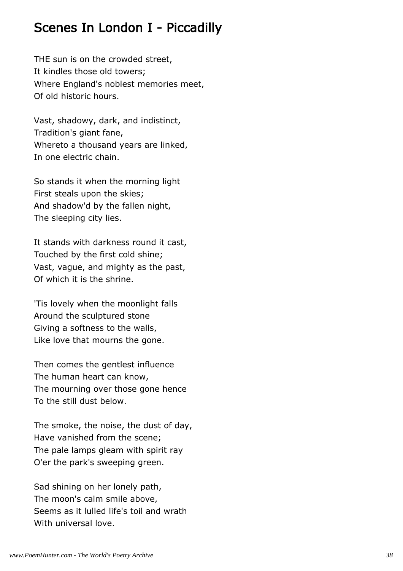# Scenes In London I - Piccadilly

THE sun is on the crowded street, It kindles those old towers; Where England's noblest memories meet, Of old historic hours.

Vast, shadowy, dark, and indistinct, Tradition's giant fane, Whereto a thousand years are linked, In one electric chain.

So stands it when the morning light First steals upon the skies; And shadow'd by the fallen night, The sleeping city lies.

It stands with darkness round it cast, Touched by the first cold shine; Vast, vague, and mighty as the past, Of which it is the shrine.

'Tis lovely when the moonlight falls Around the sculptured stone Giving a softness to the walls, Like love that mourns the gone.

Then comes the gentlest influence The human heart can know, The mourning over those gone hence To the still dust below.

The smoke, the noise, the dust of day, Have vanished from the scene; The pale lamps gleam with spirit ray O'er the park's sweeping green.

Sad shining on her lonely path, The moon's calm smile above, Seems as it lulled life's toil and wrath With universal love.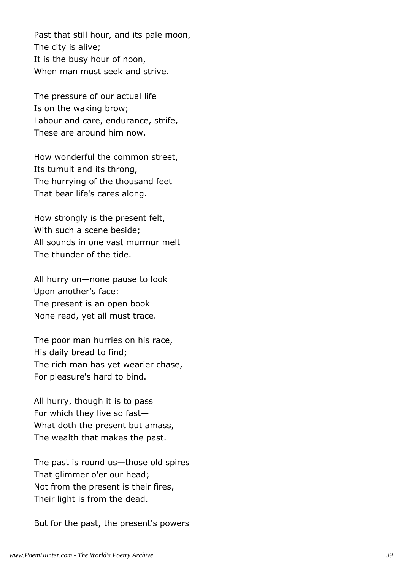Past that still hour, and its pale moon, The city is alive; It is the busy hour of noon, When man must seek and strive.

The pressure of our actual life Is on the waking brow; Labour and care, endurance, strife, These are around him now.

How wonderful the common street, Its tumult and its throng, The hurrying of the thousand feet That bear life's cares along.

How strongly is the present felt, With such a scene beside; All sounds in one vast murmur melt The thunder of the tide.

All hurry on—none pause to look Upon another's face: The present is an open book None read, yet all must trace.

The poor man hurries on his race, His daily bread to find; The rich man has yet wearier chase, For pleasure's hard to bind.

All hurry, though it is to pass For which they live so fast— What doth the present but amass, The wealth that makes the past.

The past is round us—those old spires That glimmer o'er our head; Not from the present is their fires, Their light is from the dead.

But for the past, the present's powers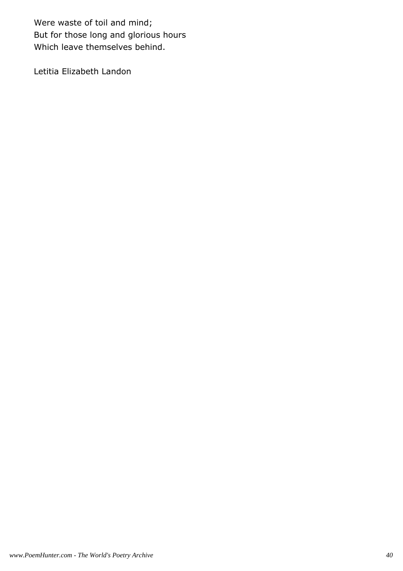Were waste of toil and mind; But for those long and glorious hours Which leave themselves behind.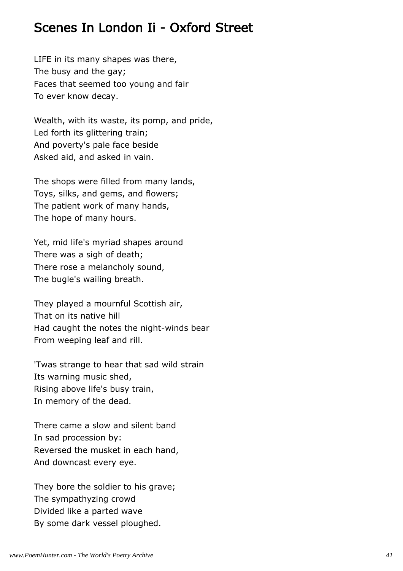#### Scenes In London Ii - Oxford Street

LIFE in its many shapes was there, The busy and the gay; Faces that seemed too young and fair To ever know decay.

Wealth, with its waste, its pomp, and pride, Led forth its glittering train; And poverty's pale face beside Asked aid, and asked in vain.

The shops were filled from many lands, Toys, silks, and gems, and flowers; The patient work of many hands, The hope of many hours.

Yet, mid life's myriad shapes around There was a sigh of death; There rose a melancholy sound, The bugle's wailing breath.

They played a mournful Scottish air, That on its native hill Had caught the notes the night-winds bear From weeping leaf and rill.

'Twas strange to hear that sad wild strain Its warning music shed, Rising above life's busy train, In memory of the dead.

There came a slow and silent band In sad procession by: Reversed the musket in each hand, And downcast every eye.

They bore the soldier to his grave; The sympathyzing crowd Divided like a parted wave By some dark vessel ploughed.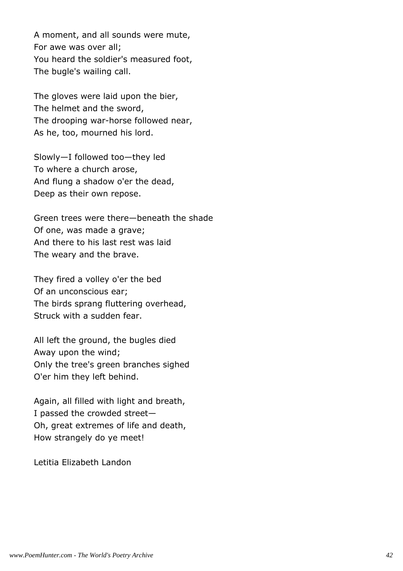A moment, and all sounds were mute, For awe was over all; You heard the soldier's measured foot, The bugle's wailing call.

The gloves were laid upon the bier, The helmet and the sword, The drooping war-horse followed near, As he, too, mourned his lord.

Slowly—I followed too—they led To where a church arose, And flung a shadow o'er the dead, Deep as their own repose.

Green trees were there—beneath the shade Of one, was made a grave; And there to his last rest was laid The weary and the brave.

They fired a volley o'er the bed Of an unconscious ear; The birds sprang fluttering overhead, Struck with a sudden fear.

All left the ground, the bugles died Away upon the wind; Only the tree's green branches sighed O'er him they left behind.

Again, all filled with light and breath, I passed the crowded street— Oh, great extremes of life and death, How strangely do ye meet!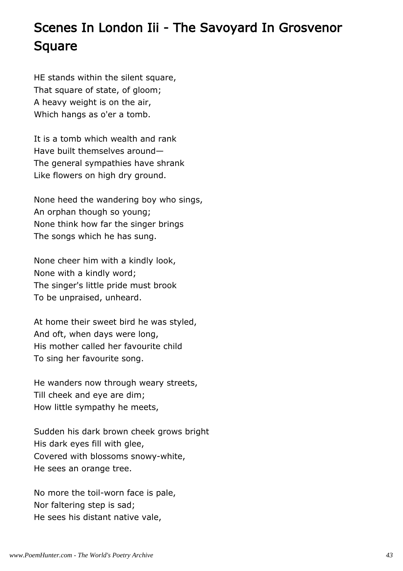# Scenes In London Iii - The Savoyard In Grosvenor Square

HE stands within the silent square, That square of state, of gloom; A heavy weight is on the air, Which hangs as o'er a tomb.

It is a tomb which wealth and rank Have built themselves around— The general sympathies have shrank Like flowers on high dry ground.

None heed the wandering boy who sings, An orphan though so young; None think how far the singer brings The songs which he has sung.

None cheer him with a kindly look, None with a kindly word; The singer's little pride must brook To be unpraised, unheard.

At home their sweet bird he was styled, And oft, when days were long, His mother called her favourite child To sing her favourite song.

He wanders now through weary streets, Till cheek and eye are dim; How little sympathy he meets,

Sudden his dark brown cheek grows bright His dark eyes fill with glee, Covered with blossoms snowy-white, He sees an orange tree.

No more the toil-worn face is pale, Nor faltering step is sad; He sees his distant native vale,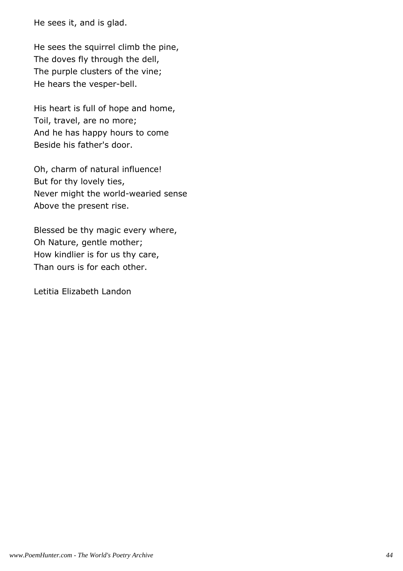He sees it, and is glad.

He sees the squirrel climb the pine, The doves fly through the dell, The purple clusters of the vine; He hears the vesper-bell.

His heart is full of hope and home, Toil, travel, are no more; And he has happy hours to come Beside his father's door.

Oh, charm of natural influence! But for thy lovely ties, Never might the world-wearied sense Above the present rise.

Blessed be thy magic every where, Oh Nature, gentle mother; How kindlier is for us thy care, Than ours is for each other.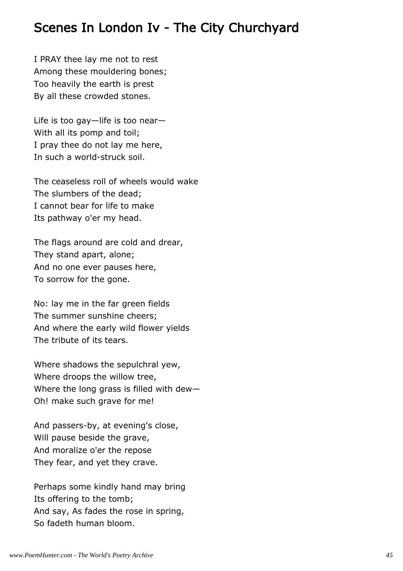# Scenes In London Iv - The City Churchyard

I PRAY thee lay me not to rest Among these mouldering bones; Too heavily the earth is prest By all these crowded stones.

Life is too gay—life is too near— With all its pomp and toil; I pray thee do not lay me here, In such a world-struck soil.

The ceaseless roll of wheels would wake The slumbers of the dead; I cannot bear for life to make Its pathway o'er my head.

The flags around are cold and drear, They stand apart, alone; And no one ever pauses here, To sorrow for the gone.

No: lay me in the far green fields The summer sunshine cheers; And where the early wild flower yields The tribute of its tears.

Where shadows the sepulchral yew, Where droops the willow tree, Where the long grass is filled with dew— Oh! make such grave for me!

And passers-by, at evening's close, Will pause beside the grave, And moralize o'er the repose They fear, and yet they crave.

Perhaps some kindly hand may bring Its offering to the tomb; And say, As fades the rose in spring, So fadeth human bloom.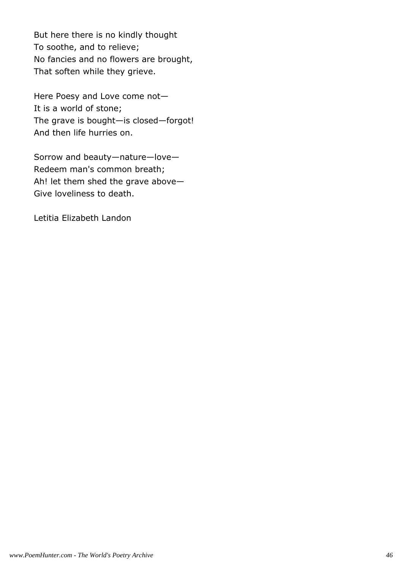But here there is no kindly thought To soothe, and to relieve; No fancies and no flowers are brought, That soften while they grieve.

Here Poesy and Love come not— It is a world of stone; The grave is bought—is closed—forgot! And then life hurries on.

Sorrow and beauty—nature—love— Redeem man's common breath; Ah! let them shed the grave above— Give loveliness to death.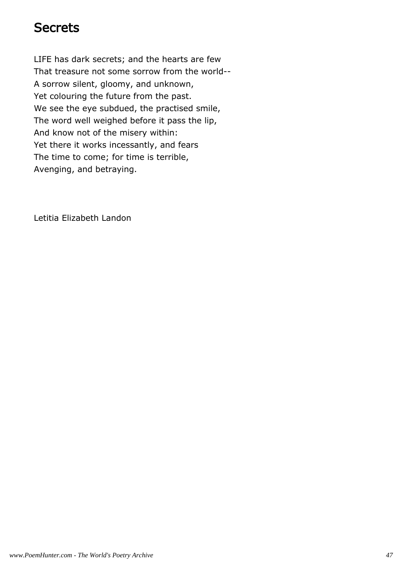# **Secrets**

LIFE has dark secrets; and the hearts are few That treasure not some sorrow from the world-- A sorrow silent, gloomy, and unknown, Yet colouring the future from the past. We see the eye subdued, the practised smile, The word well weighed before it pass the lip, And know not of the misery within: Yet there it works incessantly, and fears The time to come; for time is terrible, Avenging, and betraying.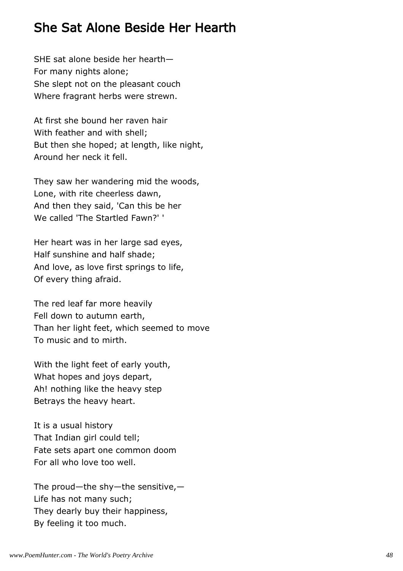# She Sat Alone Beside Her Hearth

SHE sat alone beside her hearth— For many nights alone; She slept not on the pleasant couch Where fragrant herbs were strewn.

At first she bound her raven hair With feather and with shell; But then she hoped; at length, like night, Around her neck it fell.

They saw her wandering mid the woods, Lone, with rite cheerless dawn, And then they said, 'Can this be her We called 'The Startled Fawn?' '

Her heart was in her large sad eyes, Half sunshine and half shade; And love, as love first springs to life, Of every thing afraid.

The red leaf far more heavily Fell down to autumn earth, Than her light feet, which seemed to move To music and to mirth.

With the light feet of early youth, What hopes and joys depart, Ah! nothing like the heavy step Betrays the heavy heart.

It is a usual history That Indian girl could tell; Fate sets apart one common doom For all who love too well.

The proud—the shy—the sensitive,— Life has not many such; They dearly buy their happiness, By feeling it too much.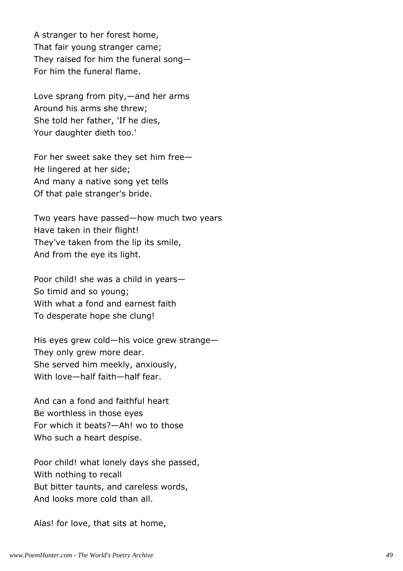A stranger to her forest home, That fair young stranger came; They raised for him the funeral song— For him the funeral flame.

Love sprang from pity,—and her arms Around his arms she threw; She told her father, 'If he dies, Your daughter dieth too.'

For her sweet sake they set him free— He lingered at her side; And many a native song yet tells Of that pale stranger's bride.

Two years have passed—how much two years Have taken in their flight! They've taken from the lip its smile, And from the eye its light.

Poor child! she was a child in years— So timid and so young; With what a fond and earnest faith To desperate hope she clung!

His eyes grew cold—his voice grew strange— They only grew more dear. She served him meekly, anxiously, With love—half faith—half fear.

And can a fond and faithful heart Be worthless in those eyes For which it beats?—Ah! wo to those Who such a heart despise.

Poor child! what lonely days she passed, With nothing to recall But bitter taunts, and careless words, And looks more cold than all.

Alas! for love, that sits at home,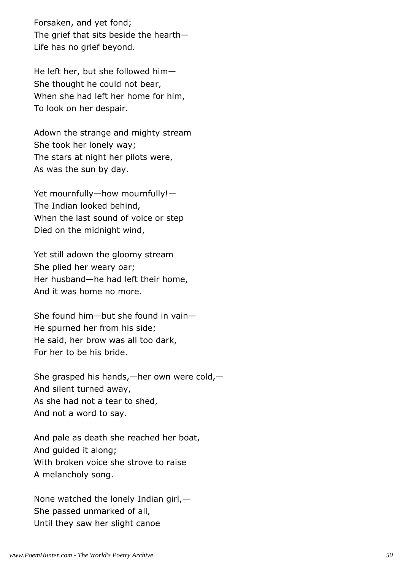Forsaken, and yet fond; The grief that sits beside the hearth— Life has no grief beyond.

He left her, but she followed him— She thought he could not bear, When she had left her home for him, To look on her despair.

Adown the strange and mighty stream She took her lonely way; The stars at night her pilots were, As was the sun by day.

Yet mournfully—how mournfully!— The Indian looked behind, When the last sound of voice or step Died on the midnight wind,

Yet still adown the gloomy stream She plied her weary oar; Her husband—he had left their home, And it was home no more.

She found him—but she found in vain— He spurned her from his side; He said, her brow was all too dark, For her to be his bride.

She grasped his hands,—her own were cold,— And silent turned away, As she had not a tear to shed, And not a word to say.

And pale as death she reached her boat, And guided it along; With broken voice she strove to raise A melancholy song.

None watched the lonely Indian girl,— She passed unmarked of all, Until they saw her slight canoe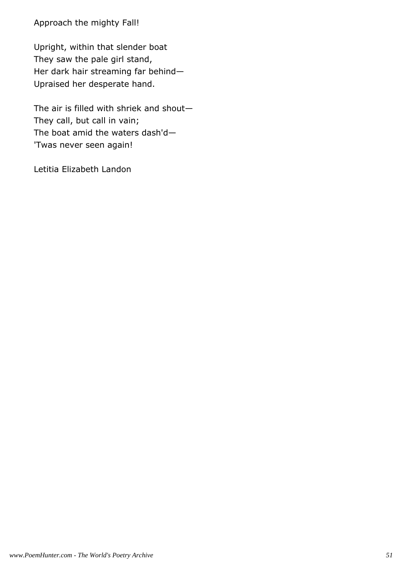Approach the mighty Fall!

Upright, within that slender boat They saw the pale girl stand, Her dark hair streaming far behind— Upraised her desperate hand.

The air is filled with shriek and shout— They call, but call in vain; The boat amid the waters dash'd— 'Twas never seen again!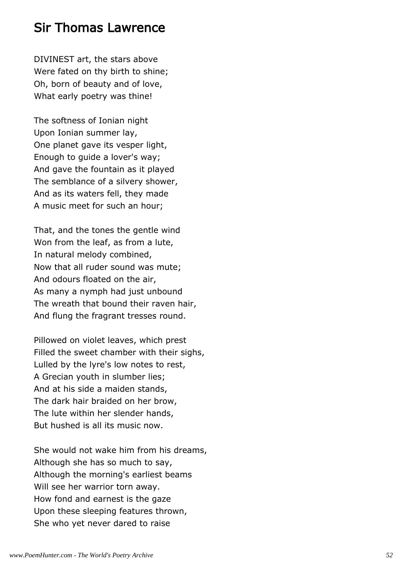#### Sir Thomas Lawrence

DIVINEST art, the stars above Were fated on thy birth to shine; Oh, born of beauty and of love, What early poetry was thine!

The softness of Ionian night Upon Ionian summer lay, One planet gave its vesper light, Enough to guide a lover's way; And gave the fountain as it played The semblance of a silvery shower, And as its waters fell, they made A music meet for such an hour;

That, and the tones the gentle wind Won from the leaf, as from a lute, In natural melody combined, Now that all ruder sound was mute; And odours floated on the air, As many a nymph had just unbound The wreath that bound their raven hair, And flung the fragrant tresses round.

Pillowed on violet leaves, which prest Filled the sweet chamber with their sighs, Lulled by the lyre's low notes to rest, A Grecian youth in slumber lies; And at his side a maiden stands, The dark hair braided on her brow, The lute within her slender hands, But hushed is all its music now.

She would not wake him from his dreams, Although she has so much to say, Although the morning's earliest beams Will see her warrior torn away. How fond and earnest is the gaze Upon these sleeping features thrown, She who yet never dared to raise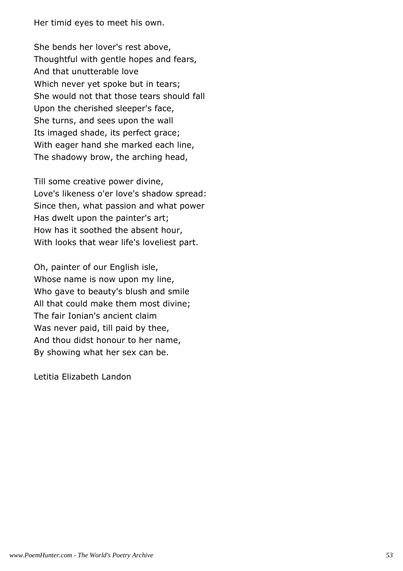Her timid eyes to meet his own.

She bends her lover's rest above, Thoughtful with gentle hopes and fears, And that unutterable love Which never yet spoke but in tears; She would not that those tears should fall Upon the cherished sleeper's face, She turns, and sees upon the wall Its imaged shade, its perfect grace; With eager hand she marked each line, The shadowy brow, the arching head,

Till some creative power divine, Love's likeness o'er love's shadow spread: Since then, what passion and what power Has dwelt upon the painter's art; How has it soothed the absent hour, With looks that wear life's loveliest part.

Oh, painter of our English isle, Whose name is now upon my line, Who gave to beauty's blush and smile All that could make them most divine; The fair Ionian's ancient claim Was never paid, till paid by thee, And thou didst honour to her name, By showing what her sex can be.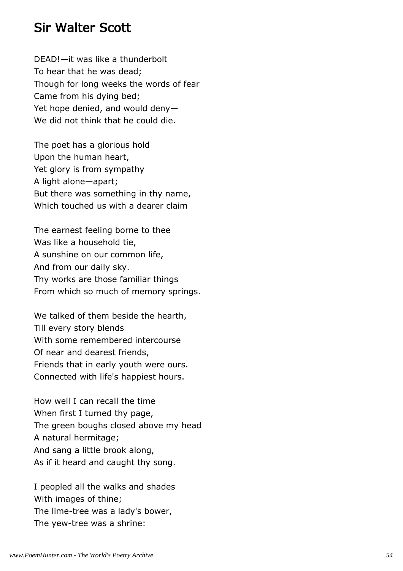#### Sir Walter Scott

DEAD!—it was like a thunderbolt To hear that he was dead; Though for long weeks the words of fear Came from his dying bed; Yet hope denied, and would deny— We did not think that he could die.

The poet has a glorious hold Upon the human heart, Yet glory is from sympathy A light alone—apart; But there was something in thy name, Which touched us with a dearer claim

The earnest feeling borne to thee Was like a household tie, A sunshine on our common life, And from our daily sky. Thy works are those familiar things From which so much of memory springs.

We talked of them beside the hearth, Till every story blends With some remembered intercourse Of near and dearest friends, Friends that in early youth were ours. Connected with life's happiest hours.

How well I can recall the time When first I turned thy page, The green boughs closed above my head A natural hermitage; And sang a little brook along, As if it heard and caught thy song.

I peopled all the walks and shades With images of thine; The lime-tree was a lady's bower, The yew-tree was a shrine: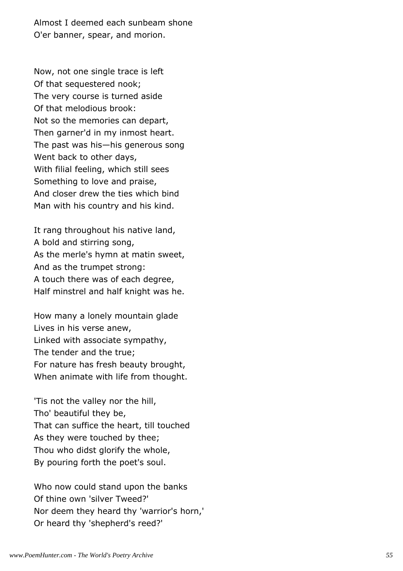Almost I deemed each sunbeam shone O'er banner, spear, and morion.

Now, not one single trace is left Of that sequestered nook; The very course is turned aside Of that melodious brook: Not so the memories can depart, Then garner'd in my inmost heart. The past was his—his generous song Went back to other days, With filial feeling, which still sees Something to love and praise, And closer drew the ties which bind Man with his country and his kind.

It rang throughout his native land, A bold and stirring song, As the merle's hymn at matin sweet, And as the trumpet strong: A touch there was of each degree, Half minstrel and half knight was he.

How many a lonely mountain glade Lives in his verse anew, Linked with associate sympathy, The tender and the true; For nature has fresh beauty brought, When animate with life from thought.

'Tis not the valley nor the hill, Tho' beautiful they be, That can suffice the heart, till touched As they were touched by thee; Thou who didst glorify the whole, By pouring forth the poet's soul.

Who now could stand upon the banks Of thine own 'silver Tweed?' Nor deem they heard thy 'warrior's horn,' Or heard thy 'shepherd's reed?'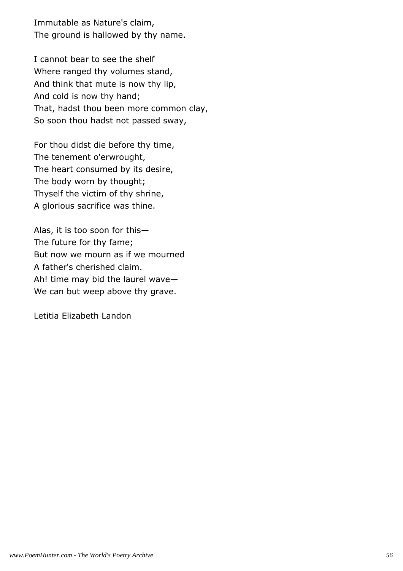Immutable as Nature's claim, The ground is hallowed by thy name.

I cannot bear to see the shelf Where ranged thy volumes stand, And think that mute is now thy lip, And cold is now thy hand; That, hadst thou been more common clay, So soon thou hadst not passed sway,

For thou didst die before thy time, The tenement o'erwrought, The heart consumed by its desire, The body worn by thought; Thyself the victim of thy shrine, A glorious sacrifice was thine.

Alas, it is too soon for this— The future for thy fame; But now we mourn as if we mourned A father's cherished claim. Ah! time may bid the laurel wave— We can but weep above thy grave.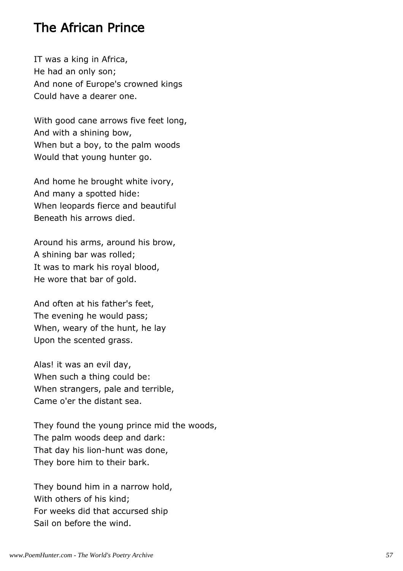# The African Prince

IT was a king in Africa, He had an only son; And none of Europe's crowned kings Could have a dearer one.

With good cane arrows five feet long, And with a shining bow, When but a boy, to the palm woods Would that young hunter go.

And home he brought white ivory, And many a spotted hide: When leopards fierce and beautiful Beneath his arrows died.

Around his arms, around his brow, A shining bar was rolled; It was to mark his royal blood, He wore that bar of gold.

And often at his father's feet, The evening he would pass; When, weary of the hunt, he lay Upon the scented grass.

Alas! it was an evil day, When such a thing could be: When strangers, pale and terrible, Came o'er the distant sea.

They found the young prince mid the woods, The palm woods deep and dark: That day his lion-hunt was done, They bore him to their bark.

They bound him in a narrow hold, With others of his kind; For weeks did that accursed ship Sail on before the wind.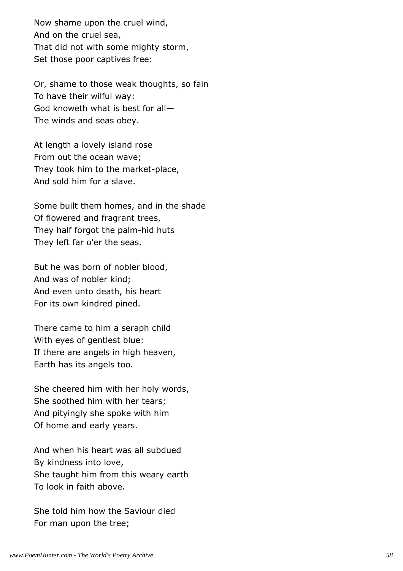Now shame upon the cruel wind, And on the cruel sea, That did not with some mighty storm, Set those poor captives free:

Or, shame to those weak thoughts, so fain To have their wilful way: God knoweth what is best for all— The winds and seas obey.

At length a lovely island rose From out the ocean wave; They took him to the market-place, And sold him for a slave.

Some built them homes, and in the shade Of flowered and fragrant trees, They half forgot the palm-hid huts They left far o'er the seas.

But he was born of nobler blood, And was of nobler kind; And even unto death, his heart For its own kindred pined.

There came to him a seraph child With eyes of gentlest blue: If there are angels in high heaven, Earth has its angels too.

She cheered him with her holy words, She soothed him with her tears; And pityingly she spoke with him Of home and early years.

And when his heart was all subdued By kindness into love, She taught him from this weary earth To look in faith above.

She told him how the Saviour died For man upon the tree;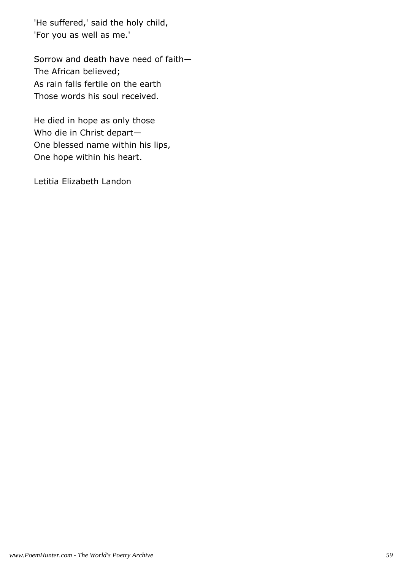'He suffered,' said the holy child, 'For you as well as me.'

Sorrow and death have need of faith— The African believed; As rain falls fertile on the earth Those words his soul received.

He died in hope as only those Who die in Christ depart— One blessed name within his lips, One hope within his heart.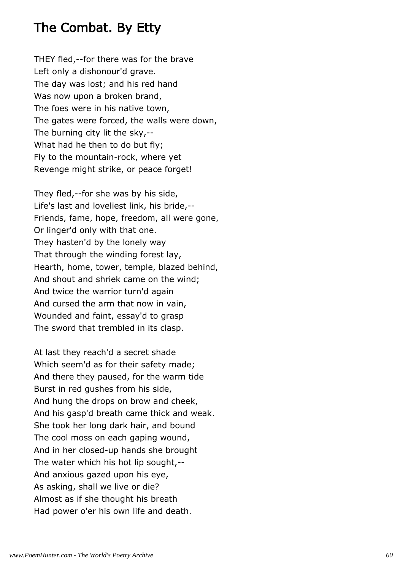# The Combat. By Etty

THEY fled,--for there was for the brave Left only a dishonour'd grave. The day was lost; and his red hand Was now upon a broken brand, The foes were in his native town, The gates were forced, the walls were down, The burning city lit the sky,-- What had he then to do but fly; Fly to the mountain-rock, where yet Revenge might strike, or peace forget!

They fled,--for she was by his side, Life's last and loveliest link, his bride,-- Friends, fame, hope, freedom, all were gone, Or linger'd only with that one. They hasten'd by the lonely way That through the winding forest lay, Hearth, home, tower, temple, blazed behind, And shout and shriek came on the wind; And twice the warrior turn'd again And cursed the arm that now in vain, Wounded and faint, essay'd to grasp The sword that trembled in its clasp.

At last they reach'd a secret shade Which seem'd as for their safety made; And there they paused, for the warm tide Burst in red gushes from his side, And hung the drops on brow and cheek, And his gasp'd breath came thick and weak. She took her long dark hair, and bound The cool moss on each gaping wound, And in her closed-up hands she brought The water which his hot lip sought,-- And anxious gazed upon his eye, As asking, shall we live or die? Almost as if she thought his breath Had power o'er his own life and death.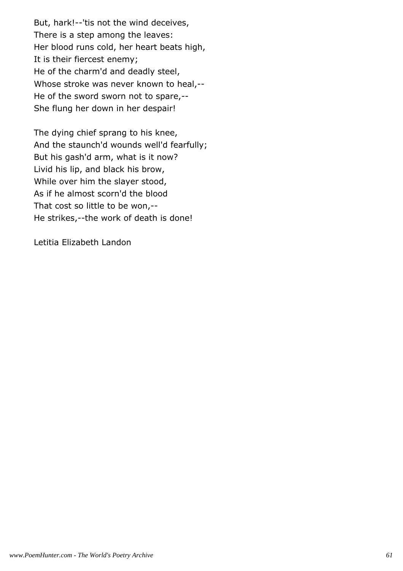But, hark!--'tis not the wind deceives, There is a step among the leaves: Her blood runs cold, her heart beats high, It is their fiercest enemy; He of the charm'd and deadly steel, Whose stroke was never known to heal,-- He of the sword sworn not to spare,-- She flung her down in her despair!

The dying chief sprang to his knee, And the staunch'd wounds well'd fearfully; But his gash'd arm, what is it now? Livid his lip, and black his brow, While over him the slayer stood, As if he almost scorn'd the blood That cost so little to be won,-- He strikes,--the work of death is done!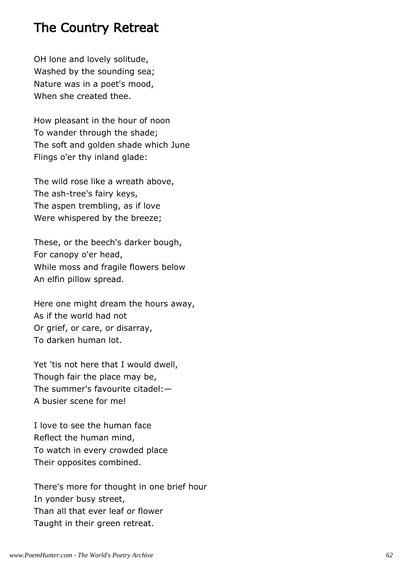# The Country Retreat

OH lone and lovely solitude, Washed by the sounding sea; Nature was in a poet's mood, When she created thee.

How pleasant in the hour of noon To wander through the shade; The soft and golden shade which June Flings o'er thy inland glade:

The wild rose like a wreath above, The ash-tree's fairy keys, The aspen trembling, as if love Were whispered by the breeze;

These, or the beech's darker bough, For canopy o'er head, While moss and fragile flowers below An elfin pillow spread.

Here one might dream the hours away, As if the world had not Or grief, or care, or disarray, To darken human lot.

Yet 'tis not here that I would dwell, Though fair the place may be, The summer's favourite citadel:— A busier scene for me!

I love to see the human face Reflect the human mind, To watch in every crowded place Their opposites combined.

There's more for thought in one brief hour In yonder busy street, Than all that ever leaf or flower Taught in their green retreat.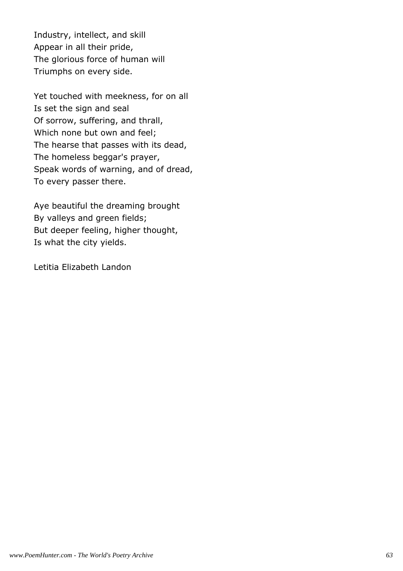Industry, intellect, and skill Appear in all their pride, The glorious force of human will Triumphs on every side.

Yet touched with meekness, for on all Is set the sign and seal Of sorrow, suffering, and thrall, Which none but own and feel; The hearse that passes with its dead, The homeless beggar's prayer, Speak words of warning, and of dread, To every passer there.

Aye beautiful the dreaming brought By valleys and green fields; But deeper feeling, higher thought, Is what the city yields.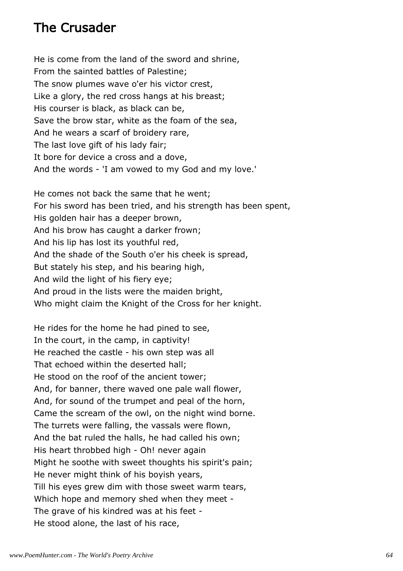# The Crusader

He is come from the land of the sword and shrine, From the sainted battles of Palestine; The snow plumes wave o'er his victor crest, Like a glory, the red cross hangs at his breast; His courser is black, as black can be, Save the brow star, white as the foam of the sea, And he wears a scarf of broidery rare, The last love gift of his lady fair; It bore for device a cross and a dove, And the words - 'I am vowed to my God and my love.'

He comes not back the same that he went; For his sword has been tried, and his strength has been spent, His golden hair has a deeper brown, And his brow has caught a darker frown; And his lip has lost its youthful red, And the shade of the South o'er his cheek is spread, But stately his step, and his bearing high, And wild the light of his fiery eye; And proud in the lists were the maiden bright, Who might claim the Knight of the Cross for her knight.

He rides for the home he had pined to see, In the court, in the camp, in captivity! He reached the castle - his own step was all That echoed within the deserted hall; He stood on the roof of the ancient tower; And, for banner, there waved one pale wall flower, And, for sound of the trumpet and peal of the horn, Came the scream of the owl, on the night wind borne. The turrets were falling, the vassals were flown, And the bat ruled the halls, he had called his own; His heart throbbed high - Oh! never again Might he soothe with sweet thoughts his spirit's pain; He never might think of his boyish years, Till his eyes grew dim with those sweet warm tears, Which hope and memory shed when they meet - The grave of his kindred was at his feet - He stood alone, the last of his race,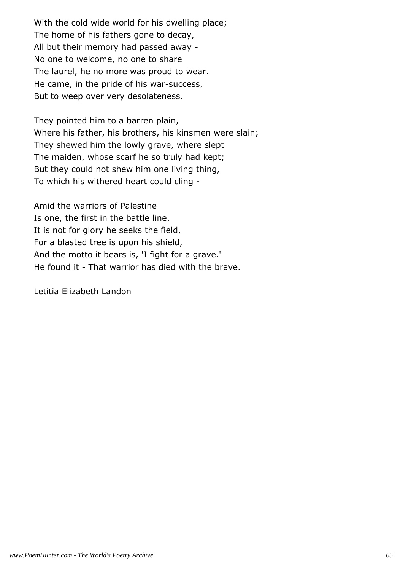With the cold wide world for his dwelling place; The home of his fathers gone to decay, All but their memory had passed away - No one to welcome, no one to share The laurel, he no more was proud to wear. He came, in the pride of his war-success, But to weep over very desolateness.

They pointed him to a barren plain, Where his father, his brothers, his kinsmen were slain; They shewed him the lowly grave, where slept The maiden, whose scarf he so truly had kept; But they could not shew him one living thing, To which his withered heart could cling -

Amid the warriors of Palestine Is one, the first in the battle line. It is not for glory he seeks the field, For a blasted tree is upon his shield, And the motto it bears is, 'I fight for a grave.' He found it - That warrior has died with the brave.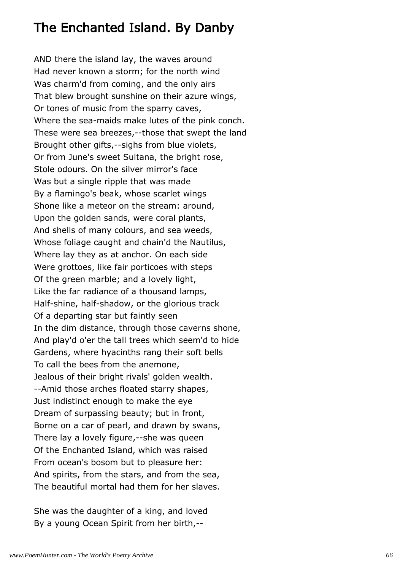# The Enchanted Island. By Danby

AND there the island lay, the waves around Had never known a storm; for the north wind Was charm'd from coming, and the only airs That blew brought sunshine on their azure wings, Or tones of music from the sparry caves, Where the sea-maids make lutes of the pink conch. These were sea breezes,--those that swept the land Brought other gifts,--sighs from blue violets, Or from June's sweet Sultana, the bright rose, Stole odours. On the silver mirror's face Was but a single ripple that was made By a flamingo's beak, whose scarlet wings Shone like a meteor on the stream: around, Upon the golden sands, were coral plants, And shells of many colours, and sea weeds, Whose foliage caught and chain'd the Nautilus, Where lay they as at anchor. On each side Were grottoes, like fair porticoes with steps Of the green marble; and a lovely light, Like the far radiance of a thousand lamps, Half-shine, half-shadow, or the glorious track Of a departing star but faintly seen In the dim distance, through those caverns shone, And play'd o'er the tall trees which seem'd to hide Gardens, where hyacinths rang their soft bells To call the bees from the anemone, Jealous of their bright rivals' golden wealth. --Amid those arches floated starry shapes, Just indistinct enough to make the eye Dream of surpassing beauty; but in front, Borne on a car of pearl, and drawn by swans, There lay a lovely figure,--she was queen Of the Enchanted Island, which was raised From ocean's bosom but to pleasure her: And spirits, from the stars, and from the sea, The beautiful mortal had them for her slaves.

She was the daughter of a king, and loved By a young Ocean Spirit from her birth,--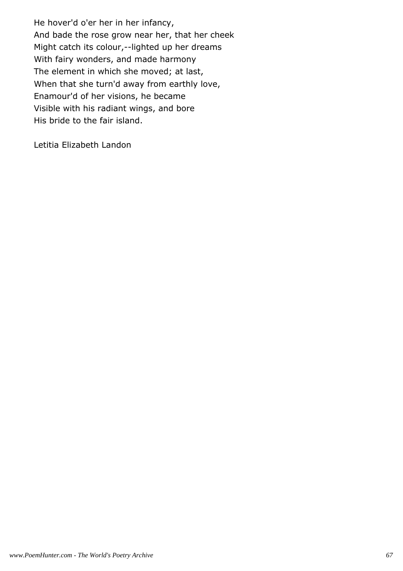He hover'd o'er her in her infancy, And bade the rose grow near her, that her cheek Might catch its colour,--lighted up her dreams With fairy wonders, and made harmony The element in which she moved; at last, When that she turn'd away from earthly love, Enamour'd of her visions, he became Visible with his radiant wings, and bore His bride to the fair island.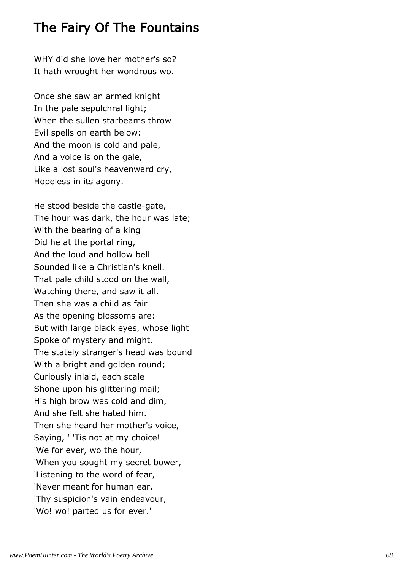# The Fairy Of The Fountains

WHY did she love her mother's so? It hath wrought her wondrous wo.

Once she saw an armed knight In the pale sepulchral light; When the sullen starbeams throw Evil spells on earth below: And the moon is cold and pale, And a voice is on the gale, Like a lost soul's heavenward cry, Hopeless in its agony.

He stood beside the castle-gate, The hour was dark, the hour was late; With the bearing of a king Did he at the portal ring, And the loud and hollow bell Sounded like a Christian's knell. That pale child stood on the wall, Watching there, and saw it all. Then she was a child as fair As the opening blossoms are: But with large black eyes, whose light Spoke of mystery and might. The stately stranger's head was bound With a bright and golden round; Curiously inlaid, each scale Shone upon his glittering mail; His high brow was cold and dim, And she felt she hated him. Then she heard her mother's voice, Saying, ' 'Tis not at my choice! 'We for ever, wo the hour, 'When you sought my secret bower, 'Listening to the word of fear, 'Never meant for human ear. 'Thy suspicion's vain endeavour, 'Wo! wo! parted us for ever.'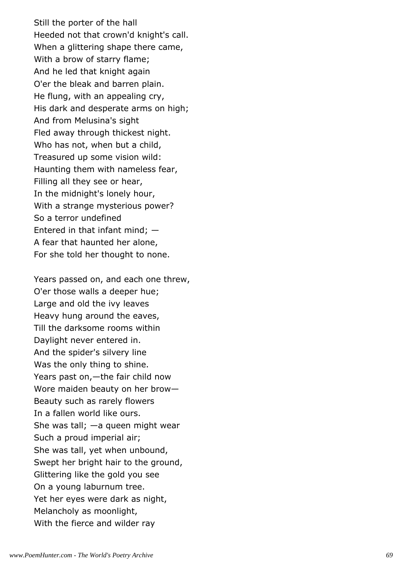Still the porter of the hall Heeded not that crown'd knight's call. When a glittering shape there came, With a brow of starry flame; And he led that knight again O'er the bleak and barren plain. He flung, with an appealing cry, His dark and desperate arms on high; And from Melusina's sight Fled away through thickest night. Who has not, when but a child, Treasured up some vision wild: Haunting them with nameless fear, Filling all they see or hear, In the midnight's lonely hour, With a strange mysterious power? So a terror undefined Entered in that infant mind; — A fear that haunted her alone, For she told her thought to none.

Years passed on, and each one threw, O'er those walls a deeper hue; Large and old the ivy leaves Heavy hung around the eaves, Till the darksome rooms within Daylight never entered in. And the spider's silvery line Was the only thing to shine. Years past on,—the fair child now Wore maiden beauty on her brow— Beauty such as rarely flowers In a fallen world like ours. She was tall; —a queen might wear Such a proud imperial air; She was tall, yet when unbound, Swept her bright hair to the ground, Glittering like the gold you see On a young laburnum tree. Yet her eyes were dark as night, Melancholy as moonlight, With the fierce and wilder ray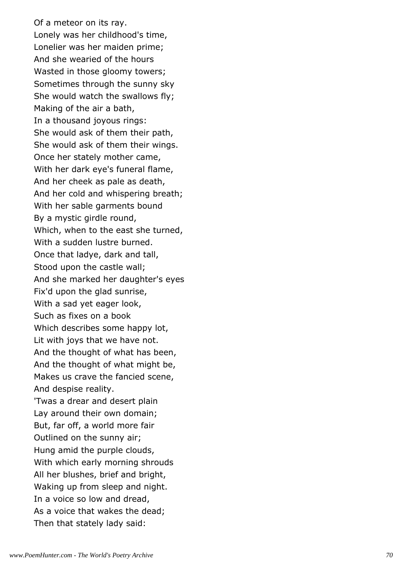Of a meteor on its ray. Lonely was her childhood's time, Lonelier was her maiden prime; And she wearied of the hours Wasted in those gloomy towers; Sometimes through the sunny sky She would watch the swallows fly; Making of the air a bath, In a thousand joyous rings: She would ask of them their path, She would ask of them their wings. Once her stately mother came, With her dark eye's funeral flame, And her cheek as pale as death, And her cold and whispering breath; With her sable garments bound By a mystic girdle round, Which, when to the east she turned, With a sudden lustre burned. Once that ladye, dark and tall, Stood upon the castle wall; And she marked her daughter's eyes Fix'd upon the glad sunrise, With a sad yet eager look, Such as fixes on a book Which describes some happy lot, Lit with joys that we have not. And the thought of what has been, And the thought of what might be, Makes us crave the fancied scene, And despise reality. 'Twas a drear and desert plain Lay around their own domain; But, far off, a world more fair Outlined on the sunny air; Hung amid the purple clouds, With which early morning shrouds All her blushes, brief and bright, Waking up from sleep and night. In a voice so low and dread, As a voice that wakes the dead; Then that stately lady said: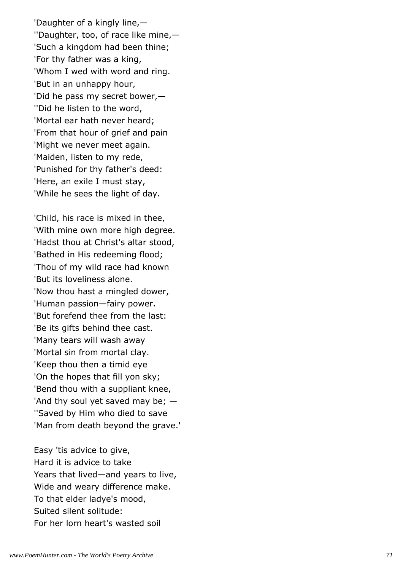'Daughter of a kingly line,— ''Daughter, too, of race like mine,— 'Such a kingdom had been thine; 'For thy father was a king, 'Whom I wed with word and ring. 'But in an unhappy hour, 'Did he pass my secret bower,— ''Did he listen to the word, 'Mortal ear hath never heard; 'From that hour of grief and pain 'Might we never meet again. 'Maiden, listen to my rede, 'Punished for thy father's deed: 'Here, an exile I must stay, 'While he sees the light of day.

'Child, his race is mixed in thee, 'With mine own more high degree. 'Hadst thou at Christ's altar stood, 'Bathed in His redeeming flood; 'Thou of my wild race had known 'But its loveliness alone. 'Now thou hast a mingled dower, 'Human passion—fairy power. 'But forefend thee from the last: 'Be its gifts behind thee cast. 'Many tears will wash away 'Mortal sin from mortal clay. 'Keep thou then a timid eye 'On the hopes that fill yon sky; 'Bend thou with a suppliant knee, 'And thy soul yet saved may be;  $-$ ''Saved by Him who died to save 'Man from death beyond the grave.'

Easy 'tis advice to give, Hard it is advice to take Years that lived—and years to live, Wide and weary difference make. To that elder ladye's mood, Suited silent solitude: For her lorn heart's wasted soil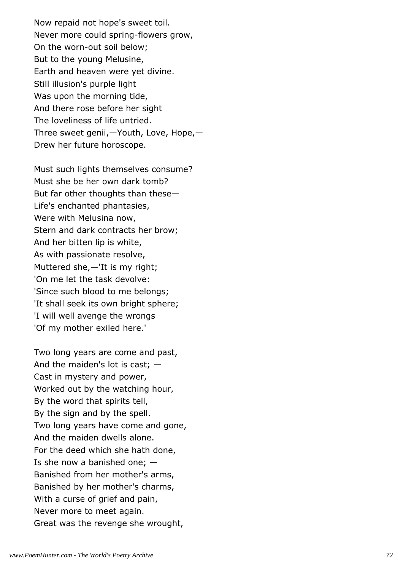Now repaid not hope's sweet toil. Never more could spring-flowers grow, On the worn-out soil below; But to the young Melusine, Earth and heaven were yet divine. Still illusion's purple light Was upon the morning tide, And there rose before her sight The loveliness of life untried. Three sweet genii,—Youth, Love, Hope,— Drew her future horoscope.

Must such lights themselves consume? Must she be her own dark tomb? But far other thoughts than these— Life's enchanted phantasies, Were with Melusina now, Stern and dark contracts her brow; And her bitten lip is white, As with passionate resolve, Muttered she,—'It is my right; 'On me let the task devolve: 'Since such blood to me belongs; 'It shall seek its own bright sphere; 'I will well avenge the wrongs 'Of my mother exiled here.'

Two long years are come and past, And the maiden's lot is cast;  $-$ Cast in mystery and power, Worked out by the watching hour, By the word that spirits tell, By the sign and by the spell. Two long years have come and gone, And the maiden dwells alone. For the deed which she hath done, Is she now a banished one; — Banished from her mother's arms, Banished by her mother's charms, With a curse of grief and pain, Never more to meet again. Great was the revenge she wrought,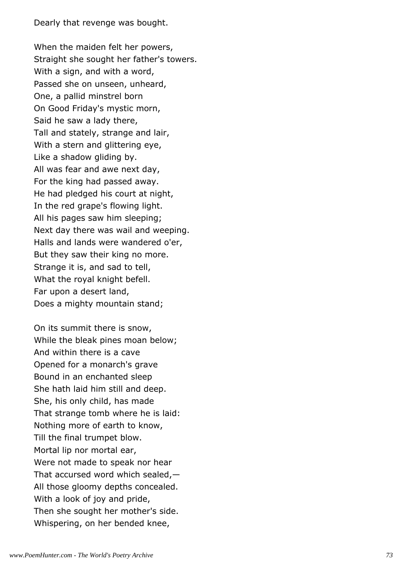Dearly that revenge was bought.

When the maiden felt her powers, Straight she sought her father's towers. With a sign, and with a word, Passed she on unseen, unheard, One, a pallid minstrel born On Good Friday's mystic morn, Said he saw a lady there, Tall and stately, strange and lair, With a stern and glittering eye, Like a shadow gliding by. All was fear and awe next day, For the king had passed away. He had pledged his court at night, In the red grape's flowing light. All his pages saw him sleeping; Next day there was wail and weeping. Halls and lands were wandered o'er, But they saw their king no more. Strange it is, and sad to tell, What the royal knight befell. Far upon a desert land, Does a mighty mountain stand;

On its summit there is snow, While the bleak pines moan below; And within there is a cave Opened for a monarch's grave Bound in an enchanted sleep She hath laid him still and deep. She, his only child, has made That strange tomb where he is laid: Nothing more of earth to know, Till the final trumpet blow. Mortal lip nor mortal ear, Were not made to speak nor hear That accursed word which sealed,— All those gloomy depths concealed. With a look of joy and pride, Then she sought her mother's side. Whispering, on her bended knee,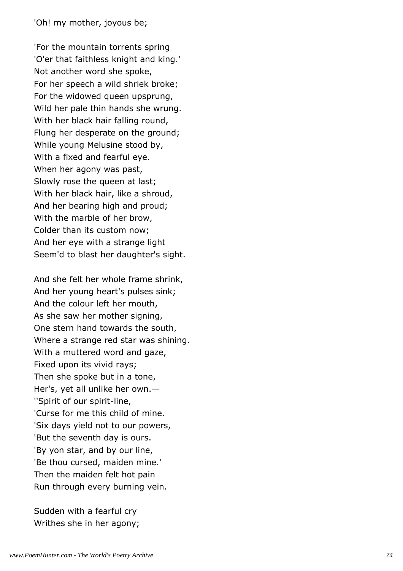'Oh! my mother, joyous be;

'For the mountain torrents spring 'O'er that faithless knight and king.' Not another word she spoke, For her speech a wild shriek broke; For the widowed queen upsprung, Wild her pale thin hands she wrung. With her black hair falling round, Flung her desperate on the ground; While young Melusine stood by, With a fixed and fearful eye. When her agony was past, Slowly rose the queen at last; With her black hair, like a shroud, And her bearing high and proud; With the marble of her brow, Colder than its custom now; And her eye with a strange light Seem'd to blast her daughter's sight.

And she felt her whole frame shrink, And her young heart's pulses sink; And the colour left her mouth, As she saw her mother signing, One stern hand towards the south, Where a strange red star was shining. With a muttered word and gaze, Fixed upon its vivid rays; Then she spoke but in a tone, Her's, yet all unlike her own.— ''Spirit of our spirit-line, 'Curse for me this child of mine. 'Six days yield not to our powers, 'But the seventh day is ours. 'By yon star, and by our line, 'Be thou cursed, maiden mine.' Then the maiden felt hot pain Run through every burning vein.

Sudden with a fearful cry Writhes she in her agony;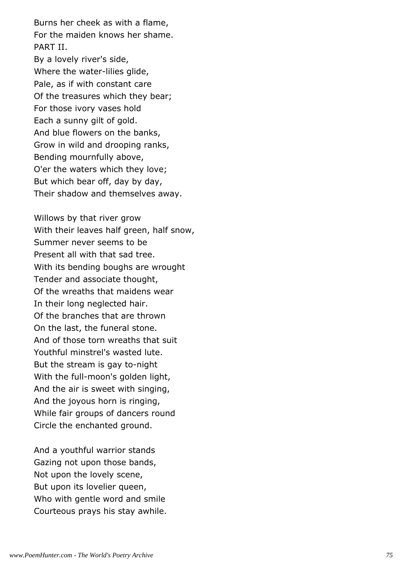Burns her cheek as with a flame, For the maiden knows her shame. PART II. By a lovely river's side, Where the water-lilies glide, Pale, as if with constant care Of the treasures which they bear; For those ivory vases hold Each a sunny gilt of gold. And blue flowers on the banks, Grow in wild and drooping ranks, Bending mournfully above, O'er the waters which they love; But which bear off, day by day, Their shadow and themselves away.

Willows by that river grow With their leaves half green, half snow, Summer never seems to be Present all with that sad tree. With its bending boughs are wrought Tender and associate thought, Of the wreaths that maidens wear In their long neglected hair. Of the branches that are thrown On the last, the funeral stone. And of those torn wreaths that suit Youthful minstrel's wasted lute. But the stream is gay to-night With the full-moon's golden light, And the air is sweet with singing, And the joyous horn is ringing, While fair groups of dancers round Circle the enchanted ground.

And a youthful warrior stands Gazing not upon those bands, Not upon the lovely scene, But upon its lovelier queen, Who with gentle word and smile Courteous prays his stay awhile.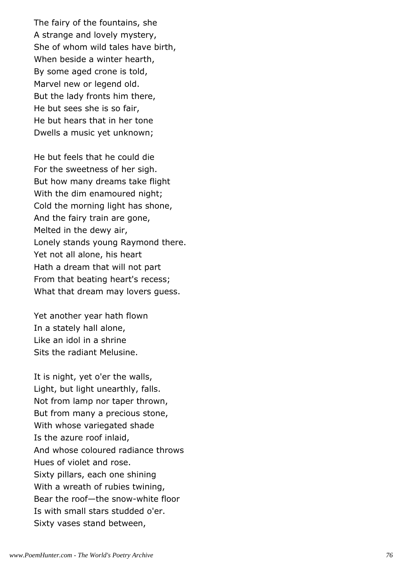The fairy of the fountains, she A strange and lovely mystery, She of whom wild tales have birth, When beside a winter hearth, By some aged crone is told, Marvel new or legend old. But the lady fronts him there, He but sees she is so fair, He but hears that in her tone Dwells a music yet unknown;

He but feels that he could die For the sweetness of her sigh. But how many dreams take flight With the dim enamoured night; Cold the morning light has shone, And the fairy train are gone, Melted in the dewy air, Lonely stands young Raymond there. Yet not all alone, his heart Hath a dream that will not part From that beating heart's recess; What that dream may lovers guess.

Yet another year hath flown In a stately hall alone, Like an idol in a shrine Sits the radiant Melusine.

It is night, yet o'er the walls, Light, but light unearthly, falls. Not from lamp nor taper thrown, But from many a precious stone, With whose variegated shade Is the azure roof inlaid, And whose coloured radiance throws Hues of violet and rose. Sixty pillars, each one shining With a wreath of rubies twining, Bear the roof—the snow-white floor Is with small stars studded o'er. Sixty vases stand between,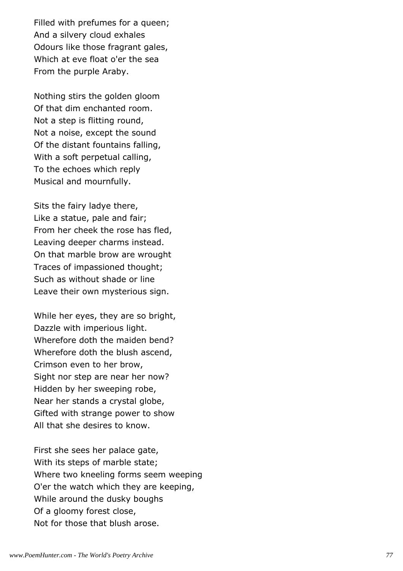Filled with prefumes for a queen; And a silvery cloud exhales Odours like those fragrant gales, Which at eve float o'er the sea From the purple Araby.

Nothing stirs the golden gloom Of that dim enchanted room. Not a step is flitting round, Not a noise, except the sound Of the distant fountains falling, With a soft perpetual calling, To the echoes which reply Musical and mournfully.

Sits the fairy ladye there, Like a statue, pale and fair; From her cheek the rose has fled, Leaving deeper charms instead. On that marble brow are wrought Traces of impassioned thought; Such as without shade or line Leave their own mysterious sign.

While her eyes, they are so bright, Dazzle with imperious light. Wherefore doth the maiden bend? Wherefore doth the blush ascend, Crimson even to her brow, Sight nor step are near her now? Hidden by her sweeping robe, Near her stands a crystal globe, Gifted with strange power to show All that she desires to know.

First she sees her palace gate, With its steps of marble state; Where two kneeling forms seem weeping O'er the watch which they are keeping, While around the dusky boughs Of a gloomy forest close, Not for those that blush arose.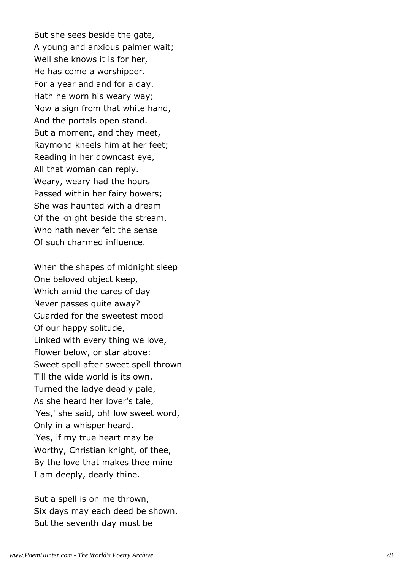But she sees beside the gate, A young and anxious palmer wait; Well she knows it is for her, He has come a worshipper. For a year and and for a day. Hath he worn his weary way; Now a sign from that white hand, And the portals open stand. But a moment, and they meet, Raymond kneels him at her feet; Reading in her downcast eye, All that woman can reply. Weary, weary had the hours Passed within her fairy bowers; She was haunted with a dream Of the knight beside the stream. Who hath never felt the sense Of such charmed influence.

When the shapes of midnight sleep One beloved object keep, Which amid the cares of day Never passes quite away? Guarded for the sweetest mood Of our happy solitude, Linked with every thing we love, Flower below, or star above: Sweet spell after sweet spell thrown Till the wide world is its own. Turned the ladye deadly pale, As she heard her lover's tale, 'Yes,' she said, oh! low sweet word, Only in a whisper heard. 'Yes, if my true heart may be Worthy, Christian knight, of thee, By the love that makes thee mine I am deeply, dearly thine.

But a spell is on me thrown, Six days may each deed be shown. But the seventh day must be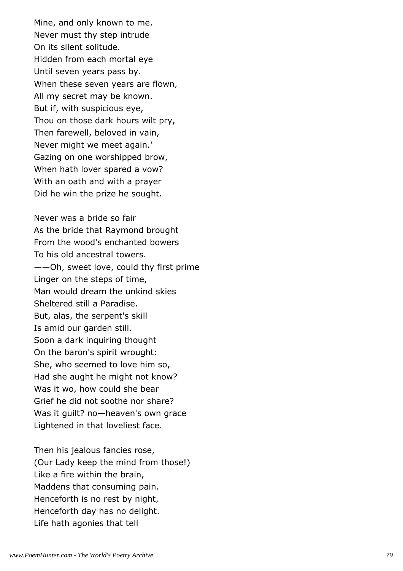Mine, and only known to me. Never must thy step intrude On its silent solitude. Hidden from each mortal eye Until seven years pass by. When these seven years are flown, All my secret may be known. But if, with suspicious eye, Thou on those dark hours wilt pry, Then farewell, beloved in vain, Never might we meet again.' Gazing on one worshipped brow, When hath lover spared a vow? With an oath and with a prayer Did he win the prize he sought.

Never was a bride so fair As the bride that Raymond brought From the wood's enchanted bowers To his old ancestral towers. ——Oh, sweet love, could thy first prime Linger on the steps of time, Man would dream the unkind skies Sheltered still a Paradise. But, alas, the serpent's skill Is amid our garden still. Soon a dark inquiring thought On the baron's spirit wrought: She, who seemed to love him so, Had she aught he might not know? Was it wo, how could she bear Grief he did not soothe nor share? Was it guilt? no—heaven's own grace Lightened in that loveliest face.

Then his jealous fancies rose, (Our Lady keep the mind from those!) Like a fire within the brain, Maddens that consuming pain. Henceforth is no rest by night, Henceforth day has no delight. Life hath agonies that tell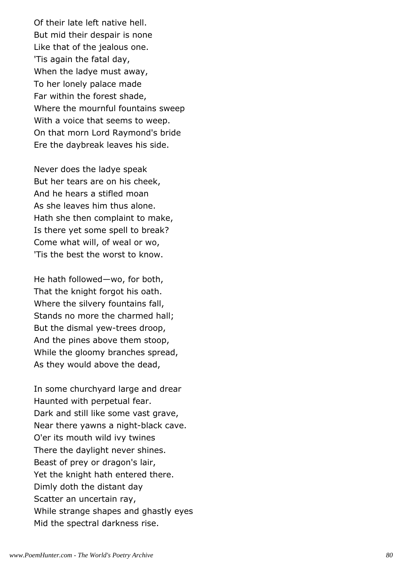Of their late left native hell. But mid their despair is none Like that of the jealous one. 'Tis again the fatal day, When the ladye must away, To her lonely palace made Far within the forest shade, Where the mournful fountains sweep With a voice that seems to weep. On that morn Lord Raymond's bride Ere the daybreak leaves his side.

Never does the ladye speak But her tears are on his cheek, And he hears a stifled moan As she leaves him thus alone. Hath she then complaint to make, Is there yet some spell to break? Come what will, of weal or wo, 'Tis the best the worst to know.

He hath followed—wo, for both, That the knight forgot his oath. Where the silvery fountains fall, Stands no more the charmed hall; But the dismal yew-trees droop, And the pines above them stoop, While the gloomy branches spread, As they would above the dead,

In some churchyard large and drear Haunted with perpetual fear. Dark and still like some vast grave, Near there yawns a night-black cave. O'er its mouth wild ivy twines There the daylight never shines. Beast of prey or dragon's lair, Yet the knight hath entered there. Dimly doth the distant day Scatter an uncertain ray, While strange shapes and ghastly eyes Mid the spectral darkness rise.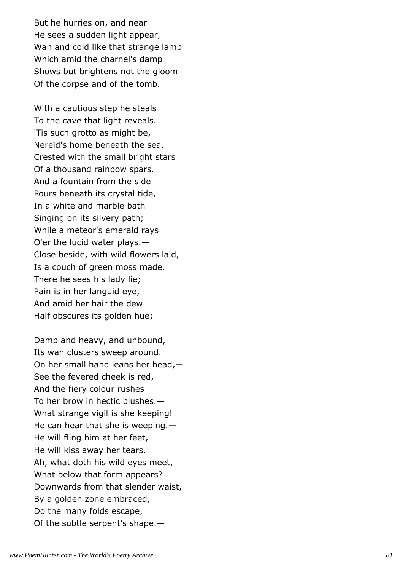But he hurries on, and near He sees a sudden light appear, Wan and cold like that strange lamp Which amid the charnel's damp Shows but brightens not the gloom Of the corpse and of the tomb.

With a cautious step he steals To the cave that light reveals. 'Tis such grotto as might be, Nereïd's home beneath the sea. Crested with the small bright stars Of a thousand rainbow spars. And a fountain from the side Pours beneath its crystal tide, In a white and marble bath Singing on its silvery path; While a meteor's emerald rays O'er the lucid water plays.— Close beside, with wild flowers laid, Is a couch of green moss made. There he sees his lady lie; Pain is in her languid eye, And amid her hair the dew Half obscures its golden hue;

Damp and heavy, and unbound, Its wan clusters sweep around. On her small hand leans her head,— See the fevered cheek is red, And the fiery colour rushes To her brow in hectic blushes.— What strange vigil is she keeping! He can hear that she is weeping.— He will fling him at her feet, He will kiss away her tears. Ah, what doth his wild eyes meet, What below that form appears? Downwards from that slender waist, By a golden zone embraced, Do the many folds escape, Of the subtle serpent's shape.—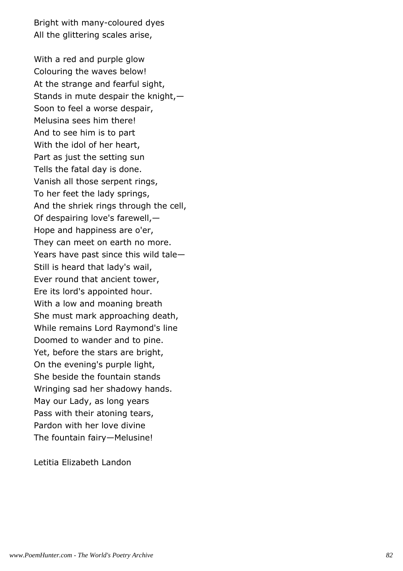Bright with many-coloured dyes All the glittering scales arise,

With a red and purple glow Colouring the waves below! At the strange and fearful sight, Stands in mute despair the knight,— Soon to feel a worse despair, Melusina sees him there! And to see him is to part With the idol of her heart, Part as just the setting sun Tells the fatal day is done. Vanish all those serpent rings, To her feet the lady springs, And the shriek rings through the cell, Of despairing love's farewell,— Hope and happiness are o'er, They can meet on earth no more. Years have past since this wild tale— Still is heard that lady's wail, Ever round that ancient tower, Ere its lord's appointed hour. With a low and moaning breath She must mark approaching death, While remains Lord Raymond's line Doomed to wander and to pine. Yet, before the stars are bright, On the evening's purple light, She beside the fountain stands Wringing sad her shadowy hands. May our Lady, as long years Pass with their atoning tears, Pardon with her love divine The fountain fairy—Melusine!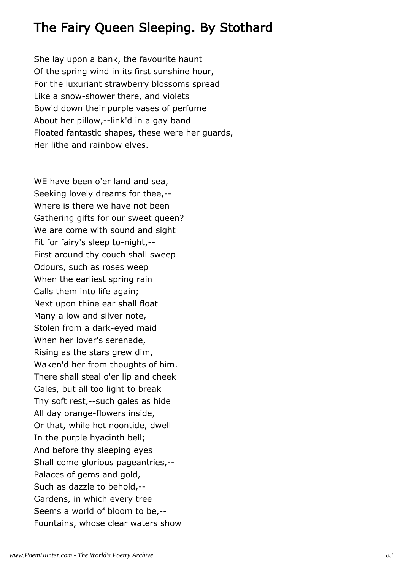## The Fairy Queen Sleeping. By Stothard

She lay upon a bank, the favourite haunt Of the spring wind in its first sunshine hour, For the luxuriant strawberry blossoms spread Like a snow-shower there, and violets Bow'd down their purple vases of perfume About her pillow,--link'd in a gay band Floated fantastic shapes, these were her guards, Her lithe and rainbow elves.

WE have been o'er land and sea, Seeking lovely dreams for thee,-- Where is there we have not been Gathering gifts for our sweet queen? We are come with sound and sight Fit for fairy's sleep to-night,-- First around thy couch shall sweep Odours, such as roses weep When the earliest spring rain Calls them into life again; Next upon thine ear shall float Many a low and silver note, Stolen from a dark-eyed maid When her lover's serenade, Rising as the stars grew dim, Waken'd her from thoughts of him. There shall steal o'er lip and cheek Gales, but all too light to break Thy soft rest,--such gales as hide All day orange-flowers inside, Or that, while hot noontide, dwell In the purple hyacinth bell; And before thy sleeping eyes Shall come glorious pageantries,-- Palaces of gems and gold, Such as dazzle to behold,-- Gardens, in which every tree Seems a world of bloom to be,-- Fountains, whose clear waters show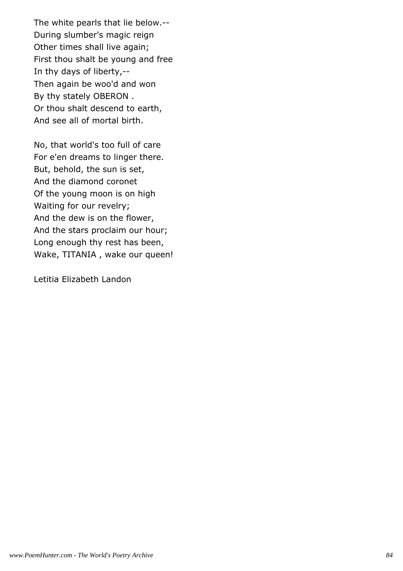The white pearls that lie below.-- During slumber's magic reign Other times shall live again; First thou shalt be young and free In thy days of liberty,-- Then again be woo'd and won By thy stately OBERON . Or thou shalt descend to earth, And see all of mortal birth.

No, that world's too full of care For e'en dreams to linger there. But, behold, the sun is set, And the diamond coronet Of the young moon is on high Waiting for our revelry; And the dew is on the flower, And the stars proclaim our hour; Long enough thy rest has been, Wake, TITANIA, wake our queen!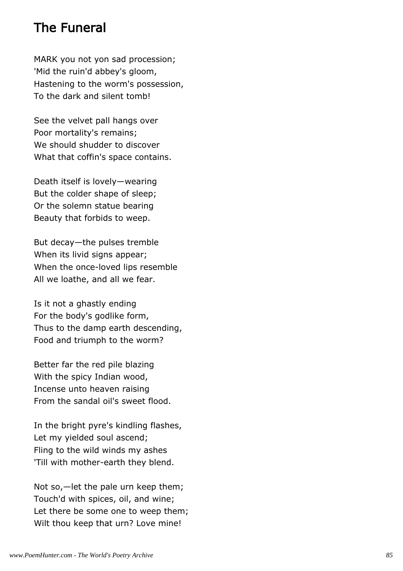### The Funeral

MARK you not yon sad procession; 'Mid the ruin'd abbey's gloom, Hastening to the worm's possession, To the dark and silent tomb!

See the velvet pall hangs over Poor mortality's remains; We should shudder to discover What that coffin's space contains.

Death itself is lovely—wearing But the colder shape of sleep; Or the solemn statue bearing Beauty that forbids to weep.

But decay—the pulses tremble When its livid signs appear; When the once-loved lips resemble All we loathe, and all we fear.

Is it not a ghastly ending For the body's godlike form, Thus to the damp earth descending, Food and triumph to the worm?

Better far the red pile blazing With the spicy Indian wood, Incense unto heaven raising From the sandal oil's sweet flood.

In the bright pyre's kindling flashes, Let my yielded soul ascend; Fling to the wild winds my ashes 'Till with mother-earth they blend.

Not so,—let the pale urn keep them; Touch'd with spices, oil, and wine; Let there be some one to weep them; Wilt thou keep that urn? Love mine!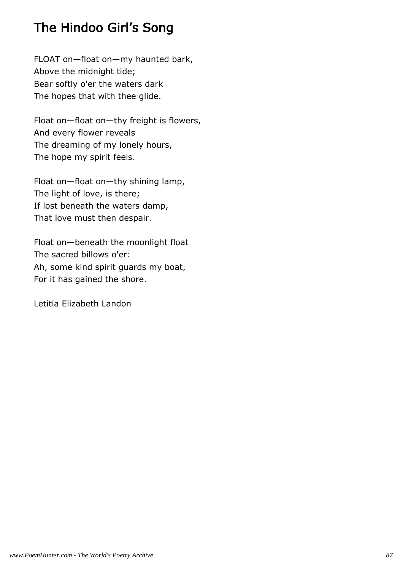# The Hindoo Girl's Song

FLOAT on—float on—my haunted bark, Above the midnight tide; Bear softly o'er the waters dark The hopes that with thee glide.

Float on—float on—thy freight is flowers, And every flower reveals The dreaming of my lonely hours, The hope my spirit feels.

Float on—float on—thy shining lamp, The light of love, is there; If lost beneath the waters damp, That love must then despair.

Float on—beneath the moonlight float The sacred billows o'er: Ah, some kind spirit guards my boat, For it has gained the shore.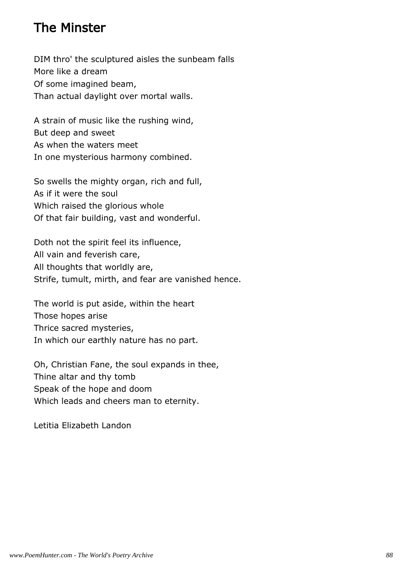# The Minster

DIM thro' the sculptured aisles the sunbeam falls More like a dream Of some imagined beam, Than actual daylight over mortal walls.

A strain of music like the rushing wind, But deep and sweet As when the waters meet In one mysterious harmony combined.

So swells the mighty organ, rich and full, As if it were the soul Which raised the glorious whole Of that fair building, vast and wonderful.

Doth not the spirit feel its influence, All vain and feverish care, All thoughts that worldly are, Strife, tumult, mirth, and fear are vanished hence.

The world is put aside, within the heart Those hopes arise Thrice sacred mysteries, In which our earthly nature has no part.

Oh, Christian Fane, the soul expands in thee, Thine altar and thy tomb Speak of the hope and doom Which leads and cheers man to eternity.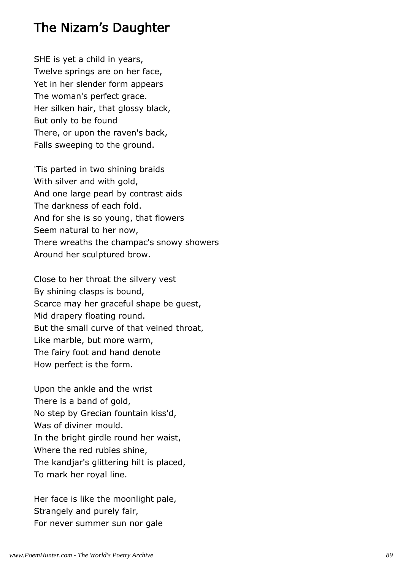# The Nizam's Daughter

SHE is yet a child in years, Twelve springs are on her face, Yet in her slender form appears The woman's perfect grace. Her silken hair, that glossy black, But only to be found There, or upon the raven's back, Falls sweeping to the ground.

'Tis parted in two shining braids With silver and with gold, And one large pearl by contrast aids The darkness of each fold. And for she is so young, that flowers Seem natural to her now, There wreaths the champac's snowy showers Around her sculptured brow.

Close to her throat the silvery vest By shining clasps is bound, Scarce may her graceful shape be guest, Mid drapery floating round. But the small curve of that veined throat, Like marble, but more warm, The fairy foot and hand denote How perfect is the form.

Upon the ankle and the wrist There is a band of gold, No step by Grecian fountain kiss'd, Was of diviner mould. In the bright girdle round her waist, Where the red rubies shine, The kandjar's glittering hilt is placed, To mark her royal line.

Her face is like the moonlight pale, Strangely and purely fair, For never summer sun nor gale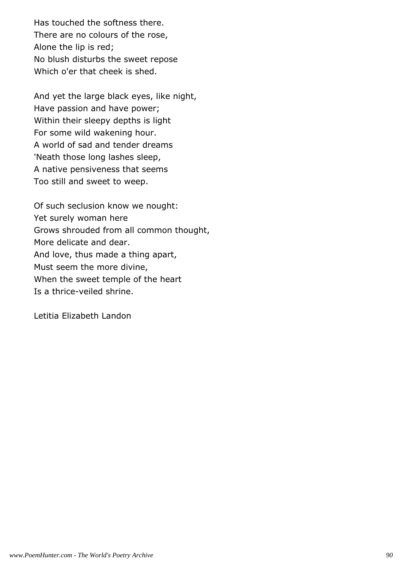Has touched the softness there. There are no colours of the rose, Alone the lip is red; No blush disturbs the sweet repose Which o'er that cheek is shed.

And yet the large black eyes, like night, Have passion and have power; Within their sleepy depths is light For some wild wakening hour. A world of sad and tender dreams 'Neath those long lashes sleep, A native pensiveness that seems Too still and sweet to weep.

Of such seclusion know we nought: Yet surely woman here Grows shrouded from all common thought, More delicate and dear. And love, thus made a thing apart, Must seem the more divine, When the sweet temple of the heart Is a thrice-veiled shrine.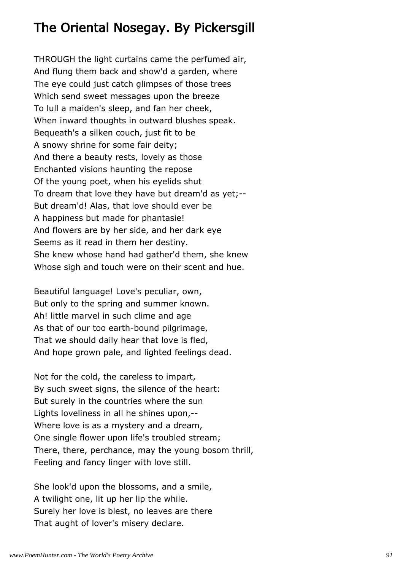## The Oriental Nosegay. By Pickersgill

THROUGH the light curtains came the perfumed air, And flung them back and show'd a garden, where The eye could just catch glimpses of those trees Which send sweet messages upon the breeze To lull a maiden's sleep, and fan her cheek, When inward thoughts in outward blushes speak. Bequeath's a silken couch, just fit to be A snowy shrine for some fair deity; And there a beauty rests, lovely as those Enchanted visions haunting the repose Of the young poet, when his eyelids shut To dream that love they have but dream'd as yet;-- But dream'd! Alas, that love should ever be A happiness but made for phantasie! And flowers are by her side, and her dark eye Seems as it read in them her destiny. She knew whose hand had gather'd them, she knew Whose sigh and touch were on their scent and hue.

Beautiful language! Love's peculiar, own, But only to the spring and summer known. Ah! little marvel in such clime and age As that of our too earth-bound pilgrimage, That we should daily hear that love is fled, And hope grown pale, and lighted feelings dead.

Not for the cold, the careless to impart, By such sweet signs, the silence of the heart: But surely in the countries where the sun Lights loveliness in all he shines upon,-- Where love is as a mystery and a dream, One single flower upon life's troubled stream; There, there, perchance, may the young bosom thrill, Feeling and fancy linger with love still.

She look'd upon the blossoms, and a smile, A twilight one, lit up her lip the while. Surely her love is blest, no leaves are there That aught of lover's misery declare.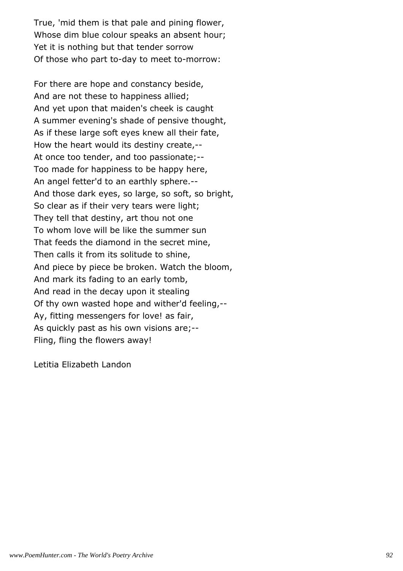True, 'mid them is that pale and pining flower, Whose dim blue colour speaks an absent hour; Yet it is nothing but that tender sorrow Of those who part to-day to meet to-morrow:

For there are hope and constancy beside, And are not these to happiness allied; And yet upon that maiden's cheek is caught A summer evening's shade of pensive thought, As if these large soft eyes knew all their fate, How the heart would its destiny create,-- At once too tender, and too passionate;-- Too made for happiness to be happy here, An angel fetter'd to an earthly sphere.-- And those dark eyes, so large, so soft, so bright, So clear as if their very tears were light; They tell that destiny, art thou not one To whom love will be like the summer sun That feeds the diamond in the secret mine, Then calls it from its solitude to shine, And piece by piece be broken. Watch the bloom, And mark its fading to an early tomb, And read in the decay upon it stealing Of thy own wasted hope and wither'd feeling,-- Ay, fitting messengers for love! as fair, As quickly past as his own visions are;-- Fling, fling the flowers away!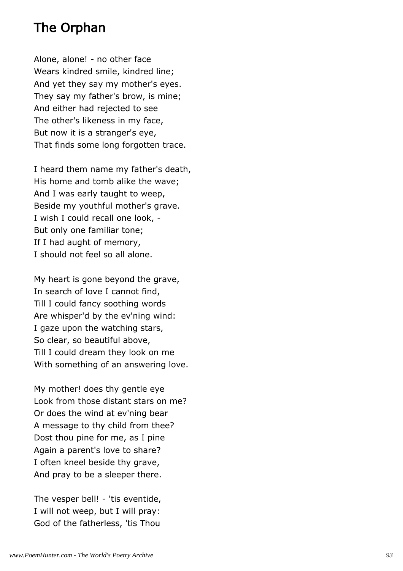#### The Orphan

Alone, alone! - no other face Wears kindred smile, kindred line; And yet they say my mother's eyes. They say my father's brow, is mine; And either had rejected to see The other's likeness in my face, But now it is a stranger's eye, That finds some long forgotten trace.

I heard them name my father's death, His home and tomb alike the wave; And I was early taught to weep, Beside my youthful mother's grave. I wish I could recall one look, - But only one familiar tone; If I had aught of memory, I should not feel so all alone.

My heart is gone beyond the grave, In search of love I cannot find, Till I could fancy soothing words Are whisper'd by the ev'ning wind: I gaze upon the watching stars, So clear, so beautiful above, Till I could dream they look on me With something of an answering love.

My mother! does thy gentle eye Look from those distant stars on me? Or does the wind at ev'ning bear A message to thy child from thee? Dost thou pine for me, as I pine Again a parent's love to share? I often kneel beside thy grave, And pray to be a sleeper there.

The vesper bell! - 'tis eventide, I will not weep, but I will pray: God of the fatherless, 'tis Thou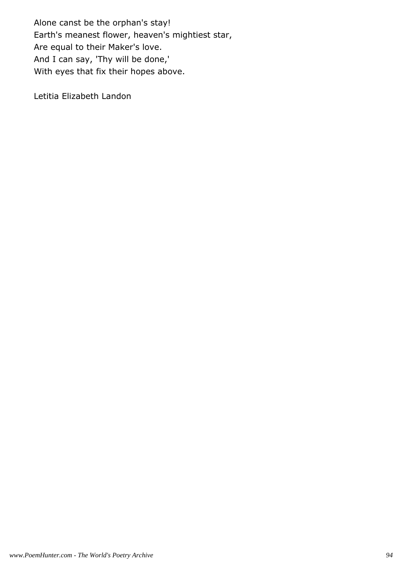Alone canst be the orphan's stay! Earth's meanest flower, heaven's mightiest star, Are equal to their Maker's love. And I can say, 'Thy will be done,' With eyes that fix their hopes above.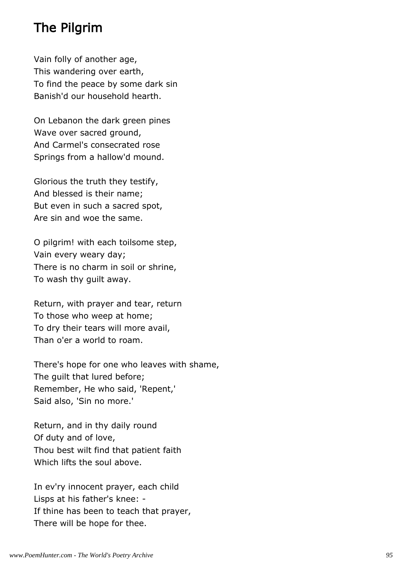## The Pilgrim

Vain folly of another age, This wandering over earth, To find the peace by some dark sin Banish'd our household hearth.

On Lebanon the dark green pines Wave over sacred ground, And Carmel's consecrated rose Springs from a hallow'd mound.

Glorious the truth they testify, And blessed is their name; But even in such a sacred spot, Are sin and woe the same.

O pilgrim! with each toilsome step, Vain every weary day; There is no charm in soil or shrine, To wash thy guilt away.

Return, with prayer and tear, return To those who weep at home; To dry their tears will more avail, Than o'er a world to roam.

There's hope for one who leaves with shame, The guilt that lured before; Remember, He who said, 'Repent,' Said also, 'Sin no more.'

Return, and in thy daily round Of duty and of love, Thou best wilt find that patient faith Which lifts the soul above.

In ev'ry innocent prayer, each child Lisps at his father's knee: - If thine has been to teach that prayer, There will be hope for thee.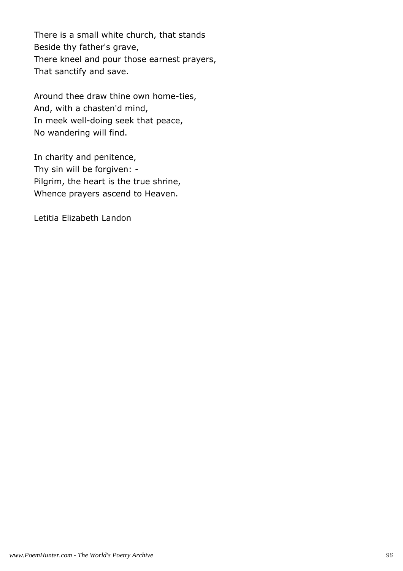There is a small white church, that stands Beside thy father's grave, There kneel and pour those earnest prayers, That sanctify and save.

Around thee draw thine own home-ties, And, with a chasten'd mind, In meek well-doing seek that peace, No wandering will find.

In charity and penitence, Thy sin will be forgiven: - Pilgrim, the heart is the true shrine, Whence prayers ascend to Heaven.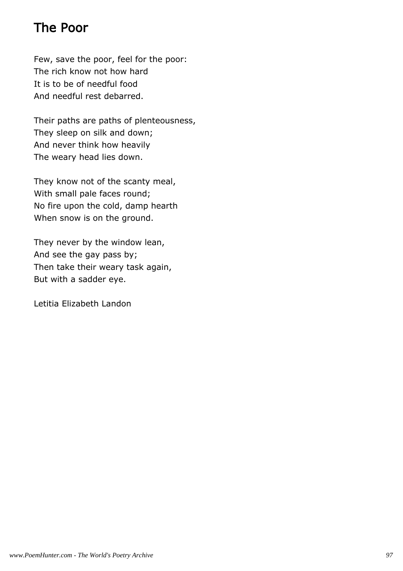# The Poor

Few, save the poor, feel for the poor: The rich know not how hard It is to be of needful food And needful rest debarred.

Their paths are paths of plenteousness, They sleep on silk and down; And never think how heavily The weary head lies down.

They know not of the scanty meal, With small pale faces round; No fire upon the cold, damp hearth When snow is on the ground.

They never by the window lean, And see the gay pass by; Then take their weary task again, But with a sadder eye.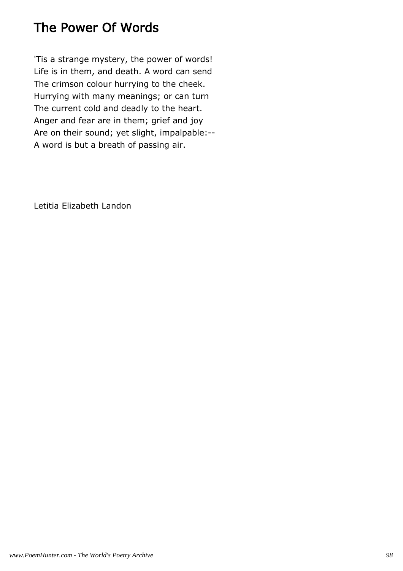## The Power Of Words

'Tis a strange mystery, the power of words! Life is in them, and death. A word can send The crimson colour hurrying to the cheek. Hurrying with many meanings; or can turn The current cold and deadly to the heart. Anger and fear are in them; grief and joy Are on their sound; yet slight, impalpable:-- A word is but a breath of passing air.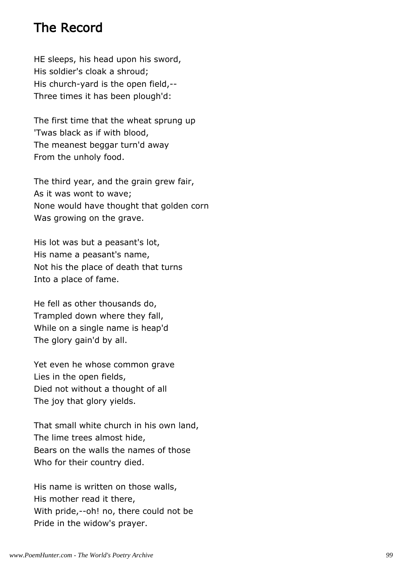### The Record

HE sleeps, his head upon his sword, His soldier's cloak a shroud; His church-yard is the open field,-- Three times it has been plough'd:

The first time that the wheat sprung up 'Twas black as if with blood, The meanest beggar turn'd away From the unholy food.

The third year, and the grain grew fair, As it was wont to wave; None would have thought that golden corn Was growing on the grave.

His lot was but a peasant's lot, His name a peasant's name, Not his the place of death that turns Into a place of fame.

He fell as other thousands do, Trampled down where they fall, While on a single name is heap'd The glory gain'd by all.

Yet even he whose common grave Lies in the open fields, Died not without a thought of all The joy that glory yields.

That small white church in his own land, The lime trees almost hide, Bears on the walls the names of those Who for their country died.

His name is written on those walls, His mother read it there, With pride,--oh! no, there could not be Pride in the widow's prayer.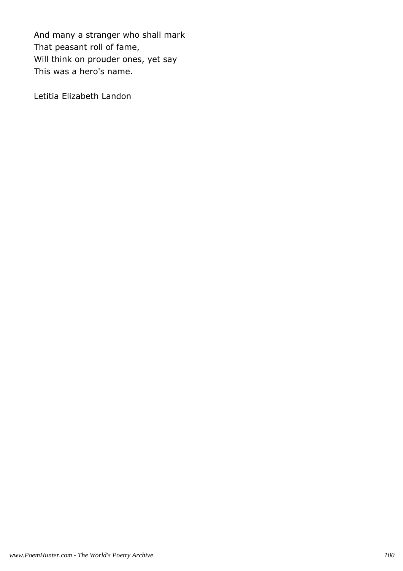And many a stranger who shall mark That peasant roll of fame, Will think on prouder ones, yet say This was a hero's name.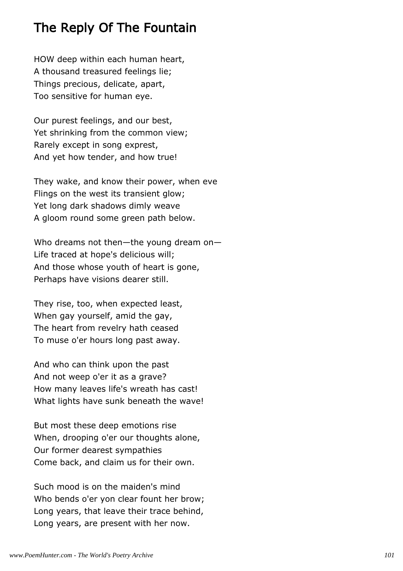## The Reply Of The Fountain

HOW deep within each human heart, A thousand treasured feelings lie; Things precious, delicate, apart, Too sensitive for human eye.

Our purest feelings, and our best, Yet shrinking from the common view; Rarely except in song exprest, And yet how tender, and how true!

They wake, and know their power, when eve Flings on the west its transient glow; Yet long dark shadows dimly weave A gloom round some green path below.

Who dreams not then—the young dream on— Life traced at hope's delicious will; And those whose youth of heart is gone, Perhaps have visions dearer still.

They rise, too, when expected least, When gay yourself, amid the gay, The heart from revelry hath ceased To muse o'er hours long past away.

And who can think upon the past And not weep o'er it as a grave? How many leaves life's wreath has cast! What lights have sunk beneath the wave!

But most these deep emotions rise When, drooping o'er our thoughts alone, Our former dearest sympathies Come back, and claim us for their own.

Such mood is on the maiden's mind Who bends o'er yon clear fount her brow; Long years, that leave their trace behind, Long years, are present with her now.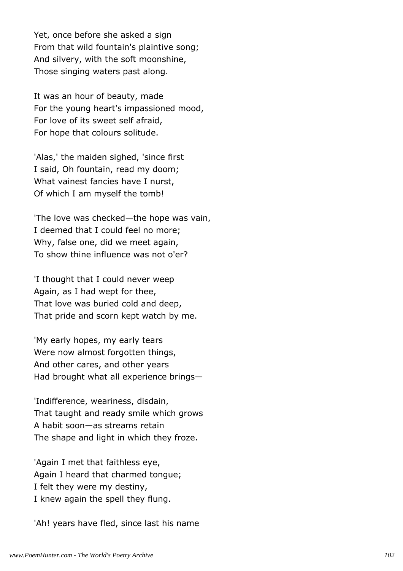Yet, once before she asked a sign From that wild fountain's plaintive song; And silvery, with the soft moonshine, Those singing waters past along.

It was an hour of beauty, made For the young heart's impassioned mood, For love of its sweet self afraid, For hope that colours solitude.

'Alas,' the maiden sighed, 'since first I said, Oh fountain, read my doom; What vainest fancies have I nurst, Of which I am myself the tomb!

'The love was checked—the hope was vain, I deemed that I could feel no more; Why, false one, did we meet again, To show thine influence was not o'er?

'I thought that I could never weep Again, as I had wept for thee, That love was buried cold and deep, That pride and scorn kept watch by me.

'My early hopes, my early tears Were now almost forgotten things, And other cares, and other years Had brought what all experience brings—

'Indifference, weariness, disdain, That taught and ready smile which grows A habit soon—as streams retain The shape and light in which they froze.

'Again I met that faithless eye, Again I heard that charmed tongue; I felt they were my destiny, I knew again the spell they flung.

'Ah! years have fled, since last his name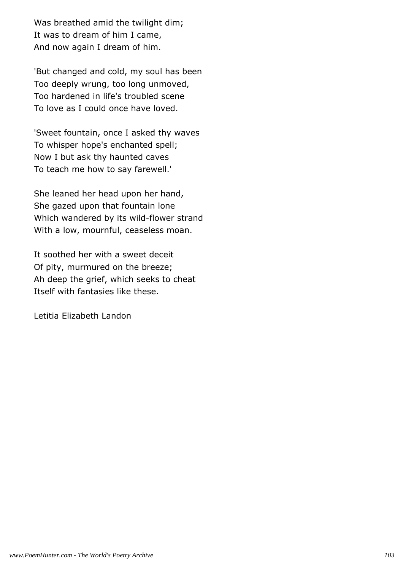Was breathed amid the twilight dim; It was to dream of him I came, And now again I dream of him.

'But changed and cold, my soul has been Too deeply wrung, too long unmoved, Too hardened in life's troubled scene To love as I could once have loved.

'Sweet fountain, once I asked thy waves To whisper hope's enchanted spell; Now I but ask thy haunted caves To teach me how to say farewell.'

She leaned her head upon her hand, She gazed upon that fountain lone Which wandered by its wild-flower strand With a low, mournful, ceaseless moan.

It soothed her with a sweet deceit Of pity, murmured on the breeze; Ah deep the grief, which seeks to cheat Itself with fantasies like these.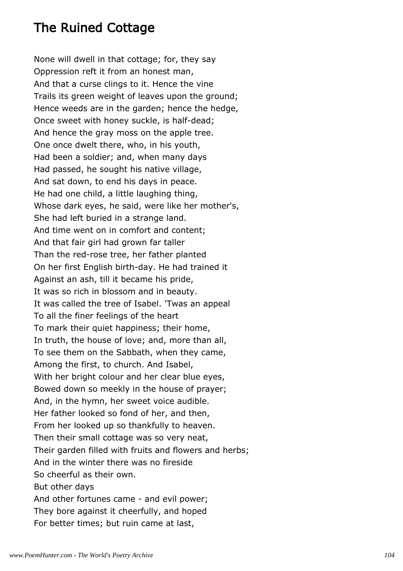# The Ruined Cottage

None will dwell in that cottage; for, they say Oppression reft it from an honest man, And that a curse clings to it. Hence the vine Trails its green weight of leaves upon the ground; Hence weeds are in the garden; hence the hedge, Once sweet with honey suckle, is half-dead; And hence the gray moss on the apple tree. One once dwelt there, who, in his youth, Had been a soldier; and, when many days Had passed, he sought his native village, And sat down, to end his days in peace. He had one child, a little laughing thing, Whose dark eyes, he said, were like her mother's, She had left buried in a strange land. And time went on in comfort and content; And that fair girl had grown far taller Than the red-rose tree, her father planted On her first English birth-day. He had trained it Against an ash, till it became his pride, It was so rich in blossom and in beauty. It was called the tree of Isabel. 'Twas an appeal To all the finer feelings of the heart To mark their quiet happiness; their home, In truth, the house of love; and, more than all, To see them on the Sabbath, when they came, Among the first, to church. And Isabel, With her bright colour and her clear blue eyes, Bowed down so meekly in the house of prayer; And, in the hymn, her sweet voice audible. Her father looked so fond of her, and then, From her looked up so thankfully to heaven. Then their small cottage was so very neat, Their garden filled with fruits and flowers and herbs; And in the winter there was no fireside So cheerful as their own. But other days And other fortunes came - and evil power; They bore against it cheerfully, and hoped For better times; but ruin came at last,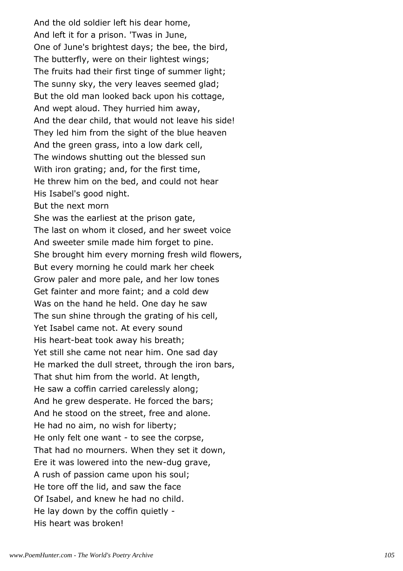And the old soldier left his dear home, And left it for a prison. 'Twas in June, One of June's brightest days; the bee, the bird, The butterfly, were on their lightest wings; The fruits had their first tinge of summer light; The sunny sky, the very leaves seemed glad; But the old man looked back upon his cottage, And wept aloud. They hurried him away, And the dear child, that would not leave his side! They led him from the sight of the blue heaven And the green grass, into a low dark cell, The windows shutting out the blessed sun With iron grating; and, for the first time, He threw him on the bed, and could not hear His Isabel's good night. But the next morn She was the earliest at the prison gate, The last on whom it closed, and her sweet voice And sweeter smile made him forget to pine. She brought him every morning fresh wild flowers, But every morning he could mark her cheek Grow paler and more pale, and her low tones Get fainter and more faint; and a cold dew Was on the hand he held. One day he saw The sun shine through the grating of his cell, Yet Isabel came not. At every sound His heart-beat took away his breath; Yet still she came not near him. One sad day He marked the dull street, through the iron bars, That shut him from the world. At length, He saw a coffin carried carelessly along; And he grew desperate. He forced the bars; And he stood on the street, free and alone. He had no aim, no wish for liberty; He only felt one want - to see the corpse, That had no mourners. When they set it down, Ere it was lowered into the new-dug grave, A rush of passion came upon his soul; He tore off the lid, and saw the face Of Isabel, and knew he had no child. He lay down by the coffin quietly - His heart was broken!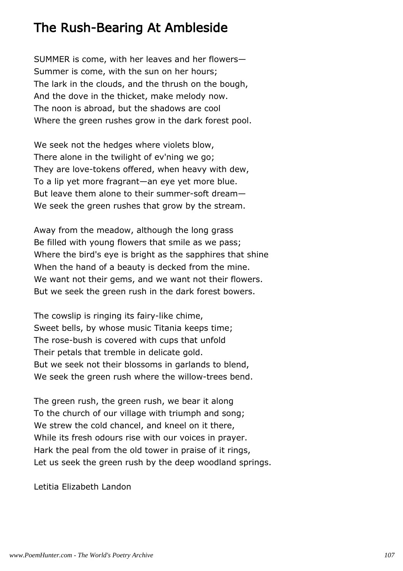## The Rush-Bearing At Ambleside

SUMMER is come, with her leaves and her flowers— Summer is come, with the sun on her hours; The lark in the clouds, and the thrush on the bough, And the dove in the thicket, make melody now. The noon is abroad, but the shadows are cool Where the green rushes grow in the dark forest pool.

We seek not the hedges where violets blow, There alone in the twilight of ev'ning we go; They are love-tokens offered, when heavy with dew, To a lip yet more fragrant—an eye yet more blue. But leave them alone to their summer-soft dream— We seek the green rushes that grow by the stream.

Away from the meadow, although the long grass Be filled with young flowers that smile as we pass; Where the bird's eye is bright as the sapphires that shine When the hand of a beauty is decked from the mine. We want not their gems, and we want not their flowers. But we seek the green rush in the dark forest bowers.

The cowslip is ringing its fairy-like chime, Sweet bells, by whose music Titania keeps time; The rose-bush is covered with cups that unfold Their petals that tremble in delicate gold. But we seek not their blossoms in garlands to blend, We seek the green rush where the willow-trees bend.

The green rush, the green rush, we bear it along To the church of our village with triumph and song; We strew the cold chancel, and kneel on it there, While its fresh odours rise with our voices in prayer. Hark the peal from the old tower in praise of it rings, Let us seek the green rush by the deep woodland springs.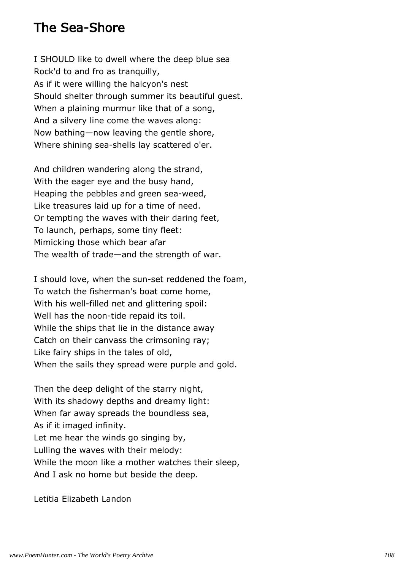### The Sea-Shore

I SHOULD like to dwell where the deep blue sea Rock'd to and fro as tranquilly, As if it were willing the halcyon's nest Should shelter through summer its beautiful guest. When a plaining murmur like that of a song, And a silvery line come the waves along: Now bathing—now leaving the gentle shore, Where shining sea-shells lay scattered o'er.

And children wandering along the strand, With the eager eye and the busy hand, Heaping the pebbles and green sea-weed, Like treasures laid up for a time of need. Or tempting the waves with their daring feet, To launch, perhaps, some tiny fleet: Mimicking those which bear afar The wealth of trade—and the strength of war.

I should love, when the sun-set reddened the foam, To watch the fisherman's boat come home, With his well-filled net and glittering spoil: Well has the noon-tide repaid its toil. While the ships that lie in the distance away Catch on their canvass the crimsoning ray; Like fairy ships in the tales of old, When the sails they spread were purple and gold.

Then the deep delight of the starry night, With its shadowy depths and dreamy light: When far away spreads the boundless sea, As if it imaged infinity. Let me hear the winds go singing by, Lulling the waves with their melody: While the moon like a mother watches their sleep, And I ask no home but beside the deep.

Letitia Elizabeth Landon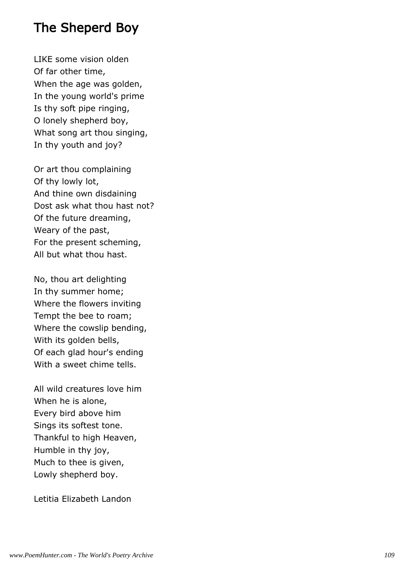# The Sheperd Boy

LIKE some vision olden Of far other time, When the age was golden, In the young world's prime Is thy soft pipe ringing, O lonely shepherd boy, What song art thou singing, In thy youth and joy?

Or art thou complaining Of thy lowly lot, And thine own disdaining Dost ask what thou hast not? Of the future dreaming, Weary of the past, For the present scheming, All but what thou hast.

No, thou art delighting In thy summer home; Where the flowers inviting Tempt the bee to roam; Where the cowslip bending, With its golden bells, Of each glad hour's ending With a sweet chime tells.

All wild creatures love him When he is alone, Every bird above him Sings its softest tone. Thankful to high Heaven, Humble in thy joy, Much to thee is given, Lowly shepherd boy.

Letitia Elizabeth Landon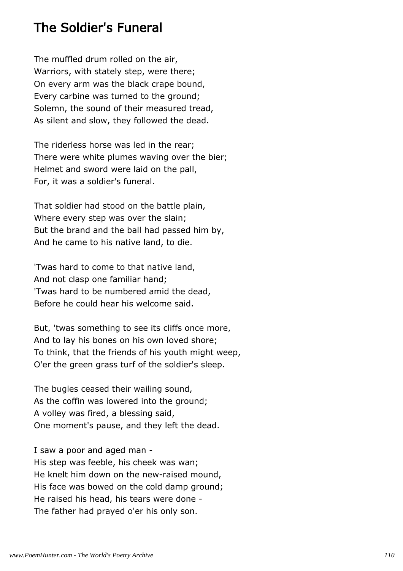### The Soldier's Funeral

The muffled drum rolled on the air, Warriors, with stately step, were there; On every arm was the black crape bound, Every carbine was turned to the ground; Solemn, the sound of their measured tread, As silent and slow, they followed the dead.

The riderless horse was led in the rear; There were white plumes waving over the bier; Helmet and sword were laid on the pall, For, it was a soldier's funeral.

That soldier had stood on the battle plain, Where every step was over the slain; But the brand and the ball had passed him by, And he came to his native land, to die.

'Twas hard to come to that native land, And not clasp one familiar hand; 'Twas hard to be numbered amid the dead, Before he could hear his welcome said.

But, 'twas something to see its cliffs once more, And to lay his bones on his own loved shore; To think, that the friends of his youth might weep, O'er the green grass turf of the soldier's sleep.

The bugles ceased their wailing sound, As the coffin was lowered into the ground; A volley was fired, a blessing said, One moment's pause, and they left the dead.

I saw a poor and aged man - His step was feeble, his cheek was wan; He knelt him down on the new-raised mound, His face was bowed on the cold damp ground; He raised his head, his tears were done - The father had prayed o'er his only son.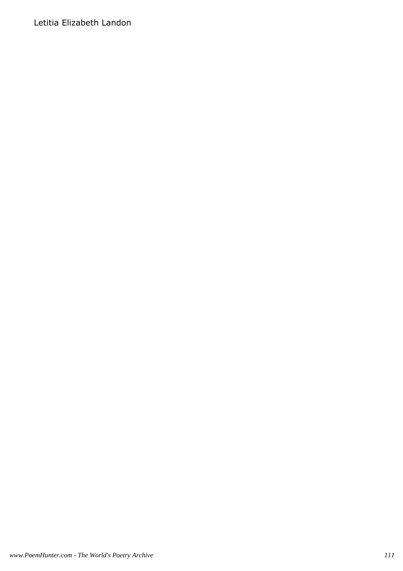Letitia Elizabeth Landon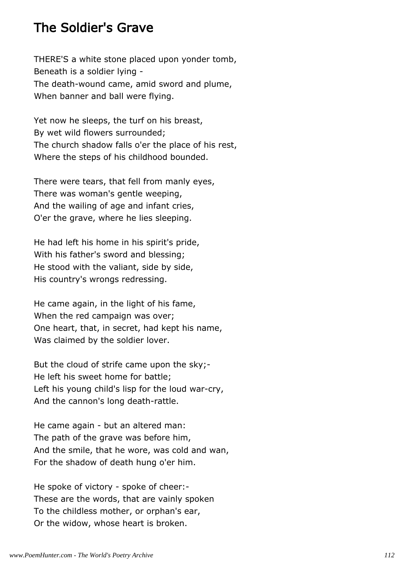## The Soldier's Grave

THERE'S a white stone placed upon yonder tomb, Beneath is a soldier lying - The death-wound came, amid sword and plume, When banner and ball were flying.

Yet now he sleeps, the turf on his breast, By wet wild flowers surrounded; The church shadow falls o'er the place of his rest, Where the steps of his childhood bounded.

There were tears, that fell from manly eyes, There was woman's gentle weeping, And the wailing of age and infant cries, O'er the grave, where he lies sleeping.

He had left his home in his spirit's pride, With his father's sword and blessing; He stood with the valiant, side by side, His country's wrongs redressing.

He came again, in the light of his fame, When the red campaign was over; One heart, that, in secret, had kept his name, Was claimed by the soldier lover.

But the cloud of strife came upon the sky;- He left his sweet home for battle; Left his young child's lisp for the loud war-cry, And the cannon's long death-rattle.

He came again - but an altered man: The path of the grave was before him, And the smile, that he wore, was cold and wan, For the shadow of death hung o'er him.

He spoke of victory - spoke of cheer:- These are the words, that are vainly spoken To the childless mother, or orphan's ear, Or the widow, whose heart is broken.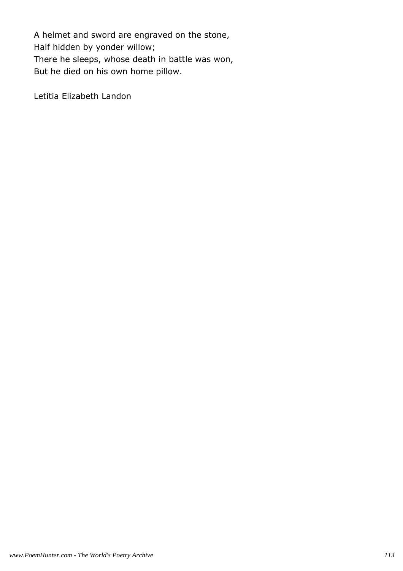A helmet and sword are engraved on the stone, Half hidden by yonder willow; There he sleeps, whose death in battle was won, But he died on his own home pillow.

Letitia Elizabeth Landon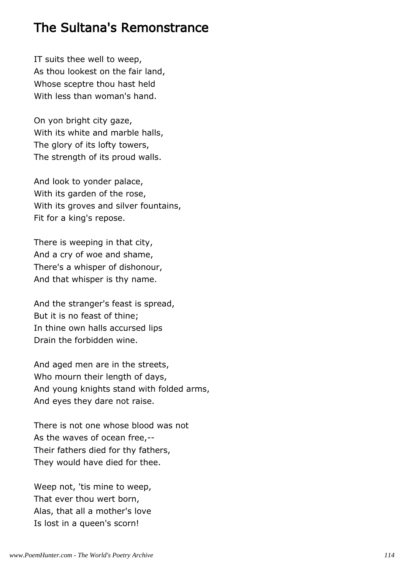### The Sultana's Remonstrance

IT suits thee well to weep, As thou lookest on the fair land, Whose sceptre thou hast held With less than woman's hand.

On yon bright city gaze, With its white and marble halls, The glory of its lofty towers, The strength of its proud walls.

And look to yonder palace, With its garden of the rose, With its groves and silver fountains, Fit for a king's repose.

There is weeping in that city, And a cry of woe and shame, There's a whisper of dishonour, And that whisper is thy name.

And the stranger's feast is spread, But it is no feast of thine; In thine own halls accursed lips Drain the forbidden wine.

And aged men are in the streets, Who mourn their length of days, And young knights stand with folded arms, And eyes they dare not raise.

There is not one whose blood was not As the waves of ocean free,-- Their fathers died for thy fathers, They would have died for thee.

Weep not, 'tis mine to weep, That ever thou wert born, Alas, that all a mother's love Is lost in a queen's scorn!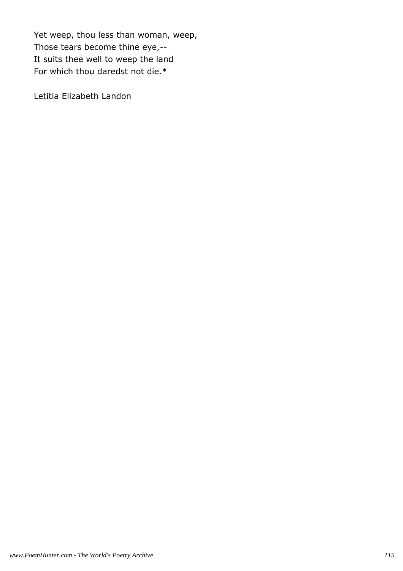Yet weep, thou less than woman, weep, Those tears become thine eye,-- It suits thee well to weep the land For which thou daredst not die.\*

Letitia Elizabeth Landon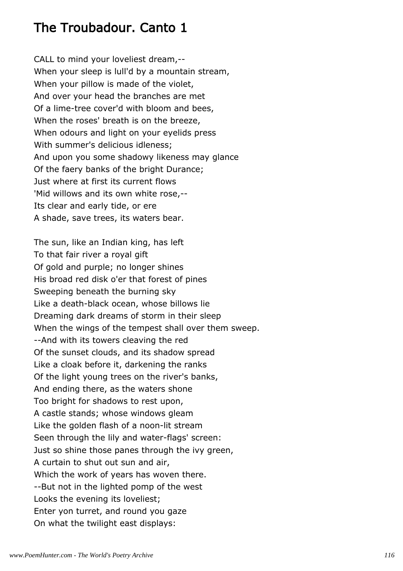# The Troubadour. Canto 1

CALL to mind your loveliest dream,-- When your sleep is lull'd by a mountain stream, When your pillow is made of the violet, And over your head the branches are met Of a lime-tree cover'd with bloom and bees, When the roses' breath is on the breeze, When odours and light on your eyelids press With summer's delicious idleness; And upon you some shadowy likeness may glance Of the faery banks of the bright Durance; Just where at first its current flows 'Mid willows and its own white rose,-- Its clear and early tide, or ere A shade, save trees, its waters bear.

The sun, like an Indian king, has left To that fair river a royal gift Of gold and purple; no longer shines His broad red disk o'er that forest of pines Sweeping beneath the burning sky Like a death-black ocean, whose billows lie Dreaming dark dreams of storm in their sleep When the wings of the tempest shall over them sweep. --And with its towers cleaving the red Of the sunset clouds, and its shadow spread Like a cloak before it, darkening the ranks Of the light young trees on the river's banks, And ending there, as the waters shone Too bright for shadows to rest upon, A castle stands; whose windows gleam Like the golden flash of a noon-lit stream Seen through the lily and water-flags' screen: Just so shine those panes through the ivy green, A curtain to shut out sun and air, Which the work of years has woven there. --But not in the lighted pomp of the west Looks the evening its loveliest; Enter yon turret, and round you gaze On what the twilight east displays: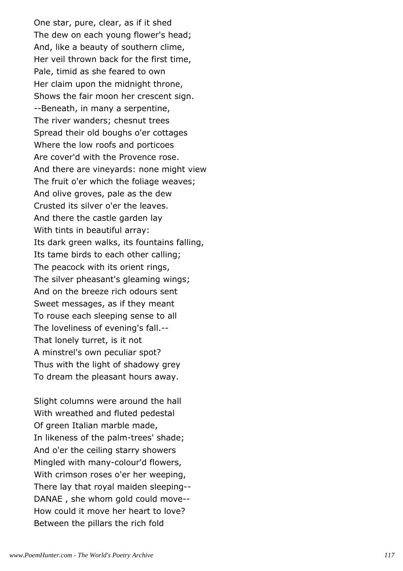One star, pure, clear, as if it shed The dew on each young flower's head; And, like a beauty of southern clime, Her veil thrown back for the first time, Pale, timid as she feared to own Her claim upon the midnight throne, Shows the fair moon her crescent sign. --Beneath, in many a serpentine, The river wanders; chesnut trees Spread their old boughs o'er cottages Where the low roofs and porticoes Are cover'd with the Provence rose. And there are vineyards: none might view The fruit o'er which the foliage weaves; And olive groves, pale as the dew Crusted its silver o'er the leaves. And there the castle garden lay With tints in beautiful array: Its dark green walks, its fountains falling, Its tame birds to each other calling; The peacock with its orient rings, The silver pheasant's gleaming wings; And on the breeze rich odours sent Sweet messages, as if they meant To rouse each sleeping sense to all The loveliness of evening's fall.-- That lonely turret, is it not A minstrel's own peculiar spot? Thus with the light of shadowy grey To dream the pleasant hours away.

Slight columns were around the hall With wreathed and fluted pedestal Of green Italian marble made, In likeness of the palm-trees' shade; And o'er the ceiling starry showers Mingled with many-colour'd flowers, With crimson roses o'er her weeping, There lay that royal maiden sleeping-- DANAE , she whom gold could move-- How could it move her heart to love? Between the pillars the rich fold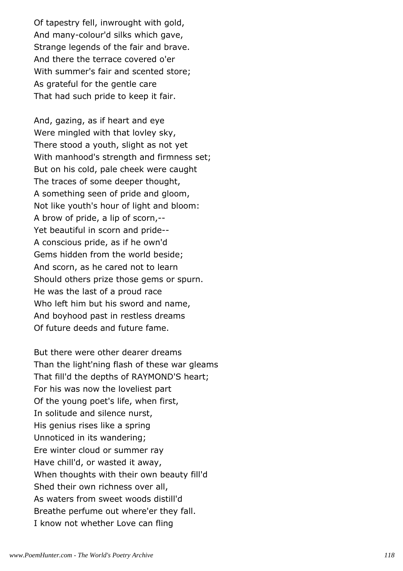Of tapestry fell, inwrought with gold, And many-colour'd silks which gave, Strange legends of the fair and brave. And there the terrace covered o'er With summer's fair and scented store; As grateful for the gentle care That had such pride to keep it fair.

And, gazing, as if heart and eye Were mingled with that lovley sky, There stood a youth, slight as not yet With manhood's strength and firmness set; But on his cold, pale cheek were caught The traces of some deeper thought, A something seen of pride and gloom, Not like youth's hour of light and bloom: A brow of pride, a lip of scorn,-- Yet beautiful in scorn and pride-- A conscious pride, as if he own'd Gems hidden from the world beside; And scorn, as he cared not to learn Should others prize those gems or spurn. He was the last of a proud race Who left him but his sword and name, And boyhood past in restless dreams Of future deeds and future fame.

But there were other dearer dreams Than the light'ning flash of these war gleams That fill'd the depths of RAYMOND'S heart; For his was now the loveliest part Of the young poet's life, when first, In solitude and silence nurst, His genius rises like a spring Unnoticed in its wandering; Ere winter cloud or summer ray Have chill'd, or wasted it away, When thoughts with their own beauty fill'd Shed their own richness over all, As waters from sweet woods distill'd Breathe perfume out where'er they fall. I know not whether Love can fling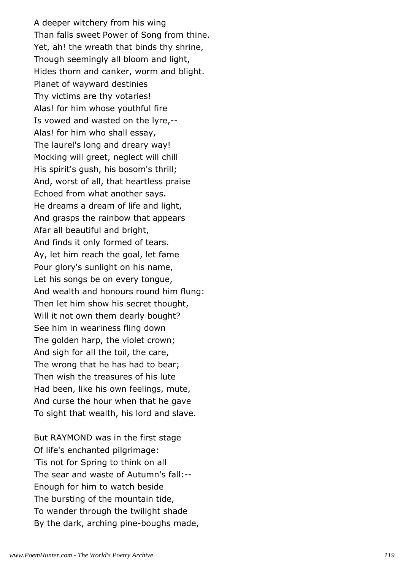A deeper witchery from his wing Than falls sweet Power of Song from thine. Yet, ah! the wreath that binds thy shrine, Though seemingly all bloom and light, Hides thorn and canker, worm and blight. Planet of wayward destinies Thy victims are thy votaries! Alas! for him whose youthful fire Is vowed and wasted on the lyre,-- Alas! for him who shall essay, The laurel's long and dreary way! Mocking will greet, neglect will chill His spirit's gush, his bosom's thrill; And, worst of all, that heartless praise Echoed from what another says. He dreams a dream of life and light, And grasps the rainbow that appears Afar all beautiful and bright, And finds it only formed of tears. Ay, let him reach the goal, let fame Pour glory's sunlight on his name, Let his songs be on every tongue, And wealth and honours round him flung: Then let him show his secret thought, Will it not own them dearly bought? See him in weariness fling down The golden harp, the violet crown; And sigh for all the toil, the care, The wrong that he has had to bear; Then wish the treasures of his lute Had been, like his own feelings, mute, And curse the hour when that he gave To sight that wealth, his lord and slave.

But RAYMOND was in the first stage Of life's enchanted pilgrimage: 'Tis not for Spring to think on all The sear and waste of Autumn's fall:-- Enough for him to watch beside The bursting of the mountain tide, To wander through the twilight shade By the dark, arching pine-boughs made,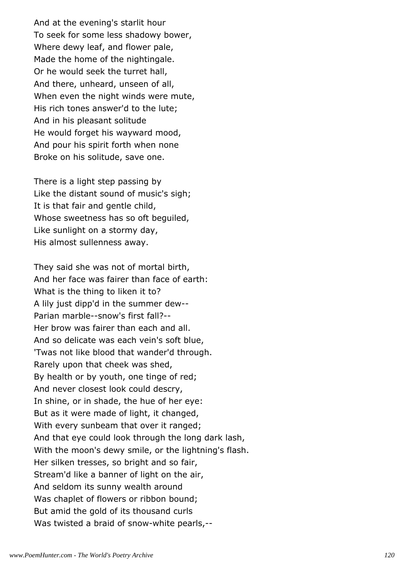And at the evening's starlit hour To seek for some less shadowy bower, Where dewy leaf, and flower pale, Made the home of the nightingale. Or he would seek the turret hall, And there, unheard, unseen of all, When even the night winds were mute, His rich tones answer'd to the lute; And in his pleasant solitude He would forget his wayward mood, And pour his spirit forth when none Broke on his solitude, save one.

There is a light step passing by Like the distant sound of music's sigh; It is that fair and gentle child, Whose sweetness has so oft beguiled, Like sunlight on a stormy day, His almost sullenness away.

They said she was not of mortal birth, And her face was fairer than face of earth: What is the thing to liken it to? A lily just dipp'd in the summer dew-- Parian marble--snow's first fall?-- Her brow was fairer than each and all. And so delicate was each vein's soft blue, 'Twas not like blood that wander'd through. Rarely upon that cheek was shed, By health or by youth, one tinge of red; And never closest look could descry, In shine, or in shade, the hue of her eye: But as it were made of light, it changed, With every sunbeam that over it ranged; And that eye could look through the long dark lash, With the moon's dewy smile, or the lightning's flash. Her silken tresses, so bright and so fair, Stream'd like a banner of light on the air, And seldom its sunny wealth around Was chaplet of flowers or ribbon bound; But amid the gold of its thousand curls Was twisted a braid of snow-white pearls,--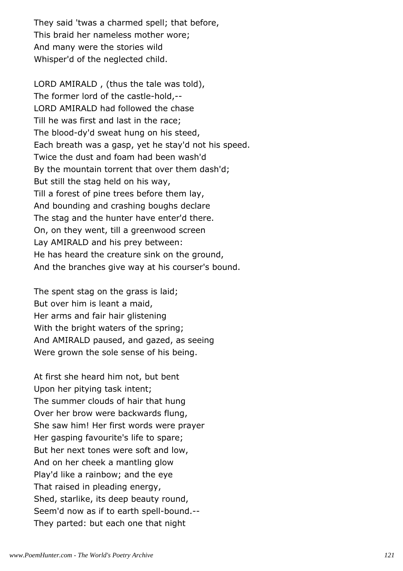They said 'twas a charmed spell; that before, This braid her nameless mother wore; And many were the stories wild Whisper'd of the neglected child.

LORD AMIRALD , (thus the tale was told), The former lord of the castle-hold,-- LORD AMIRALD had followed the chase Till he was first and last in the race; The blood-dy'd sweat hung on his steed, Each breath was a gasp, yet he stay'd not his speed. Twice the dust and foam had been wash'd By the mountain torrent that over them dash'd; But still the stag held on his way, Till a forest of pine trees before them lay, And bounding and crashing boughs declare The stag and the hunter have enter'd there. On, on they went, till a greenwood screen Lay AMIRALD and his prey between: He has heard the creature sink on the ground, And the branches give way at his courser's bound.

The spent stag on the grass is laid; But over him is leant a maid, Her arms and fair hair glistening With the bright waters of the spring; And AMIRALD paused, and gazed, as seeing Were grown the sole sense of his being.

At first she heard him not, but bent Upon her pitying task intent; The summer clouds of hair that hung Over her brow were backwards flung, She saw him! Her first words were prayer Her gasping favourite's life to spare; But her next tones were soft and low, And on her cheek a mantling glow Play'd like a rainbow; and the eye That raised in pleading energy, Shed, starlike, its deep beauty round, Seem'd now as if to earth spell-bound.-- They parted: but each one that night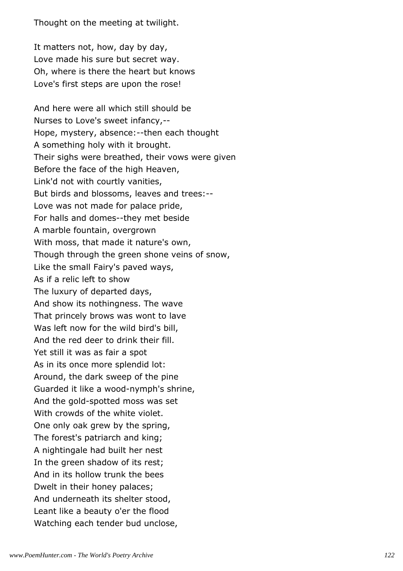Thought on the meeting at twilight.

It matters not, how, day by day, Love made his sure but secret way. Oh, where is there the heart but knows Love's first steps are upon the rose!

And here were all which still should be Nurses to Love's sweet infancy,-- Hope, mystery, absence:--then each thought A something holy with it brought. Their sighs were breathed, their vows were given Before the face of the high Heaven, Link'd not with courtly vanities, But birds and blossoms, leaves and trees:-- Love was not made for palace pride, For halls and domes--they met beside A marble fountain, overgrown With moss, that made it nature's own, Though through the green shone veins of snow, Like the small Fairy's paved ways, As if a relic left to show The luxury of departed days, And show its nothingness. The wave That princely brows was wont to lave Was left now for the wild bird's bill, And the red deer to drink their fill. Yet still it was as fair a spot As in its once more splendid lot: Around, the dark sweep of the pine Guarded it like a wood-nymph's shrine, And the gold-spotted moss was set With crowds of the white violet. One only oak grew by the spring, The forest's patriarch and king; A nightingale had built her nest In the green shadow of its rest; And in its hollow trunk the bees Dwelt in their honey palaces; And underneath its shelter stood, Leant like a beauty o'er the flood Watching each tender bud unclose,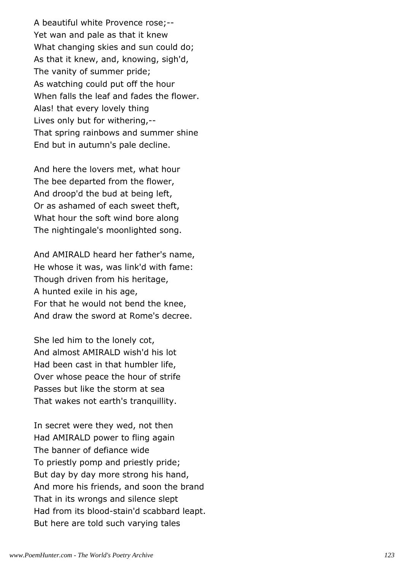A beautiful white Provence rose;-- Yet wan and pale as that it knew What changing skies and sun could do; As that it knew, and, knowing, sigh'd, The vanity of summer pride; As watching could put off the hour When falls the leaf and fades the flower. Alas! that every lovely thing Lives only but for withering,-- That spring rainbows and summer shine End but in autumn's pale decline.

And here the lovers met, what hour The bee departed from the flower, And droop'd the bud at being left, Or as ashamed of each sweet theft, What hour the soft wind bore along The nightingale's moonlighted song.

And AMIRALD heard her father's name, He whose it was, was link'd with fame: Though driven from his heritage, A hunted exile in his age, For that he would not bend the knee, And draw the sword at Rome's decree.

She led him to the lonely cot, And almost AMIRALD wish'd his lot Had been cast in that humbler life, Over whose peace the hour of strife Passes but like the storm at sea That wakes not earth's tranquillity.

In secret were they wed, not then Had AMIRALD power to fling again The banner of defiance wide To priestly pomp and priestly pride; But day by day more strong his hand, And more his friends, and soon the brand That in its wrongs and silence slept Had from its blood-stain'd scabbard leapt. But here are told such varying tales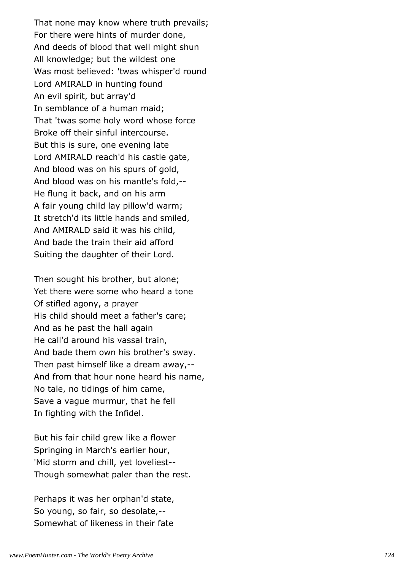That none may know where truth prevails; For there were hints of murder done, And deeds of blood that well might shun All knowledge; but the wildest one Was most believed: 'twas whisper'd round Lord AMIRALD in hunting found An evil spirit, but array'd In semblance of a human maid; That 'twas some holy word whose force Broke off their sinful intercourse. But this is sure, one evening late Lord AMIRALD reach'd his castle gate, And blood was on his spurs of gold, And blood was on his mantle's fold,-- He flung it back, and on his arm A fair young child lay pillow'd warm; It stretch'd its little hands and smiled, And AMIRALD said it was his child, And bade the train their aid afford Suiting the daughter of their Lord.

Then sought his brother, but alone; Yet there were some who heard a tone Of stifled agony, a prayer His child should meet a father's care; And as he past the hall again He call'd around his vassal train, And bade them own his brother's sway. Then past himself like a dream away,-- And from that hour none heard his name, No tale, no tidings of him came, Save a vague murmur, that he fell In fighting with the Infidel.

But his fair child grew like a flower Springing in March's earlier hour, 'Mid storm and chill, yet loveliest-- Though somewhat paler than the rest.

Perhaps it was her orphan'd state, So young, so fair, so desolate,-- Somewhat of likeness in their fate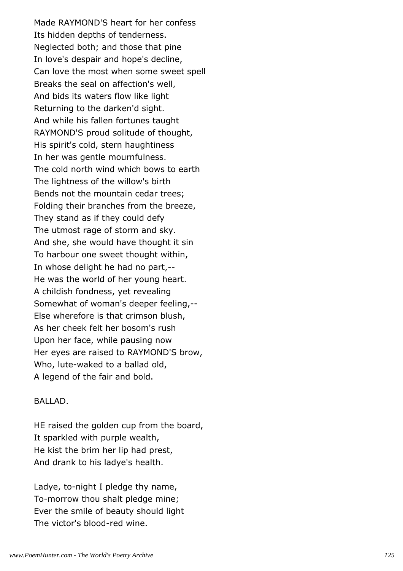Made RAYMOND'S heart for her confess Its hidden depths of tenderness. Neglected both; and those that pine In love's despair and hope's decline, Can love the most when some sweet spell Breaks the seal on affection's well, And bids its waters flow like light Returning to the darken'd sight. And while his fallen fortunes taught RAYMOND'S proud solitude of thought, His spirit's cold, stern haughtiness In her was gentle mournfulness. The cold north wind which bows to earth The lightness of the willow's birth Bends not the mountain cedar trees; Folding their branches from the breeze, They stand as if they could defy The utmost rage of storm and sky. And she, she would have thought it sin To harbour one sweet thought within, In whose delight he had no part,-- He was the world of her young heart. A childish fondness, yet revealing Somewhat of woman's deeper feeling,-- Else wherefore is that crimson blush, As her cheek felt her bosom's rush Upon her face, while pausing now Her eyes are raised to RAYMOND'S brow, Who, lute-waked to a ballad old, A legend of the fair and bold.

#### BALLAD.

HE raised the golden cup from the board, It sparkled with purple wealth, He kist the brim her lip had prest, And drank to his ladye's health.

Ladye, to-night I pledge thy name, To-morrow thou shalt pledge mine; Ever the smile of beauty should light The victor's blood-red wine.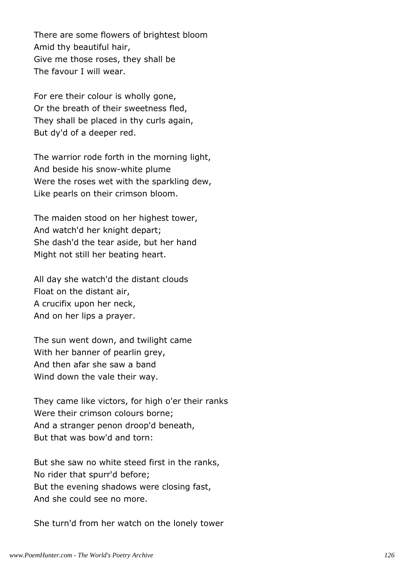There are some flowers of brightest bloom Amid thy beautiful hair, Give me those roses, they shall be The favour I will wear.

For ere their colour is wholly gone, Or the breath of their sweetness fled, They shall be placed in thy curls again, But dy'd of a deeper red.

The warrior rode forth in the morning light, And beside his snow-white plume Were the roses wet with the sparkling dew, Like pearls on their crimson bloom.

The maiden stood on her highest tower, And watch'd her knight depart; She dash'd the tear aside, but her hand Might not still her beating heart.

All day she watch'd the distant clouds Float on the distant air, A crucifix upon her neck, And on her lips a prayer.

The sun went down, and twilight came With her banner of pearlin grey, And then afar she saw a band Wind down the vale their way.

They came like victors, for high o'er their ranks Were their crimson colours borne; And a stranger penon droop'd beneath, But that was bow'd and torn:

But she saw no white steed first in the ranks, No rider that spurr'd before; But the evening shadows were closing fast, And she could see no more.

She turn'd from her watch on the lonely tower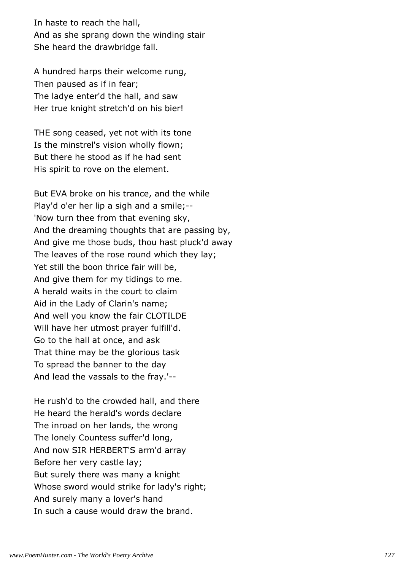In haste to reach the hall, And as she sprang down the winding stair She heard the drawbridge fall.

A hundred harps their welcome rung, Then paused as if in fear; The ladye enter'd the hall, and saw Her true knight stretch'd on his bier!

THE song ceased, yet not with its tone Is the minstrel's vision wholly flown; But there he stood as if he had sent His spirit to rove on the element.

But EVA broke on his trance, and the while Play'd o'er her lip a sigh and a smile;-- 'Now turn thee from that evening sky, And the dreaming thoughts that are passing by, And give me those buds, thou hast pluck'd away The leaves of the rose round which they lay; Yet still the boon thrice fair will be, And give them for my tidings to me. A herald waits in the court to claim Aid in the Lady of Clarin's name; And well you know the fair CLOTILDE Will have her utmost prayer fulfill'd. Go to the hall at once, and ask That thine may be the glorious task To spread the banner to the day And lead the vassals to the fray.'--

He rush'd to the crowded hall, and there He heard the herald's words declare The inroad on her lands, the wrong The lonely Countess suffer'd long, And now SIR HERBERT'S arm'd array Before her very castle lay; But surely there was many a knight Whose sword would strike for lady's right; And surely many a lover's hand In such a cause would draw the brand.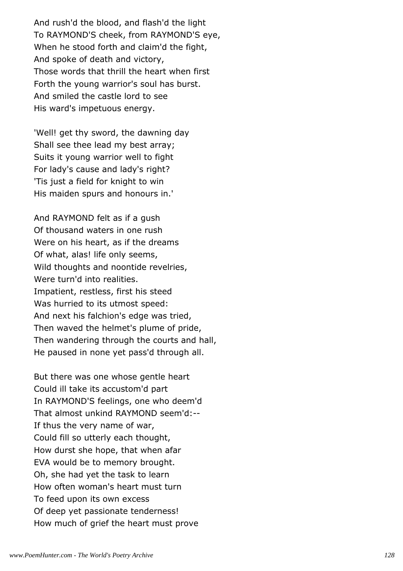And rush'd the blood, and flash'd the light To RAYMOND'S cheek, from RAYMOND'S eye, When he stood forth and claim'd the fight, And spoke of death and victory, Those words that thrill the heart when first Forth the young warrior's soul has burst. And smiled the castle lord to see His ward's impetuous energy.

'Well! get thy sword, the dawning day Shall see thee lead my best array; Suits it young warrior well to fight For lady's cause and lady's right? 'Tis just a field for knight to win His maiden spurs and honours in.'

And RAYMOND felt as if a gush Of thousand waters in one rush Were on his heart, as if the dreams Of what, alas! life only seems, Wild thoughts and noontide revelries, Were turn'd into realities. Impatient, restless, first his steed Was hurried to its utmost speed: And next his falchion's edge was tried, Then waved the helmet's plume of pride, Then wandering through the courts and hall, He paused in none yet pass'd through all.

But there was one whose gentle heart Could ill take its accustom'd part In RAYMOND'S feelings, one who deem'd That almost unkind RAYMOND seem'd:-- If thus the very name of war, Could fill so utterly each thought, How durst she hope, that when afar EVA would be to memory brought. Oh, she had yet the task to learn How often woman's heart must turn To feed upon its own excess Of deep yet passionate tenderness! How much of grief the heart must prove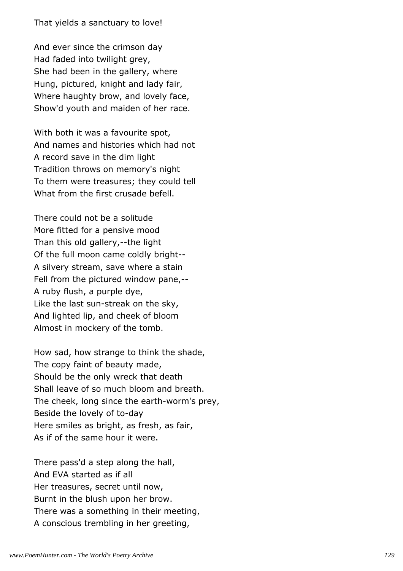That yields a sanctuary to love!

And ever since the crimson day Had faded into twilight grey, She had been in the gallery, where Hung, pictured, knight and lady fair, Where haughty brow, and lovely face, Show'd youth and maiden of her race.

With both it was a favourite spot, And names and histories which had not A record save in the dim light Tradition throws on memory's night To them were treasures; they could tell What from the first crusade befell.

There could not be a solitude More fitted for a pensive mood Than this old gallery,--the light Of the full moon came coldly bright-- A silvery stream, save where a stain Fell from the pictured window pane,-- A ruby flush, a purple dye, Like the last sun-streak on the sky, And lighted lip, and cheek of bloom Almost in mockery of the tomb.

How sad, how strange to think the shade, The copy faint of beauty made, Should be the only wreck that death Shall leave of so much bloom and breath. The cheek, long since the earth-worm's prey, Beside the lovely of to-day Here smiles as bright, as fresh, as fair, As if of the same hour it were.

There pass'd a step along the hall, And EVA started as if all Her treasures, secret until now, Burnt in the blush upon her brow. There was a something in their meeting, A conscious trembling in her greeting,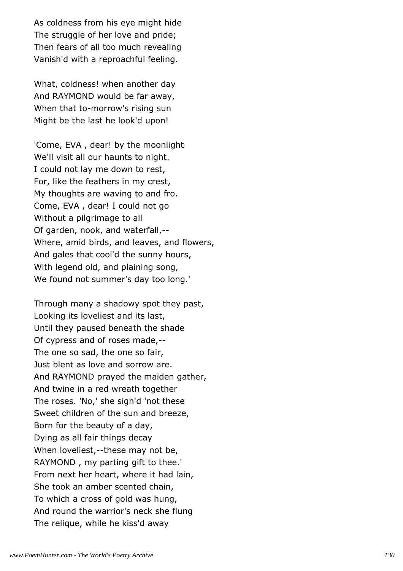As coldness from his eye might hide The struggle of her love and pride; Then fears of all too much revealing Vanish'd with a reproachful feeling.

What, coldness! when another day And RAYMOND would be far away, When that to-morrow's rising sun Might be the last he look'd upon!

'Come, EVA , dear! by the moonlight We'll visit all our haunts to night. I could not lay me down to rest, For, like the feathers in my crest, My thoughts are waving to and fro. Come, EVA , dear! I could not go Without a pilgrimage to all Of garden, nook, and waterfall,-- Where, amid birds, and leaves, and flowers, And gales that cool'd the sunny hours, With legend old, and plaining song, We found not summer's day too long.'

Through many a shadowy spot they past, Looking its loveliest and its last, Until they paused beneath the shade Of cypress and of roses made,-- The one so sad, the one so fair, Just blent as love and sorrow are. And RAYMOND prayed the maiden gather, And twine in a red wreath together The roses. 'No,' she sigh'd 'not these Sweet children of the sun and breeze, Born for the beauty of a day, Dying as all fair things decay When loveliest,--these may not be, RAYMOND , my parting gift to thee.' From next her heart, where it had lain, She took an amber scented chain, To which a cross of gold was hung, And round the warrior's neck she flung The relique, while he kiss'd away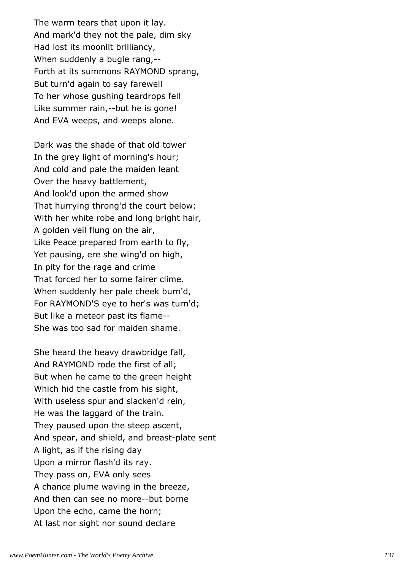The warm tears that upon it lay. And mark'd they not the pale, dim sky Had lost its moonlit brilliancy, When suddenly a bugle rang,-- Forth at its summons RAYMOND sprang, But turn'd again to say farewell To her whose gushing teardrops fell Like summer rain,--but he is gone! And EVA weeps, and weeps alone.

Dark was the shade of that old tower In the grey light of morning's hour; And cold and pale the maiden leant Over the heavy battlement, And look'd upon the armed show That hurrying throng'd the court below: With her white robe and long bright hair, A golden veil flung on the air, Like Peace prepared from earth to fly, Yet pausing, ere she wing'd on high, In pity for the rage and crime That forced her to some fairer clime. When suddenly her pale cheek burn'd, For RAYMOND'S eye to her's was turn'd; But like a meteor past its flame-- She was too sad for maiden shame.

She heard the heavy drawbridge fall, And RAYMOND rode the first of all; But when he came to the green height Which hid the castle from his sight, With useless spur and slacken'd rein, He was the laggard of the train. They paused upon the steep ascent, And spear, and shield, and breast-plate sent A light, as if the rising day Upon a mirror flash'd its ray. They pass on, EVA only sees A chance plume waving in the breeze, And then can see no more--but borne Upon the echo, came the horn; At last nor sight nor sound declare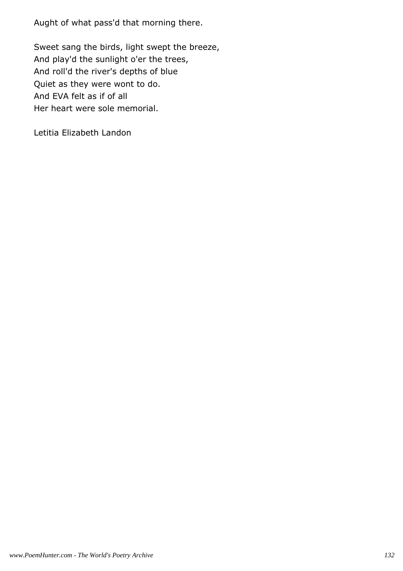Aught of what pass'd that morning there.

Sweet sang the birds, light swept the breeze, And play'd the sunlight o'er the trees, And roll'd the river's depths of blue Quiet as they were wont to do. And EVA felt as if of all Her heart were sole memorial.

Letitia Elizabeth Landon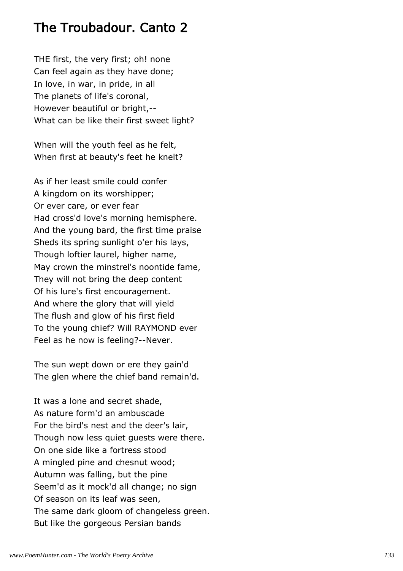## The Troubadour. Canto 2

THE first, the very first; oh! none Can feel again as they have done; In love, in war, in pride, in all The planets of life's coronal, However beautiful or bright,-- What can be like their first sweet light?

When will the youth feel as he felt, When first at beauty's feet he knelt?

As if her least smile could confer A kingdom on its worshipper; Or ever care, or ever fear Had cross'd love's morning hemisphere. And the young bard, the first time praise Sheds its spring sunlight o'er his lays, Though loftier laurel, higher name, May crown the minstrel's noontide fame, They will not bring the deep content Of his lure's first encouragement. And where the glory that will yield The flush and glow of his first field To the young chief? Will RAYMOND ever Feel as he now is feeling?--Never.

The sun wept down or ere they gain'd The glen where the chief band remain'd.

It was a lone and secret shade, As nature form'd an ambuscade For the bird's nest and the deer's lair, Though now less quiet guests were there. On one side like a fortress stood A mingled pine and chesnut wood; Autumn was falling, but the pine Seem'd as it mock'd all change; no sign Of season on its leaf was seen, The same dark gloom of changeless green. But like the gorgeous Persian bands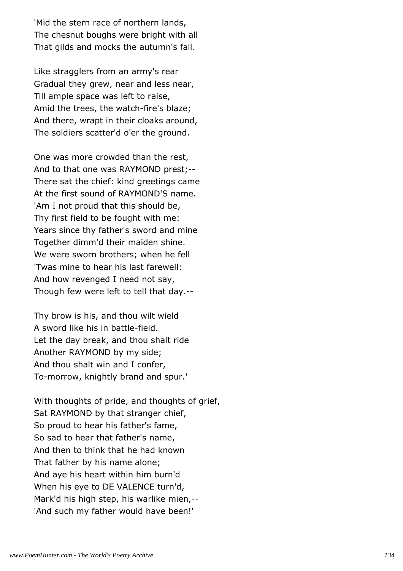'Mid the stern race of northern lands, The chesnut boughs were bright with all That gilds and mocks the autumn's fall.

Like stragglers from an army's rear Gradual they grew, near and less near, Till ample space was left to raise, Amid the trees, the watch-fire's blaze; And there, wrapt in their cloaks around, The soldiers scatter'd o'er the ground.

One was more crowded than the rest, And to that one was RAYMOND prest;-- There sat the chief: kind greetings came At the first sound of RAYMOND'S name. 'Am I not proud that this should be, Thy first field to be fought with me: Years since thy father's sword and mine Together dimm'd their maiden shine. We were sworn brothers; when he fell 'Twas mine to hear his last farewell: And how revenged I need not say, Though few were left to tell that day.--

Thy brow is his, and thou wilt wield A sword like his in battle-field. Let the day break, and thou shalt ride Another RAYMOND by my side; And thou shalt win and I confer, To-morrow, knightly brand and spur.'

With thoughts of pride, and thoughts of grief, Sat RAYMOND by that stranger chief, So proud to hear his father's fame, So sad to hear that father's name, And then to think that he had known That father by his name alone; And aye his heart within him burn'd When his eye to DE VALENCE turn'd, Mark'd his high step, his warlike mien,-- 'And such my father would have been!'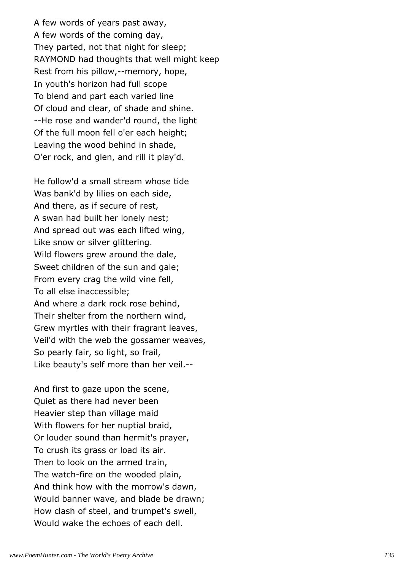A few words of years past away, A few words of the coming day, They parted, not that night for sleep; RAYMOND had thoughts that well might keep Rest from his pillow,--memory, hope, In youth's horizon had full scope To blend and part each varied line Of cloud and clear, of shade and shine. --He rose and wander'd round, the light Of the full moon fell o'er each height; Leaving the wood behind in shade, O'er rock, and glen, and rill it play'd.

He follow'd a small stream whose tide Was bank'd by lilies on each side, And there, as if secure of rest, A swan had built her lonely nest; And spread out was each lifted wing, Like snow or silver glittering. Wild flowers grew around the dale, Sweet children of the sun and gale; From every crag the wild vine fell, To all else inaccessible; And where a dark rock rose behind, Their shelter from the northern wind, Grew myrtles with their fragrant leaves, Veil'd with the web the gossamer weaves, So pearly fair, so light, so frail, Like beauty's self more than her veil.--

And first to gaze upon the scene, Quiet as there had never been Heavier step than village maid With flowers for her nuptial braid, Or louder sound than hermit's prayer, To crush its grass or load its air. Then to look on the armed train, The watch-fire on the wooded plain, And think how with the morrow's dawn, Would banner wave, and blade be drawn; How clash of steel, and trumpet's swell, Would wake the echoes of each dell.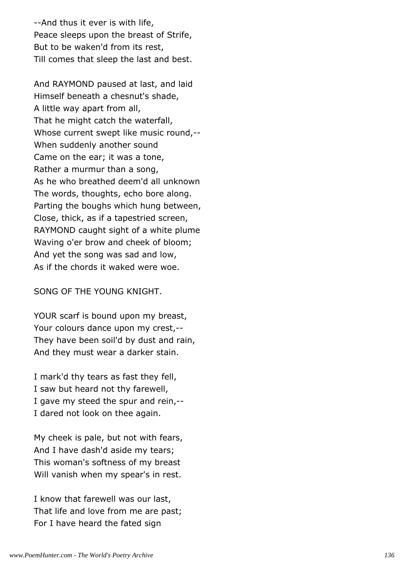--And thus it ever is with life, Peace sleeps upon the breast of Strife, But to be waken'd from its rest, Till comes that sleep the last and best.

And RAYMOND paused at last, and laid Himself beneath a chesnut's shade, A little way apart from all, That he might catch the waterfall, Whose current swept like music round,-- When suddenly another sound Came on the ear; it was a tone, Rather a murmur than a song, As he who breathed deem'd all unknown The words, thoughts, echo bore along. Parting the boughs which hung between, Close, thick, as if a tapestried screen, RAYMOND caught sight of a white plume Waving o'er brow and cheek of bloom; And yet the song was sad and low, As if the chords it waked were woe.

SONG OF THE YOUNG KNIGHT.

YOUR scarf is bound upon my breast, Your colours dance upon my crest,-- They have been soil'd by dust and rain, And they must wear a darker stain.

I mark'd thy tears as fast they fell, I saw but heard not thy farewell, I gave my steed the spur and rein,-- I dared not look on thee again.

My cheek is pale, but not with fears, And I have dash'd aside my tears; This woman's softness of my breast Will vanish when my spear's in rest.

I know that farewell was our last, That life and love from me are past; For I have heard the fated sign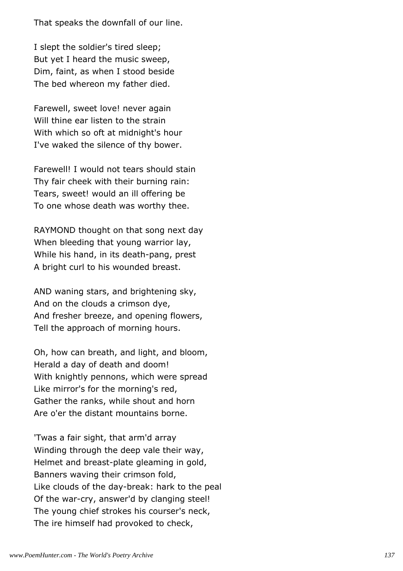That speaks the downfall of our line.

I slept the soldier's tired sleep; But yet I heard the music sweep, Dim, faint, as when I stood beside The bed whereon my father died.

Farewell, sweet love! never again Will thine ear listen to the strain With which so oft at midnight's hour I've waked the silence of thy bower.

Farewell! I would not tears should stain Thy fair cheek with their burning rain: Tears, sweet! would an ill offering be To one whose death was worthy thee.

RAYMOND thought on that song next day When bleeding that young warrior lay, While his hand, in its death-pang, prest A bright curl to his wounded breast.

AND waning stars, and brightening sky, And on the clouds a crimson dye, And fresher breeze, and opening flowers, Tell the approach of morning hours.

Oh, how can breath, and light, and bloom, Herald a day of death and doom! With knightly pennons, which were spread Like mirror's for the morning's red, Gather the ranks, while shout and horn Are o'er the distant mountains borne.

'Twas a fair sight, that arm'd array Winding through the deep vale their way, Helmet and breast-plate gleaming in gold, Banners waving their crimson fold, Like clouds of the day-break: hark to the peal Of the war-cry, answer'd by clanging steel! The young chief strokes his courser's neck, The ire himself had provoked to check,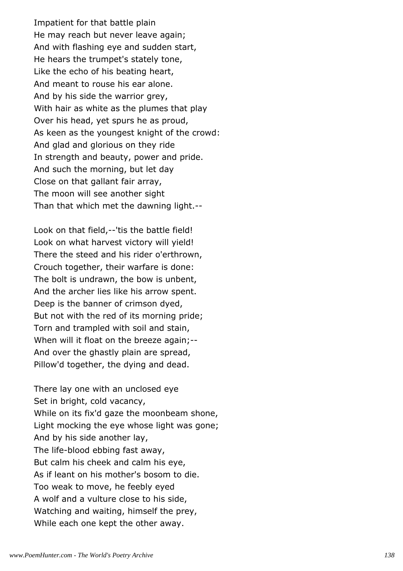Impatient for that battle plain He may reach but never leave again; And with flashing eye and sudden start, He hears the trumpet's stately tone, Like the echo of his beating heart, And meant to rouse his ear alone. And by his side the warrior grey, With hair as white as the plumes that play Over his head, yet spurs he as proud, As keen as the youngest knight of the crowd: And glad and glorious on they ride In strength and beauty, power and pride. And such the morning, but let day Close on that gallant fair array, The moon will see another sight Than that which met the dawning light.--

Look on that field,--'tis the battle field! Look on what harvest victory will yield! There the steed and his rider o'erthrown, Crouch together, their warfare is done: The bolt is undrawn, the bow is unbent, And the archer lies like his arrow spent. Deep is the banner of crimson dyed, But not with the red of its morning pride; Torn and trampled with soil and stain, When will it float on the breeze again;--And over the ghastly plain are spread, Pillow'd together, the dying and dead.

There lay one with an unclosed eye Set in bright, cold vacancy, While on its fix'd gaze the moonbeam shone, Light mocking the eye whose light was gone; And by his side another lay, The life-blood ebbing fast away, But calm his cheek and calm his eye, As if leant on his mother's bosom to die. Too weak to move, he feebly eyed A wolf and a vulture close to his side, Watching and waiting, himself the prey, While each one kept the other away.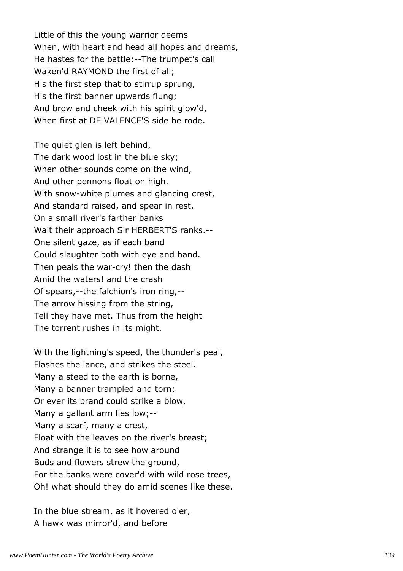Little of this the young warrior deems When, with heart and head all hopes and dreams, He hastes for the battle:--The trumpet's call Waken'd RAYMOND the first of all; His the first step that to stirrup sprung, His the first banner upwards flung; And brow and cheek with his spirit glow'd, When first at DE VALENCE'S side he rode.

The quiet glen is left behind, The dark wood lost in the blue sky; When other sounds come on the wind, And other pennons float on high. With snow-white plumes and glancing crest, And standard raised, and spear in rest, On a small river's farther banks Wait their approach Sir HERBERT'S ranks.-- One silent gaze, as if each band Could slaughter both with eye and hand. Then peals the war-cry! then the dash Amid the waters! and the crash Of spears,--the falchion's iron ring,-- The arrow hissing from the string, Tell they have met. Thus from the height The torrent rushes in its might.

With the lightning's speed, the thunder's peal, Flashes the lance, and strikes the steel. Many a steed to the earth is borne, Many a banner trampled and torn; Or ever its brand could strike a blow, Many a gallant arm lies low;--Many a scarf, many a crest, Float with the leaves on the river's breast; And strange it is to see how around Buds and flowers strew the ground, For the banks were cover'd with wild rose trees, Oh! what should they do amid scenes like these.

In the blue stream, as it hovered o'er, A hawk was mirror'd, and before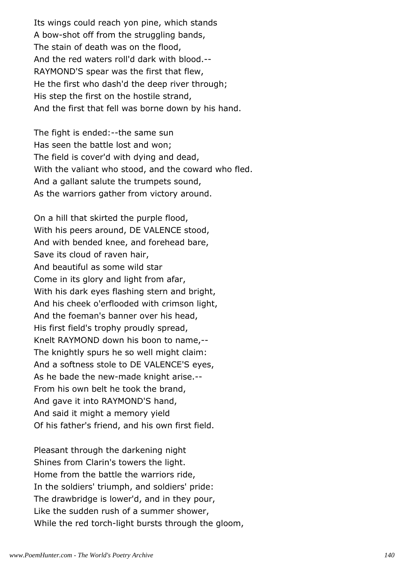Its wings could reach yon pine, which stands A bow-shot off from the struggling bands, The stain of death was on the flood, And the red waters roll'd dark with blood.-- RAYMOND'S spear was the first that flew, He the first who dash'd the deep river through; His step the first on the hostile strand, And the first that fell was borne down by his hand.

The fight is ended:--the same sun Has seen the battle lost and won; The field is cover'd with dying and dead, With the valiant who stood, and the coward who fled. And a gallant salute the trumpets sound, As the warriors gather from victory around.

On a hill that skirted the purple flood, With his peers around, DE VALENCE stood, And with bended knee, and forehead bare, Save its cloud of raven hair, And beautiful as some wild star Come in its glory and light from afar, With his dark eyes flashing stern and bright, And his cheek o'erflooded with crimson light, And the foeman's banner over his head, His first field's trophy proudly spread, Knelt RAYMOND down his boon to name,-- The knightly spurs he so well might claim: And a softness stole to DE VALENCE'S eyes, As he bade the new-made knight arise.-- From his own belt he took the brand, And gave it into RAYMOND'S hand, And said it might a memory yield Of his father's friend, and his own first field.

Pleasant through the darkening night Shines from Clarin's towers the light. Home from the battle the warriors ride, In the soldiers' triumph, and soldiers' pride: The drawbridge is lower'd, and in they pour, Like the sudden rush of a summer shower, While the red torch-light bursts through the gloom,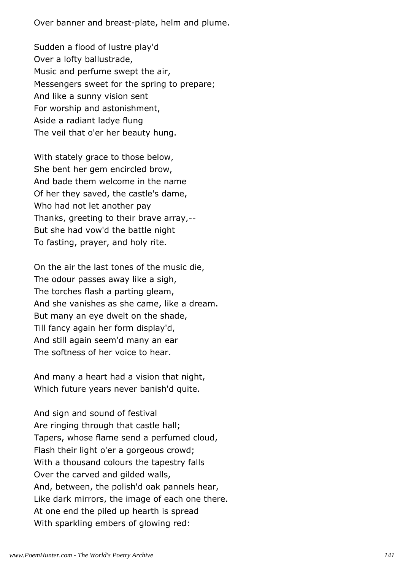Over banner and breast-plate, helm and plume.

Sudden a flood of lustre play'd Over a lofty ballustrade, Music and perfume swept the air, Messengers sweet for the spring to prepare; And like a sunny vision sent For worship and astonishment, Aside a radiant ladye flung The veil that o'er her beauty hung.

With stately grace to those below, She bent her gem encircled brow, And bade them welcome in the name Of her they saved, the castle's dame, Who had not let another pay Thanks, greeting to their brave array,-- But she had vow'd the battle night To fasting, prayer, and holy rite.

On the air the last tones of the music die, The odour passes away like a sigh, The torches flash a parting gleam, And she vanishes as she came, like a dream. But many an eye dwelt on the shade, Till fancy again her form display'd, And still again seem'd many an ear The softness of her voice to hear.

And many a heart had a vision that night, Which future years never banish'd quite.

And sign and sound of festival Are ringing through that castle hall; Tapers, whose flame send a perfumed cloud, Flash their light o'er a gorgeous crowd; With a thousand colours the tapestry falls Over the carved and gilded walls, And, between, the polish'd oak pannels hear, Like dark mirrors, the image of each one there. At one end the piled up hearth is spread With sparkling embers of glowing red: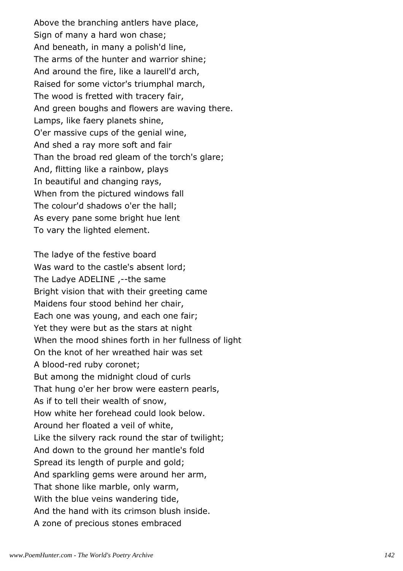Above the branching antlers have place, Sign of many a hard won chase; And beneath, in many a polish'd line, The arms of the hunter and warrior shine; And around the fire, like a laurell'd arch, Raised for some victor's triumphal march, The wood is fretted with tracery fair, And green boughs and flowers are waving there. Lamps, like faery planets shine, O'er massive cups of the genial wine, And shed a ray more soft and fair Than the broad red gleam of the torch's glare; And, flitting like a rainbow, plays In beautiful and changing rays, When from the pictured windows fall The colour'd shadows o'er the hall; As every pane some bright hue lent To vary the lighted element.

The ladye of the festive board Was ward to the castle's absent lord; The Ladye ADELINE ,--the same Bright vision that with their greeting came Maidens four stood behind her chair, Each one was young, and each one fair; Yet they were but as the stars at night When the mood shines forth in her fullness of light On the knot of her wreathed hair was set A blood-red ruby coronet; But among the midnight cloud of curls That hung o'er her brow were eastern pearls, As if to tell their wealth of snow, How white her forehead could look below. Around her floated a veil of white, Like the silvery rack round the star of twilight; And down to the ground her mantle's fold Spread its length of purple and gold; And sparkling gems were around her arm, That shone like marble, only warm, With the blue veins wandering tide, And the hand with its crimson blush inside. A zone of precious stones embraced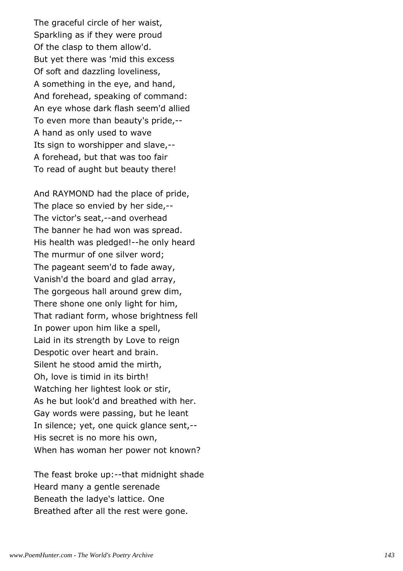The graceful circle of her waist, Sparkling as if they were proud Of the clasp to them allow'd. But yet there was 'mid this excess Of soft and dazzling loveliness, A something in the eye, and hand, And forehead, speaking of command: An eye whose dark flash seem'd allied To even more than beauty's pride,-- A hand as only used to wave Its sign to worshipper and slave,-- A forehead, but that was too fair To read of aught but beauty there!

And RAYMOND had the place of pride, The place so envied by her side,-- The victor's seat,--and overhead The banner he had won was spread. His health was pledged!--he only heard The murmur of one silver word; The pageant seem'd to fade away, Vanish'd the board and glad array, The gorgeous hall around grew dim, There shone one only light for him, That radiant form, whose brightness fell In power upon him like a spell, Laid in its strength by Love to reign Despotic over heart and brain. Silent he stood amid the mirth, Oh, love is timid in its birth! Watching her lightest look or stir, As he but look'd and breathed with her. Gay words were passing, but he leant In silence; yet, one quick glance sent,-- His secret is no more his own, When has woman her power not known?

The feast broke up:--that midnight shade Heard many a gentle serenade Beneath the ladye's lattice. One Breathed after all the rest were gone.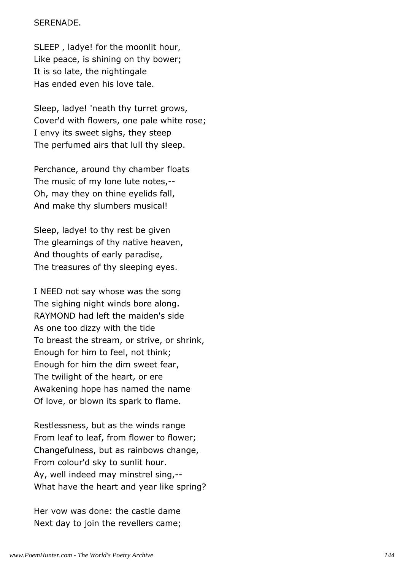### SERENADE.

SLEEP , ladye! for the moonlit hour, Like peace, is shining on thy bower; It is so late, the nightingale Has ended even his love tale.

Sleep, ladye! 'neath thy turret grows, Cover'd with flowers, one pale white rose; I envy its sweet sighs, they steep The perfumed airs that lull thy sleep.

Perchance, around thy chamber floats The music of my lone lute notes,-- Oh, may they on thine eyelids fall, And make thy slumbers musical!

Sleep, ladye! to thy rest be given The gleamings of thy native heaven, And thoughts of early paradise, The treasures of thy sleeping eyes.

I NEED not say whose was the song The sighing night winds bore along. RAYMOND had left the maiden's side As one too dizzy with the tide To breast the stream, or strive, or shrink, Enough for him to feel, not think; Enough for him the dim sweet fear, The twilight of the heart, or ere Awakening hope has named the name Of love, or blown its spark to flame.

Restlessness, but as the winds range From leaf to leaf, from flower to flower; Changefulness, but as rainbows change, From colour'd sky to sunlit hour. Ay, well indeed may minstrel sing,-- What have the heart and year like spring?

Her vow was done: the castle dame Next day to join the revellers came;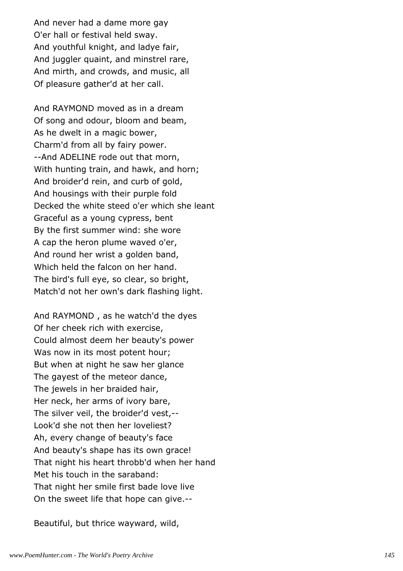And never had a dame more gay O'er hall or festival held sway. And youthful knight, and ladye fair, And juggler quaint, and minstrel rare, And mirth, and crowds, and music, all Of pleasure gather'd at her call.

And RAYMOND moved as in a dream Of song and odour, bloom and beam, As he dwelt in a magic bower, Charm'd from all by fairy power. --And ADELINE rode out that morn, With hunting train, and hawk, and horn; And broider'd rein, and curb of gold, And housings with their purple fold Decked the white steed o'er which she leant Graceful as a young cypress, bent By the first summer wind: she wore A cap the heron plume waved o'er, And round her wrist a golden band, Which held the falcon on her hand. The bird's full eye, so clear, so bright, Match'd not her own's dark flashing light.

And RAYMOND , as he watch'd the dyes Of her cheek rich with exercise, Could almost deem her beauty's power Was now in its most potent hour; But when at night he saw her glance The gayest of the meteor dance, The jewels in her braided hair, Her neck, her arms of ivory bare, The silver veil, the broider'd vest,-- Look'd she not then her loveliest? Ah, every change of beauty's face And beauty's shape has its own grace! That night his heart throbb'd when her hand Met his touch in the saraband: That night her smile first bade love live On the sweet life that hope can give.--

Beautiful, but thrice wayward, wild,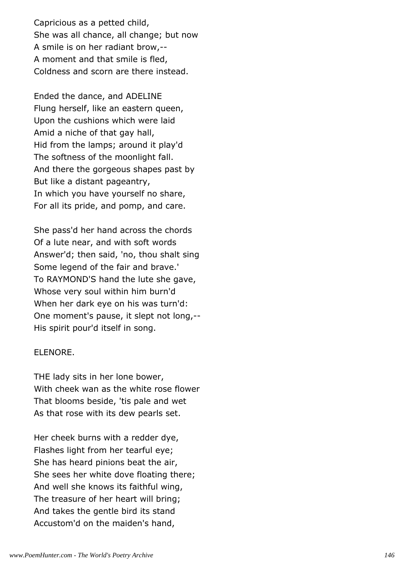Capricious as a petted child, She was all chance, all change; but now A smile is on her radiant brow,-- A moment and that smile is fled, Coldness and scorn are there instead.

Ended the dance, and ADELINE Flung herself, like an eastern queen, Upon the cushions which were laid Amid a niche of that gay hall, Hid from the lamps; around it play'd The softness of the moonlight fall. And there the gorgeous shapes past by But like a distant pageantry, In which you have yourself no share, For all its pride, and pomp, and care.

She pass'd her hand across the chords Of a lute near, and with soft words Answer'd; then said, 'no, thou shalt sing Some legend of the fair and brave.' To RAYMOND'S hand the lute she gave, Whose very soul within him burn'd When her dark eye on his was turn'd: One moment's pause, it slept not long,-- His spirit pour'd itself in song.

#### ELENORE.

THE lady sits in her lone bower, With cheek wan as the white rose flower That blooms beside, 'tis pale and wet As that rose with its dew pearls set.

Her cheek burns with a redder dye, Flashes light from her tearful eye; She has heard pinions beat the air, She sees her white dove floating there; And well she knows its faithful wing, The treasure of her heart will bring; And takes the gentle bird its stand Accustom'd on the maiden's hand,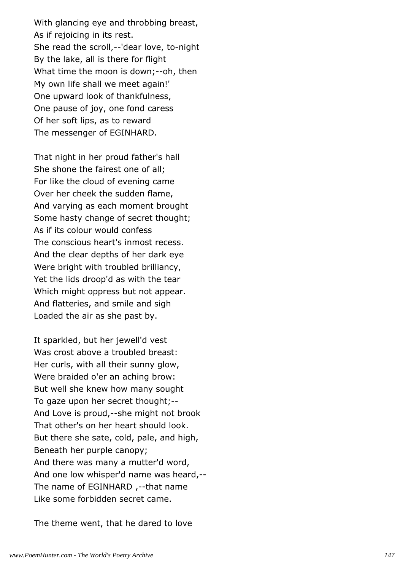With glancing eye and throbbing breast, As if rejoicing in its rest. She read the scroll,--'dear love, to-night By the lake, all is there for flight What time the moon is down;--oh, then My own life shall we meet again!' One upward look of thankfulness, One pause of joy, one fond caress Of her soft lips, as to reward The messenger of EGINHARD.

That night in her proud father's hall She shone the fairest one of all; For like the cloud of evening came Over her cheek the sudden flame, And varying as each moment brought Some hasty change of secret thought; As if its colour would confess The conscious heart's inmost recess. And the clear depths of her dark eye Were bright with troubled brilliancy, Yet the lids droop'd as with the tear Which might oppress but not appear. And flatteries, and smile and sigh Loaded the air as she past by.

It sparkled, but her jewell'd vest Was crost above a troubled breast: Her curls, with all their sunny glow, Were braided o'er an aching brow: But well she knew how many sought To gaze upon her secret thought;-- And Love is proud,--she might not brook That other's on her heart should look. But there she sate, cold, pale, and high, Beneath her purple canopy; And there was many a mutter'd word, And one low whisper'd name was heard,-- The name of EGINHARD ,--that name Like some forbidden secret came.

The theme went, that he dared to love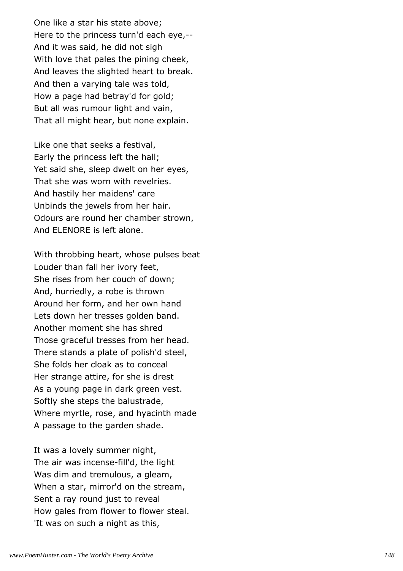One like a star his state above; Here to the princess turn'd each eye,-- And it was said, he did not sigh With love that pales the pining cheek, And leaves the slighted heart to break. And then a varying tale was told, How a page had betray'd for gold; But all was rumour light and vain, That all might hear, but none explain.

Like one that seeks a festival, Early the princess left the hall; Yet said she, sleep dwelt on her eyes, That she was worn with revelries. And hastily her maidens' care Unbinds the jewels from her hair. Odours are round her chamber strown, And ELENORE is left alone.

With throbbing heart, whose pulses beat Louder than fall her ivory feet, She rises from her couch of down; And, hurriedly, a robe is thrown Around her form, and her own hand Lets down her tresses golden band. Another moment she has shred Those graceful tresses from her head. There stands a plate of polish'd steel, She folds her cloak as to conceal Her strange attire, for she is drest As a young page in dark green vest. Softly she steps the balustrade, Where myrtle, rose, and hyacinth made A passage to the garden shade.

It was a lovely summer night, The air was incense-fill'd, the light Was dim and tremulous, a gleam, When a star, mirror'd on the stream, Sent a ray round just to reveal How gales from flower to flower steal. 'It was on such a night as this,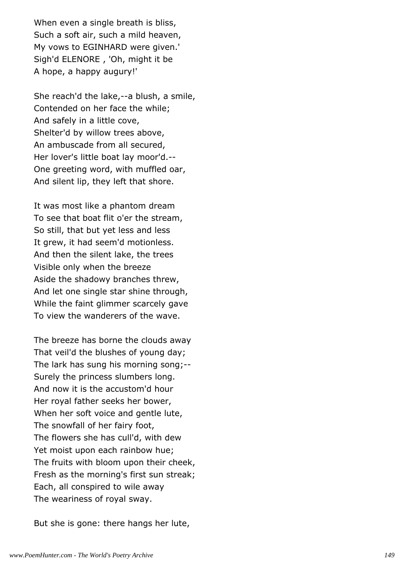When even a single breath is bliss, Such a soft air, such a mild heaven, My vows to EGINHARD were given.' Sigh'd ELENORE , 'Oh, might it be A hope, a happy augury!'

She reach'd the lake,--a blush, a smile, Contended on her face the while; And safely in a little cove, Shelter'd by willow trees above, An ambuscade from all secured, Her lover's little boat lay moor'd.-- One greeting word, with muffled oar, And silent lip, they left that shore.

It was most like a phantom dream To see that boat flit o'er the stream, So still, that but yet less and less It grew, it had seem'd motionless. And then the silent lake, the trees Visible only when the breeze Aside the shadowy branches threw, And let one single star shine through, While the faint glimmer scarcely gave To view the wanderers of the wave.

The breeze has borne the clouds away That veil'd the blushes of young day; The lark has sung his morning song;-- Surely the princess slumbers long. And now it is the accustom'd hour Her royal father seeks her bower, When her soft voice and gentle lute, The snowfall of her fairy foot, The flowers she has cull'd, with dew Yet moist upon each rainbow hue; The fruits with bloom upon their cheek, Fresh as the morning's first sun streak; Each, all conspired to wile away The weariness of royal sway.

But she is gone: there hangs her lute,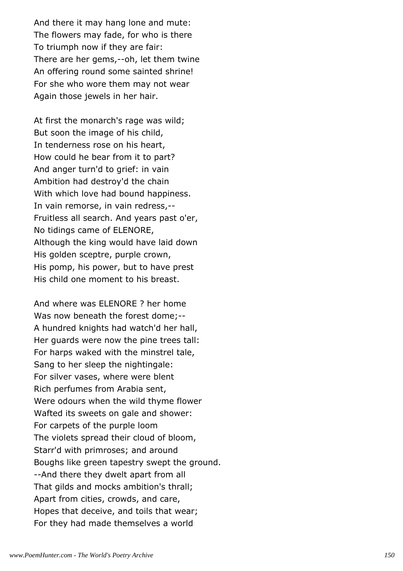And there it may hang lone and mute: The flowers may fade, for who is there To triumph now if they are fair: There are her gems,--oh, let them twine An offering round some sainted shrine! For she who wore them may not wear Again those jewels in her hair.

At first the monarch's rage was wild; But soon the image of his child, In tenderness rose on his heart, How could he bear from it to part? And anger turn'd to grief: in vain Ambition had destroy'd the chain With which love had bound happiness. In vain remorse, in vain redress,-- Fruitless all search. And years past o'er, No tidings came of ELENORE, Although the king would have laid down His golden sceptre, purple crown, His pomp, his power, but to have prest His child one moment to his breast.

And where was ELENORE ? her home Was now beneath the forest dome;-- A hundred knights had watch'd her hall, Her guards were now the pine trees tall: For harps waked with the minstrel tale, Sang to her sleep the nightingale: For silver vases, where were blent Rich perfumes from Arabia sent, Were odours when the wild thyme flower Wafted its sweets on gale and shower: For carpets of the purple loom The violets spread their cloud of bloom, Starr'd with primroses; and around Boughs like green tapestry swept the ground. --And there they dwelt apart from all That gilds and mocks ambition's thrall; Apart from cities, crowds, and care, Hopes that deceive, and toils that wear; For they had made themselves a world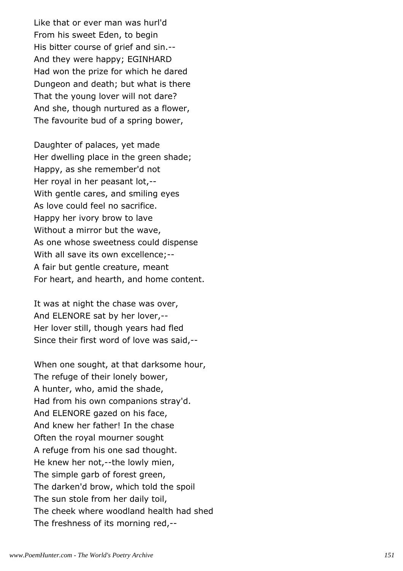Like that or ever man was hurl'd From his sweet Eden, to begin His bitter course of grief and sin.-- And they were happy; EGINHARD Had won the prize for which he dared Dungeon and death; but what is there That the young lover will not dare? And she, though nurtured as a flower, The favourite bud of a spring bower,

Daughter of palaces, yet made Her dwelling place in the green shade; Happy, as she remember'd not Her royal in her peasant lot,-- With gentle cares, and smiling eyes As love could feel no sacrifice. Happy her ivory brow to lave Without a mirror but the wave, As one whose sweetness could dispense With all save its own excellence;-- A fair but gentle creature, meant For heart, and hearth, and home content.

It was at night the chase was over, And ELENORE sat by her lover,-- Her lover still, though years had fled Since their first word of love was said,--

When one sought, at that darksome hour, The refuge of their lonely bower, A hunter, who, amid the shade, Had from his own companions stray'd. And ELENORE gazed on his face, And knew her father! In the chase Often the royal mourner sought A refuge from his one sad thought. He knew her not,--the lowly mien, The simple garb of forest green, The darken'd brow, which told the spoil The sun stole from her daily toil, The cheek where woodland health had shed The freshness of its morning red,--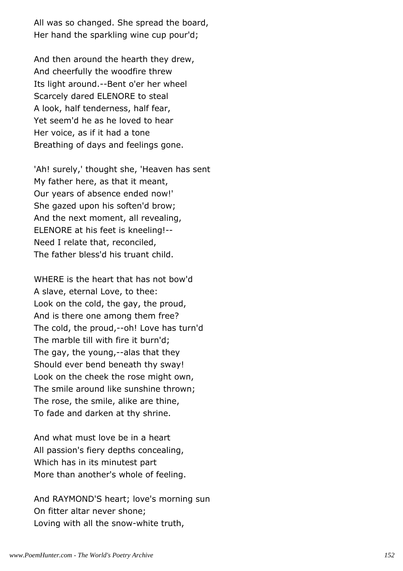All was so changed. She spread the board, Her hand the sparkling wine cup pour'd;

And then around the hearth they drew, And cheerfully the woodfire threw Its light around.--Bent o'er her wheel Scarcely dared ELENORE to steal A look, half tenderness, half fear, Yet seem'd he as he loved to hear Her voice, as if it had a tone Breathing of days and feelings gone.

'Ah! surely,' thought she, 'Heaven has sent My father here, as that it meant, Our years of absence ended now!' She gazed upon his soften'd brow; And the next moment, all revealing, ELENORE at his feet is kneeling!-- Need I relate that, reconciled, The father bless'd his truant child.

WHERE is the heart that has not bow'd A slave, eternal Love, to thee: Look on the cold, the gay, the proud, And is there one among them free? The cold, the proud,--oh! Love has turn'd The marble till with fire it burn'd; The gay, the young,--alas that they Should ever bend beneath thy sway! Look on the cheek the rose might own, The smile around like sunshine thrown; The rose, the smile, alike are thine, To fade and darken at thy shrine.

And what must love be in a heart All passion's fiery depths concealing, Which has in its minutest part More than another's whole of feeling.

And RAYMOND'S heart; love's morning sun On fitter altar never shone; Loving with all the snow-white truth,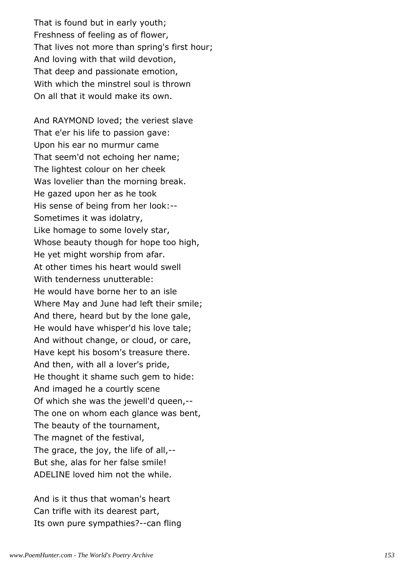That is found but in early youth; Freshness of feeling as of flower, That lives not more than spring's first hour; And loving with that wild devotion, That deep and passionate emotion, With which the minstrel soul is thrown On all that it would make its own.

And RAYMOND loved; the veriest slave That e'er his life to passion gave: Upon his ear no murmur came That seem'd not echoing her name; The lightest colour on her cheek Was lovelier than the morning break. He gazed upon her as he took His sense of being from her look:-- Sometimes it was idolatry, Like homage to some lovely star, Whose beauty though for hope too high, He yet might worship from afar. At other times his heart would swell With tenderness unutterable: He would have borne her to an isle Where May and June had left their smile; And there, heard but by the lone gale, He would have whisper'd his love tale; And without change, or cloud, or care, Have kept his bosom's treasure there. And then, with all a lover's pride, He thought it shame such gem to hide: And imaged he a courtly scene Of which she was the jewell'd queen,-- The one on whom each glance was bent, The beauty of the tournament, The magnet of the festival, The grace, the joy, the life of all,-- But she, alas for her false smile! ADELINE loved him not the while.

And is it thus that woman's heart Can trifle with its dearest part, Its own pure sympathies?--can fling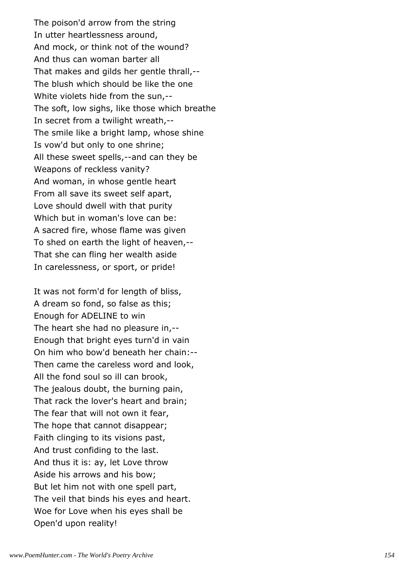The poison'd arrow from the string In utter heartlessness around, And mock, or think not of the wound? And thus can woman barter all That makes and gilds her gentle thrall,-- The blush which should be like the one White violets hide from the sun,-- The soft, low sighs, like those which breathe In secret from a twilight wreath,-- The smile like a bright lamp, whose shine Is vow'd but only to one shrine; All these sweet spells,--and can they be Weapons of reckless vanity? And woman, in whose gentle heart From all save its sweet self apart, Love should dwell with that purity Which but in woman's love can be: A sacred fire, whose flame was given To shed on earth the light of heaven,-- That she can fling her wealth aside In carelessness, or sport, or pride!

It was not form'd for length of bliss, A dream so fond, so false as this; Enough for ADELINE to win The heart she had no pleasure in,-- Enough that bright eyes turn'd in vain On him who bow'd beneath her chain:-- Then came the careless word and look, All the fond soul so ill can brook, The jealous doubt, the burning pain, That rack the lover's heart and brain; The fear that will not own it fear, The hope that cannot disappear; Faith clinging to its visions past, And trust confiding to the last. And thus it is: ay, let Love throw Aside his arrows and his bow; But let him not with one spell part, The veil that binds his eyes and heart. Woe for Love when his eyes shall be Open'd upon reality!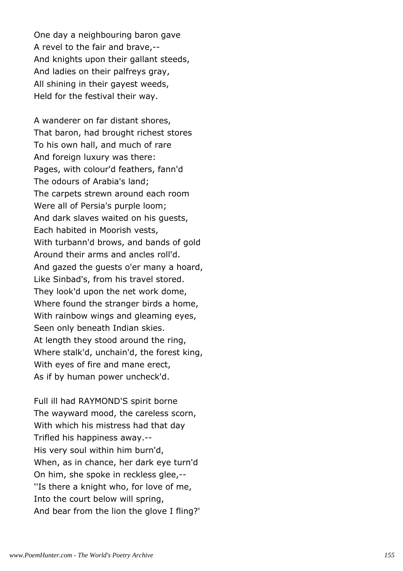One day a neighbouring baron gave A revel to the fair and brave,-- And knights upon their gallant steeds, And ladies on their palfreys gray, All shining in their gayest weeds, Held for the festival their way.

A wanderer on far distant shores, That baron, had brought richest stores To his own hall, and much of rare And foreign luxury was there: Pages, with colour'd feathers, fann'd The odours of Arabia's land; The carpets strewn around each room Were all of Persia's purple loom; And dark slaves waited on his guests, Each habited in Moorish vests, With turbann'd brows, and bands of gold Around their arms and ancles roll'd. And gazed the guests o'er many a hoard, Like Sinbad's, from his travel stored. They look'd upon the net work dome, Where found the stranger birds a home, With rainbow wings and gleaming eyes, Seen only beneath Indian skies. At length they stood around the ring, Where stalk'd, unchain'd, the forest king, With eyes of fire and mane erect, As if by human power uncheck'd.

Full ill had RAYMOND'S spirit borne The wayward mood, the careless scorn, With which his mistress had that day Trifled his happiness away.-- His very soul within him burn'd, When, as in chance, her dark eye turn'd On him, she spoke in reckless glee,-- ''Is there a knight who, for love of me, Into the court below will spring, And bear from the lion the glove I fling?'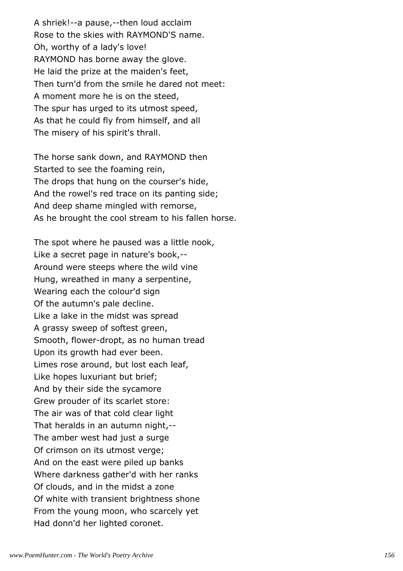A shriek!--a pause,--then loud acclaim Rose to the skies with RAYMOND'S name. Oh, worthy of a lady's love! RAYMOND has borne away the glove. He laid the prize at the maiden's feet, Then turn'd from the smile he dared not meet: A moment more he is on the steed, The spur has urged to its utmost speed, As that he could fly from himself, and all The misery of his spirit's thrall.

The horse sank down, and RAYMOND then Started to see the foaming rein, The drops that hung on the courser's hide, And the rowel's red trace on its panting side; And deep shame mingled with remorse, As he brought the cool stream to his fallen horse.

The spot where he paused was a little nook, Like a secret page in nature's book,-- Around were steeps where the wild vine Hung, wreathed in many a serpentine, Wearing each the colour'd sign Of the autumn's pale decline. Like a lake in the midst was spread A grassy sweep of softest green, Smooth, flower-dropt, as no human tread Upon its growth had ever been. Limes rose around, but lost each leaf, Like hopes luxuriant but brief; And by their side the sycamore Grew prouder of its scarlet store: The air was of that cold clear light That heralds in an autumn night,-- The amber west had just a surge Of crimson on its utmost verge; And on the east were piled up banks Where darkness gather'd with her ranks Of clouds, and in the midst a zone Of white with transient brightness shone From the young moon, who scarcely yet Had donn'd her lighted coronet.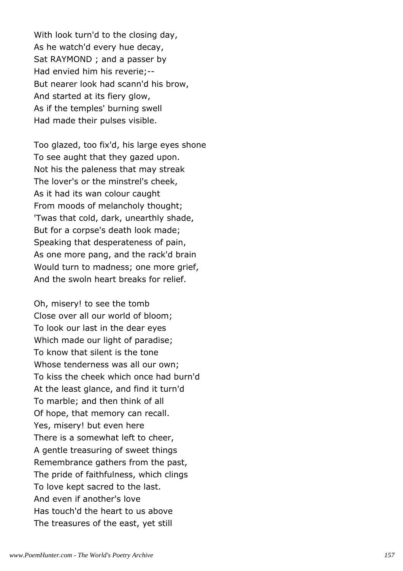With look turn'd to the closing day, As he watch'd every hue decay, Sat RAYMOND ; and a passer by Had envied him his reverie;-- But nearer look had scann'd his brow, And started at its fiery glow, As if the temples' burning swell Had made their pulses visible.

Too glazed, too fix'd, his large eyes shone To see aught that they gazed upon. Not his the paleness that may streak The lover's or the minstrel's cheek, As it had its wan colour caught From moods of melancholy thought; 'Twas that cold, dark, unearthly shade, But for a corpse's death look made; Speaking that desperateness of pain, As one more pang, and the rack'd brain Would turn to madness; one more grief, And the swoln heart breaks for relief.

Oh, misery! to see the tomb Close over all our world of bloom; To look our last in the dear eyes Which made our light of paradise; To know that silent is the tone Whose tenderness was all our own; To kiss the cheek which once had burn'd At the least glance, and find it turn'd To marble; and then think of all Of hope, that memory can recall. Yes, misery! but even here There is a somewhat left to cheer, A gentle treasuring of sweet things Remembrance gathers from the past, The pride of faithfulness, which clings To love kept sacred to the last. And even if another's love Has touch'd the heart to us above The treasures of the east, yet still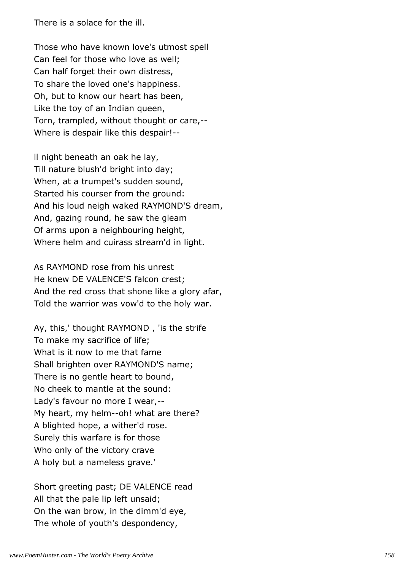There is a solace for the ill.

Those who have known love's utmost spell Can feel for those who love as well; Can half forget their own distress, To share the loved one's happiness. Oh, but to know our heart has been, Like the toy of an Indian queen, Torn, trampled, without thought or care,-- Where is despair like this despair!--

ll night beneath an oak he lay, Till nature blush'd bright into day; When, at a trumpet's sudden sound, Started his courser from the ground: And his loud neigh waked RAYMOND'S dream, And, gazing round, he saw the gleam Of arms upon a neighbouring height, Where helm and cuirass stream'd in light.

As RAYMOND rose from his unrest He knew DE VALENCE'S falcon crest; And the red cross that shone like a glory afar, Told the warrior was vow'd to the holy war.

Ay, this,' thought RAYMOND , 'is the strife To make my sacrifice of life; What is it now to me that fame Shall brighten over RAYMOND'S name; There is no gentle heart to bound, No cheek to mantle at the sound: Lady's favour no more I wear,-- My heart, my helm--oh! what are there? A blighted hope, a wither'd rose. Surely this warfare is for those Who only of the victory crave A holy but a nameless grave.'

Short greeting past; DE VALENCE read All that the pale lip left unsaid; On the wan brow, in the dimm'd eye, The whole of youth's despondency,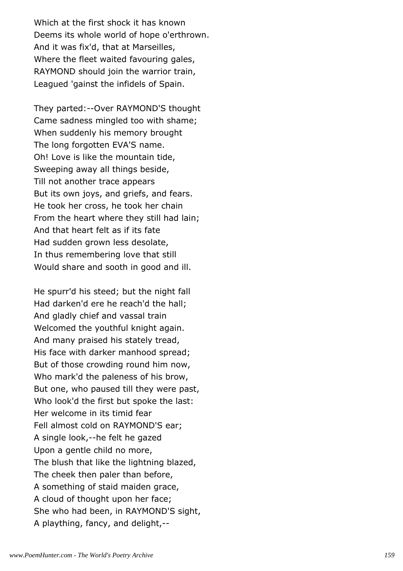Which at the first shock it has known Deems its whole world of hope o'erthrown. And it was fix'd, that at Marseilles, Where the fleet waited favouring gales, RAYMOND should join the warrior train, Leagued 'gainst the infidels of Spain.

They parted:--Over RAYMOND'S thought Came sadness mingled too with shame; When suddenly his memory brought The long forgotten EVA'S name. Oh! Love is like the mountain tide, Sweeping away all things beside, Till not another trace appears But its own joys, and griefs, and fears. He took her cross, he took her chain From the heart where they still had lain; And that heart felt as if its fate Had sudden grown less desolate, In thus remembering love that still Would share and sooth in good and ill.

He spurr'd his steed; but the night fall Had darken'd ere he reach'd the hall; And gladly chief and vassal train Welcomed the youthful knight again. And many praised his stately tread, His face with darker manhood spread; But of those crowding round him now, Who mark'd the paleness of his brow, But one, who paused till they were past, Who look'd the first but spoke the last: Her welcome in its timid fear Fell almost cold on RAYMOND'S ear; A single look,--he felt he gazed Upon a gentle child no more, The blush that like the lightning blazed, The cheek then paler than before, A something of staid maiden grace, A cloud of thought upon her face; She who had been, in RAYMOND'S sight, A plaything, fancy, and delight,--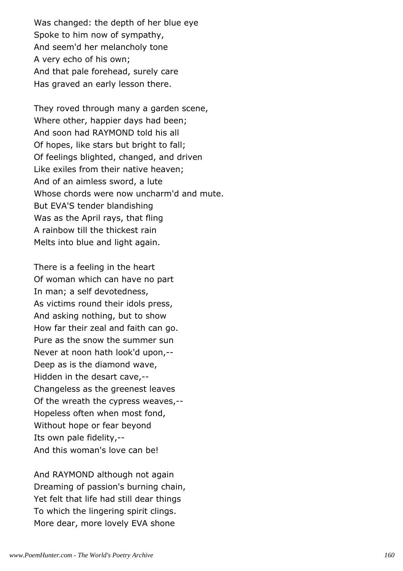Was changed: the depth of her blue eye Spoke to him now of sympathy, And seem'd her melancholy tone A very echo of his own; And that pale forehead, surely care Has graved an early lesson there.

They roved through many a garden scene, Where other, happier days had been; And soon had RAYMOND told his all Of hopes, like stars but bright to fall; Of feelings blighted, changed, and driven Like exiles from their native heaven; And of an aimless sword, a lute Whose chords were now uncharm'd and mute. But EVA'S tender blandishing Was as the April rays, that fling A rainbow till the thickest rain Melts into blue and light again.

There is a feeling in the heart Of woman which can have no part In man; a self devotedness, As victims round their idols press, And asking nothing, but to show How far their zeal and faith can go. Pure as the snow the summer sun Never at noon hath look'd upon,-- Deep as is the diamond wave, Hidden in the desart cave,-- Changeless as the greenest leaves Of the wreath the cypress weaves,-- Hopeless often when most fond, Without hope or fear beyond Its own pale fidelity,-- And this woman's love can be!

And RAYMOND although not again Dreaming of passion's burning chain, Yet felt that life had still dear things To which the lingering spirit clings. More dear, more lovely EVA shone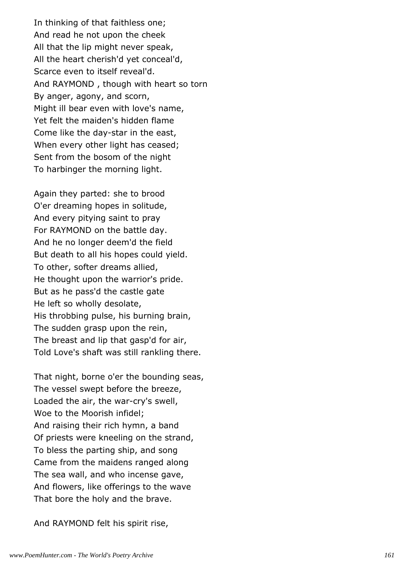In thinking of that faithless one; And read he not upon the cheek All that the lip might never speak, All the heart cherish'd yet conceal'd, Scarce even to itself reveal'd. And RAYMOND , though with heart so torn By anger, agony, and scorn, Might ill bear even with love's name, Yet felt the maiden's hidden flame Come like the day-star in the east, When every other light has ceased; Sent from the bosom of the night To harbinger the morning light.

Again they parted: she to brood O'er dreaming hopes in solitude, And every pitying saint to pray For RAYMOND on the battle day. And he no longer deem'd the field But death to all his hopes could yield. To other, softer dreams allied, He thought upon the warrior's pride. But as he pass'd the castle gate He left so wholly desolate, His throbbing pulse, his burning brain, The sudden grasp upon the rein, The breast and lip that gasp'd for air, Told Love's shaft was still rankling there.

That night, borne o'er the bounding seas, The vessel swept before the breeze, Loaded the air, the war-cry's swell, Woe to the Moorish infidel; And raising their rich hymn, a band Of priests were kneeling on the strand, To bless the parting ship, and song Came from the maidens ranged along The sea wall, and who incense gave, And flowers, like offerings to the wave That bore the holy and the brave.

And RAYMOND felt his spirit rise,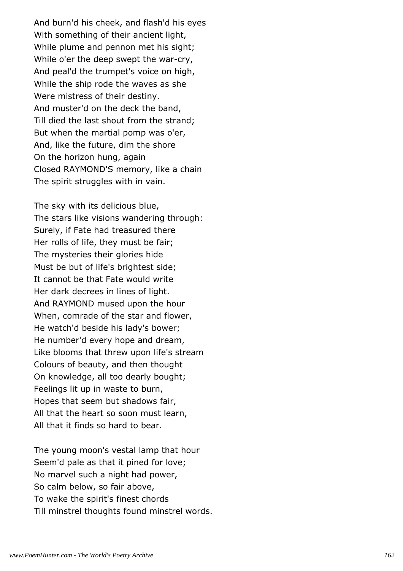And burn'd his cheek, and flash'd his eyes With something of their ancient light, While plume and pennon met his sight; While o'er the deep swept the war-cry, And peal'd the trumpet's voice on high, While the ship rode the waves as she Were mistress of their destiny. And muster'd on the deck the band, Till died the last shout from the strand; But when the martial pomp was o'er, And, like the future, dim the shore On the horizon hung, again Closed RAYMOND'S memory, like a chain The spirit struggles with in vain.

The sky with its delicious blue, The stars like visions wandering through: Surely, if Fate had treasured there Her rolls of life, they must be fair; The mysteries their glories hide Must be but of life's brightest side; It cannot be that Fate would write Her dark decrees in lines of light. And RAYMOND mused upon the hour When, comrade of the star and flower, He watch'd beside his lady's bower; He number'd every hope and dream, Like blooms that threw upon life's stream Colours of beauty, and then thought On knowledge, all too dearly bought; Feelings lit up in waste to burn, Hopes that seem but shadows fair, All that the heart so soon must learn, All that it finds so hard to bear.

The young moon's vestal lamp that hour Seem'd pale as that it pined for love; No marvel such a night had power, So calm below, so fair above, To wake the spirit's finest chords Till minstrel thoughts found minstrel words.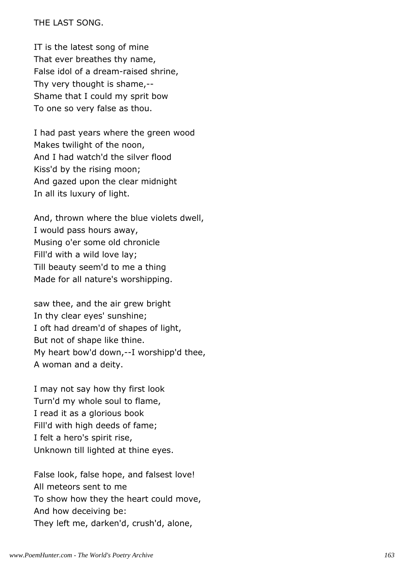#### THE LAST SONG.

IT is the latest song of mine That ever breathes thy name, False idol of a dream-raised shrine, Thy very thought is shame,-- Shame that I could my sprit bow To one so very false as thou.

I had past years where the green wood Makes twilight of the noon, And I had watch'd the silver flood Kiss'd by the rising moon; And gazed upon the clear midnight In all its luxury of light.

And, thrown where the blue violets dwell, I would pass hours away, Musing o'er some old chronicle Fill'd with a wild love lay; Till beauty seem'd to me a thing Made for all nature's worshipping.

saw thee, and the air grew bright In thy clear eyes' sunshine; I oft had dream'd of shapes of light, But not of shape like thine. My heart bow'd down,--I worshipp'd thee, A woman and a deity.

I may not say how thy first look Turn'd my whole soul to flame, I read it as a glorious book Fill'd with high deeds of fame; I felt a hero's spirit rise, Unknown till lighted at thine eyes.

False look, false hope, and falsest love! All meteors sent to me To show how they the heart could move, And how deceiving be: They left me, darken'd, crush'd, alone,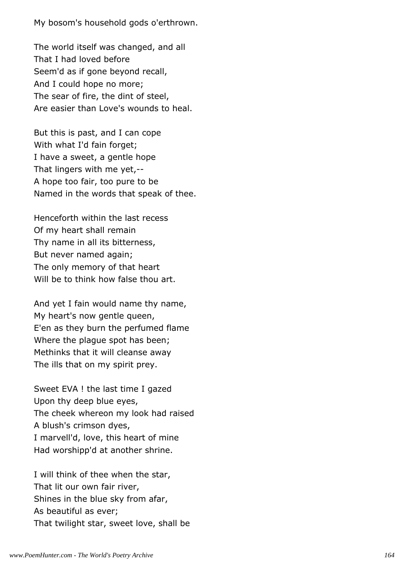My bosom's household gods o'erthrown.

The world itself was changed, and all That I had loved before Seem'd as if gone beyond recall, And I could hope no more; The sear of fire, the dint of steel, Are easier than Love's wounds to heal.

But this is past, and I can cope With what I'd fain forget; I have a sweet, a gentle hope That lingers with me yet,-- A hope too fair, too pure to be Named in the words that speak of thee.

Henceforth within the last recess Of my heart shall remain Thy name in all its bitterness, But never named again; The only memory of that heart Will be to think how false thou art.

And yet I fain would name thy name, My heart's now gentle queen, E'en as they burn the perfumed flame Where the plague spot has been; Methinks that it will cleanse away The ills that on my spirit prey.

Sweet EVA ! the last time I gazed Upon thy deep blue eyes, The cheek whereon my look had raised A blush's crimson dyes, I marvell'd, love, this heart of mine Had worshipp'd at another shrine.

I will think of thee when the star, That lit our own fair river, Shines in the blue sky from afar, As beautiful as ever; That twilight star, sweet love, shall be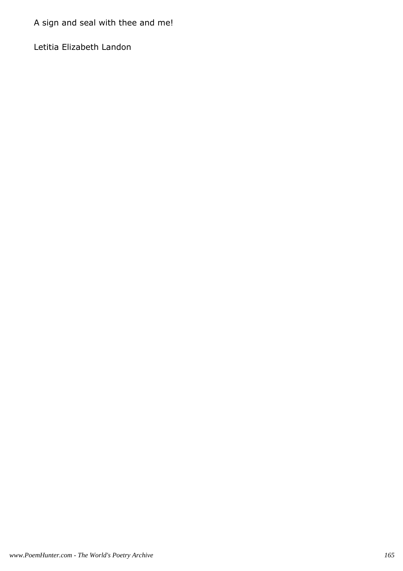A sign and seal with thee and me!

Letitia Elizabeth Landon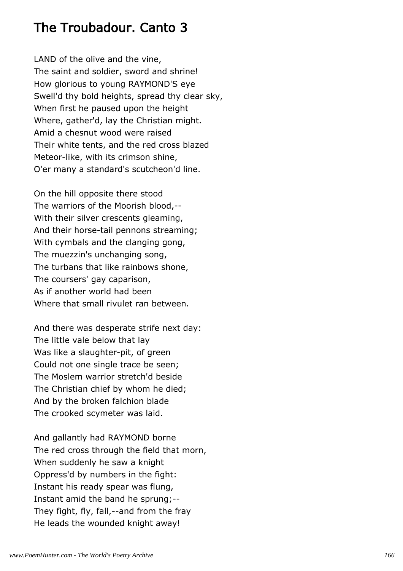# The Troubadour. Canto 3

LAND of the olive and the vine, The saint and soldier, sword and shrine! How glorious to young RAYMOND'S eye Swell'd thy bold heights, spread thy clear sky, When first he paused upon the height Where, gather'd, lay the Christian might. Amid a chesnut wood were raised Their white tents, and the red cross blazed Meteor-like, with its crimson shine, O'er many a standard's scutcheon'd line.

On the hill opposite there stood The warriors of the Moorish blood,-- With their silver crescents gleaming, And their horse-tail pennons streaming; With cymbals and the clanging gong, The muezzin's unchanging song, The turbans that like rainbows shone, The coursers' gay caparison, As if another world had been Where that small rivulet ran between.

And there was desperate strife next day: The little vale below that lay Was like a slaughter-pit, of green Could not one single trace be seen; The Moslem warrior stretch'd beside The Christian chief by whom he died; And by the broken falchion blade The crooked scymeter was laid.

And gallantly had RAYMOND borne The red cross through the field that morn, When suddenly he saw a knight Oppress'd by numbers in the fight: Instant his ready spear was flung, Instant amid the band he sprung;-- They fight, fly, fall,--and from the fray He leads the wounded knight away!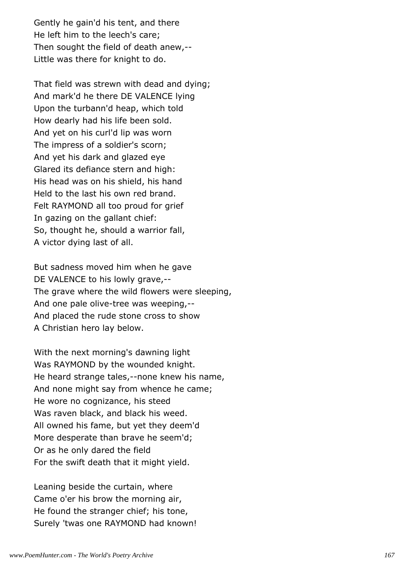Gently he gain'd his tent, and there He left him to the leech's care; Then sought the field of death anew,-- Little was there for knight to do.

That field was strewn with dead and dying; And mark'd he there DE VALENCE lying Upon the turbann'd heap, which told How dearly had his life been sold. And yet on his curl'd lip was worn The impress of a soldier's scorn; And yet his dark and glazed eye Glared its defiance stern and high: His head was on his shield, his hand Held to the last his own red brand. Felt RAYMOND all too proud for grief In gazing on the gallant chief: So, thought he, should a warrior fall, A victor dying last of all.

But sadness moved him when he gave DE VALENCE to his lowly grave,-- The grave where the wild flowers were sleeping, And one pale olive-tree was weeping,-- And placed the rude stone cross to show A Christian hero lay below.

With the next morning's dawning light Was RAYMOND by the wounded knight. He heard strange tales,--none knew his name, And none might say from whence he came; He wore no cognizance, his steed Was raven black, and black his weed. All owned his fame, but yet they deem'd More desperate than brave he seem'd; Or as he only dared the field For the swift death that it might yield.

Leaning beside the curtain, where Came o'er his brow the morning air, He found the stranger chief; his tone, Surely 'twas one RAYMOND had known!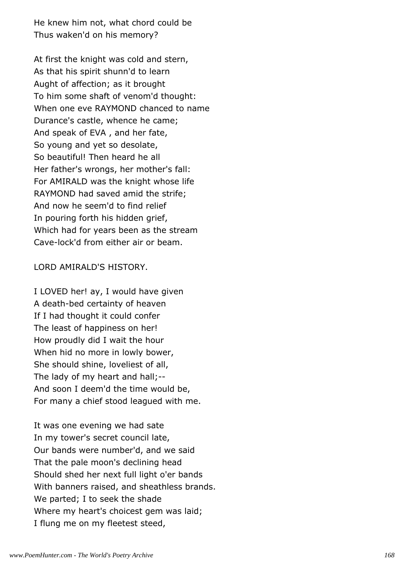He knew him not, what chord could be Thus waken'd on his memory?

At first the knight was cold and stern, As that his spirit shunn'd to learn Aught of affection; as it brought To him some shaft of venom'd thought: When one eve RAYMOND chanced to name Durance's castle, whence he came; And speak of EVA , and her fate, So young and yet so desolate, So beautiful! Then heard he all Her father's wrongs, her mother's fall: For AMIRALD was the knight whose life RAYMOND had saved amid the strife; And now he seem'd to find relief In pouring forth his hidden grief, Which had for years been as the stream Cave-lock'd from either air or beam.

## LORD AMIRALD'S HISTORY.

I LOVED her! ay, I would have given A death-bed certainty of heaven If I had thought it could confer The least of happiness on her! How proudly did I wait the hour When hid no more in lowly bower, She should shine, loveliest of all, The lady of my heart and hall;-- And soon I deem'd the time would be, For many a chief stood leagued with me.

It was one evening we had sate In my tower's secret council late, Our bands were number'd, and we said That the pale moon's declining head Should shed her next full light o'er bands With banners raised, and sheathless brands. We parted; I to seek the shade Where my heart's choicest gem was laid; I flung me on my fleetest steed,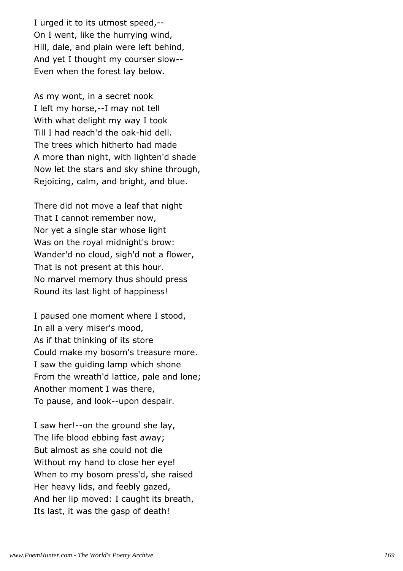I urged it to its utmost speed,-- On I went, like the hurrying wind, Hill, dale, and plain were left behind, And yet I thought my courser slow-- Even when the forest lay below.

As my wont, in a secret nook I left my horse,--I may not tell With what delight my way I took Till I had reach'd the oak-hid dell. The trees which hitherto had made A more than night, with lighten'd shade Now let the stars and sky shine through, Rejoicing, calm, and bright, and blue.

There did not move a leaf that night That I cannot remember now, Nor yet a single star whose light Was on the royal midnight's brow: Wander'd no cloud, sigh'd not a flower, That is not present at this hour. No marvel memory thus should press Round its last light of happiness!

I paused one moment where I stood, In all a very miser's mood, As if that thinking of its store Could make my bosom's treasure more. I saw the guiding lamp which shone From the wreath'd lattice, pale and lone; Another moment I was there, To pause, and look--upon despair.

I saw her!--on the ground she lay, The life blood ebbing fast away; But almost as she could not die Without my hand to close her eye! When to my bosom press'd, she raised Her heavy lids, and feebly gazed, And her lip moved: I caught its breath, Its last, it was the gasp of death!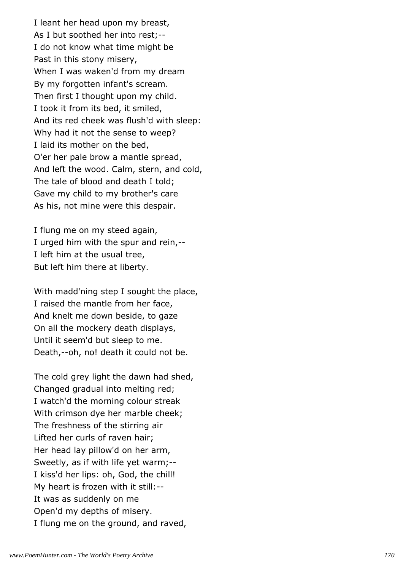I leant her head upon my breast, As I but soothed her into rest;-- I do not know what time might be Past in this stony misery, When I was waken'd from my dream By my forgotten infant's scream. Then first I thought upon my child. I took it from its bed, it smiled, And its red cheek was flush'd with sleep: Why had it not the sense to weep? I laid its mother on the bed, O'er her pale brow a mantle spread, And left the wood. Calm, stern, and cold, The tale of blood and death I told; Gave my child to my brother's care As his, not mine were this despair.

I flung me on my steed again, I urged him with the spur and rein,-- I left him at the usual tree, But left him there at liberty.

With madd'ning step I sought the place, I raised the mantle from her face, And knelt me down beside, to gaze On all the mockery death displays, Until it seem'd but sleep to me. Death,--oh, no! death it could not be.

The cold grey light the dawn had shed, Changed gradual into melting red; I watch'd the morning colour streak With crimson dye her marble cheek; The freshness of the stirring air Lifted her curls of raven hair; Her head lay pillow'd on her arm, Sweetly, as if with life yet warm;-- I kiss'd her lips: oh, God, the chill! My heart is frozen with it still:-- It was as suddenly on me Open'd my depths of misery. I flung me on the ground, and raved,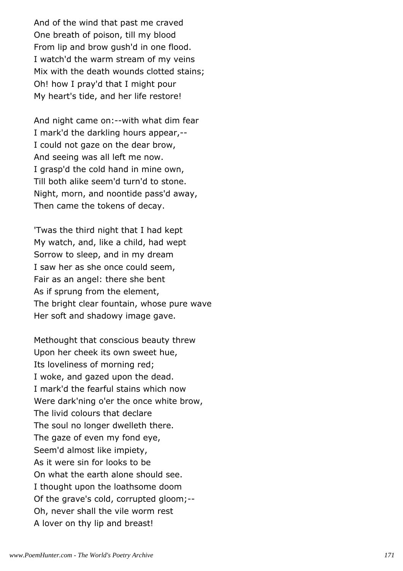And of the wind that past me craved One breath of poison, till my blood From lip and brow gush'd in one flood. I watch'd the warm stream of my veins Mix with the death wounds clotted stains; Oh! how I pray'd that I might pour My heart's tide, and her life restore!

And night came on:--with what dim fear I mark'd the darkling hours appear,-- I could not gaze on the dear brow, And seeing was all left me now. I grasp'd the cold hand in mine own, Till both alike seem'd turn'd to stone. Night, morn, and noontide pass'd away, Then came the tokens of decay.

'Twas the third night that I had kept My watch, and, like a child, had wept Sorrow to sleep, and in my dream I saw her as she once could seem, Fair as an angel: there she bent As if sprung from the element, The bright clear fountain, whose pure wave Her soft and shadowy image gave.

Methought that conscious beauty threw Upon her cheek its own sweet hue, Its loveliness of morning red; I woke, and gazed upon the dead. I mark'd the fearful stains which now Were dark'ning o'er the once white brow, The livid colours that declare The soul no longer dwelleth there. The gaze of even my fond eye, Seem'd almost like impiety, As it were sin for looks to be On what the earth alone should see. I thought upon the loathsome doom Of the grave's cold, corrupted gloom;-- Oh, never shall the vile worm rest A lover on thy lip and breast!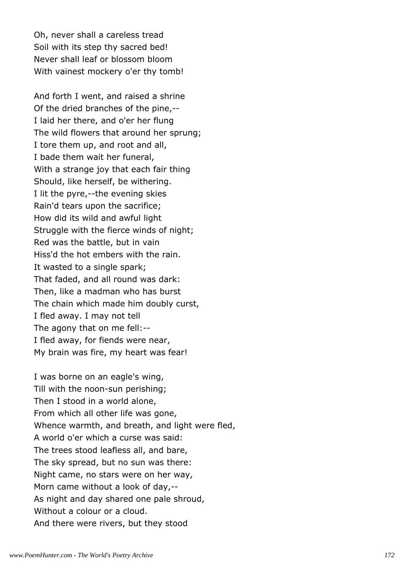Oh, never shall a careless tread Soil with its step thy sacred bed! Never shall leaf or blossom bloom With vainest mockery o'er thy tomb!

And forth I went, and raised a shrine Of the dried branches of the pine,-- I laid her there, and o'er her flung The wild flowers that around her sprung; I tore them up, and root and all, I bade them wait her funeral, With a strange joy that each fair thing Should, like herself, be withering. I lit the pyre,--the evening skies Rain'd tears upon the sacrifice; How did its wild and awful light Struggle with the fierce winds of night; Red was the battle, but in vain Hiss'd the hot embers with the rain. It wasted to a single spark; That faded, and all round was dark: Then, like a madman who has burst The chain which made him doubly curst, I fled away. I may not tell The agony that on me fell:-- I fled away, for fiends were near, My brain was fire, my heart was fear!

I was borne on an eagle's wing, Till with the noon-sun perishing; Then I stood in a world alone, From which all other life was gone, Whence warmth, and breath, and light were fled, A world o'er which a curse was said: The trees stood leafless all, and bare, The sky spread, but no sun was there: Night came, no stars were on her way, Morn came without a look of day,-- As night and day shared one pale shroud, Without a colour or a cloud. And there were rivers, but they stood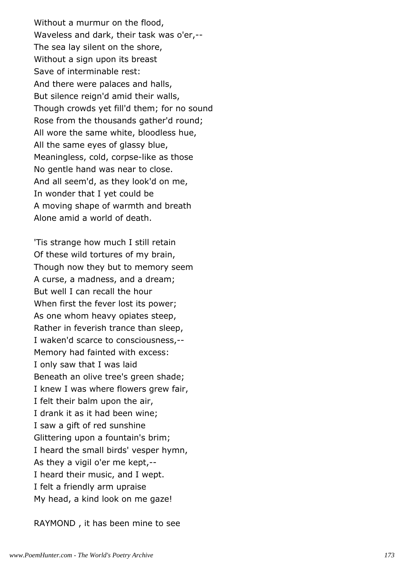Without a murmur on the flood, Waveless and dark, their task was o'er,-- The sea lay silent on the shore, Without a sign upon its breast Save of interminable rest: And there were palaces and halls, But silence reign'd amid their walls, Though crowds yet fill'd them; for no sound Rose from the thousands gather'd round; All wore the same white, bloodless hue, All the same eyes of glassy blue, Meaningless, cold, corpse-like as those No gentle hand was near to close. And all seem'd, as they look'd on me, In wonder that I yet could be A moving shape of warmth and breath Alone amid a world of death.

'Tis strange how much I still retain Of these wild tortures of my brain, Though now they but to memory seem A curse, a madness, and a dream; But well I can recall the hour When first the fever lost its power; As one whom heavy opiates steep, Rather in feverish trance than sleep, I waken'd scarce to consciousness,-- Memory had fainted with excess: I only saw that I was laid Beneath an olive tree's green shade; I knew I was where flowers grew fair, I felt their balm upon the air, I drank it as it had been wine; I saw a gift of red sunshine Glittering upon a fountain's brim; I heard the small birds' vesper hymn, As they a vigil o'er me kept,-- I heard their music, and I wept. I felt a friendly arm upraise My head, a kind look on me gaze!

RAYMOND , it has been mine to see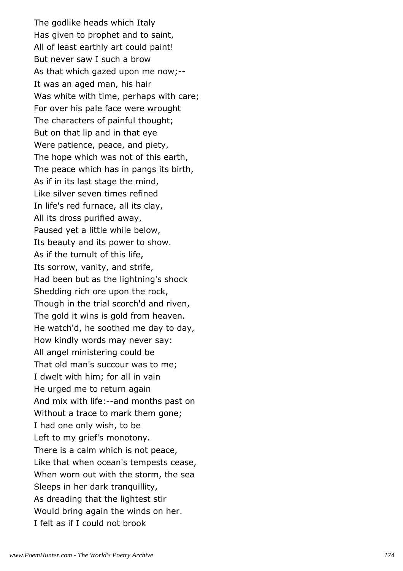The godlike heads which Italy Has given to prophet and to saint, All of least earthly art could paint! But never saw I such a brow As that which gazed upon me now;-- It was an aged man, his hair Was white with time, perhaps with care; For over his pale face were wrought The characters of painful thought; But on that lip and in that eye Were patience, peace, and piety, The hope which was not of this earth, The peace which has in pangs its birth, As if in its last stage the mind, Like silver seven times refined In life's red furnace, all its clay, All its dross purified away, Paused yet a little while below, Its beauty and its power to show. As if the tumult of this life, Its sorrow, vanity, and strife, Had been but as the lightning's shock Shedding rich ore upon the rock, Though in the trial scorch'd and riven, The gold it wins is gold from heaven. He watch'd, he soothed me day to day, How kindly words may never say: All angel ministering could be That old man's succour was to me; I dwelt with him; for all in vain He urged me to return again And mix with life:--and months past on Without a trace to mark them gone; I had one only wish, to be Left to my grief's monotony. There is a calm which is not peace, Like that when ocean's tempests cease, When worn out with the storm, the sea Sleeps in her dark tranquillity, As dreading that the lightest stir Would bring again the winds on her. I felt as if I could not brook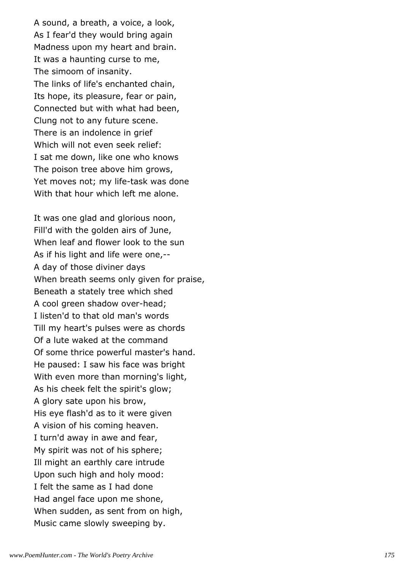A sound, a breath, a voice, a look, As I fear'd they would bring again Madness upon my heart and brain. It was a haunting curse to me, The simoom of insanity. The links of life's enchanted chain, Its hope, its pleasure, fear or pain, Connected but with what had been, Clung not to any future scene. There is an indolence in grief Which will not even seek relief: I sat me down, like one who knows The poison tree above him grows, Yet moves not; my life-task was done With that hour which left me alone.

It was one glad and glorious noon, Fill'd with the golden airs of June, When leaf and flower look to the sun As if his light and life were one,-- A day of those diviner days When breath seems only given for praise, Beneath a stately tree which shed A cool green shadow over-head; I listen'd to that old man's words Till my heart's pulses were as chords Of a lute waked at the command Of some thrice powerful master's hand. He paused: I saw his face was bright With even more than morning's light, As his cheek felt the spirit's glow; A glory sate upon his brow, His eye flash'd as to it were given A vision of his coming heaven. I turn'd away in awe and fear, My spirit was not of his sphere; Ill might an earthly care intrude Upon such high and holy mood: I felt the same as I had done Had angel face upon me shone, When sudden, as sent from on high, Music came slowly sweeping by.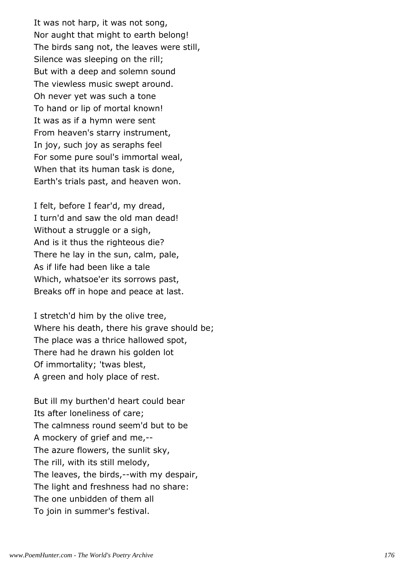It was not harp, it was not song, Nor aught that might to earth belong! The birds sang not, the leaves were still, Silence was sleeping on the rill; But with a deep and solemn sound The viewless music swept around. Oh never yet was such a tone To hand or lip of mortal known! It was as if a hymn were sent From heaven's starry instrument, In joy, such joy as seraphs feel For some pure soul's immortal weal, When that its human task is done, Earth's trials past, and heaven won.

I felt, before I fear'd, my dread, I turn'd and saw the old man dead! Without a struggle or a sigh, And is it thus the righteous die? There he lay in the sun, calm, pale, As if life had been like a tale Which, whatsoe'er its sorrows past, Breaks off in hope and peace at last.

I stretch'd him by the olive tree, Where his death, there his grave should be; The place was a thrice hallowed spot, There had he drawn his golden lot Of immortality; 'twas blest, A green and holy place of rest.

But ill my burthen'd heart could bear Its after loneliness of care; The calmness round seem'd but to be A mockery of grief and me,-- The azure flowers, the sunlit sky, The rill, with its still melody, The leaves, the birds,--with my despair, The light and freshness had no share: The one unbidden of them all To join in summer's festival.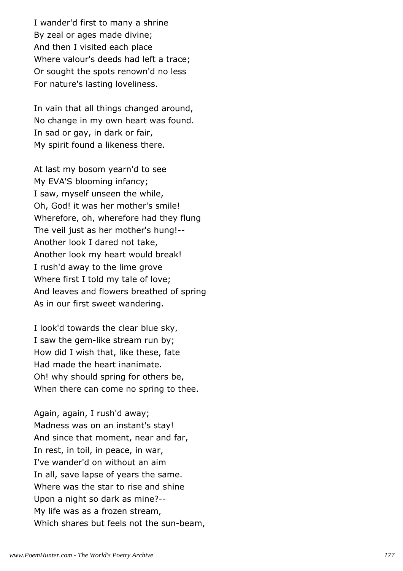I wander'd first to many a shrine By zeal or ages made divine; And then I visited each place Where valour's deeds had left a trace; Or sought the spots renown'd no less For nature's lasting loveliness.

In vain that all things changed around, No change in my own heart was found. In sad or gay, in dark or fair, My spirit found a likeness there.

At last my bosom yearn'd to see My EVA'S blooming infancy; I saw, myself unseen the while, Oh, God! it was her mother's smile! Wherefore, oh, wherefore had they flung The veil just as her mother's hung!-- Another look I dared not take, Another look my heart would break! I rush'd away to the lime grove Where first I told my tale of love; And leaves and flowers breathed of spring As in our first sweet wandering.

I look'd towards the clear blue sky, I saw the gem-like stream run by; How did I wish that, like these, fate Had made the heart inanimate. Oh! why should spring for others be, When there can come no spring to thee.

Again, again, I rush'd away; Madness was on an instant's stay! And since that moment, near and far, In rest, in toil, in peace, in war, I've wander'd on without an aim In all, save lapse of years the same. Where was the star to rise and shine Upon a night so dark as mine?-- My life was as a frozen stream, Which shares but feels not the sun-beam,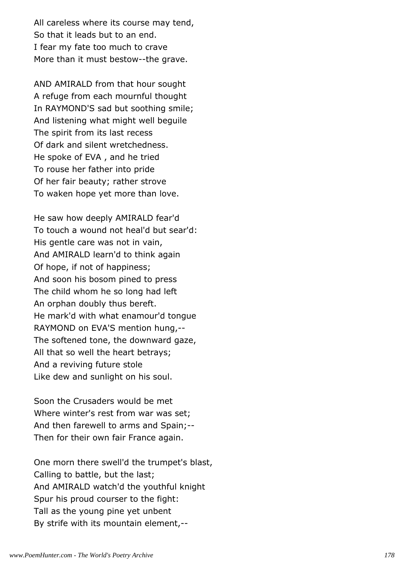All careless where its course may tend, So that it leads but to an end. I fear my fate too much to crave More than it must bestow--the grave.

AND AMIRALD from that hour sought A refuge from each mournful thought In RAYMOND'S sad but soothing smile; And listening what might well beguile The spirit from its last recess Of dark and silent wretchedness. He spoke of EVA , and he tried To rouse her father into pride Of her fair beauty; rather strove To waken hope yet more than love.

He saw how deeply AMIRALD fear'd To touch a wound not heal'd but sear'd: His gentle care was not in vain, And AMIRALD learn'd to think again Of hope, if not of happiness; And soon his bosom pined to press The child whom he so long had left An orphan doubly thus bereft. He mark'd with what enamour'd tongue RAYMOND on EVA'S mention hung,-- The softened tone, the downward gaze, All that so well the heart betrays; And a reviving future stole Like dew and sunlight on his soul.

Soon the Crusaders would be met Where winter's rest from war was set; And then farewell to arms and Spain;-- Then for their own fair France again.

One morn there swell'd the trumpet's blast, Calling to battle, but the last; And AMIRALD watch'd the youthful knight Spur his proud courser to the fight: Tall as the young pine yet unbent By strife with its mountain element,--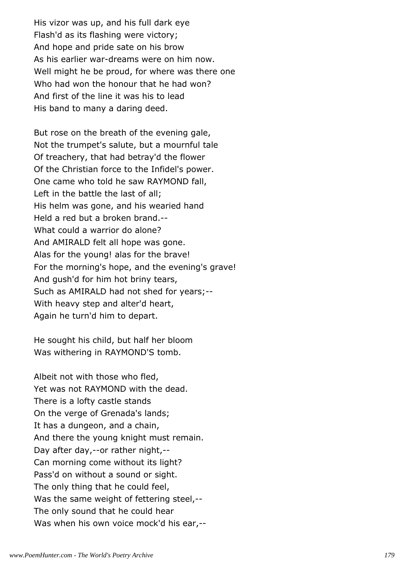His vizor was up, and his full dark eye Flash'd as its flashing were victory; And hope and pride sate on his brow As his earlier war-dreams were on him now. Well might he be proud, for where was there one Who had won the honour that he had won? And first of the line it was his to lead His band to many a daring deed.

But rose on the breath of the evening gale, Not the trumpet's salute, but a mournful tale Of treachery, that had betray'd the flower Of the Christian force to the Infidel's power. One came who told he saw RAYMOND fall, Left in the battle the last of all; His helm was gone, and his wearied hand Held a red but a broken brand.-- What could a warrior do alone? And AMIRALD felt all hope was gone. Alas for the young! alas for the brave! For the morning's hope, and the evening's grave! And gush'd for him hot briny tears, Such as AMIRALD had not shed for years;-- With heavy step and alter'd heart, Again he turn'd him to depart.

He sought his child, but half her bloom Was withering in RAYMOND'S tomb.

Albeit not with those who fled, Yet was not RAYMOND with the dead. There is a lofty castle stands On the verge of Grenada's lands; It has a dungeon, and a chain, And there the young knight must remain. Day after day,--or rather night,-- Can morning come without its light? Pass'd on without a sound or sight. The only thing that he could feel, Was the same weight of fettering steel,-- The only sound that he could hear Was when his own voice mock'd his ear,--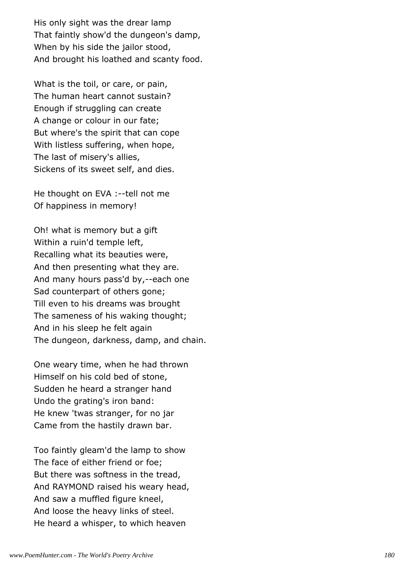His only sight was the drear lamp That faintly show'd the dungeon's damp, When by his side the jailor stood, And brought his loathed and scanty food.

What is the toil, or care, or pain, The human heart cannot sustain? Enough if struggling can create A change or colour in our fate; But where's the spirit that can cope With listless suffering, when hope, The last of misery's allies, Sickens of its sweet self, and dies.

He thought on EVA :--tell not me Of happiness in memory!

Oh! what is memory but a gift Within a ruin'd temple left, Recalling what its beauties were, And then presenting what they are. And many hours pass'd by,--each one Sad counterpart of others gone; Till even to his dreams was brought The sameness of his waking thought; And in his sleep he felt again The dungeon, darkness, damp, and chain.

One weary time, when he had thrown Himself on his cold bed of stone, Sudden he heard a stranger hand Undo the grating's iron band: He knew 'twas stranger, for no jar Came from the hastily drawn bar.

Too faintly gleam'd the lamp to show The face of either friend or foe; But there was softness in the tread, And RAYMOND raised his weary head, And saw a muffled figure kneel, And loose the heavy links of steel. He heard a whisper, to which heaven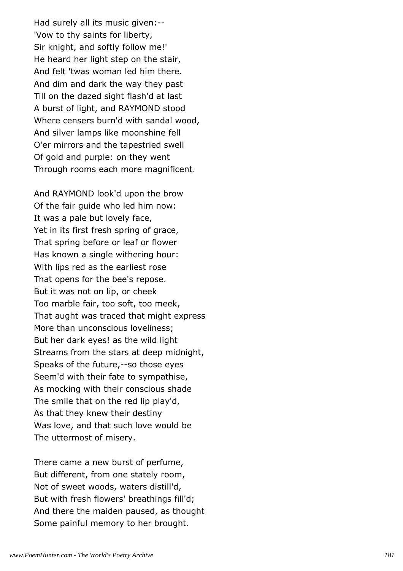Had surely all its music given:-- 'Vow to thy saints for liberty, Sir knight, and softly follow me!' He heard her light step on the stair, And felt 'twas woman led him there. And dim and dark the way they past Till on the dazed sight flash'd at last A burst of light, and RAYMOND stood Where censers burn'd with sandal wood, And silver lamps like moonshine fell O'er mirrors and the tapestried swell Of gold and purple: on they went Through rooms each more magnificent.

And RAYMOND look'd upon the brow Of the fair guide who led him now: It was a pale but lovely face, Yet in its first fresh spring of grace, That spring before or leaf or flower Has known a single withering hour: With lips red as the earliest rose That opens for the bee's repose. But it was not on lip, or cheek Too marble fair, too soft, too meek, That aught was traced that might express More than unconscious loveliness; But her dark eyes! as the wild light Streams from the stars at deep midnight, Speaks of the future,--so those eyes Seem'd with their fate to sympathise, As mocking with their conscious shade The smile that on the red lip play'd, As that they knew their destiny Was love, and that such love would be The uttermost of misery.

There came a new burst of perfume, But different, from one stately room, Not of sweet woods, waters distill'd, But with fresh flowers' breathings fill'd; And there the maiden paused, as thought Some painful memory to her brought.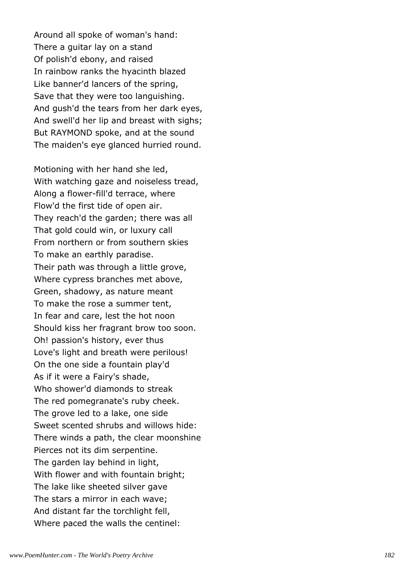Around all spoke of woman's hand: There a guitar lay on a stand Of polish'd ebony, and raised In rainbow ranks the hyacinth blazed Like banner'd lancers of the spring, Save that they were too languishing. And gush'd the tears from her dark eyes, And swell'd her lip and breast with sighs; But RAYMOND spoke, and at the sound The maiden's eye glanced hurried round.

Motioning with her hand she led, With watching gaze and noiseless tread, Along a flower-fill'd terrace, where Flow'd the first tide of open air. They reach'd the garden; there was all That gold could win, or luxury call From northern or from southern skies To make an earthly paradise. Their path was through a little grove, Where cypress branches met above, Green, shadowy, as nature meant To make the rose a summer tent, In fear and care, lest the hot noon Should kiss her fragrant brow too soon. Oh! passion's history, ever thus Love's light and breath were perilous! On the one side a fountain play'd As if it were a Fairy's shade, Who shower'd diamonds to streak The red pomegranate's ruby cheek. The grove led to a lake, one side Sweet scented shrubs and willows hide: There winds a path, the clear moonshine Pierces not its dim serpentine. The garden lay behind in light, With flower and with fountain bright; The lake like sheeted silver gave The stars a mirror in each wave; And distant far the torchlight fell, Where paced the walls the centinel: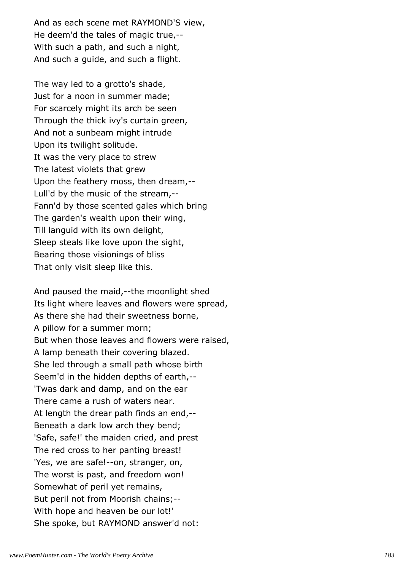And as each scene met RAYMOND'S view, He deem'd the tales of magic true,-- With such a path, and such a night, And such a guide, and such a flight.

The way led to a grotto's shade, Just for a noon in summer made; For scarcely might its arch be seen Through the thick ivy's curtain green, And not a sunbeam might intrude Upon its twilight solitude. It was the very place to strew The latest violets that grew Upon the feathery moss, then dream,-- Lull'd by the music of the stream,-- Fann'd by those scented gales which bring The garden's wealth upon their wing, Till languid with its own delight, Sleep steals like love upon the sight, Bearing those visionings of bliss That only visit sleep like this.

And paused the maid,--the moonlight shed Its light where leaves and flowers were spread, As there she had their sweetness borne, A pillow for a summer morn; But when those leaves and flowers were raised, A lamp beneath their covering blazed. She led through a small path whose birth Seem'd in the hidden depths of earth,-- 'Twas dark and damp, and on the ear There came a rush of waters near. At length the drear path finds an end,-- Beneath a dark low arch they bend; 'Safe, safe!' the maiden cried, and prest The red cross to her panting breast! 'Yes, we are safe!--on, stranger, on, The worst is past, and freedom won! Somewhat of peril yet remains, But peril not from Moorish chains;-- With hope and heaven be our lot!' She spoke, but RAYMOND answer'd not: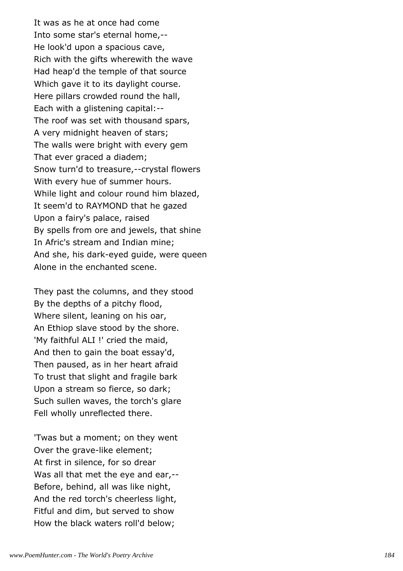It was as he at once had come Into some star's eternal home,-- He look'd upon a spacious cave, Rich with the gifts wherewith the wave Had heap'd the temple of that source Which gave it to its daylight course. Here pillars crowded round the hall, Each with a glistening capital:-- The roof was set with thousand spars, A very midnight heaven of stars; The walls were bright with every gem That ever graced a diadem; Snow turn'd to treasure,--crystal flowers With every hue of summer hours. While light and colour round him blazed, It seem'd to RAYMOND that he gazed Upon a fairy's palace, raised By spells from ore and jewels, that shine In Afric's stream and Indian mine; And she, his dark-eyed guide, were queen Alone in the enchanted scene.

They past the columns, and they stood By the depths of a pitchy flood, Where silent, leaning on his oar, An Ethiop slave stood by the shore. 'My faithful ALI !' cried the maid, And then to gain the boat essay'd, Then paused, as in her heart afraid To trust that slight and fragile bark Upon a stream so fierce, so dark; Such sullen waves, the torch's glare Fell wholly unreflected there.

'Twas but a moment; on they went Over the grave-like element; At first in silence, for so drear Was all that met the eye and ear,-- Before, behind, all was like night, And the red torch's cheerless light, Fitful and dim, but served to show How the black waters roll'd below;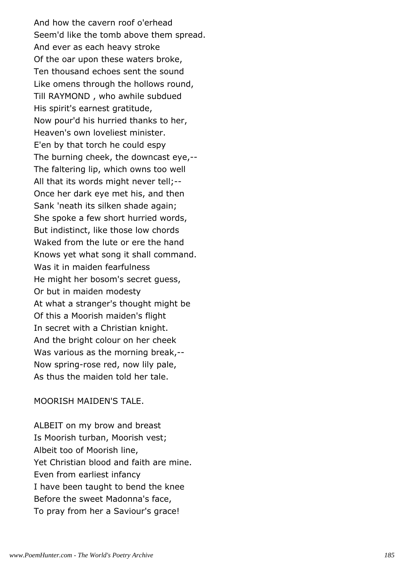And how the cavern roof o'erhead Seem'd like the tomb above them spread. And ever as each heavy stroke Of the oar upon these waters broke, Ten thousand echoes sent the sound Like omens through the hollows round, Till RAYMOND , who awhile subdued His spirit's earnest gratitude, Now pour'd his hurried thanks to her, Heaven's own loveliest minister. E'en by that torch he could espy The burning cheek, the downcast eye,-- The faltering lip, which owns too well All that its words might never tell;-- Once her dark eye met his, and then Sank 'neath its silken shade again; She spoke a few short hurried words, But indistinct, like those low chords Waked from the lute or ere the hand Knows yet what song it shall command. Was it in maiden fearfulness He might her bosom's secret guess, Or but in maiden modesty At what a stranger's thought might be Of this a Moorish maiden's flight In secret with a Christian knight. And the bright colour on her cheek Was various as the morning break,-- Now spring-rose red, now lily pale, As thus the maiden told her tale.

### MOORISH MAIDEN'S TALE.

ALBEIT on my brow and breast Is Moorish turban, Moorish vest; Albeit too of Moorish line, Yet Christian blood and faith are mine. Even from earliest infancy I have been taught to bend the knee Before the sweet Madonna's face, To pray from her a Saviour's grace!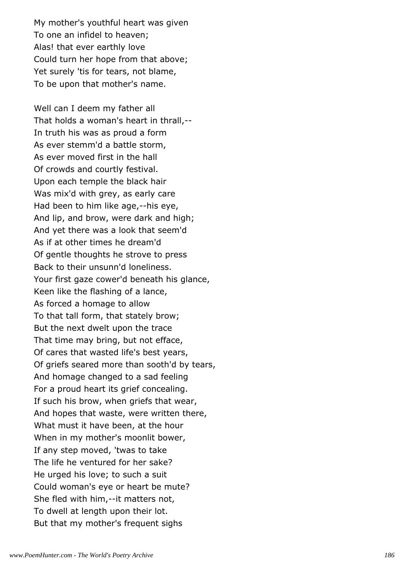My mother's youthful heart was given To one an infidel to heaven; Alas! that ever earthly love Could turn her hope from that above; Yet surely 'tis for tears, not blame, To be upon that mother's name.

Well can I deem my father all That holds a woman's heart in thrall,-- In truth his was as proud a form As ever stemm'd a battle storm, As ever moved first in the hall Of crowds and courtly festival. Upon each temple the black hair Was mix'd with grey, as early care Had been to him like age,--his eye, And lip, and brow, were dark and high; And yet there was a look that seem'd As if at other times he dream'd Of gentle thoughts he strove to press Back to their unsunn'd loneliness. Your first gaze cower'd beneath his glance, Keen like the flashing of a lance, As forced a homage to allow To that tall form, that stately brow; But the next dwelt upon the trace That time may bring, but not efface, Of cares that wasted life's best years, Of griefs seared more than sooth'd by tears, And homage changed to a sad feeling For a proud heart its grief concealing. If such his brow, when griefs that wear, And hopes that waste, were written there, What must it have been, at the hour When in my mother's moonlit bower, If any step moved, 'twas to take The life he ventured for her sake? He urged his love; to such a suit Could woman's eye or heart be mute? She fled with him,--it matters not, To dwell at length upon their lot. But that my mother's frequent sighs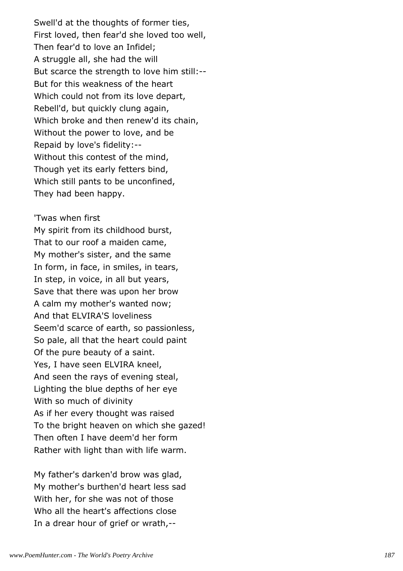Swell'd at the thoughts of former ties, First loved, then fear'd she loved too well, Then fear'd to love an Infidel; A struggle all, she had the will But scarce the strength to love him still:-- But for this weakness of the heart Which could not from its love depart, Rebell'd, but quickly clung again, Which broke and then renew'd its chain, Without the power to love, and be Repaid by love's fidelity:-- Without this contest of the mind, Though yet its early fetters bind, Which still pants to be unconfined, They had been happy.

### 'Twas when first

My spirit from its childhood burst, That to our roof a maiden came, My mother's sister, and the same In form, in face, in smiles, in tears, In step, in voice, in all but years, Save that there was upon her brow A calm my mother's wanted now; And that ELVIRA'S loveliness Seem'd scarce of earth, so passionless, So pale, all that the heart could paint Of the pure beauty of a saint. Yes, I have seen ELVIRA kneel, And seen the rays of evening steal, Lighting the blue depths of her eye With so much of divinity As if her every thought was raised To the bright heaven on which she gazed! Then often I have deem'd her form Rather with light than with life warm.

My father's darken'd brow was glad, My mother's burthen'd heart less sad With her, for she was not of those Who all the heart's affections close In a drear hour of grief or wrath,--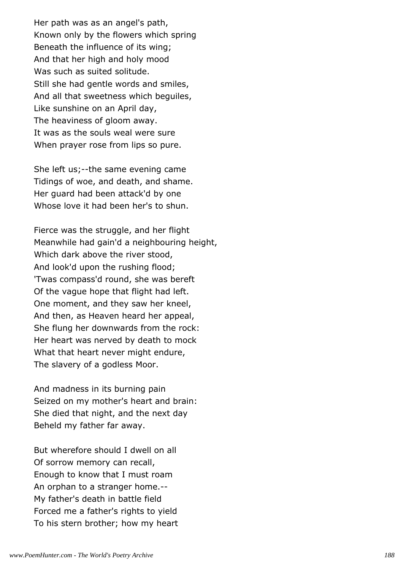Her path was as an angel's path, Known only by the flowers which spring Beneath the influence of its wing; And that her high and holy mood Was such as suited solitude. Still she had gentle words and smiles, And all that sweetness which beguiles, Like sunshine on an April day, The heaviness of gloom away. It was as the souls weal were sure When prayer rose from lips so pure.

She left us;--the same evening came Tidings of woe, and death, and shame. Her guard had been attack'd by one Whose love it had been her's to shun.

Fierce was the struggle, and her flight Meanwhile had gain'd a neighbouring height, Which dark above the river stood, And look'd upon the rushing flood; 'Twas compass'd round, she was bereft Of the vague hope that flight had left. One moment, and they saw her kneel, And then, as Heaven heard her appeal, She flung her downwards from the rock: Her heart was nerved by death to mock What that heart never might endure, The slavery of a godless Moor.

And madness in its burning pain Seized on my mother's heart and brain: She died that night, and the next day Beheld my father far away.

But wherefore should I dwell on all Of sorrow memory can recall, Enough to know that I must roam An orphan to a stranger home.-- My father's death in battle field Forced me a father's rights to yield To his stern brother; how my heart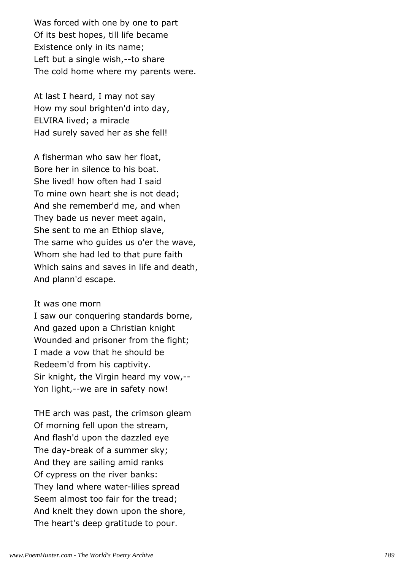Was forced with one by one to part Of its best hopes, till life became Existence only in its name; Left but a single wish,--to share The cold home where my parents were.

At last I heard, I may not say How my soul brighten'd into day, ELVIRA lived; a miracle Had surely saved her as she fell!

A fisherman who saw her float, Bore her in silence to his boat. She lived! how often had I said To mine own heart she is not dead; And she remember'd me, and when They bade us never meet again, She sent to me an Ethiop slave, The same who guides us o'er the wave, Whom she had led to that pure faith Which sains and saves in life and death, And plann'd escape.

### It was one morn

I saw our conquering standards borne, And gazed upon a Christian knight Wounded and prisoner from the fight; I made a vow that he should be Redeem'd from his captivity. Sir knight, the Virgin heard my vow,-- Yon light,--we are in safety now!

THE arch was past, the crimson gleam Of morning fell upon the stream, And flash'd upon the dazzled eye The day-break of a summer sky; And they are sailing amid ranks Of cypress on the river banks: They land where water-lilies spread Seem almost too fair for the tread; And knelt they down upon the shore, The heart's deep gratitude to pour.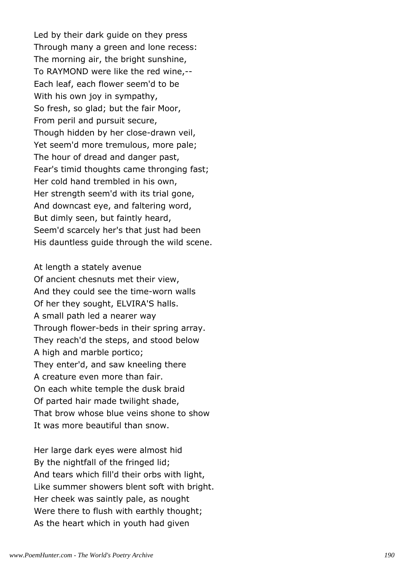Led by their dark guide on they press Through many a green and lone recess: The morning air, the bright sunshine, To RAYMOND were like the red wine,-- Each leaf, each flower seem'd to be With his own joy in sympathy, So fresh, so glad; but the fair Moor, From peril and pursuit secure, Though hidden by her close-drawn veil, Yet seem'd more tremulous, more pale; The hour of dread and danger past, Fear's timid thoughts came thronging fast; Her cold hand trembled in his own, Her strength seem'd with its trial gone, And downcast eye, and faltering word, But dimly seen, but faintly heard, Seem'd scarcely her's that just had been His dauntless guide through the wild scene.

At length a stately avenue Of ancient chesnuts met their view, And they could see the time-worn walls Of her they sought, ELVIRA'S halls. A small path led a nearer way Through flower-beds in their spring array. They reach'd the steps, and stood below A high and marble portico; They enter'd, and saw kneeling there A creature even more than fair. On each white temple the dusk braid Of parted hair made twilight shade, That brow whose blue veins shone to show It was more beautiful than snow.

Her large dark eyes were almost hid By the nightfall of the fringed lid; And tears which fill'd their orbs with light, Like summer showers blent soft with bright. Her cheek was saintly pale, as nought Were there to flush with earthly thought; As the heart which in youth had given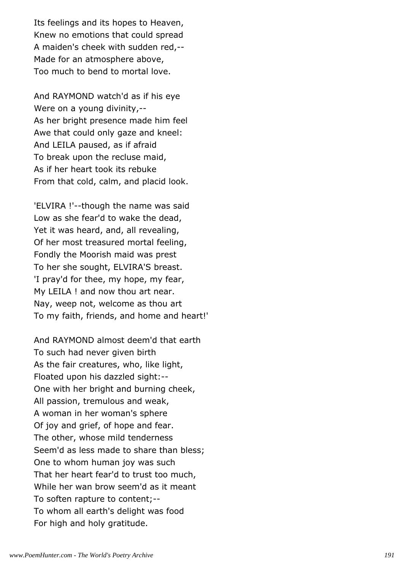Its feelings and its hopes to Heaven, Knew no emotions that could spread A maiden's cheek with sudden red,-- Made for an atmosphere above, Too much to bend to mortal love.

And RAYMOND watch'd as if his eye Were on a young divinity,-- As her bright presence made him feel Awe that could only gaze and kneel: And LEILA paused, as if afraid To break upon the recluse maid, As if her heart took its rebuke From that cold, calm, and placid look.

'ELVIRA !'--though the name was said Low as she fear'd to wake the dead, Yet it was heard, and, all revealing, Of her most treasured mortal feeling, Fondly the Moorish maid was prest To her she sought, ELVIRA'S breast. 'I pray'd for thee, my hope, my fear, My LEILA ! and now thou art near. Nay, weep not, welcome as thou art To my faith, friends, and home and heart!'

And RAYMOND almost deem'd that earth To such had never given birth As the fair creatures, who, like light, Floated upon his dazzled sight:-- One with her bright and burning cheek, All passion, tremulous and weak, A woman in her woman's sphere Of joy and grief, of hope and fear. The other, whose mild tenderness Seem'd as less made to share than bless; One to whom human joy was such That her heart fear'd to trust too much, While her wan brow seem'd as it meant To soften rapture to content;-- To whom all earth's delight was food For high and holy gratitude.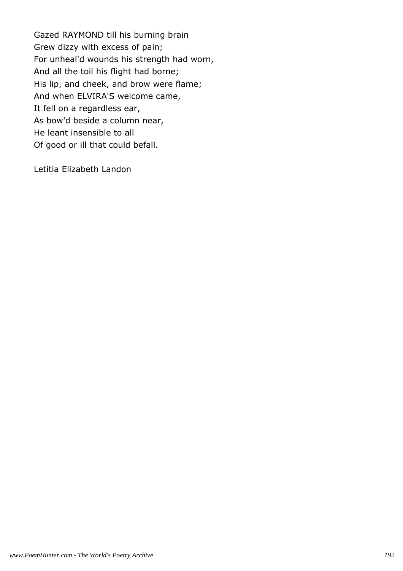Gazed RAYMOND till his burning brain Grew dizzy with excess of pain; For unheal'd wounds his strength had worn, And all the toil his flight had borne; His lip, and cheek, and brow were flame; And when ELVIRA'S welcome came, It fell on a regardless ear, As bow'd beside a column near, He leant insensible to all Of good or ill that could befall.

Letitia Elizabeth Landon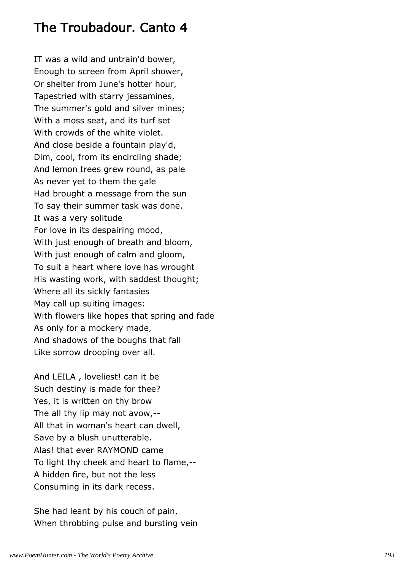# The Troubadour. Canto 4

IT was a wild and untrain'd bower, Enough to screen from April shower, Or shelter from June's hotter hour, Tapestried with starry jessamines, The summer's gold and silver mines; With a moss seat, and its turf set With crowds of the white violet. And close beside a fountain play'd, Dim, cool, from its encircling shade; And lemon trees grew round, as pale As never yet to them the gale Had brought a message from the sun To say their summer task was done. It was a very solitude For love in its despairing mood, With just enough of breath and bloom, With just enough of calm and gloom, To suit a heart where love has wrought His wasting work, with saddest thought; Where all its sickly fantasies May call up suiting images: With flowers like hopes that spring and fade As only for a mockery made, And shadows of the boughs that fall Like sorrow drooping over all.

And LEILA , loveliest! can it be Such destiny is made for thee? Yes, it is written on thy brow The all thy lip may not avow,-- All that in woman's heart can dwell, Save by a blush unutterable. Alas! that ever RAYMOND came To light thy cheek and heart to flame,-- A hidden fire, but not the less Consuming in its dark recess.

She had leant by his couch of pain, When throbbing pulse and bursting vein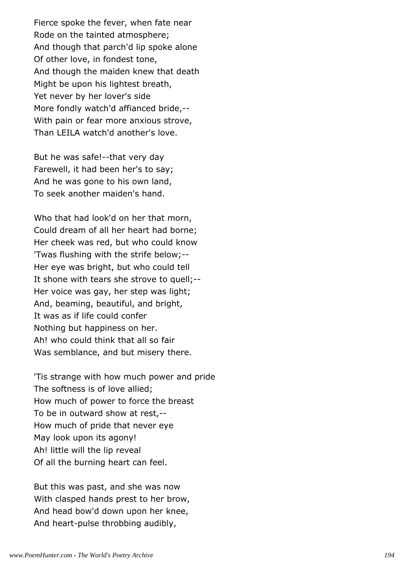Fierce spoke the fever, when fate near Rode on the tainted atmosphere; And though that parch'd lip spoke alone Of other love, in fondest tone, And though the maiden knew that death Might be upon his lightest breath, Yet never by her lover's side More fondly watch'd affianced bride,-- With pain or fear more anxious strove, Than LEILA watch'd another's love.

But he was safe!--that very day Farewell, it had been her's to say; And he was gone to his own land, To seek another maiden's hand.

Who that had look'd on her that morn, Could dream of all her heart had borne; Her cheek was red, but who could know 'Twas flushing with the strife below;-- Her eye was bright, but who could tell It shone with tears she strove to quell;-- Her voice was gay, her step was light; And, beaming, beautiful, and bright, It was as if life could confer Nothing but happiness on her. Ah! who could think that all so fair Was semblance, and but misery there.

'Tis strange with how much power and pride The softness is of love allied; How much of power to force the breast To be in outward show at rest,-- How much of pride that never eye May look upon its agony! Ah! little will the lip reveal Of all the burning heart can feel.

But this was past, and she was now With clasped hands prest to her brow, And head bow'd down upon her knee, And heart-pulse throbbing audibly,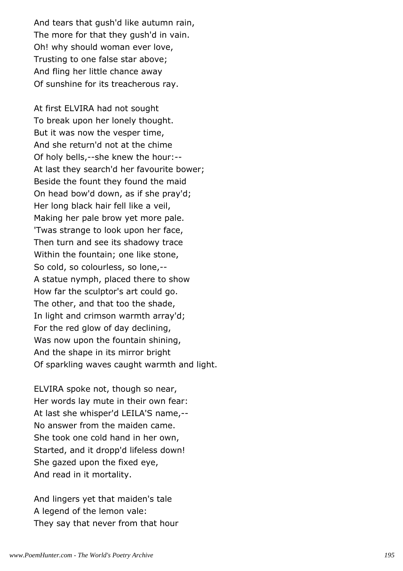And tears that gush'd like autumn rain, The more for that they gush'd in vain. Oh! why should woman ever love, Trusting to one false star above; And fling her little chance away Of sunshine for its treacherous ray.

At first ELVIRA had not sought To break upon her lonely thought. But it was now the vesper time, And she return'd not at the chime Of holy bells,--she knew the hour:-- At last they search'd her favourite bower; Beside the fount they found the maid On head bow'd down, as if she pray'd; Her long black hair fell like a veil, Making her pale brow yet more pale. 'Twas strange to look upon her face, Then turn and see its shadowy trace Within the fountain; one like stone, So cold, so colourless, so lone,-- A statue nymph, placed there to show How far the sculptor's art could go. The other, and that too the shade, In light and crimson warmth array'd; For the red glow of day declining, Was now upon the fountain shining, And the shape in its mirror bright Of sparkling waves caught warmth and light.

ELVIRA spoke not, though so near, Her words lay mute in their own fear: At last she whisper'd LEILA'S name,-- No answer from the maiden came. She took one cold hand in her own, Started, and it dropp'd lifeless down! She gazed upon the fixed eye, And read in it mortality.

And lingers yet that maiden's tale A legend of the lemon vale: They say that never from that hour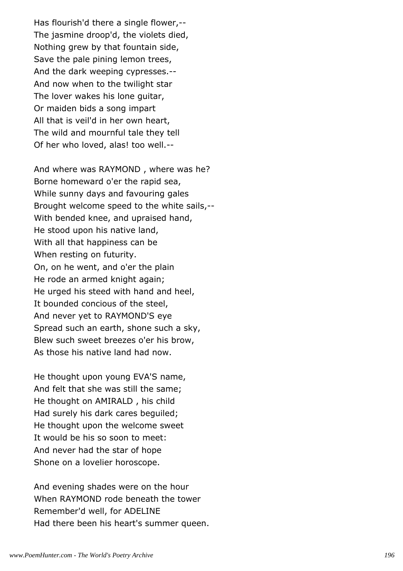Has flourish'd there a single flower,-- The jasmine droop'd, the violets died, Nothing grew by that fountain side, Save the pale pining lemon trees, And the dark weeping cypresses.-- And now when to the twilight star The lover wakes his lone guitar, Or maiden bids a song impart All that is veil'd in her own heart, The wild and mournful tale they tell Of her who loved, alas! too well.--

And where was RAYMOND , where was he? Borne homeward o'er the rapid sea, While sunny days and favouring gales Brought welcome speed to the white sails,-- With bended knee, and upraised hand, He stood upon his native land, With all that happiness can be When resting on futurity. On, on he went, and o'er the plain He rode an armed knight again; He urged his steed with hand and heel, It bounded concious of the steel, And never yet to RAYMOND'S eye Spread such an earth, shone such a sky, Blew such sweet breezes o'er his brow, As those his native land had now.

He thought upon young EVA'S name, And felt that she was still the same; He thought on AMIRALD , his child Had surely his dark cares beguiled; He thought upon the welcome sweet It would be his so soon to meet: And never had the star of hope Shone on a lovelier horoscope.

And evening shades were on the hour When RAYMOND rode beneath the tower Remember'd well, for ADELINE Had there been his heart's summer queen.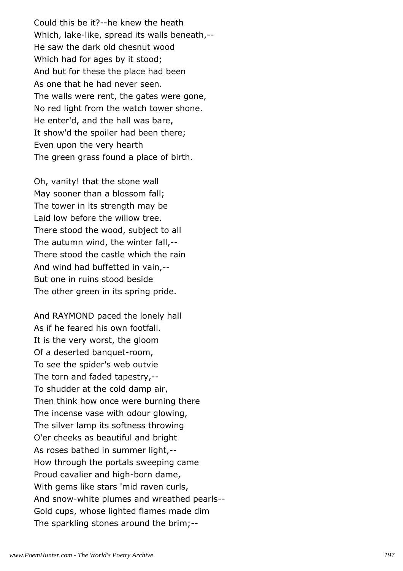Could this be it?--he knew the heath Which, lake-like, spread its walls beneath,-- He saw the dark old chesnut wood Which had for ages by it stood; And but for these the place had been As one that he had never seen. The walls were rent, the gates were gone, No red light from the watch tower shone. He enter'd, and the hall was bare, It show'd the spoiler had been there; Even upon the very hearth The green grass found a place of birth.

Oh, vanity! that the stone wall May sooner than a blossom fall; The tower in its strength may be Laid low before the willow tree. There stood the wood, subject to all The autumn wind, the winter fall,-- There stood the castle which the rain And wind had buffetted in vain,-- But one in ruins stood beside The other green in its spring pride.

And RAYMOND paced the lonely hall As if he feared his own footfall. It is the very worst, the gloom Of a deserted banquet-room, To see the spider's web outvie The torn and faded tapestry,-- To shudder at the cold damp air, Then think how once were burning there The incense vase with odour glowing, The silver lamp its softness throwing O'er cheeks as beautiful and bright As roses bathed in summer light,-- How through the portals sweeping came Proud cavalier and high-born dame, With gems like stars 'mid raven curls, And snow-white plumes and wreathed pearls-- Gold cups, whose lighted flames made dim The sparkling stones around the brim;--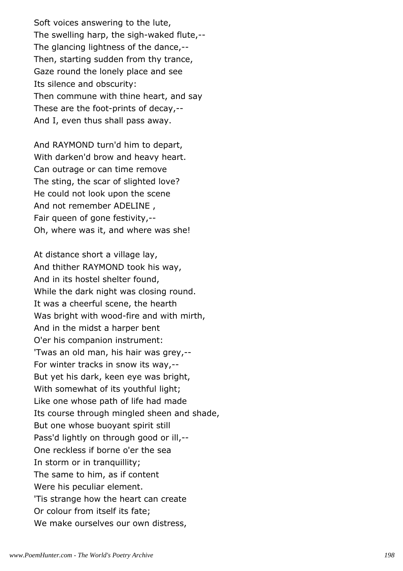Soft voices answering to the lute, The swelling harp, the sigh-waked flute,-- The glancing lightness of the dance,-- Then, starting sudden from thy trance, Gaze round the lonely place and see Its silence and obscurity: Then commune with thine heart, and say These are the foot-prints of decay,-- And I, even thus shall pass away.

And RAYMOND turn'd him to depart, With darken'd brow and heavy heart. Can outrage or can time remove The sting, the scar of slighted love? He could not look upon the scene And not remember ADELINE , Fair queen of gone festivity,-- Oh, where was it, and where was she!

At distance short a village lay, And thither RAYMOND took his way, And in its hostel shelter found, While the dark night was closing round. It was a cheerful scene, the hearth Was bright with wood-fire and with mirth, And in the midst a harper bent O'er his companion instrument: 'Twas an old man, his hair was grey,-- For winter tracks in snow its way,-- But yet his dark, keen eye was bright, With somewhat of its youthful light; Like one whose path of life had made Its course through mingled sheen and shade, But one whose buoyant spirit still Pass'd lightly on through good or ill,-- One reckless if borne o'er the sea In storm or in tranquillity; The same to him, as if content Were his peculiar element. 'Tis strange how the heart can create Or colour from itself its fate; We make ourselves our own distress,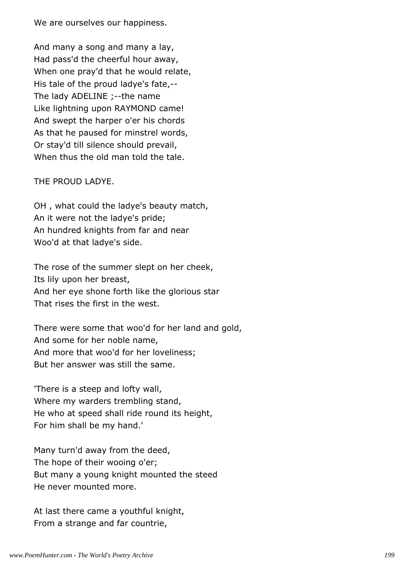We are ourselves our happiness.

And many a song and many a lay, Had pass'd the cheerful hour away, When one pray'd that he would relate, His tale of the proud ladye's fate,-- The lady ADELINE ;--the name Like lightning upon RAYMOND came! And swept the harper o'er his chords As that he paused for minstrel words, Or stay'd till silence should prevail, When thus the old man told the tale.

## THE PROUD LADYE.

OH , what could the ladye's beauty match, An it were not the ladye's pride; An hundred knights from far and near Woo'd at that ladye's side.

The rose of the summer slept on her cheek, Its lily upon her breast, And her eye shone forth like the glorious star That rises the first in the west.

There were some that woo'd for her land and gold, And some for her noble name, And more that woo'd for her loveliness; But her answer was still the same.

'There is a steep and lofty wall, Where my warders trembling stand, He who at speed shall ride round its height, For him shall be my hand.'

Many turn'd away from the deed, The hope of their wooing o'er; But many a young knight mounted the steed He never mounted more.

At last there came a youthful knight, From a strange and far countrie,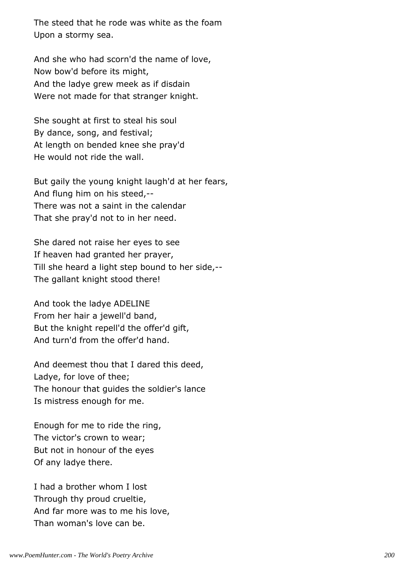The steed that he rode was white as the foam Upon a stormy sea.

And she who had scorn'd the name of love, Now bow'd before its might, And the ladye grew meek as if disdain Were not made for that stranger knight.

She sought at first to steal his soul By dance, song, and festival; At length on bended knee she pray'd He would not ride the wall.

But gaily the young knight laugh'd at her fears, And flung him on his steed,-- There was not a saint in the calendar That she pray'd not to in her need.

She dared not raise her eyes to see If heaven had granted her prayer, Till she heard a light step bound to her side,-- The gallant knight stood there!

And took the ladye ADELINE From her hair a jewell'd band, But the knight repell'd the offer'd gift, And turn'd from the offer'd hand.

And deemest thou that I dared this deed, Ladye, for love of thee; The honour that guides the soldier's lance Is mistress enough for me.

Enough for me to ride the ring, The victor's crown to wear; But not in honour of the eyes Of any ladye there.

I had a brother whom I lost Through thy proud crueltie, And far more was to me his love, Than woman's love can be.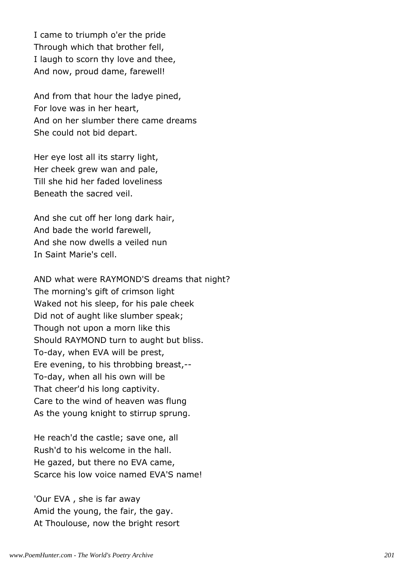I came to triumph o'er the pride Through which that brother fell, I laugh to scorn thy love and thee, And now, proud dame, farewell!

And from that hour the ladye pined, For love was in her heart, And on her slumber there came dreams She could not bid depart.

Her eye lost all its starry light, Her cheek grew wan and pale, Till she hid her faded loveliness Beneath the sacred veil.

And she cut off her long dark hair, And bade the world farewell, And she now dwells a veiled nun In Saint Marie's cell.

AND what were RAYMOND'S dreams that night? The morning's gift of crimson light Waked not his sleep, for his pale cheek Did not of aught like slumber speak; Though not upon a morn like this Should RAYMOND turn to aught but bliss. To-day, when EVA will be prest, Ere evening, to his throbbing breast,-- To-day, when all his own will be That cheer'd his long captivity. Care to the wind of heaven was flung As the young knight to stirrup sprung.

He reach'd the castle; save one, all Rush'd to his welcome in the hall. He gazed, but there no EVA came, Scarce his low voice named EVA'S name!

'Our EVA , she is far away Amid the young, the fair, the gay. At Thoulouse, now the bright resort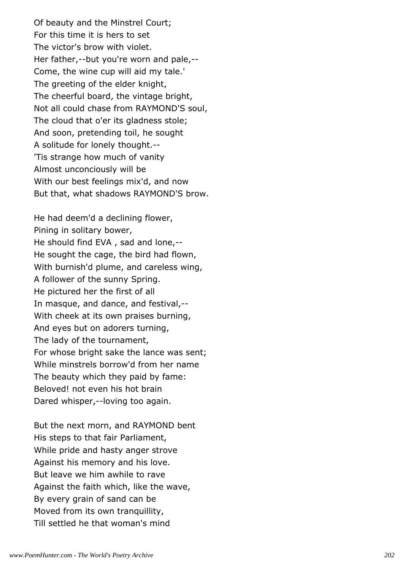Of beauty and the Minstrel Court; For this time it is hers to set The victor's brow with violet. Her father,--but you're worn and pale,-- Come, the wine cup will aid my tale.' The greeting of the elder knight, The cheerful board, the vintage bright, Not all could chase from RAYMOND'S soul, The cloud that o'er its gladness stole; And soon, pretending toil, he sought A solitude for lonely thought.-- 'Tis strange how much of vanity Almost unconciously will be With our best feelings mix'd, and now But that, what shadows RAYMOND'S brow.

He had deem'd a declining flower, Pining in solitary bower, He should find EVA , sad and lone,-- He sought the cage, the bird had flown, With burnish'd plume, and careless wing, A follower of the sunny Spring. He pictured her the first of all In masque, and dance, and festival,-- With cheek at its own praises burning, And eyes but on adorers turning, The lady of the tournament, For whose bright sake the lance was sent; While minstrels borrow'd from her name The beauty which they paid by fame: Beloved! not even his hot brain Dared whisper,--loving too again.

But the next morn, and RAYMOND bent His steps to that fair Parliament, While pride and hasty anger strove Against his memory and his love. But leave we him awhile to rave Against the faith which, like the wave, By every grain of sand can be Moved from its own tranquillity, Till settled he that woman's mind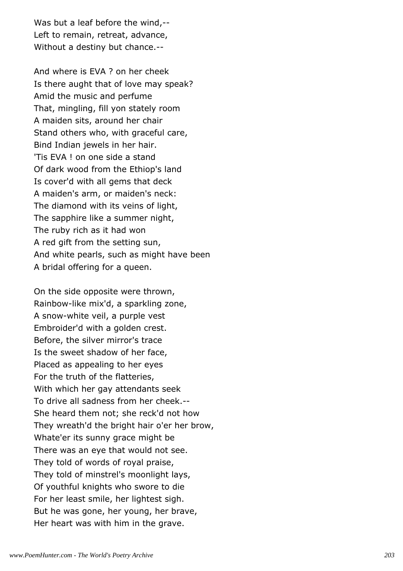Was but a leaf before the wind,-- Left to remain, retreat, advance, Without a destiny but chance.--

And where is EVA ? on her cheek Is there aught that of love may speak? Amid the music and perfume That, mingling, fill yon stately room A maiden sits, around her chair Stand others who, with graceful care, Bind Indian jewels in her hair. 'Tis EVA ! on one side a stand Of dark wood from the Ethiop's land Is cover'd with all gems that deck A maiden's arm, or maiden's neck: The diamond with its veins of light, The sapphire like a summer night, The ruby rich as it had won A red gift from the setting sun, And white pearls, such as might have been A bridal offering for a queen.

On the side opposite were thrown, Rainbow-like mix'd, a sparkling zone, A snow-white veil, a purple vest Embroider'd with a golden crest. Before, the silver mirror's trace Is the sweet shadow of her face, Placed as appealing to her eyes For the truth of the flatteries, With which her gay attendants seek To drive all sadness from her cheek.-- She heard them not; she reck'd not how They wreath'd the bright hair o'er her brow, Whate'er its sunny grace might be There was an eye that would not see. They told of words of royal praise, They told of minstrel's moonlight lays, Of youthful knights who swore to die For her least smile, her lightest sigh. But he was gone, her young, her brave, Her heart was with him in the grave.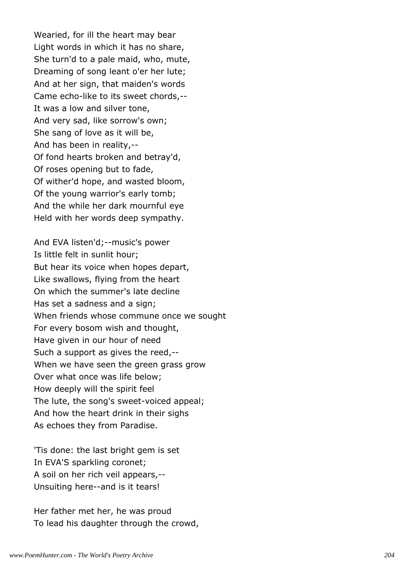Wearied, for ill the heart may bear Light words in which it has no share, She turn'd to a pale maid, who, mute, Dreaming of song leant o'er her lute; And at her sign, that maiden's words Came echo-like to its sweet chords,-- It was a low and silver tone, And very sad, like sorrow's own; She sang of love as it will be, And has been in reality,-- Of fond hearts broken and betray'd, Of roses opening but to fade, Of wither'd hope, and wasted bloom, Of the young warrior's early tomb; And the while her dark mournful eye Held with her words deep sympathy.

And EVA listen'd;--music's power Is little felt in sunlit hour; But hear its voice when hopes depart, Like swallows, flying from the heart On which the summer's late decline Has set a sadness and a sign; When friends whose commune once we sought For every bosom wish and thought, Have given in our hour of need Such a support as gives the reed,-- When we have seen the green grass grow Over what once was life below; How deeply will the spirit feel The lute, the song's sweet-voiced appeal; And how the heart drink in their sighs As echoes they from Paradise.

'Tis done: the last bright gem is set In EVA'S sparkling coronet; A soil on her rich veil appears,-- Unsuiting here--and is it tears!

Her father met her, he was proud To lead his daughter through the crowd,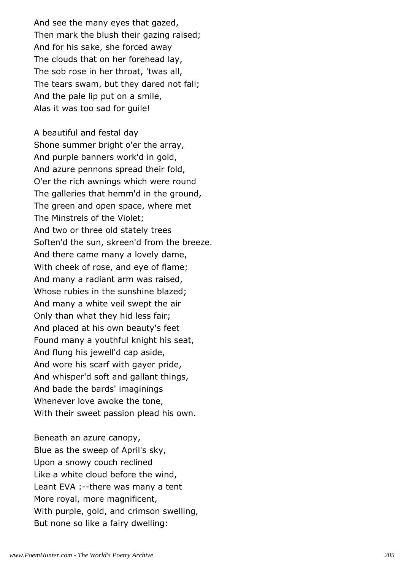And see the many eyes that gazed, Then mark the blush their gazing raised; And for his sake, she forced away The clouds that on her forehead lay, The sob rose in her throat, 'twas all, The tears swam, but they dared not fall; And the pale lip put on a smile, Alas it was too sad for guile!

A beautiful and festal day Shone summer bright o'er the array, And purple banners work'd in gold, And azure pennons spread their fold, O'er the rich awnings which were round The galleries that hemm'd in the ground, The green and open space, where met The Minstrels of the Violet; And two or three old stately trees Soften'd the sun, skreen'd from the breeze. And there came many a lovely dame, With cheek of rose, and eye of flame; And many a radiant arm was raised, Whose rubies in the sunshine blazed; And many a white veil swept the air Only than what they hid less fair; And placed at his own beauty's feet Found many a youthful knight his seat, And flung his jewell'd cap aside, And wore his scarf with gayer pride, And whisper'd soft and gallant things, And bade the bards' imaginings Whenever love awoke the tone, With their sweet passion plead his own.

Beneath an azure canopy, Blue as the sweep of April's sky, Upon a snowy couch reclined Like a white cloud before the wind, Leant EVA :--there was many a tent More royal, more magnificent, With purple, gold, and crimson swelling, But none so like a fairy dwelling: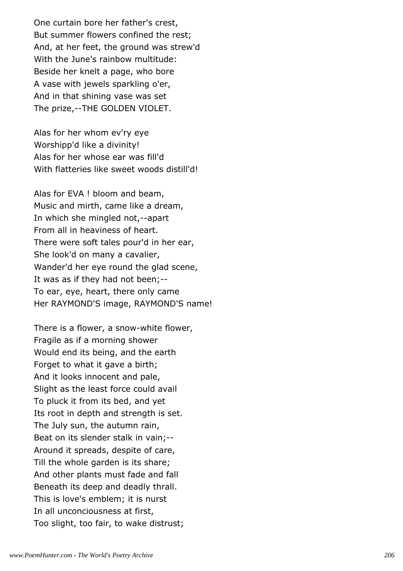One curtain bore her father's crest, But summer flowers confined the rest; And, at her feet, the ground was strew'd With the June's rainbow multitude: Beside her knelt a page, who bore A vase with jewels sparkling o'er, And in that shining vase was set The prize,--THE GOLDEN VIOLET.

Alas for her whom ev'ry eye Worshipp'd like a divinity! Alas for her whose ear was fill'd With flatteries like sweet woods distill'd!

Alas for EVA ! bloom and beam, Music and mirth, came like a dream, In which she mingled not,--apart From all in heaviness of heart. There were soft tales pour'd in her ear, She look'd on many a cavalier, Wander'd her eye round the glad scene, It was as if they had not been;-- To ear, eye, heart, there only came Her RAYMOND'S image, RAYMOND'S name!

There is a flower, a snow-white flower, Fragile as if a morning shower Would end its being, and the earth Forget to what it gave a birth; And it looks innocent and pale, Slight as the least force could avail To pluck it from its bed, and yet Its root in depth and strength is set. The July sun, the autumn rain, Beat on its slender stalk in vain;-- Around it spreads, despite of care, Till the whole garden is its share; And other plants must fade and fall Beneath its deep and deadly thrall. This is love's emblem; it is nurst In all unconciousness at first, Too slight, too fair, to wake distrust;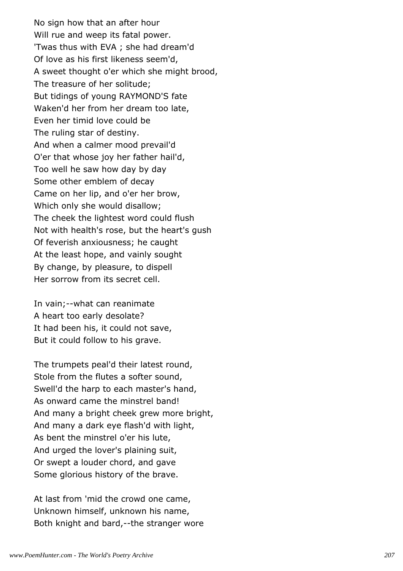No sign how that an after hour Will rue and weep its fatal power. 'Twas thus with EVA ; she had dream'd Of love as his first likeness seem'd, A sweet thought o'er which she might brood, The treasure of her solitude; But tidings of young RAYMOND'S fate Waken'd her from her dream too late, Even her timid love could be The ruling star of destiny. And when a calmer mood prevail'd O'er that whose joy her father hail'd, Too well he saw how day by day Some other emblem of decay Came on her lip, and o'er her brow, Which only she would disallow; The cheek the lightest word could flush Not with health's rose, but the heart's gush Of feverish anxiousness; he caught At the least hope, and vainly sought By change, by pleasure, to dispell Her sorrow from its secret cell.

In vain;--what can reanimate A heart too early desolate? It had been his, it could not save, But it could follow to his grave.

The trumpets peal'd their latest round, Stole from the flutes a softer sound, Swell'd the harp to each master's hand, As onward came the minstrel band! And many a bright cheek grew more bright, And many a dark eye flash'd with light, As bent the minstrel o'er his lute, And urged the lover's plaining suit, Or swept a louder chord, and gave Some glorious history of the brave.

At last from 'mid the crowd one came, Unknown himself, unknown his name, Both knight and bard,--the stranger wore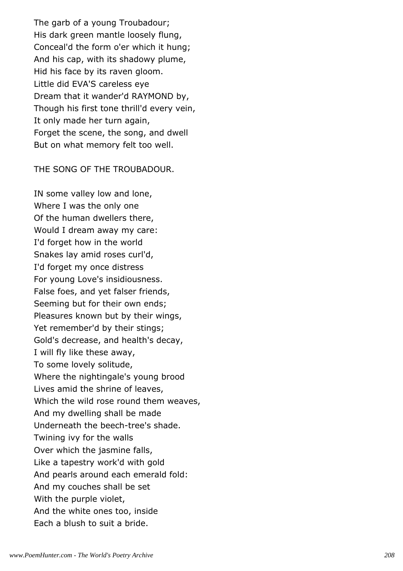The garb of a young Troubadour; His dark green mantle loosely flung, Conceal'd the form o'er which it hung; And his cap, with its shadowy plume, Hid his face by its raven gloom. Little did EVA'S careless eye Dream that it wander'd RAYMOND by, Though his first tone thrill'd every vein, It only made her turn again, Forget the scene, the song, and dwell But on what memory felt too well.

THE SONG OF THE TROUBADOUR.

IN some valley low and lone, Where I was the only one Of the human dwellers there, Would I dream away my care: I'd forget how in the world Snakes lay amid roses curl'd, I'd forget my once distress For young Love's insidiousness. False foes, and yet falser friends, Seeming but for their own ends; Pleasures known but by their wings, Yet remember'd by their stings; Gold's decrease, and health's decay, I will fly like these away, To some lovely solitude, Where the nightingale's young brood Lives amid the shrine of leaves, Which the wild rose round them weaves, And my dwelling shall be made Underneath the beech-tree's shade. Twining ivy for the walls Over which the jasmine falls, Like a tapestry work'd with gold And pearls around each emerald fold: And my couches shall be set With the purple violet, And the white ones too, inside Each a blush to suit a bride.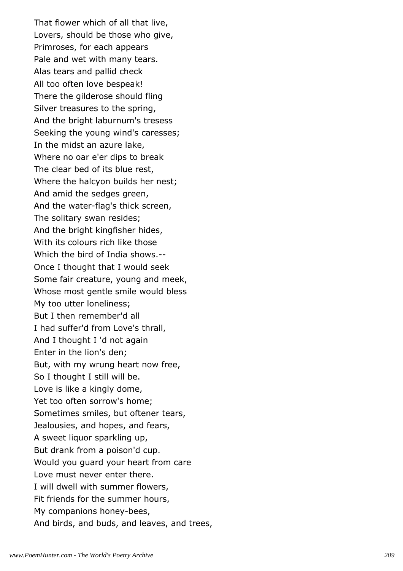That flower which of all that live, Lovers, should be those who give, Primroses, for each appears Pale and wet with many tears. Alas tears and pallid check All too often love bespeak! There the gilderose should fling Silver treasures to the spring, And the bright laburnum's tresess Seeking the young wind's caresses; In the midst an azure lake, Where no oar e'er dips to break The clear bed of its blue rest, Where the halcyon builds her nest; And amid the sedges green, And the water-flag's thick screen, The solitary swan resides; And the bright kingfisher hides, With its colours rich like those Which the bird of India shows.-- Once I thought that I would seek Some fair creature, young and meek, Whose most gentle smile would bless My too utter loneliness; But I then remember'd all I had suffer'd from Love's thrall, And I thought I 'd not again Enter in the lion's den; But, with my wrung heart now free, So I thought I still will be. Love is like a kingly dome, Yet too often sorrow's home; Sometimes smiles, but oftener tears, Jealousies, and hopes, and fears, A sweet liquor sparkling up, But drank from a poison'd cup. Would you guard your heart from care Love must never enter there. I will dwell with summer flowers, Fit friends for the summer hours, My companions honey-bees, And birds, and buds, and leaves, and trees,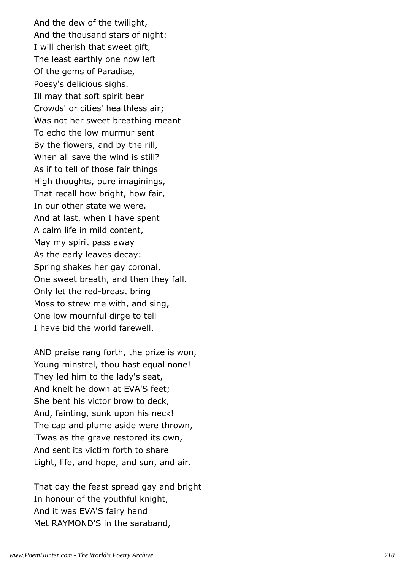And the dew of the twilight, And the thousand stars of night: I will cherish that sweet gift, The least earthly one now left Of the gems of Paradise, Poesy's delicious sighs. Ill may that soft spirit bear Crowds' or cities' healthless air; Was not her sweet breathing meant To echo the low murmur sent By the flowers, and by the rill, When all save the wind is still? As if to tell of those fair things High thoughts, pure imaginings, That recall how bright, how fair, In our other state we were. And at last, when I have spent A calm life in mild content, May my spirit pass away As the early leaves decay: Spring shakes her gay coronal, One sweet breath, and then they fall. Only let the red-breast bring Moss to strew me with, and sing, One low mournful dirge to tell I have bid the world farewell.

AND praise rang forth, the prize is won, Young minstrel, thou hast equal none! They led him to the lady's seat, And knelt he down at EVA'S feet; She bent his victor brow to deck, And, fainting, sunk upon his neck! The cap and plume aside were thrown, 'Twas as the grave restored its own, And sent its victim forth to share Light, life, and hope, and sun, and air.

That day the feast spread gay and bright In honour of the youthful knight, And it was EVA'S fairy hand Met RAYMOND'S in the saraband,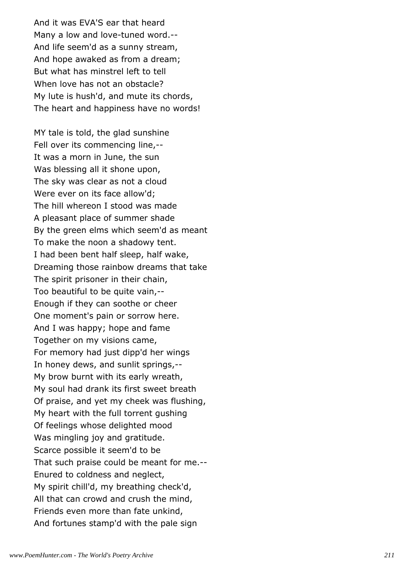And it was EVA'S ear that heard Many a low and love-tuned word.-- And life seem'd as a sunny stream, And hope awaked as from a dream; But what has minstrel left to tell When love has not an obstacle? My lute is hush'd, and mute its chords, The heart and happiness have no words!

MY tale is told, the glad sunshine Fell over its commencing line,-- It was a morn in June, the sun Was blessing all it shone upon, The sky was clear as not a cloud Were ever on its face allow'd; The hill whereon I stood was made A pleasant place of summer shade By the green elms which seem'd as meant To make the noon a shadowy tent. I had been bent half sleep, half wake, Dreaming those rainbow dreams that take The spirit prisoner in their chain, Too beautiful to be quite vain,-- Enough if they can soothe or cheer One moment's pain or sorrow here. And I was happy; hope and fame Together on my visions came, For memory had just dipp'd her wings In honey dews, and sunlit springs,-- My brow burnt with its early wreath, My soul had drank its first sweet breath Of praise, and yet my cheek was flushing, My heart with the full torrent gushing Of feelings whose delighted mood Was mingling joy and gratitude. Scarce possible it seem'd to be That such praise could be meant for me.-- Enured to coldness and neglect, My spirit chill'd, my breathing check'd, All that can crowd and crush the mind, Friends even more than fate unkind, And fortunes stamp'd with the pale sign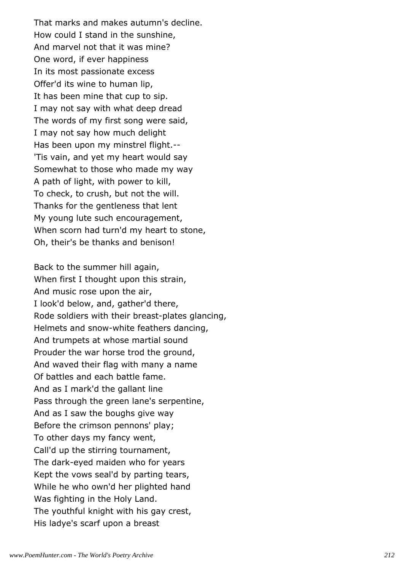That marks and makes autumn's decline. How could I stand in the sunshine, And marvel not that it was mine? One word, if ever happiness In its most passionate excess Offer'd its wine to human lip, It has been mine that cup to sip. I may not say with what deep dread The words of my first song were said, I may not say how much delight Has been upon my minstrel flight.-- 'Tis vain, and yet my heart would say Somewhat to those who made my way A path of light, with power to kill, To check, to crush, but not the will. Thanks for the gentleness that lent My young lute such encouragement, When scorn had turn'd my heart to stone, Oh, their's be thanks and benison!

Back to the summer hill again, When first I thought upon this strain, And music rose upon the air, I look'd below, and, gather'd there, Rode soldiers with their breast-plates glancing, Helmets and snow-white feathers dancing, And trumpets at whose martial sound Prouder the war horse trod the ground, And waved their flag with many a name Of battles and each battle fame. And as I mark'd the gallant line Pass through the green lane's serpentine, And as I saw the boughs give way Before the crimson pennons' play; To other days my fancy went, Call'd up the stirring tournament, The dark-eyed maiden who for years Kept the vows seal'd by parting tears, While he who own'd her plighted hand Was fighting in the Holy Land. The youthful knight with his gay crest, His ladye's scarf upon a breast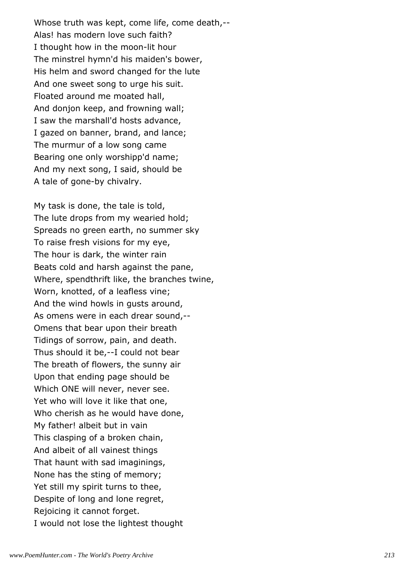Whose truth was kept, come life, come death,-- Alas! has modern love such faith? I thought how in the moon-lit hour The minstrel hymn'd his maiden's bower, His helm and sword changed for the lute And one sweet song to urge his suit. Floated around me moated hall, And donjon keep, and frowning wall; I saw the marshall'd hosts advance, I gazed on banner, brand, and lance; The murmur of a low song came Bearing one only worshipp'd name; And my next song, I said, should be A tale of gone-by chivalry.

My task is done, the tale is told, The lute drops from my wearied hold; Spreads no green earth, no summer sky To raise fresh visions for my eye, The hour is dark, the winter rain Beats cold and harsh against the pane, Where, spendthrift like, the branches twine, Worn, knotted, of a leafless vine; And the wind howls in gusts around, As omens were in each drear sound,-- Omens that bear upon their breath Tidings of sorrow, pain, and death. Thus should it be,--I could not bear The breath of flowers, the sunny air Upon that ending page should be Which ONE will never, never see. Yet who will love it like that one, Who cherish as he would have done, My father! albeit but in vain This clasping of a broken chain, And albeit of all vainest things That haunt with sad imaginings, None has the sting of memory; Yet still my spirit turns to thee, Despite of long and lone regret, Rejoicing it cannot forget. I would not lose the lightest thought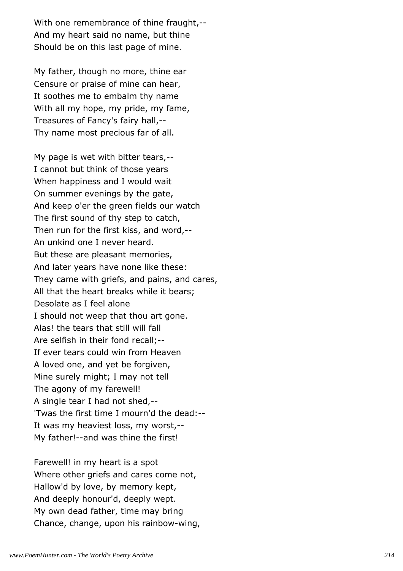With one remembrance of thine fraught,-- And my heart said no name, but thine Should be on this last page of mine.

My father, though no more, thine ear Censure or praise of mine can hear, It soothes me to embalm thy name With all my hope, my pride, my fame, Treasures of Fancy's fairy hall,-- Thy name most precious far of all.

My page is wet with bitter tears,-- I cannot but think of those years When happiness and I would wait On summer evenings by the gate, And keep o'er the green fields our watch The first sound of thy step to catch, Then run for the first kiss, and word,-- An unkind one I never heard. But these are pleasant memories, And later years have none like these: They came with griefs, and pains, and cares, All that the heart breaks while it bears; Desolate as I feel alone I should not weep that thou art gone. Alas! the tears that still will fall Are selfish in their fond recall;-- If ever tears could win from Heaven A loved one, and yet be forgiven, Mine surely might; I may not tell The agony of my farewell! A single tear I had not shed,-- 'Twas the first time I mourn'd the dead:-- It was my heaviest loss, my worst,-- My father!--and was thine the first!

Farewell! in my heart is a spot Where other griefs and cares come not, Hallow'd by love, by memory kept, And deeply honour'd, deeply wept. My own dead father, time may bring Chance, change, upon his rainbow-wing,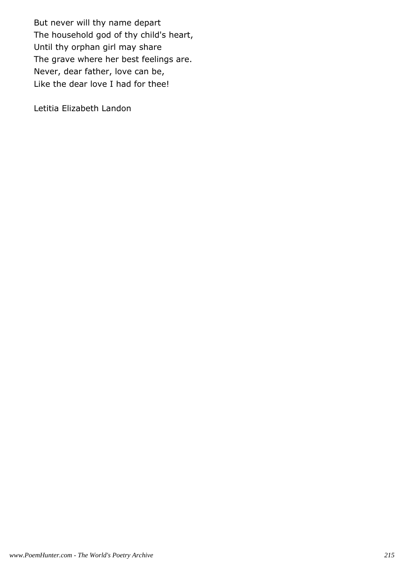But never will thy name depart The household god of thy child's heart, Until thy orphan girl may share The grave where her best feelings are. Never, dear father, love can be, Like the dear love I had for thee!

Letitia Elizabeth Landon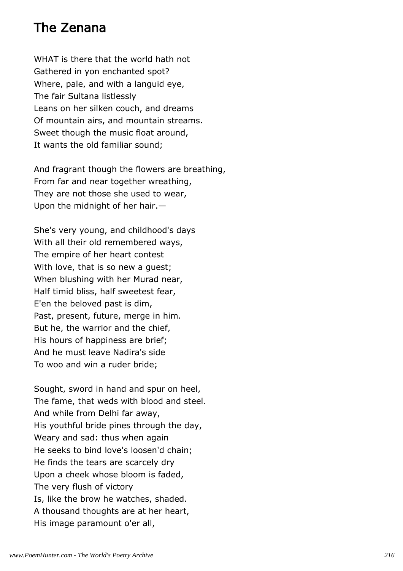## The Zenana

WHAT is there that the world hath not Gathered in yon enchanted spot? Where, pale, and with a languid eye, The fair Sultana listlessly Leans on her silken couch, and dreams Of mountain airs, and mountain streams. Sweet though the music float around, It wants the old familiar sound;

And fragrant though the flowers are breathing, From far and near together wreathing, They are not those she used to wear, Upon the midnight of her hair.—

She's very young, and childhood's days With all their old remembered ways, The empire of her heart contest With love, that is so new a guest; When blushing with her Murad near, Half timid bliss, half sweetest fear, E'en the beloved past is dim, Past, present, future, merge in him. But he, the warrior and the chief, His hours of happiness are brief; And he must leave Nadira's side To woo and win a ruder bride;

Sought, sword in hand and spur on heel, The fame, that weds with blood and steel. And while from Delhi far away, His youthful bride pines through the day, Weary and sad: thus when again He seeks to bind love's loosen'd chain; He finds the tears are scarcely dry Upon a cheek whose bloom is faded, The very flush of victory Is, like the brow he watches, shaded. A thousand thoughts are at her heart, His image paramount o'er all,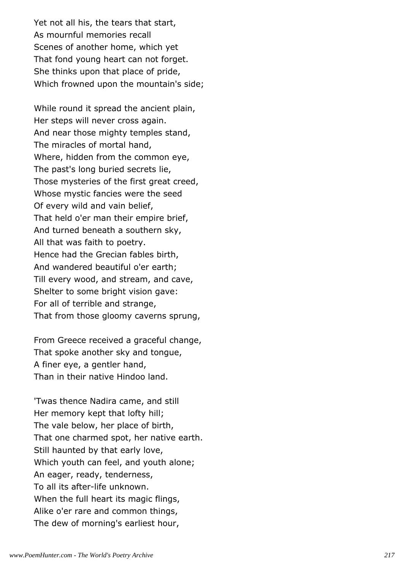Yet not all his, the tears that start, As mournful memories recall Scenes of another home, which yet That fond young heart can not forget. She thinks upon that place of pride, Which frowned upon the mountain's side;

While round it spread the ancient plain, Her steps will never cross again. And near those mighty temples stand, The miracles of mortal hand, Where, hidden from the common eye, The past's long buried secrets lie, Those mysteries of the first great creed, Whose mystic fancies were the seed Of every wild and vain belief, That held o'er man their empire brief, And turned beneath a southern sky, All that was faith to poetry. Hence had the Grecian fables birth, And wandered beautiful o'er earth; Till every wood, and stream, and cave, Shelter to some bright vision gave: For all of terrible and strange, That from those gloomy caverns sprung,

From Greece received a graceful change, That spoke another sky and tongue, A finer eye, a gentler hand, Than in their native Hindoo land.

'Twas thence Nadira came, and still Her memory kept that lofty hill; The vale below, her place of birth, That one charmed spot, her native earth. Still haunted by that early love, Which youth can feel, and youth alone; An eager, ready, tenderness, To all its after-life unknown. When the full heart its magic flings, Alike o'er rare and common things, The dew of morning's earliest hour,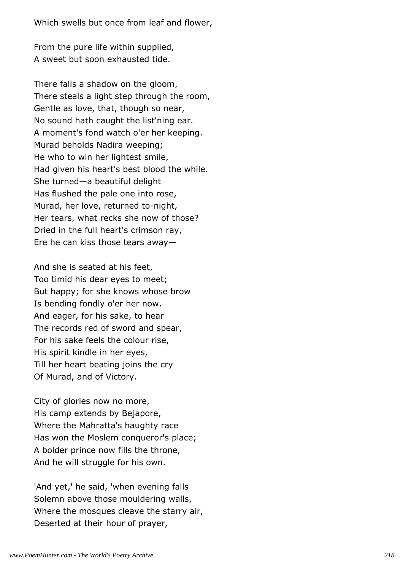Which swells but once from leaf and flower,

From the pure life within supplied, A sweet but soon exhausted tide.

There falls a shadow on the gloom, There steals a light step through the room, Gentle as love, that, though so near, No sound hath caught the list'ning ear. A moment's fond watch o'er her keeping. Murad beholds Nadira weeping; He who to win her lightest smile, Had given his heart's best blood the while. She turned—a beautiful delight Has flushed the pale one into rose, Murad, her love, returned to-night, Her tears, what recks she now of those? Dried in the full heart's crimson ray, Ere he can kiss those tears away—

And she is seated at his feet, Too timid his dear eyes to meet; But happy; for she knows whose brow Is bending fondly o'er her now. And eager, for his sake, to hear The records red of sword and spear, For his sake feels the colour rise, His spirit kindle in her eyes, Till her heart beating joins the cry Of Murad, and of Victory.

City of glories now no more, His camp extends by Bejapore, Where the Mahratta's haughty race Has won the Moslem conqueror's place; A bolder prince now fills the throne, And he will struggle for his own.

'And yet,' he said, 'when evening falls Solemn above those mouldering walls, Where the mosques cleave the starry air, Deserted at their hour of prayer,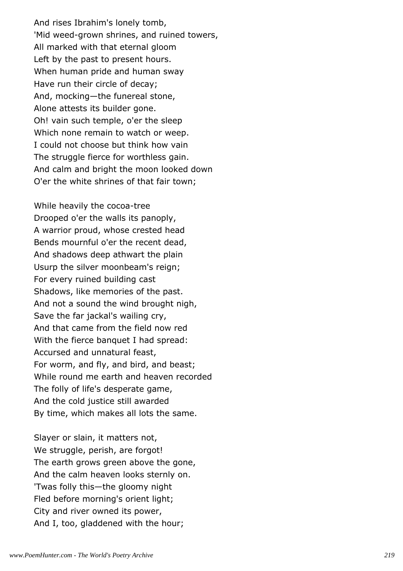And rises Ibrahim's lonely tomb, 'Mid weed-grown shrines, and ruined towers, All marked with that eternal gloom Left by the past to present hours. When human pride and human sway Have run their circle of decay; And, mocking—the funereal stone, Alone attests its builder gone. Oh! vain such temple, o'er the sleep Which none remain to watch or weep. I could not choose but think how vain The struggle fierce for worthless gain. And calm and bright the moon looked down O'er the white shrines of that fair town;

While heavily the cocoa-tree Drooped o'er the walls its panoply, A warrior proud, whose crested head Bends mournful o'er the recent dead, And shadows deep athwart the plain Usurp the silver moonbeam's reign; For every ruined building cast Shadows, like memories of the past. And not a sound the wind brought nigh, Save the far jackal's wailing cry, And that came from the field now red With the fierce banquet I had spread: Accursed and unnatural feast, For worm, and fly, and bird, and beast; While round me earth and heaven recorded The folly of life's desperate game, And the cold justice still awarded By time, which makes all lots the same.

Slayer or slain, it matters not, We struggle, perish, are forgot! The earth grows green above the gone, And the calm heaven looks sternly on. 'Twas folly this—the gloomy night Fled before morning's orient light; City and river owned its power, And I, too, gladdened with the hour;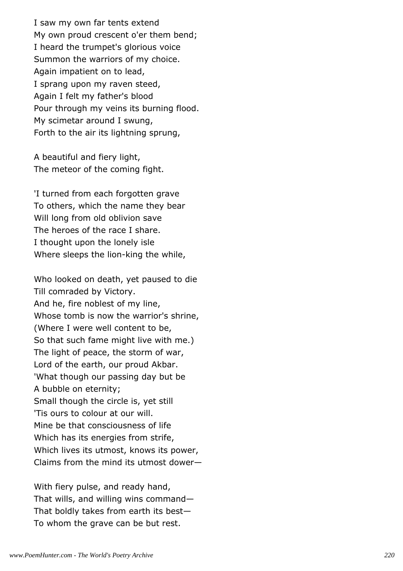I saw my own far tents extend My own proud crescent o'er them bend; I heard the trumpet's glorious voice Summon the warriors of my choice. Again impatient on to lead, I sprang upon my raven steed, Again I felt my father's blood Pour through my veins its burning flood. My scimetar around I swung, Forth to the air its lightning sprung,

A beautiful and fiery light, The meteor of the coming fight.

'I turned from each forgotten grave To others, which the name they bear Will long from old oblivion save The heroes of the race I share. I thought upon the lonely isle Where sleeps the lion-king the while,

Who looked on death, yet paused to die Till comraded by Victory. And he, fire noblest of my line, Whose tomb is now the warrior's shrine, (Where I were well content to be, So that such fame might live with me.) The light of peace, the storm of war, Lord of the earth, our proud Akbar. 'What though our passing day but be A bubble on eternity; Small though the circle is, yet still 'Tis ours to colour at our will. Mine be that consciousness of life Which has its energies from strife, Which lives its utmost, knows its power, Claims from the mind its utmost dower—

With fiery pulse, and ready hand, That wills, and willing wins command— That boldly takes from earth its best— To whom the grave can be but rest.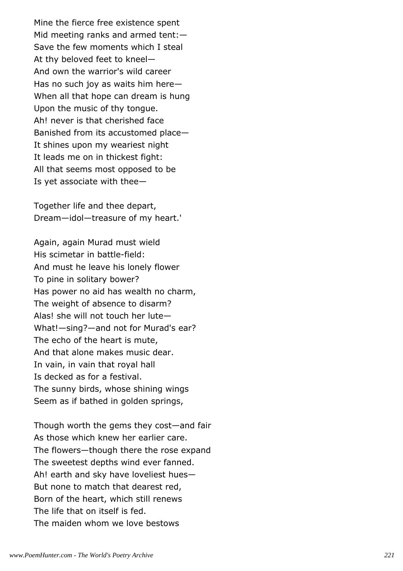Mine the fierce free existence spent Mid meeting ranks and armed tent:— Save the few moments which I steal At thy beloved feet to kneel— And own the warrior's wild career Has no such joy as waits him here— When all that hope can dream is hung Upon the music of thy tongue. Ah! never is that cherished face Banished from its accustomed place— It shines upon my weariest night It leads me on in thickest fight: All that seems most opposed to be Is yet associate with thee—

Together life and thee depart, Dream—idol—treasure of my heart.'

Again, again Murad must wield His scimetar in battle-field: And must he leave his lonely flower To pine in solitary bower? Has power no aid has wealth no charm, The weight of absence to disarm? Alas! she will not touch her lute— What!—sing?—and not for Murad's ear? The echo of the heart is mute, And that alone makes music dear. In vain, in vain that royal hall Is decked as for a festival. The sunny birds, whose shining wings Seem as if bathed in golden springs,

Though worth the gems they cost—and fair As those which knew her earlier care. The flowers—though there the rose expand The sweetest depths wind ever fanned. Ah! earth and sky have loveliest hues— But none to match that dearest red, Born of the heart, which still renews The life that on itself is fed. The maiden whom we love bestows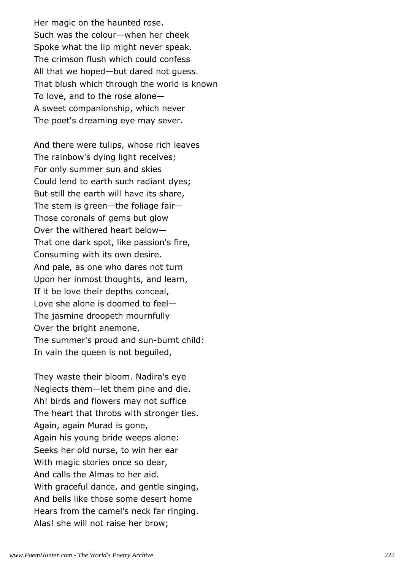Her magic on the haunted rose. Such was the colour—when her cheek Spoke what the lip might never speak. The crimson flush which could confess All that we hoped—but dared not guess. That blush which through the world is known To love, and to the rose alone— A sweet companionship, which never The poet's dreaming eye may sever.

And there were tulips, whose rich leaves The rainbow's dying light receives; For only summer sun and skies Could lend to earth such radiant dyes; But still the earth will have its share, The stem is green—the foliage fair— Those coronals of gems but glow Over the withered heart below— That one dark spot, like passion's fire, Consuming with its own desire. And pale, as one who dares not turn Upon her inmost thoughts, and learn, If it be love their depths conceal, Love she alone is doomed to feel— The jasmine droopeth mournfully Over the bright anemone, The summer's proud and sun-burnt child: In vain the queen is not beguiled,

They waste their bloom. Nadira's eye Neglects them—let them pine and die. Ah! birds and flowers may not suffice The heart that throbs with stronger ties. Again, again Murad is gone, Again his young bride weeps alone: Seeks her old nurse, to win her ear With magic stories once so dear, And calls the Almas to her aid. With graceful dance, and gentle singing, And bells like those some desert home Hears from the camel's neck far ringing. Alas! she will not raise her brow;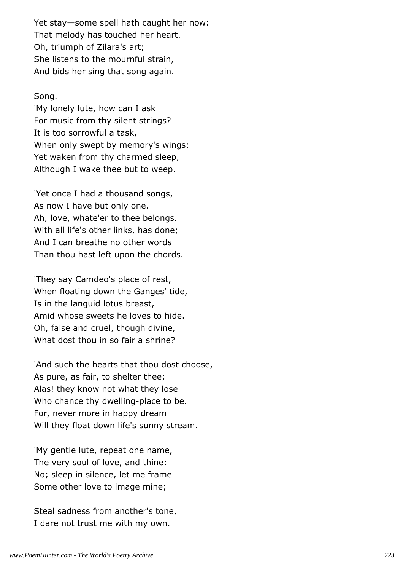Yet stay—some spell hath caught her now: That melody has touched her heart. Oh, triumph of Zilara's art; She listens to the mournful strain, And bids her sing that song again.

## Song.

'My lonely lute, how can I ask For music from thy silent strings? It is too sorrowful a task, When only swept by memory's wings: Yet waken from thy charmed sleep, Although I wake thee but to weep.

'Yet once I had a thousand songs, As now I have but only one. Ah, love, whate'er to thee belongs. With all life's other links, has done; And I can breathe no other words Than thou hast left upon the chords.

'They say Camdeo's place of rest, When floating down the Ganges' tide, Is in the languid lotus breast, Amid whose sweets he loves to hide. Oh, false and cruel, though divine, What dost thou in so fair a shrine?

'And such the hearts that thou dost choose, As pure, as fair, to shelter thee; Alas! they know not what they lose Who chance thy dwelling-place to be. For, never more in happy dream Will they float down life's sunny stream.

'My gentle lute, repeat one name, The very soul of love, and thine: No; sleep in silence, let me frame Some other love to image mine;

Steal sadness from another's tone, I dare not trust me with my own.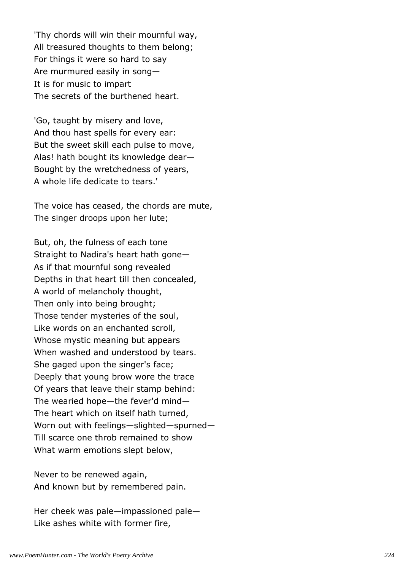'Thy chords will win their mournful way, All treasured thoughts to them belong; For things it were so hard to say Are murmured easily in song— It is for music to impart The secrets of the burthened heart.

'Go, taught by misery and love, And thou hast spells for every ear: But the sweet skill each pulse to move, Alas! hath bought its knowledge dear— Bought by the wretchedness of years, A whole life dedicate to tears.'

The voice has ceased, the chords are mute, The singer droops upon her lute;

But, oh, the fulness of each tone Straight to Nadira's heart hath gone— As if that mournful song revealed Depths in that heart till then concealed, A world of melancholy thought, Then only into being brought; Those tender mysteries of the soul, Like words on an enchanted scroll, Whose mystic meaning but appears When washed and understood by tears. She gaged upon the singer's face; Deeply that young brow wore the trace Of years that leave their stamp behind: The wearied hope—the fever'd mind— The heart which on itself hath turned, Worn out with feelings—slighted—spurned— Till scarce one throb remained to show What warm emotions slept below,

Never to be renewed again, And known but by remembered pain.

Her cheek was pale—impassioned pale— Like ashes white with former fire,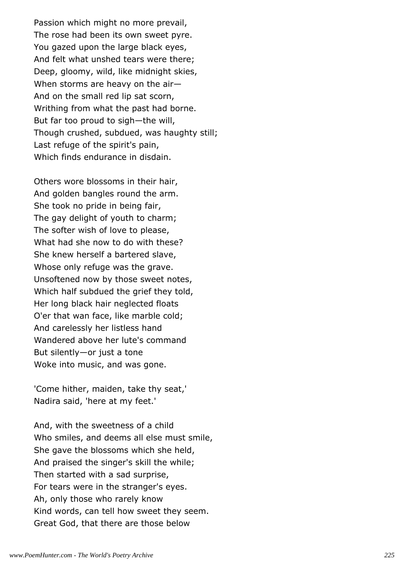Passion which might no more prevail, The rose had been its own sweet pyre. You gazed upon the large black eyes, And felt what unshed tears were there; Deep, gloomy, wild, like midnight skies, When storms are heavy on the air— And on the small red lip sat scorn, Writhing from what the past had borne. But far too proud to sigh—the will, Though crushed, subdued, was haughty still; Last refuge of the spirit's pain, Which finds endurance in disdain.

Others wore blossoms in their hair, And golden bangles round the arm. She took no pride in being fair, The gay delight of youth to charm; The softer wish of love to please, What had she now to do with these? She knew herself a bartered slave, Whose only refuge was the grave. Unsoftened now by those sweet notes, Which half subdued the grief they told, Her long black hair neglected floats O'er that wan face, like marble cold; And carelessly her listless hand Wandered above her lute's command But silently—or just a tone Woke into music, and was gone.

'Come hither, maiden, take thy seat,' Nadira said, 'here at my feet.'

And, with the sweetness of a child Who smiles, and deems all else must smile, She gave the blossoms which she held, And praised the singer's skill the while; Then started with a sad surprise, For tears were in the stranger's eyes. Ah, only those who rarely know Kind words, can tell how sweet they seem. Great God, that there are those below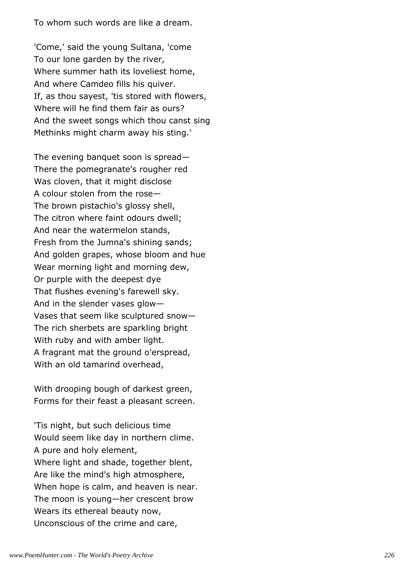To whom such words are like a dream.

'Come,' said the young Sultana, 'come To our lone garden by the river, Where summer hath its loveliest home, And where Camdeo fills his quiver. If, as thou sayest, 'tis stored with flowers, Where will he find them fair as ours? And the sweet songs which thou canst sing Methinks might charm away his sting.'

The evening banquet soon is spread— There the pomegranate's rougher red Was cloven, that it might disclose A colour stolen from the rose— The brown pistachio's glossy shell, The citron where faint odours dwell; And near the watermelon stands, Fresh from the Jumna's shining sands; And golden grapes, whose bloom and hue Wear morning light and morning dew, Or purple with the deepest dye That flushes evening's farewell sky. And in the slender vases glow— Vases that seem like sculptured snow— The rich sherbets are sparkling bright With ruby and with amber light. A fragrant mat the ground o'erspread, With an old tamarind overhead,

With drooping bough of darkest green, Forms for their feast a pleasant screen.

'Tis night, but such delicious time Would seem like day in northern clime. A pure and holy element, Where light and shade, together blent, Are like the mind's high atmosphere, When hope is calm, and heaven is near. The moon is young—her crescent brow Wears its ethereal beauty now, Unconscious of the crime and care,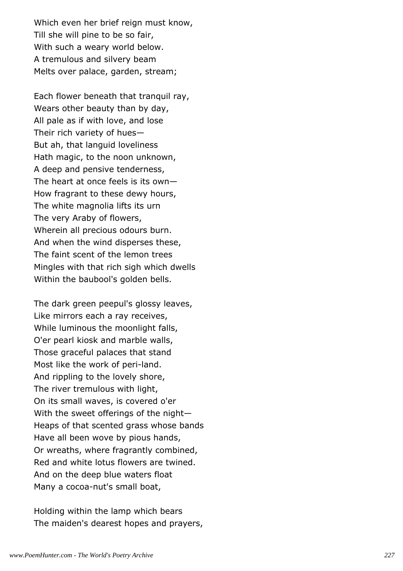Which even her brief reign must know, Till she will pine to be so fair, With such a weary world below. A tremulous and silvery beam Melts over palace, garden, stream;

Each flower beneath that tranquil ray, Wears other beauty than by day, All pale as if with love, and lose Their rich variety of hues— But ah, that languid loveliness Hath magic, to the noon unknown, A deep and pensive tenderness, The heart at once feels is its own— How fragrant to these dewy hours, The white magnolia lifts its urn The very Araby of flowers, Wherein all precious odours burn. And when the wind disperses these, The faint scent of the lemon trees Mingles with that rich sigh which dwells Within the baubool's golden bells.

The dark green peepul's glossy leaves, Like mirrors each a ray receives, While luminous the moonlight falls, O'er pearl kiosk and marble walls, Those graceful palaces that stand Most like the work of peri-land. And rippling to the lovely shore, The river tremulous with light, On its small waves, is covered o'er With the sweet offerings of the night— Heaps of that scented grass whose bands Have all been wove by pious hands, Or wreaths, where fragrantly combined, Red and white lotus flowers are twined. And on the deep blue waters float Many a cocoa-nut's small boat,

Holding within the lamp which bears The maiden's dearest hopes and prayers,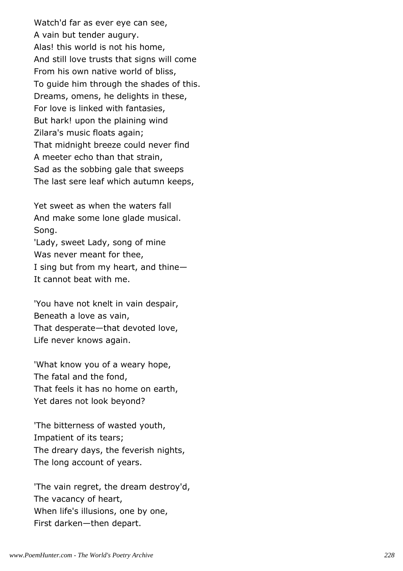Watch'd far as ever eye can see, A vain but tender augury. Alas! this world is not his home, And still love trusts that signs will come From his own native world of bliss, To guide him through the shades of this. Dreams, omens, he delights in these, For love is linked with fantasies, But hark! upon the plaining wind Zilara's music floats again; That midnight breeze could never find A meeter echo than that strain, Sad as the sobbing gale that sweeps The last sere leaf which autumn keeps,

Yet sweet as when the waters fall And make some lone glade musical. Song.

'Lady, sweet Lady, song of mine Was never meant for thee, I sing but from my heart, and thine— It cannot beat with me.

'You have not knelt in vain despair, Beneath a love as vain, That desperate—that devoted love, Life never knows again.

'What know you of a weary hope, The fatal and the fond, That feels it has no home on earth, Yet dares not look beyond?

'The bitterness of wasted youth, Impatient of its tears; The dreary days, the feverish nights, The long account of years.

'The vain regret, the dream destroy'd, The vacancy of heart, When life's illusions, one by one, First darken—then depart.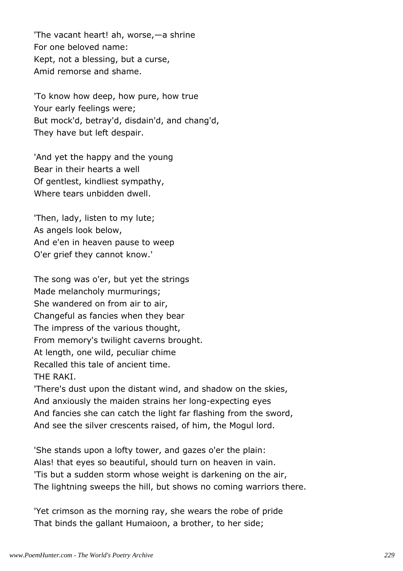'The vacant heart! ah, worse,—a shrine For one beloved name: Kept, not a blessing, but a curse, Amid remorse and shame.

'To know how deep, how pure, how true Your early feelings were; But mock'd, betray'd, disdain'd, and chang'd, They have but left despair.

'And yet the happy and the young Bear in their hearts a well Of gentlest, kindliest sympathy, Where tears unbidden dwell.

'Then, lady, listen to my lute; As angels look below, And e'en in heaven pause to weep O'er grief they cannot know.'

The song was o'er, but yet the strings Made melancholy murmurings; She wandered on from air to air, Changeful as fancies when they bear The impress of the various thought, From memory's twilight caverns brought. At length, one wild, peculiar chime Recalled this tale of ancient time. THE RAKI.

'There's dust upon the distant wind, and shadow on the skies, And anxiously the maiden strains her long-expecting eyes And fancies she can catch the light far flashing from the sword, And see the silver crescents raised, of him, the Mogul lord.

'She stands upon a lofty tower, and gazes o'er the plain: Alas! that eyes so beautiful, should turn on heaven in vain. 'Tis but a sudden storm whose weight is darkening on the air, The lightning sweeps the hill, but shows no coming warriors there.

'Yet crimson as the morning ray, she wears the robe of pride That binds the gallant Humaioon, a brother, to her side;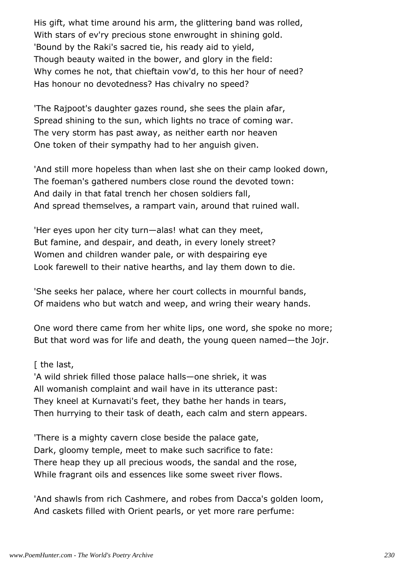His gift, what time around his arm, the glittering band was rolled, With stars of ev'ry precious stone enwrought in shining gold. 'Bound by the Raki's sacred tie, his ready aid to yield, Though beauty waited in the bower, and glory in the field: Why comes he not, that chieftain vow'd, to this her hour of need? Has honour no devotedness? Has chivalry no speed?

'The Rajpoot's daughter gazes round, she sees the plain afar, Spread shining to the sun, which lights no trace of coming war. The very storm has past away, as neither earth nor heaven One token of their sympathy had to her anguish given.

'And still more hopeless than when last she on their camp looked down, The foeman's gathered numbers close round the devoted town: And daily in that fatal trench her chosen soldiers fall, And spread themselves, a rampart vain, around that ruined wall.

'Her eyes upon her city turn—alas! what can they meet, But famine, and despair, and death, in every lonely street? Women and children wander pale, or with despairing eye Look farewell to their native hearths, and lay them down to die.

'She seeks her palace, where her court collects in mournful bands, Of maidens who but watch and weep, and wring their weary hands.

One word there came from her white lips, one word, she spoke no more; But that word was for life and death, the young queen named—the Jojr.

 $\lceil$  the last,

'A wild shriek filled those palace halls—one shriek, it was All womanish complaint and wail have in its utterance past: They kneel at Kurnavati's feet, they bathe her hands in tears, Then hurrying to their task of death, each calm and stern appears.

'There is a mighty cavern close beside the palace gate, Dark, gloomy temple, meet to make such sacrifice to fate: There heap they up all precious woods, the sandal and the rose, While fragrant oils and essences like some sweet river flows.

'And shawls from rich Cashmere, and robes from Dacca's golden loom, And caskets filled with Orient pearls, or yet more rare perfume: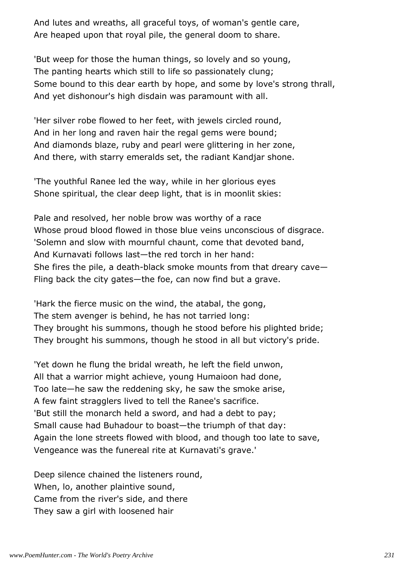And lutes and wreaths, all graceful toys, of woman's gentle care, Are heaped upon that royal pile, the general doom to share.

'But weep for those the human things, so lovely and so young, The panting hearts which still to life so passionately clung; Some bound to this dear earth by hope, and some by love's strong thrall, And yet dishonour's high disdain was paramount with all.

'Her silver robe flowed to her feet, with jewels circled round, And in her long and raven hair the regal gems were bound; And diamonds blaze, ruby and pearl were glittering in her zone, And there, with starry emeralds set, the radiant Kandjar shone.

'The youthful Ranee led the way, while in her glorious eyes Shone spiritual, the clear deep light, that is in moonlit skies:

Pale and resolved, her noble brow was worthy of a race Whose proud blood flowed in those blue veins unconscious of disgrace. 'Solemn and slow with mournful chaunt, come that devoted band, And Kurnavati follows last—the red torch in her hand: She fires the pile, a death-black smoke mounts from that dreary cave— Fling back the city gates—the foe, can now find but a grave.

'Hark the fierce music on the wind, the atabal, the gong, The stem avenger is behind, he has not tarried long: They brought his summons, though he stood before his plighted bride; They brought his summons, though he stood in all but victory's pride.

'Yet down he flung the bridal wreath, he left the field unwon, All that a warrior might achieve, young Humaioon had done, Too late—he saw the reddening sky, he saw the smoke arise, A few faint stragglers lived to tell the Ranee's sacrifice. 'But still the monarch held a sword, and had a debt to pay; Small cause had Buhadour to boast—the triumph of that day: Again the lone streets flowed with blood, and though too late to save, Vengeance was the funereal rite at Kurnavati's grave.'

Deep silence chained the listeners round, When, lo, another plaintive sound, Came from the river's side, and there They saw a girl with loosened hair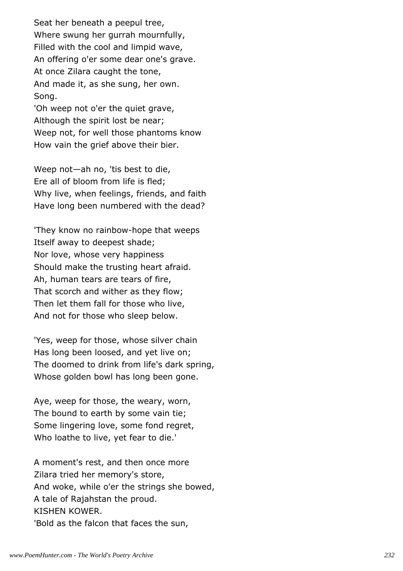Seat her beneath a peepul tree, Where swung her gurrah mournfully, Filled with the cool and limpid wave, An offering o'er some dear one's grave. At once Zilara caught the tone, And made it, as she sung, her own. Song.

'Oh weep not o'er the quiet grave, Although the spirit lost be near; Weep not, for well those phantoms know How vain the grief above their bier.

Weep not—ah no, 'tis best to die, Ere all of bloom from life is fled; Why live, when feelings, friends, and faith Have long been numbered with the dead?

'They know no rainbow-hope that weeps Itself away to deepest shade; Nor love, whose very happiness Should make the trusting heart afraid. Ah, human tears are tears of fire, That scorch and wither as they flow; Then let them fall for those who live, And not for those who sleep below.

'Yes, weep for those, whose silver chain Has long been loosed, and yet live on; The doomed to drink from life's dark spring, Whose golden bowl has long been gone.

Aye, weep for those, the weary, worn, The bound to earth by some vain tie; Some lingering love, some fond regret, Who loathe to live, yet fear to die.'

A moment's rest, and then once more Zilara tried her memory's store, And woke, while o'er the strings she bowed, A tale of Rajahstan the proud. KISHEN KOWER. 'Bold as the falcon that faces the sun,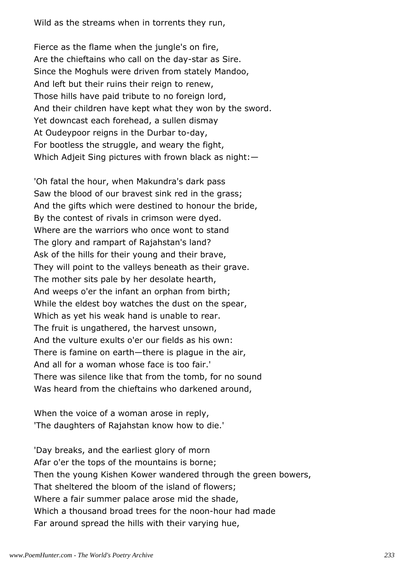Wild as the streams when in torrents they run,

Fierce as the flame when the jungle's on fire, Are the chieftains who call on the day-star as Sire. Since the Moghuls were driven from stately Mandoo, And left but their ruins their reign to renew, Those hills have paid tribute to no foreign lord, And their children have kept what they won by the sword. Yet downcast each forehead, a sullen dismay At Oudeypoor reigns in the Durbar to-day, For bootless the struggle, and weary the fight, Which Adjeit Sing pictures with frown black as night: -

'Oh fatal the hour, when Makundra's dark pass Saw the blood of our bravest sink red in the grass; And the gifts which were destined to honour the bride, By the contest of rivals in crimson were dyed. Where are the warriors who once wont to stand The glory and rampart of Rajahstan's land? Ask of the hills for their young and their brave, They will point to the valleys beneath as their grave. The mother sits pale by her desolate hearth, And weeps o'er the infant an orphan from birth; While the eldest boy watches the dust on the spear, Which as yet his weak hand is unable to rear. The fruit is ungathered, the harvest unsown, And the vulture exults o'er our fields as his own: There is famine on earth—there is plague in the air, And all for a woman whose face is too fair.' There was silence like that from the tomb, for no sound Was heard from the chieftains who darkened around,

When the voice of a woman arose in reply, 'The daughters of Rajahstan know how to die.'

'Day breaks, and the earliest glory of morn Afar o'er the tops of the mountains is borne; Then the young Kishen Kower wandered through the green bowers, That sheltered the bloom of the island of flowers; Where a fair summer palace arose mid the shade, Which a thousand broad trees for the noon-hour had made Far around spread the hills with their varying hue,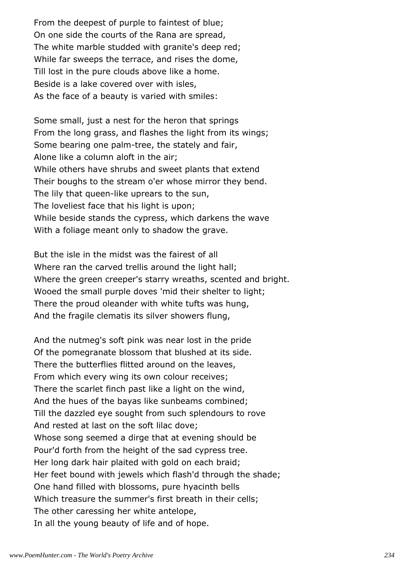From the deepest of purple to faintest of blue; On one side the courts of the Rana are spread, The white marble studded with granite's deep red; While far sweeps the terrace, and rises the dome, Till lost in the pure clouds above like a home. Beside is a lake covered over with isles, As the face of a beauty is varied with smiles:

Some small, just a nest for the heron that springs From the long grass, and flashes the light from its wings; Some bearing one palm-tree, the stately and fair, Alone like a column aloft in the air; While others have shrubs and sweet plants that extend Their boughs to the stream o'er whose mirror they bend. The lily that queen-like uprears to the sun, The loveliest face that his light is upon; While beside stands the cypress, which darkens the wave With a foliage meant only to shadow the grave.

But the isle in the midst was the fairest of all Where ran the carved trellis around the light hall; Where the green creeper's starry wreaths, scented and bright. Wooed the small purple doves 'mid their shelter to light; There the proud oleander with white tufts was hung, And the fragile clematis its silver showers flung,

And the nutmeg's soft pink was near lost in the pride Of the pomegranate blossom that blushed at its side. There the butterflies flitted around on the leaves, From which every wing its own colour receives; There the scarlet finch past like a light on the wind, And the hues of the bayas like sunbeams combined; Till the dazzled eye sought from such splendours to rove And rested at last on the soft lilac dove; Whose song seemed a dirge that at evening should be Pour'd forth from the height of the sad cypress tree. Her long dark hair plaited with gold on each braid; Her feet bound with jewels which flash'd through the shade; One hand filled with blossoms, pure hyacinth bells Which treasure the summer's first breath in their cells; The other caressing her white antelope, In all the young beauty of life and of hope.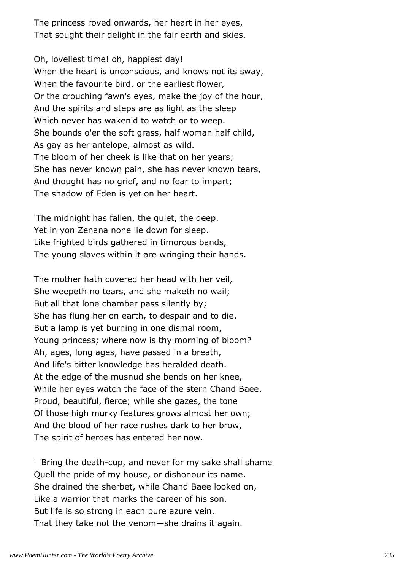The princess roved onwards, her heart in her eyes, That sought their delight in the fair earth and skies.

Oh, loveliest time! oh, happiest day! When the heart is unconscious, and knows not its sway, When the favourite bird, or the earliest flower, Or the crouching fawn's eyes, make the joy of the hour, And the spirits and steps are as light as the sleep Which never has waken'd to watch or to weep. She bounds o'er the soft grass, half woman half child, As gay as her antelope, almost as wild. The bloom of her cheek is like that on her years; She has never known pain, she has never known tears, And thought has no grief, and no fear to impart; The shadow of Eden is yet on her heart.

'The midnight has fallen, the quiet, the deep, Yet in yon Zenana none lie down for sleep. Like frighted birds gathered in timorous bands, The young slaves within it are wringing their hands.

The mother hath covered her head with her veil, She weepeth no tears, and she maketh no wail; But all that lone chamber pass silently by; She has flung her on earth, to despair and to die. But a lamp is yet burning in one dismal room, Young princess; where now is thy morning of bloom? Ah, ages, long ages, have passed in a breath, And life's bitter knowledge has heralded death. At the edge of the musnud she bends on her knee, While her eyes watch the face of the stern Chand Baee. Proud, beautiful, fierce; while she gazes, the tone Of those high murky features grows almost her own; And the blood of her race rushes dark to her brow, The spirit of heroes has entered her now.

' 'Bring the death-cup, and never for my sake shall shame Quell the pride of my house, or dishonour its name. She drained the sherbet, while Chand Baee looked on, Like a warrior that marks the career of his son. But life is so strong in each pure azure vein, That they take not the venom—she drains it again.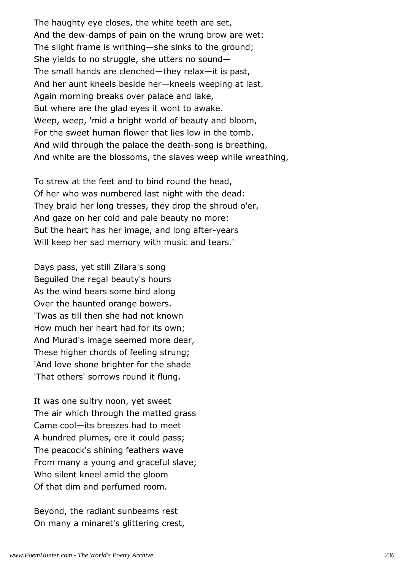The haughty eye closes, the white teeth are set, And the dew-damps of pain on the wrung brow are wet: The slight frame is writhing—she sinks to the ground; She yields to no struggle, she utters no sound— The small hands are clenched—they relax—it is past, And her aunt kneels beside her—kneels weeping at last. Again morning breaks over palace and lake, But where are the glad eyes it wont to awake. Weep, weep, 'mid a bright world of beauty and bloom, For the sweet human flower that lies low in the tomb. And wild through the palace the death-song is breathing, And white are the blossoms, the slaves weep while wreathing,

To strew at the feet and to bind round the head, Of her who was numbered last night with the dead: They braid her long tresses, they drop the shroud o'er, And gaze on her cold and pale beauty no more: But the heart has her image, and long after-years Will keep her sad memory with music and tears.'

Days pass, yet still Zilara's song Beguiled the regal beauty's hours As the wind bears some bird along Over the haunted orange bowers. 'Twas as till then she had not known How much her heart had for its own; And Murad's image seemed more dear, These higher chords of feeling strung; 'And love shone brighter for the shade 'That others' sorrows round it flung.

It was one sultry noon, yet sweet The air which through the matted grass Came cool—its breezes had to meet A hundred plumes, ere it could pass; The peacock's shining feathers wave From many a young and graceful slave; Who silent kneel amid the gloom Of that dim and perfumed room.

Beyond, the radiant sunbeams rest On many a minaret's glittering crest,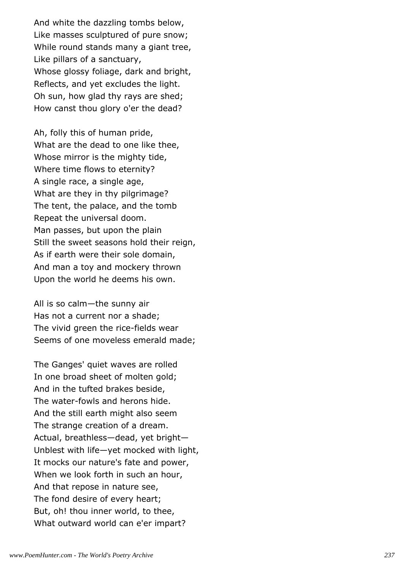And white the dazzling tombs below, Like masses sculptured of pure snow; While round stands many a giant tree, Like pillars of a sanctuary, Whose glossy foliage, dark and bright, Reflects, and yet excludes the light. Oh sun, how glad thy rays are shed; How canst thou glory o'er the dead?

Ah, folly this of human pride, What are the dead to one like thee, Whose mirror is the mighty tide, Where time flows to eternity? A single race, a single age, What are they in thy pilgrimage? The tent, the palace, and the tomb Repeat the universal doom. Man passes, but upon the plain Still the sweet seasons hold their reign, As if earth were their sole domain, And man a toy and mockery thrown Upon the world he deems his own.

All is so calm—the sunny air Has not a current nor a shade; The vivid green the rice-fields wear Seems of one moveless emerald made;

The Ganges' quiet waves are rolled In one broad sheet of molten gold; And in the tufted brakes beside, The water-fowls and herons hide. And the still earth might also seem The strange creation of a dream. Actual, breathless—dead, yet bright— Unblest with life—yet mocked with light, It mocks our nature's fate and power, When we look forth in such an hour, And that repose in nature see, The fond desire of every heart; But, oh! thou inner world, to thee, What outward world can e'er impart?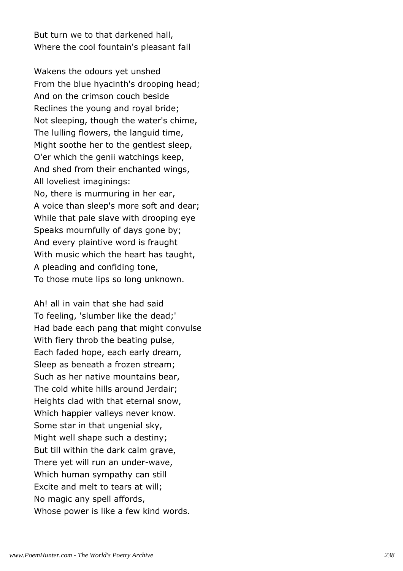But turn we to that darkened hall, Where the cool fountain's pleasant fall

Wakens the odours yet unshed From the blue hyacinth's drooping head; And on the crimson couch beside Reclines the young and royal bride; Not sleeping, though the water's chime, The lulling flowers, the languid time, Might soothe her to the gentlest sleep, O'er which the genii watchings keep, And shed from their enchanted wings, All loveliest imaginings: No, there is murmuring in her ear, A voice than sleep's more soft and dear; While that pale slave with drooping eye Speaks mournfully of days gone by; And every plaintive word is fraught With music which the heart has taught, A pleading and confiding tone, To those mute lips so long unknown.

Ah! all in vain that she had said To feeling, 'slumber like the dead;' Had bade each pang that might convulse With fiery throb the beating pulse, Each faded hope, each early dream, Sleep as beneath a frozen stream; Such as her native mountains bear, The cold white hills around Jerdair; Heights clad with that eternal snow, Which happier valleys never know. Some star in that ungenial sky, Might well shape such a destiny; But till within the dark calm grave, There yet will run an under-wave, Which human sympathy can still Excite and melt to tears at will; No magic any spell affords, Whose power is like a few kind words.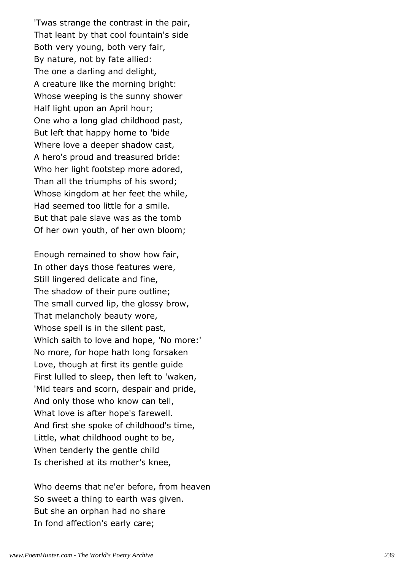'Twas strange the contrast in the pair, That leant by that cool fountain's side Both very young, both very fair, By nature, not by fate allied: The one a darling and delight, A creature like the morning bright: Whose weeping is the sunny shower Half light upon an April hour; One who a long glad childhood past, But left that happy home to 'bide Where love a deeper shadow cast, A hero's proud and treasured bride: Who her light footstep more adored, Than all the triumphs of his sword; Whose kingdom at her feet the while, Had seemed too little for a smile. But that pale slave was as the tomb Of her own youth, of her own bloom;

Enough remained to show how fair, In other days those features were, Still lingered delicate and fine, The shadow of their pure outline; The small curved lip, the glossy brow, That melancholy beauty wore, Whose spell is in the silent past, Which saith to love and hope, 'No more:' No more, for hope hath long forsaken Love, though at first its gentle guide First lulled to sleep, then left to 'waken, 'Mid tears and scorn, despair and pride, And only those who know can tell, What love is after hope's farewell. And first she spoke of childhood's time, Little, what childhood ought to be, When tenderly the gentle child Is cherished at its mother's knee,

Who deems that ne'er before, from heaven So sweet a thing to earth was given. But she an orphan had no share In fond affection's early care;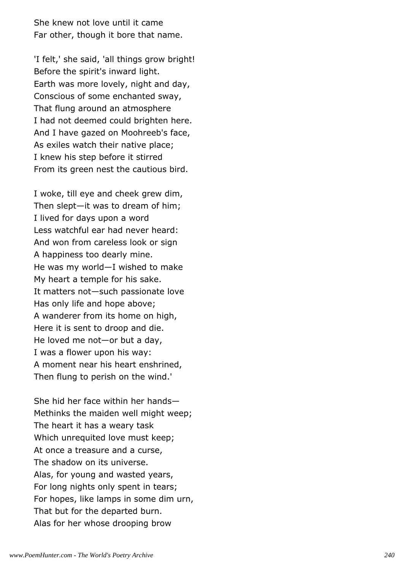She knew not love until it came Far other, though it bore that name.

'I felt,' she said, 'all things grow bright! Before the spirit's inward light. Earth was more lovely, night and day, Conscious of some enchanted sway, That flung around an atmosphere I had not deemed could brighten here. And I have gazed on Moohreeb's face, As exiles watch their native place; I knew his step before it stirred From its green nest the cautious bird.

I woke, till eye and cheek grew dim, Then slept—it was to dream of him; I lived for days upon a word Less watchful ear had never heard: And won from careless look or sign A happiness too dearly mine. He was my world—I wished to make My heart a temple for his sake. It matters not—such passionate love Has only life and hope above; A wanderer from its home on high, Here it is sent to droop and die. He loved me not—or but a day, I was a flower upon his way: A moment near his heart enshrined, Then flung to perish on the wind.'

She hid her face within her hands— Methinks the maiden well might weep; The heart it has a weary task Which unrequited love must keep; At once a treasure and a curse, The shadow on its universe. Alas, for young and wasted years, For long nights only spent in tears; For hopes, like lamps in some dim urn, That but for the departed burn. Alas for her whose drooping brow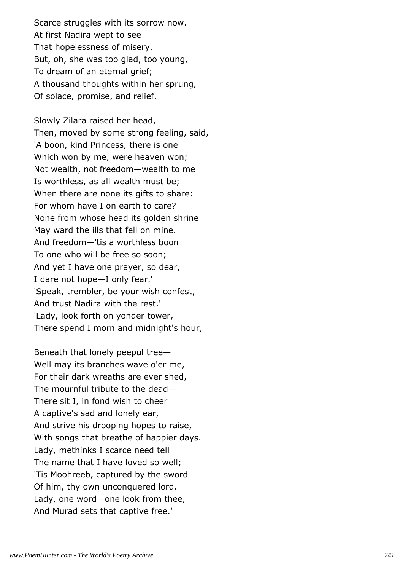Scarce struggles with its sorrow now. At first Nadira wept to see That hopelessness of misery. But, oh, she was too glad, too young, To dream of an eternal grief; A thousand thoughts within her sprung, Of solace, promise, and relief.

Slowly Zilara raised her head, Then, moved by some strong feeling, said, 'A boon, kind Princess, there is one Which won by me, were heaven won; Not wealth, not freedom—wealth to me Is worthless, as all wealth must be; When there are none its gifts to share: For whom have I on earth to care? None from whose head its golden shrine May ward the ills that fell on mine. And freedom—'tis a worthless boon To one who will be free so soon; And yet I have one prayer, so dear, I dare not hope—I only fear.' 'Speak, trembler, be your wish confest, And trust Nadira with the rest.' 'Lady, look forth on yonder tower, There spend I morn and midnight's hour,

Beneath that lonely peepul tree— Well may its branches wave o'er me, For their dark wreaths are ever shed, The mournful tribute to the dead— There sit I, in fond wish to cheer A captive's sad and lonely ear, And strive his drooping hopes to raise, With songs that breathe of happier days. Lady, methinks I scarce need tell The name that I have loved so well; 'Tis Moohreeb, captured by the sword Of him, thy own unconquered lord. Lady, one word—one look from thee, And Murad sets that captive free.'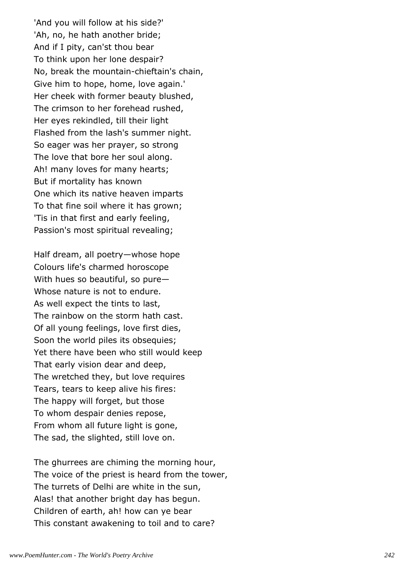'And you will follow at his side?' 'Ah, no, he hath another bride; And if I pity, can'st thou bear To think upon her lone despair? No, break the mountain-chieftain's chain, Give him to hope, home, love again.' Her cheek with former beauty blushed, The crimson to her forehead rushed, Her eyes rekindled, till their light Flashed from the lash's summer night. So eager was her prayer, so strong The love that bore her soul along. Ah! many loves for many hearts; But if mortality has known One which its native heaven imparts To that fine soil where it has grown; 'Tis in that first and early feeling, Passion's most spiritual revealing;

Half dream, all poetry—whose hope Colours life's charmed horoscope With hues so beautiful, so pure— Whose nature is not to endure. As well expect the tints to last, The rainbow on the storm hath cast. Of all young feelings, love first dies, Soon the world piles its obsequies; Yet there have been who still would keep That early vision dear and deep, The wretched they, but love requires Tears, tears to keep alive his fires: The happy will forget, but those To whom despair denies repose, From whom all future light is gone, The sad, the slighted, still love on.

The ghurrees are chiming the morning hour, The voice of the priest is heard from the tower, The turrets of Delhi are white in the sun, Alas! that another bright day has begun. Children of earth, ah! how can ye bear This constant awakening to toil and to care?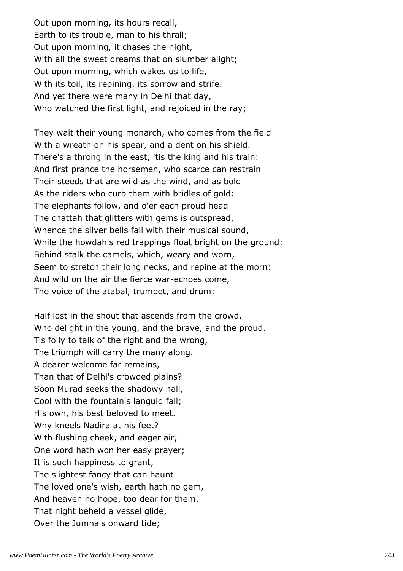Out upon morning, its hours recall, Earth to its trouble, man to his thrall; Out upon morning, it chases the night, With all the sweet dreams that on slumber alight; Out upon morning, which wakes us to life, With its toil, its repining, its sorrow and strife. And yet there were many in Delhi that day, Who watched the first light, and rejoiced in the ray;

They wait their young monarch, who comes from the field With a wreath on his spear, and a dent on his shield. There's a throng in the east, 'tis the king and his train: And first prance the horsemen, who scarce can restrain Their steeds that are wild as the wind, and as bold As the riders who curb them with bridles of gold: The elephants follow, and o'er each proud head The chattah that glitters with gems is outspread, Whence the silver bells fall with their musical sound, While the howdah's red trappings float bright on the ground: Behind stalk the camels, which, weary and worn, Seem to stretch their long necks, and repine at the morn: And wild on the air the fierce war-echoes come, The voice of the atabal, trumpet, and drum:

Half lost in the shout that ascends from the crowd, Who delight in the young, and the brave, and the proud. Tis folly to talk of the right and the wrong, The triumph will carry the many along. A dearer welcome far remains, Than that of Delhi's crowded plains? Soon Murad seeks the shadowy hall, Cool with the fountain's languid fall; His own, his best beloved to meet. Why kneels Nadira at his feet? With flushing cheek, and eager air, One word hath won her easy prayer; It is such happiness to grant, The slightest fancy that can haunt The loved one's wish, earth hath no gem, And heaven no hope, too dear for them. That night beheld a vessel glide, Over the Jumna's onward tide;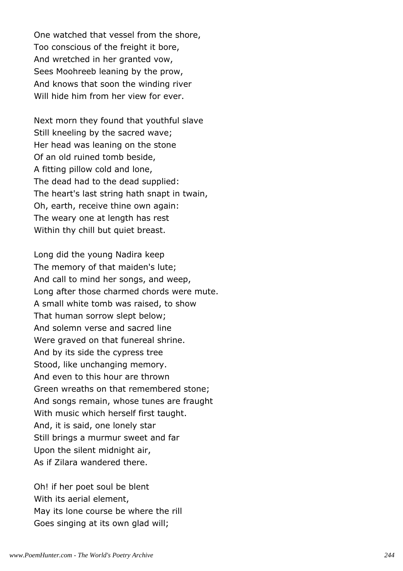One watched that vessel from the shore, Too conscious of the freight it bore, And wretched in her granted vow, Sees Moohreeb leaning by the prow, And knows that soon the winding river Will hide him from her view for ever.

Next morn they found that youthful slave Still kneeling by the sacred wave; Her head was leaning on the stone Of an old ruined tomb beside, A fitting pillow cold and lone, The dead had to the dead supplied: The heart's last string hath snapt in twain, Oh, earth, receive thine own again: The weary one at length has rest Within thy chill but quiet breast.

Long did the young Nadira keep The memory of that maiden's lute; And call to mind her songs, and weep, Long after those charmed chords were mute. A small white tomb was raised, to show That human sorrow slept below; And solemn verse and sacred line Were graved on that funereal shrine. And by its side the cypress tree Stood, like unchanging memory. And even to this hour are thrown Green wreaths on that remembered stone; And songs remain, whose tunes are fraught With music which herself first taught. And, it is said, one lonely star Still brings a murmur sweet and far Upon the silent midnight air, As if Zilara wandered there.

Oh! if her poet soul be blent With its aerial element, May its lone course be where the rill Goes singing at its own glad will;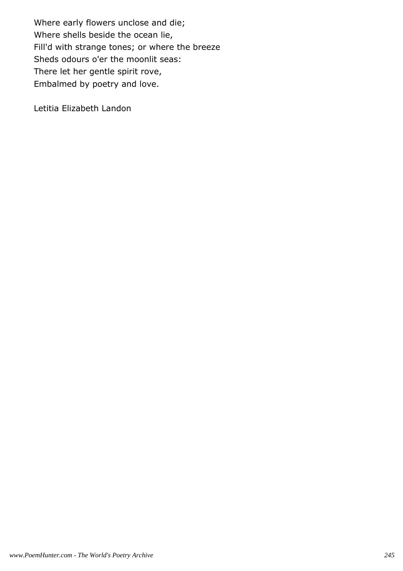Where early flowers unclose and die; Where shells beside the ocean lie, Fill'd with strange tones; or where the breeze Sheds odours o'er the moonlit seas: There let her gentle spirit rove, Embalmed by poetry and love.

Letitia Elizabeth Landon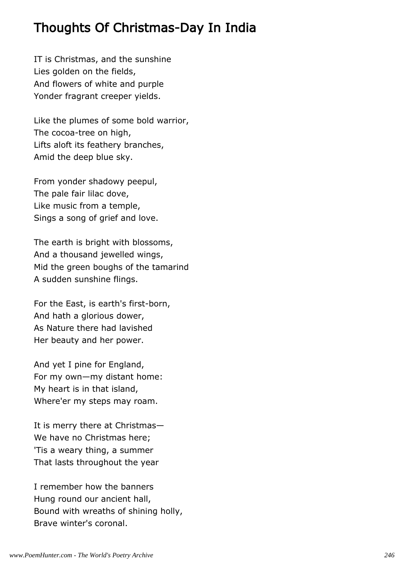## Thoughts Of Christmas-Day In India

IT is Christmas, and the sunshine Lies golden on the fields, And flowers of white and purple Yonder fragrant creeper yields.

Like the plumes of some bold warrior, The cocoa-tree on high, Lifts aloft its feathery branches, Amid the deep blue sky.

From yonder shadowy peepul, The pale fair lilac dove, Like music from a temple, Sings a song of grief and love.

The earth is bright with blossoms, And a thousand jewelled wings, Mid the green boughs of the tamarind A sudden sunshine flings.

For the East, is earth's first-born, And hath a glorious dower, As Nature there had lavished Her beauty and her power.

And yet I pine for England, For my own—my distant home: My heart is in that island, Where'er my steps may roam.

It is merry there at Christmas— We have no Christmas here; 'Tis a weary thing, a summer That lasts throughout the year

I remember how the banners Hung round our ancient hall, Bound with wreaths of shining holly, Brave winter's coronal.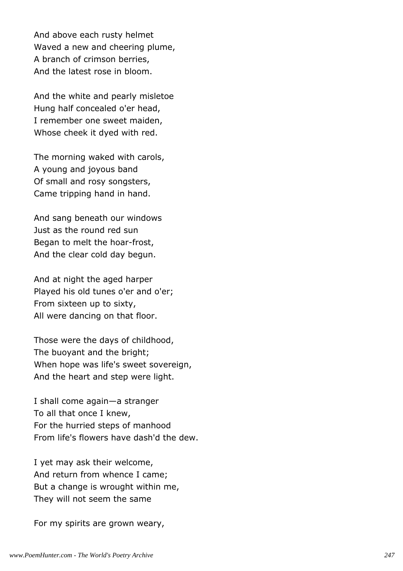And above each rusty helmet Waved a new and cheering plume, A branch of crimson berries, And the latest rose in bloom.

And the white and pearly misletoe Hung half concealed o'er head, I remember one sweet maiden, Whose cheek it dyed with red.

The morning waked with carols, A young and joyous band Of small and rosy songsters, Came tripping hand in hand.

And sang beneath our windows Just as the round red sun Began to melt the hoar-frost, And the clear cold day begun.

And at night the aged harper Played his old tunes o'er and o'er; From sixteen up to sixty, All were dancing on that floor.

Those were the days of childhood, The buoyant and the bright; When hope was life's sweet sovereign, And the heart and step were light.

I shall come again—a stranger To all that once I knew, For the hurried steps of manhood From life's flowers have dash'd the dew.

I yet may ask their welcome, And return from whence I came; But a change is wrought within me, They will not seem the same

For my spirits are grown weary,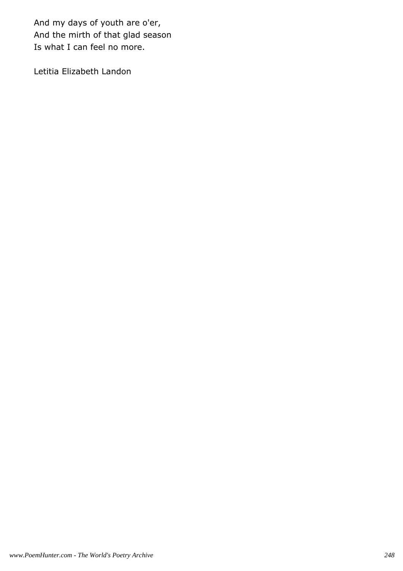And my days of youth are o'er, And the mirth of that glad season Is what I can feel no more.

Letitia Elizabeth Landon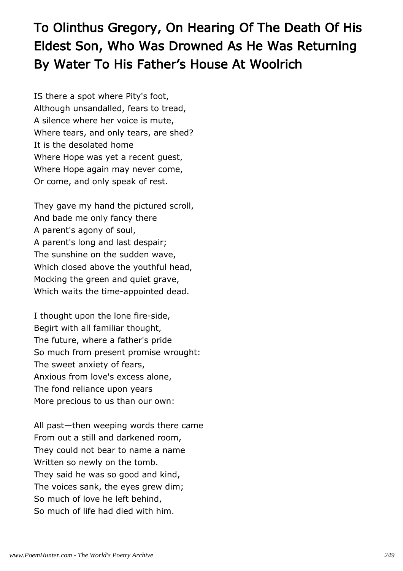## To Olinthus Gregory, On Hearing Of The Death Of His Eldest Son, Who Was Drowned As He Was Returning By Water To His Father's House At Woolrich

IS there a spot where Pity's foot, Although unsandalled, fears to tread, A silence where her voice is mute, Where tears, and only tears, are shed? It is the desolated home Where Hope was yet a recent guest, Where Hope again may never come, Or come, and only speak of rest.

They gave my hand the pictured scroll, And bade me only fancy there A parent's agony of soul, A parent's long and last despair; The sunshine on the sudden wave, Which closed above the youthful head, Mocking the green and quiet grave, Which waits the time-appointed dead.

I thought upon the lone fire-side, Begirt with all familiar thought, The future, where a father's pride So much from present promise wrought: The sweet anxiety of fears, Anxious from love's excess alone, The fond reliance upon years More precious to us than our own:

All past—then weeping words there came From out a still and darkened room, They could not bear to name a name Written so newly on the tomb. They said he was so good and kind, The voices sank, the eyes grew dim; So much of love he left behind, So much of life had died with him.